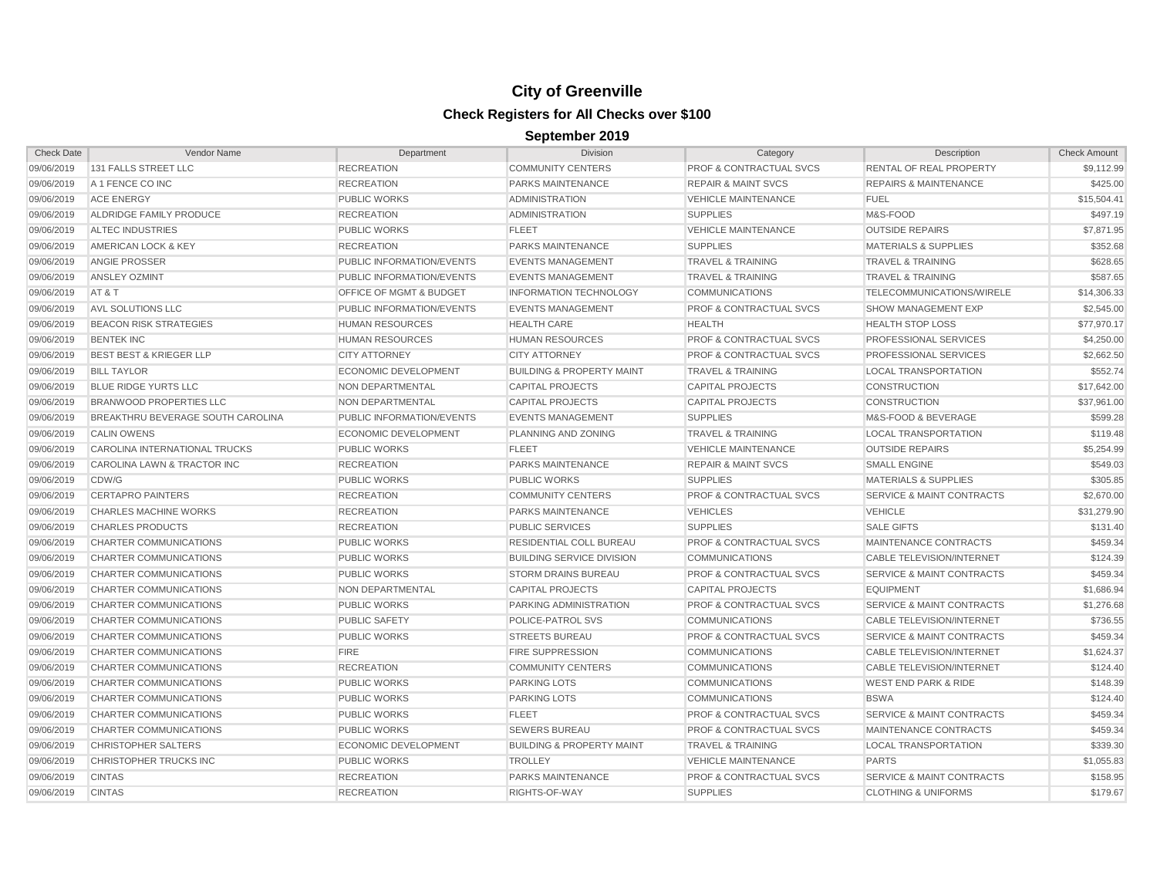| <b>Check Date</b> | Vendor Name                              | Department                         | <b>Division</b>                      | Category                           | Description                          | <b>Check Amount</b> |
|-------------------|------------------------------------------|------------------------------------|--------------------------------------|------------------------------------|--------------------------------------|---------------------|
| 09/06/2019        | 131 FALLS STREET LLC                     | <b>RECREATION</b>                  | <b>COMMUNITY CENTERS</b>             | <b>PROF &amp; CONTRACTUAL SVCS</b> | <b>RENTAL OF REAL PROPERTY</b>       | \$9.112.99          |
| 09/06/2019        | A 1 FENCE CO INC                         | <b>RECREATION</b>                  | <b>PARKS MAINTENANCE</b>             | <b>REPAIR &amp; MAINT SVCS</b>     | <b>REPAIRS &amp; MAINTENANCE</b>     | \$425.00            |
| 09/06/2019        | <b>ACE ENERGY</b>                        | <b>PUBLIC WORKS</b>                | <b>ADMINISTRATION</b>                | <b>VEHICLE MAINTENANCE</b>         | <b>FUEL</b>                          | \$15,504.41         |
| 09/06/2019        | ALDRIDGE FAMILY PRODUCE                  | <b>RECREATION</b>                  | <b>ADMINISTRATION</b>                | <b>SUPPLIES</b>                    | M&S-FOOD                             | \$497.19            |
| 09/06/2019        | <b>ALTEC INDUSTRIES</b>                  | <b>PUBLIC WORKS</b>                | <b>FLEET</b>                         | <b>VEHICLE MAINTENANCE</b>         | <b>OUTSIDE REPAIRS</b>               | \$7,871.95          |
| 09/06/2019        | AMERICAN LOCK & KEY                      | <b>RECREATION</b>                  | PARKS MAINTENANCE                    | <b>SUPPLIES</b>                    | <b>MATERIALS &amp; SUPPLIES</b>      | \$352.68            |
| 09/06/2019        | <b>ANGIE PROSSER</b>                     | PUBLIC INFORMATION/EVENTS          | <b>EVENTS MANAGEMENT</b>             | <b>TRAVEL &amp; TRAINING</b>       | <b>TRAVEL &amp; TRAINING</b>         | \$628.65            |
| 09/06/2019        | ANSLEY OZMINT                            | <b>PUBLIC INFORMATION/EVENTS</b>   | <b>EVENTS MANAGEMENT</b>             | <b>TRAVEL &amp; TRAINING</b>       | TRAVEL & TRAINING                    | \$587.65            |
| 09/06/2019        | AT&T                                     | <b>OFFICE OF MGMT &amp; BUDGET</b> | <b>INFORMATION TECHNOLOGY</b>        | <b>COMMUNICATIONS</b>              | TELECOMMUNICATIONS/WIRELE            | \$14,306.33         |
| 09/06/2019        | AVL SOLUTIONS LLC                        | <b>PUBLIC INFORMATION/EVENTS</b>   | <b>EVENTS MANAGEMENT</b>             | <b>PROF &amp; CONTRACTUAL SVCS</b> | <b>SHOW MANAGEMENT EXP</b>           | \$2,545.00          |
| 09/06/2019        | <b>BEACON RISK STRATEGIES</b>            | <b>HUMAN RESOURCES</b>             | <b>HEALTH CARE</b>                   | <b>HEALTH</b>                      | <b>HEALTH STOP LOSS</b>              | \$77,970.17         |
| 09/06/2019        | <b>BENTEK INC</b>                        | <b>HUMAN RESOURCES</b>             | <b>HUMAN RESOURCES</b>               | <b>PROF &amp; CONTRACTUAL SVCS</b> | PROFESSIONAL SERVICES                | \$4,250.00          |
| 09/06/2019        | <b>BEST BEST &amp; KRIEGER LLP</b>       | <b>CITY ATTORNEY</b>               | <b>CITY ATTORNEY</b>                 | <b>PROF &amp; CONTRACTUAL SVCS</b> | PROFESSIONAL SERVICES                | \$2,662.50          |
| 09/06/2019        | <b>BILL TAYLOR</b>                       | <b>ECONOMIC DEVELOPMENT</b>        | <b>BUILDING &amp; PROPERTY MAINT</b> | <b>TRAVEL &amp; TRAINING</b>       | <b>LOCAL TRANSPORTATION</b>          | \$552.74            |
| 09/06/2019        | <b>BLUE RIDGE YURTS LLC</b>              | <b>NON DEPARTMENTAL</b>            | <b>CAPITAL PROJECTS</b>              | <b>CAPITAL PROJECTS</b>            | <b>CONSTRUCTION</b>                  | \$17,642.00         |
| 09/06/2019        | BRANWOOD PROPERTIES LLC                  | <b>NON DEPARTMENTAL</b>            | <b>CAPITAL PROJECTS</b>              | <b>CAPITAL PROJECTS</b>            | <b>CONSTRUCTION</b>                  | \$37,961.00         |
| 09/06/2019        | <b>BREAKTHRU BEVERAGE SOUTH CAROLINA</b> | PUBLIC INFORMATION/EVENTS          | <b>EVENTS MANAGEMENT</b>             | <b>SUPPLIES</b>                    | M&S-FOOD & BEVERAGE                  | \$599.28            |
| 09/06/2019        | <b>CALIN OWENS</b>                       | <b>ECONOMIC DEVELOPMENT</b>        | PLANNING AND ZONING                  | <b>TRAVEL &amp; TRAINING</b>       | <b>LOCAL TRANSPORTATION</b>          | \$119.48            |
| 09/06/2019        | CAROLINA INTERNATIONAL TRUCKS            | <b>PUBLIC WORKS</b>                | <b>FLEET</b>                         | <b>VEHICLE MAINTENANCE</b>         | <b>OUTSIDE REPAIRS</b>               | \$5,254.99          |
| 09/06/2019        | CAROLINA LAWN & TRACTOR INC              | <b>RECREATION</b>                  | PARKS MAINTENANCE                    | <b>REPAIR &amp; MAINT SVCS</b>     | <b>SMALL ENGINE</b>                  | \$549.03            |
| 09/06/2019        | CDW/G                                    | <b>PUBLIC WORKS</b>                | <b>PUBLIC WORKS</b>                  | <b>SUPPLIES</b>                    | <b>MATERIALS &amp; SUPPLIES</b>      | \$305.85            |
| 09/06/2019        | <b>CERTAPRO PAINTERS</b>                 | <b>RECREATION</b>                  | <b>COMMUNITY CENTERS</b>             | <b>PROF &amp; CONTRACTUAL SVCS</b> | <b>SERVICE &amp; MAINT CONTRACTS</b> | \$2,670.00          |
| 09/06/2019        | <b>CHARLES MACHINE WORKS</b>             | <b>RECREATION</b>                  | <b>PARKS MAINTENANCE</b>             | <b>VEHICLES</b>                    | <b>VEHICLE</b>                       | \$31,279.90         |
| 09/06/2019        | <b>CHARLES PRODUCTS</b>                  | <b>RECREATION</b>                  | <b>PUBLIC SERVICES</b>               | <b>SUPPLIES</b>                    | <b>SALE GIFTS</b>                    | \$131.40            |
| 09/06/2019        | CHARTER COMMUNICATIONS                   | <b>PUBLIC WORKS</b>                | <b>RESIDENTIAL COLL BUREAU</b>       | <b>PROF &amp; CONTRACTUAL SVCS</b> | MAINTENANCE CONTRACTS                | \$459.34            |
| 09/06/2019        | CHARTER COMMUNICATIONS                   | <b>PUBLIC WORKS</b>                | <b>BUILDING SERVICE DIVISION</b>     | <b>COMMUNICATIONS</b>              | <b>CABLE TELEVISION/INTERNET</b>     | \$124.39            |
| 09/06/2019        | <b>CHARTER COMMUNICATIONS</b>            | <b>PUBLIC WORKS</b>                | <b>STORM DRAINS BUREAU</b>           | <b>PROF &amp; CONTRACTUAL SVCS</b> | SERVICE & MAINT CONTRACTS            | \$459.34            |
| 09/06/2019        | CHARTER COMMUNICATIONS                   | <b>NON DEPARTMENTAL</b>            | <b>CAPITAL PROJECTS</b>              | <b>CAPITAL PROJECTS</b>            | <b>EQUIPMENT</b>                     | \$1,686.94          |
| 09/06/2019        | CHARTER COMMUNICATIONS                   | <b>PUBLIC WORKS</b>                | PARKING ADMINISTRATION               | PROF & CONTRACTUAL SVCS            | SERVICE & MAINT CONTRACTS            | \$1,276.68          |
| 09/06/2019        | <b>CHARTER COMMUNICATIONS</b>            | <b>PUBLIC SAFETY</b>               | POLICE-PATROL SVS                    | <b>COMMUNICATIONS</b>              | CABLE TELEVISION/INTERNET            | \$736.55            |
| 09/06/2019        | CHARTER COMMUNICATIONS                   | <b>PUBLIC WORKS</b>                | <b>STREETS BUREAU</b>                | <b>PROF &amp; CONTRACTUAL SVCS</b> | <b>SERVICE &amp; MAINT CONTRACTS</b> | \$459.34            |
| 09/06/2019        | <b>CHARTER COMMUNICATIONS</b>            | <b>FIRE</b>                        | <b>FIRE SUPPRESSION</b>              | <b>COMMUNICATIONS</b>              | <b>CABLE TELEVISION/INTERNET</b>     | \$1,624.37          |
| 09/06/2019        | CHARTER COMMUNICATIONS                   | <b>RECREATION</b>                  | <b>COMMUNITY CENTERS</b>             | <b>COMMUNICATIONS</b>              | <b>CABLE TELEVISION/INTERNET</b>     | \$124.40            |
| 09/06/2019        | CHARTER COMMUNICATIONS                   | <b>PUBLIC WORKS</b>                | <b>PARKING LOTS</b>                  | <b>COMMUNICATIONS</b>              | <b>WEST END PARK &amp; RIDE</b>      | \$148.39            |
| 09/06/2019        | CHARTER COMMUNICATIONS                   | <b>PUBLIC WORKS</b>                | <b>PARKING LOTS</b>                  | <b>COMMUNICATIONS</b>              | <b>BSWA</b>                          | \$124.40            |
| 09/06/2019        | CHARTER COMMUNICATIONS                   | <b>PUBLIC WORKS</b>                | <b>FLEET</b>                         | <b>PROF &amp; CONTRACTUAL SVCS</b> | SERVICE & MAINT CONTRACTS            | \$459.34            |
| 09/06/2019        | CHARTER COMMUNICATIONS                   | <b>PUBLIC WORKS</b>                | <b>SEWERS BUREAU</b>                 | <b>PROF &amp; CONTRACTUAL SVCS</b> | MAINTENANCE CONTRACTS                | \$459.34            |
| 09/06/2019        | <b>CHRISTOPHER SALTERS</b>               | <b>ECONOMIC DEVELOPMENT</b>        | <b>BUILDING &amp; PROPERTY MAINT</b> | <b>TRAVEL &amp; TRAINING</b>       | <b>LOCAL TRANSPORTATION</b>          | \$339.30            |
| 09/06/2019        | CHRISTOPHER TRUCKS INC                   | <b>PUBLIC WORKS</b>                | <b>TROLLEY</b>                       | <b>VEHICLE MAINTENANCE</b>         | <b>PARTS</b>                         | \$1,055.83          |
| 09/06/2019        | <b>CINTAS</b>                            | <b>RECREATION</b>                  | <b>PARKS MAINTENANCE</b>             | <b>PROF &amp; CONTRACTUAL SVCS</b> | <b>SERVICE &amp; MAINT CONTRACTS</b> | \$158.95            |
| 09/06/2019        | <b>CINTAS</b>                            | <b>RECREATION</b>                  | RIGHTS-OF-WAY                        | <b>SUPPLIES</b>                    | <b>CLOTHING &amp; UNIFORMS</b>       | \$179.67            |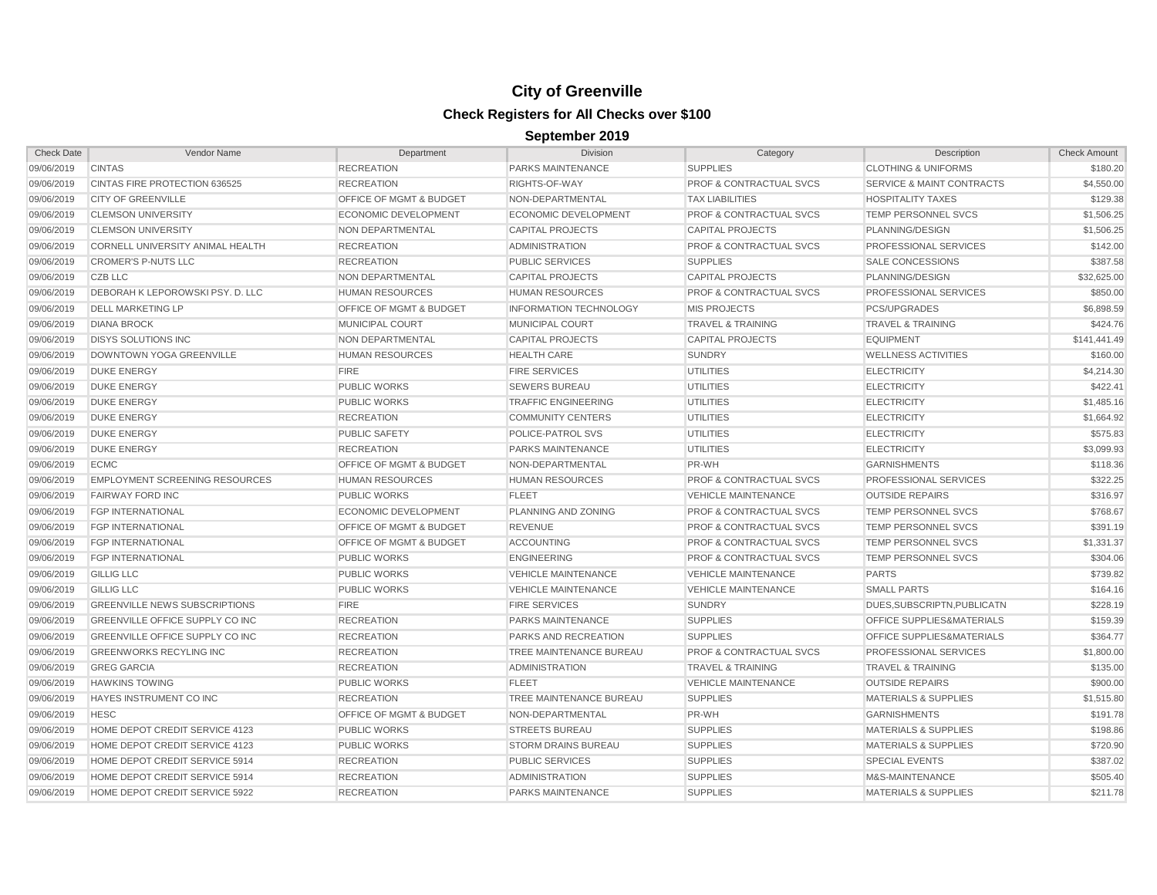| <b>Check Date</b> | Vendor Name                            | Department                         | <b>Division</b>               | Category                           | Description                          | <b>Check Amount</b> |
|-------------------|----------------------------------------|------------------------------------|-------------------------------|------------------------------------|--------------------------------------|---------------------|
| 09/06/2019        | <b>CINTAS</b>                          | <b>RECREATION</b>                  | PARKS MAINTENANCE             | <b>SUPPLIES</b>                    | <b>CLOTHING &amp; UNIFORMS</b>       | \$180.20            |
| 09/06/2019        | CINTAS FIRE PROTECTION 636525          | <b>RECREATION</b>                  | RIGHTS-OF-WAY                 | <b>PROF &amp; CONTRACTUAL SVCS</b> | <b>SERVICE &amp; MAINT CONTRACTS</b> | \$4,550.00          |
| 09/06/2019        | <b>CITY OF GREENVILLE</b>              | <b>OFFICE OF MGMT &amp; BUDGET</b> | NON-DEPARTMENTAL              | <b>TAX LIABILITIES</b>             | <b>HOSPITALITY TAXES</b>             | \$129.38            |
| 09/06/2019        | <b>CLEMSON UNIVERSITY</b>              | <b>ECONOMIC DEVELOPMENT</b>        | ECONOMIC DEVELOPMENT          | <b>PROF &amp; CONTRACTUAL SVCS</b> | TEMP PERSONNEL SVCS                  | \$1,506.25          |
| 09/06/2019        | <b>CLEMSON UNIVERSITY</b>              | NON DEPARTMENTAL                   | <b>CAPITAL PROJECTS</b>       | <b>CAPITAL PROJECTS</b>            | PLANNING/DESIGN                      | \$1,506.25          |
| 09/06/2019        | CORNELL UNIVERSITY ANIMAL HEALTH       | <b>RECREATION</b>                  | <b>ADMINISTRATION</b>         | <b>PROF &amp; CONTRACTUAL SVCS</b> | PROFESSIONAL SERVICES                | \$142.00            |
| 09/06/2019        | <b>CROMER'S P-NUTS LLC</b>             | <b>RECREATION</b>                  | <b>PUBLIC SERVICES</b>        | <b>SUPPLIES</b>                    | SALE CONCESSIONS                     | \$387.58            |
| 09/06/2019        | CZB LLC                                | NON DEPARTMENTAL                   | <b>CAPITAL PROJECTS</b>       | <b>CAPITAL PROJECTS</b>            | PLANNING/DESIGN                      | \$32,625.00         |
| 09/06/2019        | DEBORAH K LEPOROWSKI PSY. D. LLC       | <b>HUMAN RESOURCES</b>             | <b>HUMAN RESOURCES</b>        | <b>PROF &amp; CONTRACTUAL SVCS</b> | PROFESSIONAL SERVICES                | \$850.00            |
| 09/06/2019        | <b>DELL MARKETING LP</b>               | OFFICE OF MGMT & BUDGET            | <b>INFORMATION TECHNOLOGY</b> | <b>MIS PROJECTS</b>                | <b>PCS/UPGRADES</b>                  | \$6,898.59          |
| 09/06/2019        | <b>DIANA BROCK</b>                     | MUNICIPAL COURT                    | <b>MUNICIPAL COURT</b>        | <b>TRAVEL &amp; TRAINING</b>       | <b>TRAVEL &amp; TRAINING</b>         | \$424.76            |
| 09/06/2019        | <b>DISYS SOLUTIONS INC</b>             | <b>NON DEPARTMENTAL</b>            | <b>CAPITAL PROJECTS</b>       | <b>CAPITAL PROJECTS</b>            | <b>EQUIPMENT</b>                     | \$141,441.49        |
| 09/06/2019        | DOWNTOWN YOGA GREENVILLE               | <b>HUMAN RESOURCES</b>             | <b>HEALTH CARE</b>            | <b>SUNDRY</b>                      | <b>WELLNESS ACTIVITIES</b>           | \$160.00            |
| 09/06/2019        | <b>DUKE ENERGY</b>                     | <b>FIRE</b>                        | <b>FIRE SERVICES</b>          | <b>UTILITIES</b>                   | <b>ELECTRICITY</b>                   | \$4,214.30          |
| 09/06/2019        | <b>DUKE ENERGY</b>                     | <b>PUBLIC WORKS</b>                | <b>SEWERS BUREAU</b>          | <b>UTILITIES</b>                   | <b>ELECTRICITY</b>                   | \$422.41            |
| 09/06/2019        | <b>DUKE ENERGY</b>                     | <b>PUBLIC WORKS</b>                | <b>TRAFFIC ENGINEERING</b>    | <b>UTILITIES</b>                   | <b>ELECTRICITY</b>                   | \$1,485.16          |
| 09/06/2019        | <b>DUKE ENERGY</b>                     | <b>RECREATION</b>                  | <b>COMMUNITY CENTERS</b>      | <b>UTILITIES</b>                   | <b>ELECTRICITY</b>                   | \$1,664.92          |
| 09/06/2019        | <b>DUKE ENERGY</b>                     | <b>PUBLIC SAFETY</b>               | POLICE-PATROL SVS             | <b>UTILITIES</b>                   | <b>ELECTRICITY</b>                   | \$575.83            |
| 09/06/2019        | <b>DUKE ENERGY</b>                     | <b>RECREATION</b>                  | PARKS MAINTENANCE             | <b>UTILITIES</b>                   | <b>ELECTRICITY</b>                   | \$3,099.93          |
| 09/06/2019        | <b>ECMC</b>                            | <b>OFFICE OF MGMT &amp; BUDGET</b> | NON-DEPARTMENTAL              | PR-WH                              | <b>GARNISHMENTS</b>                  | \$118.36            |
| 09/06/2019        | <b>EMPLOYMENT SCREENING RESOURCES</b>  | <b>HUMAN RESOURCES</b>             | <b>HUMAN RESOURCES</b>        | <b>PROF &amp; CONTRACTUAL SVCS</b> | PROFESSIONAL SERVICES                | \$322.25            |
| 09/06/2019        | <b>FAIRWAY FORD INC</b>                | <b>PUBLIC WORKS</b>                | <b>FLEET</b>                  | <b>VEHICLE MAINTENANCE</b>         | <b>OUTSIDE REPAIRS</b>               | \$316.97            |
| 09/06/2019        | <b>FGP INTERNATIONAL</b>               | <b>ECONOMIC DEVELOPMENT</b>        | PLANNING AND ZONING           | <b>PROF &amp; CONTRACTUAL SVCS</b> | <b>TEMP PERSONNEL SVCS</b>           | \$768.67            |
| 09/06/2019        | <b>FGP INTERNATIONAL</b>               | OFFICE OF MGMT & BUDGET            | <b>REVENUE</b>                | <b>PROF &amp; CONTRACTUAL SVCS</b> | <b>TEMP PERSONNEL SVCS</b>           | \$391.19            |
| 09/06/2019        | <b>FGP INTERNATIONAL</b>               | <b>OFFICE OF MGMT &amp; BUDGET</b> | <b>ACCOUNTING</b>             | <b>PROF &amp; CONTRACTUAL SVCS</b> | <b>TEMP PERSONNEL SVCS</b>           | \$1,331.37          |
| 09/06/2019        | <b>FGP INTERNATIONAL</b>               | <b>PUBLIC WORKS</b>                | <b>ENGINEERING</b>            | <b>PROF &amp; CONTRACTUAL SVCS</b> | <b>TEMP PERSONNEL SVCS</b>           | \$304.06            |
| 09/06/2019        | <b>GILLIG LLC</b>                      | <b>PUBLIC WORKS</b>                | <b>VEHICLE MAINTENANCE</b>    | <b>VEHICLE MAINTENANCE</b>         | <b>PARTS</b>                         | \$739.82            |
| 09/06/2019        | <b>GILLIG LLC</b>                      | <b>PUBLIC WORKS</b>                | <b>VEHICLE MAINTENANCE</b>    | <b>VEHICLE MAINTENANCE</b>         | <b>SMALL PARTS</b>                   | \$164.16            |
| 09/06/2019        | <b>GREENVILLE NEWS SUBSCRIPTIONS</b>   | <b>FIRE</b>                        | <b>FIRE SERVICES</b>          | <b>SUNDRY</b>                      | DUES.SUBSCRIPTN.PUBLICATN            | \$228.19            |
| 09/06/2019        | <b>GREENVILLE OFFICE SUPPLY CO INC</b> | <b>RECREATION</b>                  | <b>PARKS MAINTENANCE</b>      | <b>SUPPLIES</b>                    | <b>OFFICE SUPPLIES&amp;MATERIALS</b> | \$159.39            |
| 09/06/2019        | GREENVILLE OFFICE SUPPLY CO INC        | <b>RECREATION</b>                  | <b>PARKS AND RECREATION</b>   | <b>SUPPLIES</b>                    | OFFICE SUPPLIES&MATERIALS            | \$364.77            |
| 09/06/2019        | <b>GREENWORKS RECYLING INC</b>         | <b>RECREATION</b>                  | TREE MAINTENANCE BUREAU       | PROF & CONTRACTUAL SVCS            | PROFESSIONAL SERVICES                | \$1,800.00          |
| 09/06/2019        | <b>GREG GARCIA</b>                     | <b>RECREATION</b>                  | <b>ADMINISTRATION</b>         | <b>TRAVEL &amp; TRAINING</b>       | <b>TRAVEL &amp; TRAINING</b>         | \$135.00            |
| 09/06/2019        | <b>HAWKINS TOWING</b>                  | <b>PUBLIC WORKS</b>                | <b>FLEET</b>                  | <b>VEHICLE MAINTENANCE</b>         | <b>OUTSIDE REPAIRS</b>               | \$900.00            |
| 09/06/2019        | HAYES INSTRUMENT CO INC                | <b>RECREATION</b>                  | TREE MAINTENANCE BUREAU       | <b>SUPPLIES</b>                    | <b>MATERIALS &amp; SUPPLIES</b>      | \$1,515.80          |
| 09/06/2019        | <b>HESC</b>                            | <b>OFFICE OF MGMT &amp; BUDGET</b> | NON-DEPARTMENTAL              | PR-WH                              | <b>GARNISHMENTS</b>                  | \$191.78            |
| 09/06/2019        | HOME DEPOT CREDIT SERVICE 4123         | <b>PUBLIC WORKS</b>                | <b>STREETS BUREAU</b>         | <b>SUPPLIES</b>                    | <b>MATERIALS &amp; SUPPLIES</b>      | \$198.86            |
| 09/06/2019        | HOME DEPOT CREDIT SERVICE 4123         | <b>PUBLIC WORKS</b>                | <b>STORM DRAINS BUREAU</b>    | <b>SUPPLIES</b>                    | <b>MATERIALS &amp; SUPPLIES</b>      | \$720.90            |
| 09/06/2019        | HOME DEPOT CREDIT SERVICE 5914         | <b>RECREATION</b>                  | <b>PUBLIC SERVICES</b>        | <b>SUPPLIES</b>                    | <b>SPECIAL EVENTS</b>                | \$387.02            |
| 09/06/2019        | HOME DEPOT CREDIT SERVICE 5914         | <b>RECREATION</b>                  | <b>ADMINISTRATION</b>         | <b>SUPPLIES</b>                    | M&S-MAINTENANCE                      | \$505.40            |
| 09/06/2019        | HOME DEPOT CREDIT SERVICE 5922         | <b>RECREATION</b>                  | <b>PARKS MAINTENANCE</b>      | <b>SUPPLIES</b>                    | <b>MATERIALS &amp; SUPPLIES</b>      | \$211.78            |
|                   |                                        |                                    |                               |                                    |                                      |                     |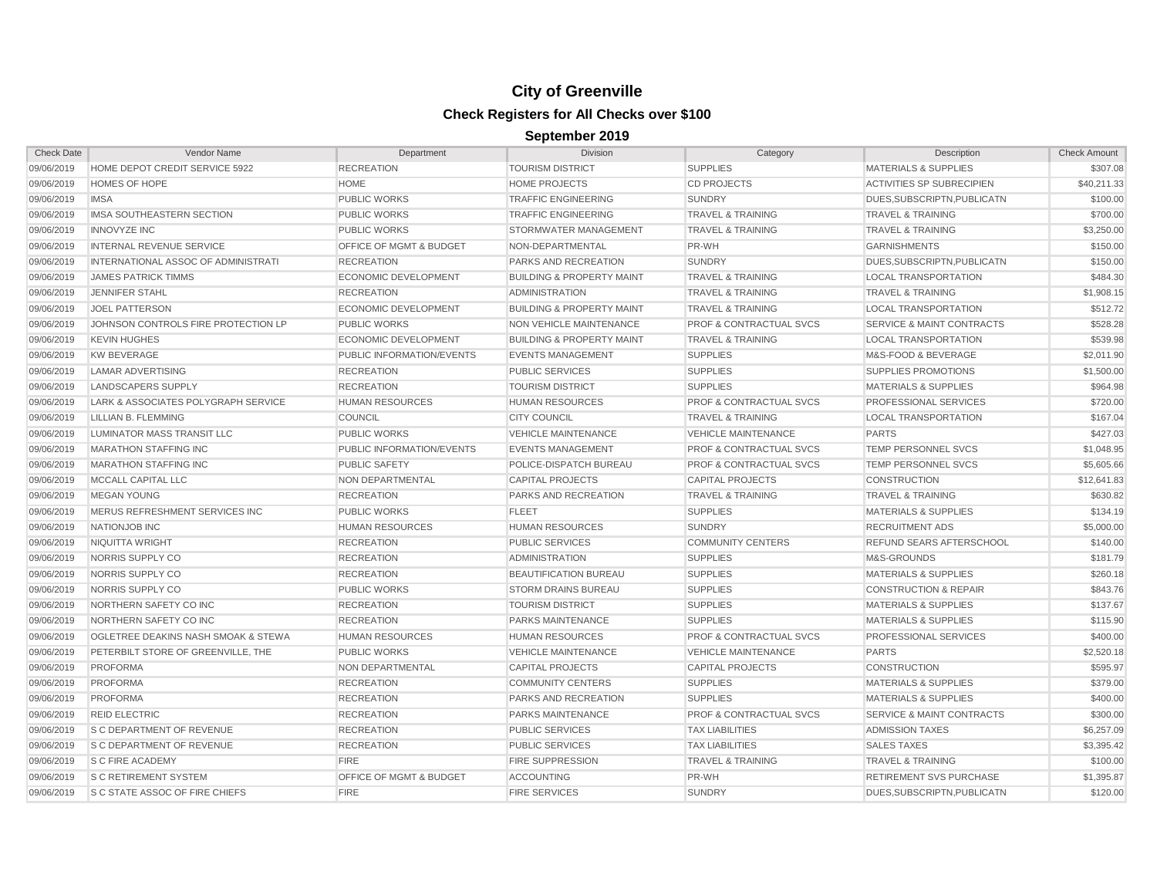| <b>Check Date</b> | <b>Vendor Name</b>                    | Department                         | <b>Division</b>                      | Category                           | Description                          | <b>Check Amount</b> |
|-------------------|---------------------------------------|------------------------------------|--------------------------------------|------------------------------------|--------------------------------------|---------------------|
| 09/06/2019        | HOME DEPOT CREDIT SERVICE 5922        | <b>RECREATION</b>                  | <b>TOURISM DISTRICT</b>              | <b>SUPPLIES</b>                    | <b>MATERIALS &amp; SUPPLIES</b>      | \$307.08            |
| 09/06/2019        | <b>HOMES OF HOPE</b>                  | <b>HOME</b>                        | <b>HOME PROJECTS</b>                 | <b>CD PROJECTS</b>                 | <b>ACTIVITIES SP SUBRECIPIEN</b>     | \$40.211.33         |
| 09/06/2019        | <b>IMSA</b>                           | <b>PUBLIC WORKS</b>                | <b>TRAFFIC ENGINEERING</b>           | <b>SUNDRY</b>                      | DUES.SUBSCRIPTN.PUBLICATN            | \$100.00            |
| 09/06/2019        | IMSA SOUTHEASTERN SECTION             | <b>PUBLIC WORKS</b>                | <b>TRAFFIC ENGINEERING</b>           | <b>TRAVEL &amp; TRAINING</b>       | <b>TRAVEL &amp; TRAINING</b>         | \$700.00            |
| 09/06/2019        | <b>INNOVYZE INC</b>                   | <b>PUBLIC WORKS</b>                | STORMWATER MANAGEMENT                | <b>TRAVEL &amp; TRAINING</b>       | <b>TRAVEL &amp; TRAINING</b>         | \$3,250.00          |
| 09/06/2019        | <b>INTERNAL REVENUE SERVICE</b>       | <b>OFFICE OF MGMT &amp; BUDGET</b> | NON-DEPARTMENTAL                     | PR-WH                              | <b>GARNISHMENTS</b>                  | \$150.00            |
| 09/06/2019        | INTERNATIONAL ASSOC OF ADMINISTRATI   | <b>RECREATION</b>                  | PARKS AND RECREATION                 | <b>SUNDRY</b>                      | DUES, SUBSCRIPTN, PUBLICATN          | \$150.00            |
| 09/06/2019        | <b>JAMES PATRICK TIMMS</b>            | <b>ECONOMIC DEVELOPMENT</b>        | <b>BUILDING &amp; PROPERTY MAINT</b> | <b>TRAVEL &amp; TRAINING</b>       | <b>LOCAL TRANSPORTATION</b>          | \$484.30            |
| 09/06/2019        | <b>JENNIFER STAHL</b>                 | <b>RECREATION</b>                  | <b>ADMINISTRATION</b>                | <b>TRAVEL &amp; TRAINING</b>       | <b>TRAVEL &amp; TRAINING</b>         | \$1,908.15          |
| 09/06/2019        | <b>JOEL PATTERSON</b>                 | <b>ECONOMIC DEVELOPMENT</b>        | <b>BUILDING &amp; PROPERTY MAINT</b> | <b>TRAVEL &amp; TRAINING</b>       | <b>LOCAL TRANSPORTATION</b>          | \$512.72            |
| 09/06/2019        | JOHNSON CONTROLS FIRE PROTECTION LP   | <b>PUBLIC WORKS</b>                | NON VEHICLE MAINTENANCE              | <b>PROF &amp; CONTRACTUAL SVCS</b> | <b>SERVICE &amp; MAINT CONTRACTS</b> | \$528.28            |
| 09/06/2019        | <b>KEVIN HUGHES</b>                   | <b>ECONOMIC DEVELOPMENT</b>        | <b>BUILDING &amp; PROPERTY MAINT</b> | <b>TRAVEL &amp; TRAINING</b>       | <b>LOCAL TRANSPORTATION</b>          | \$539.98            |
| 09/06/2019        | <b>KW BEVERAGE</b>                    | PUBLIC INFORMATION/EVENTS          | <b>EVENTS MANAGEMENT</b>             | <b>SUPPLIES</b>                    | M&S-FOOD & BEVERAGE                  | \$2,011.90          |
| 09/06/2019        | <b>LAMAR ADVERTISING</b>              | <b>RECREATION</b>                  | <b>PUBLIC SERVICES</b>               | <b>SUPPLIES</b>                    | SUPPLIES PROMOTIONS                  | \$1,500.00          |
| 09/06/2019        | LANDSCAPERS SUPPLY                    | <b>RECREATION</b>                  | <b>TOURISM DISTRICT</b>              | <b>SUPPLIES</b>                    | <b>MATERIALS &amp; SUPPLIES</b>      | \$964.98            |
| 09/06/2019        | LARK & ASSOCIATES POLYGRAPH SERVICE   | <b>HUMAN RESOURCES</b>             | <b>HUMAN RESOURCES</b>               | <b>PROF &amp; CONTRACTUAL SVCS</b> | PROFESSIONAL SERVICES                | \$720.00            |
| 09/06/2019        | LILLIAN B. FLEMMING                   | <b>COUNCIL</b>                     | <b>CITY COUNCIL</b>                  | <b>TRAVEL &amp; TRAINING</b>       | <b>LOCAL TRANSPORTATION</b>          | \$167.04            |
| 09/06/2019        | LUMINATOR MASS TRANSIT LLC            | <b>PUBLIC WORKS</b>                | <b>VEHICLE MAINTENANCE</b>           | <b>VEHICLE MAINTENANCE</b>         | <b>PARTS</b>                         | \$427.03            |
| 09/06/2019        | <b>MARATHON STAFFING INC</b>          | PUBLIC INFORMATION/EVENTS          | <b>EVENTS MANAGEMENT</b>             | <b>PROF &amp; CONTRACTUAL SVCS</b> | TEMP PERSONNEL SVCS                  | \$1,048.95          |
| 09/06/2019        | <b>MARATHON STAFFING INC</b>          | <b>PUBLIC SAFETY</b>               | POLICE-DISPATCH BUREAU               | <b>PROF &amp; CONTRACTUAL SVCS</b> | TEMP PERSONNEL SVCS                  | \$5,605.66          |
| 09/06/2019        | MCCALL CAPITAL LLC                    | NON DEPARTMENTAL                   | <b>CAPITAL PROJECTS</b>              | <b>CAPITAL PROJECTS</b>            | <b>CONSTRUCTION</b>                  | \$12,641.83         |
| 09/06/2019        | <b>MEGAN YOUNG</b>                    | <b>RECREATION</b>                  | PARKS AND RECREATION                 | <b>TRAVEL &amp; TRAINING</b>       | <b>TRAVEL &amp; TRAINING</b>         | \$630.82            |
| 09/06/2019        | MERUS REFRESHMENT SERVICES INC        | <b>PUBLIC WORKS</b>                | <b>FLEET</b>                         | <b>SUPPLIES</b>                    | <b>MATERIALS &amp; SUPPLIES</b>      | \$134.19            |
| 09/06/2019        | NATIONJOB INC                         | <b>HUMAN RESOURCES</b>             | <b>HUMAN RESOURCES</b>               | <b>SUNDRY</b>                      | <b>RECRUITMENT ADS</b>               | \$5,000.00          |
| 09/06/2019        | NIQUITTA WRIGHT                       | <b>RECREATION</b>                  | <b>PUBLIC SERVICES</b>               | <b>COMMUNITY CENTERS</b>           | <b>REFUND SEARS AFTERSCHOOL</b>      | \$140.00            |
| 09/06/2019        | NORRIS SUPPLY CO                      | <b>RECREATION</b>                  | <b>ADMINISTRATION</b>                | <b>SUPPLIES</b>                    | M&S-GROUNDS                          | \$181.79            |
| 09/06/2019        | NORRIS SUPPLY CO                      | <b>RECREATION</b>                  | <b>BEAUTIFICATION BUREAU</b>         | <b>SUPPLIES</b>                    | <b>MATERIALS &amp; SUPPLIES</b>      | \$260.18            |
| 09/06/2019        | NORRIS SUPPLY CO                      | <b>PUBLIC WORKS</b>                | <b>STORM DRAINS BUREAU</b>           | <b>SUPPLIES</b>                    | <b>CONSTRUCTION &amp; REPAIR</b>     | \$843.76            |
| 09/06/2019        | NORTHERN SAFETY CO INC                | <b>RECREATION</b>                  | <b>TOURISM DISTRICT</b>              | <b>SUPPLIES</b>                    | <b>MATERIALS &amp; SUPPLIES</b>      | \$137.67            |
| 09/06/2019        | NORTHERN SAFETY CO INC                | <b>RECREATION</b>                  | <b>PARKS MAINTENANCE</b>             | <b>SUPPLIES</b>                    | <b>MATERIALS &amp; SUPPLIES</b>      | \$115.90            |
| 09/06/2019        | OGLETREE DEAKINS NASH SMOAK & STEWA   | <b>HUMAN RESOURCES</b>             | <b>HUMAN RESOURCES</b>               | <b>PROF &amp; CONTRACTUAL SVCS</b> | PROFESSIONAL SERVICES                | \$400.00            |
| 09/06/2019        | PETERBILT STORE OF GREENVILLE. THE    | <b>PUBLIC WORKS</b>                | <b>VEHICLE MAINTENANCE</b>           | <b>VEHICLE MAINTENANCE</b>         | <b>PARTS</b>                         | \$2,520.18          |
| 09/06/2019        | <b>PROFORMA</b>                       | NON DEPARTMENTAL                   | <b>CAPITAL PROJECTS</b>              | <b>CAPITAL PROJECTS</b>            | <b>CONSTRUCTION</b>                  | \$595.97            |
| 09/06/2019        | <b>PROFORMA</b>                       | <b>RECREATION</b>                  | <b>COMMUNITY CENTERS</b>             | <b>SUPPLIES</b>                    | <b>MATERIALS &amp; SUPPLIES</b>      | \$379.00            |
| 09/06/2019        | <b>PROFORMA</b>                       | <b>RECREATION</b>                  | PARKS AND RECREATION                 | <b>SUPPLIES</b>                    | <b>MATERIALS &amp; SUPPLIES</b>      | \$400.00            |
| 09/06/2019        | <b>REID ELECTRIC</b>                  | <b>RECREATION</b>                  | PARKS MAINTENANCE                    | <b>PROF &amp; CONTRACTUAL SVCS</b> | <b>SERVICE &amp; MAINT CONTRACTS</b> | \$300.00            |
| 09/06/2019        | <b>S C DEPARTMENT OF REVENUE</b>      | <b>RECREATION</b>                  | <b>PUBLIC SERVICES</b>               | <b>TAX LIABILITIES</b>             | <b>ADMISSION TAXES</b>               | \$6,257.09          |
| 09/06/2019        | <b>S C DEPARTMENT OF REVENUE</b>      | <b>RECREATION</b>                  | <b>PUBLIC SERVICES</b>               | <b>TAX LIABILITIES</b>             | <b>SALES TAXES</b>                   | \$3,395.42          |
| 09/06/2019        | <b>S C FIRE ACADEMY</b>               | <b>FIRE</b>                        | <b>FIRE SUPPRESSION</b>              | <b>TRAVEL &amp; TRAINING</b>       | <b>TRAVEL &amp; TRAINING</b>         | \$100.00            |
| 09/06/2019        | <b>S C RETIREMENT SYSTEM</b>          | <b>OFFICE OF MGMT &amp; BUDGET</b> | <b>ACCOUNTING</b>                    | PR-WH                              | RETIREMENT SVS PURCHASE              | \$1,395.87          |
| 09/06/2019        | <b>S C STATE ASSOC OF FIRE CHIEFS</b> | <b>FIRE</b>                        | <b>FIRE SERVICES</b>                 | <b>SUNDRY</b>                      | DUES, SUBSCRIPTN, PUBLICATN          | \$120.00            |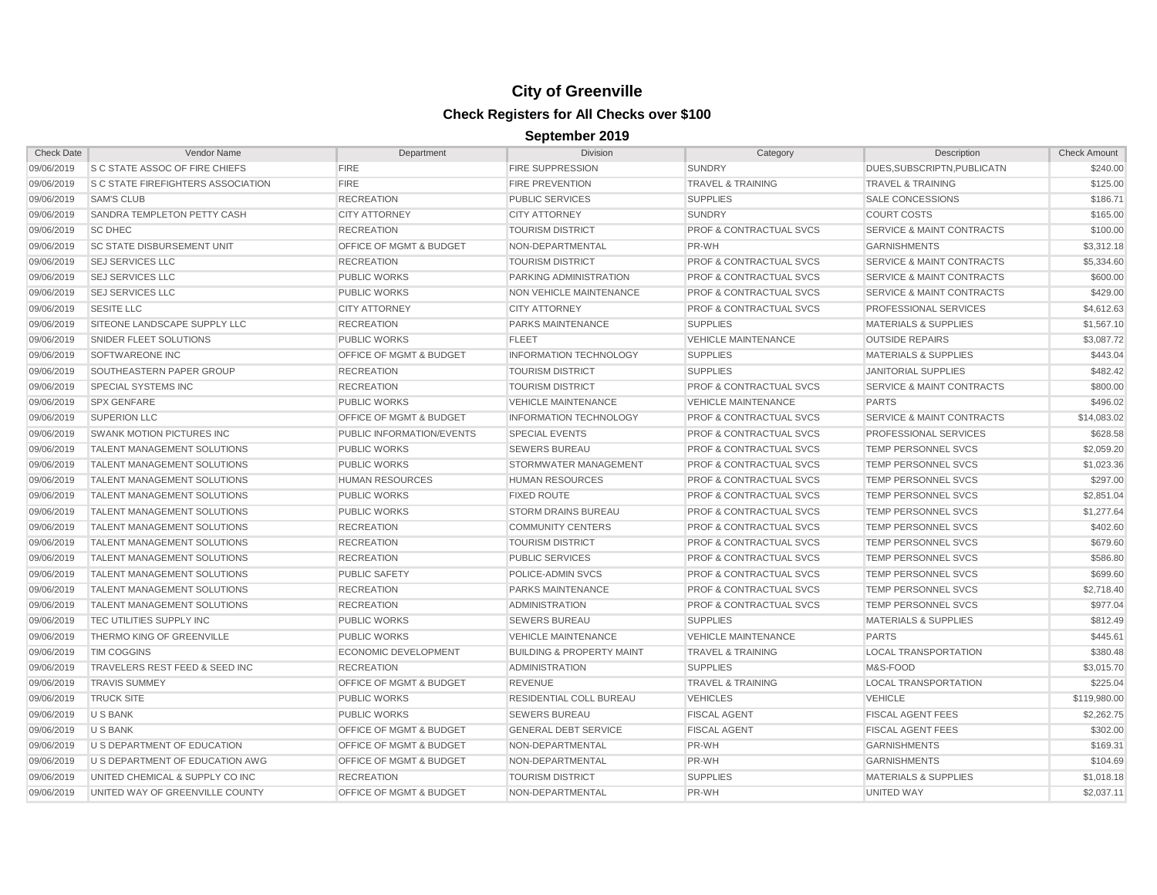| <b>Check Date</b> | Vendor Name                               | Department                         | <b>Division</b>                      | Category                           | Description                          | <b>Check Amount</b> |
|-------------------|-------------------------------------------|------------------------------------|--------------------------------------|------------------------------------|--------------------------------------|---------------------|
| 09/06/2019        | <b>S C STATE ASSOC OF FIRE CHIEFS</b>     | <b>FIRE</b>                        | <b>FIRE SUPPRESSION</b>              | <b>SUNDRY</b>                      | DUES, SUBSCRIPTN, PUBLICATN          | \$240.00            |
| 09/06/2019        | <b>S C STATE FIREFIGHTERS ASSOCIATION</b> | <b>FIRE</b>                        | <b>FIRE PREVENTION</b>               | <b>TRAVEL &amp; TRAINING</b>       | <b>TRAVEL &amp; TRAINING</b>         | \$125.00            |
| 09/06/2019        | <b>SAM'S CLUB</b>                         | <b>RECREATION</b>                  | <b>PUBLIC SERVICES</b>               | <b>SUPPLIES</b>                    | <b>SALE CONCESSIONS</b>              | \$186.71            |
| 09/06/2019        | SANDRA TEMPLETON PETTY CASH               | <b>CITY ATTORNEY</b>               | <b>CITY ATTORNEY</b>                 | <b>SUNDRY</b>                      | <b>COURT COSTS</b>                   | \$165.00            |
| 09/06/2019        | <b>SC DHEC</b>                            | <b>RECREATION</b>                  | <b>TOURISM DISTRICT</b>              | <b>PROF &amp; CONTRACTUAL SVCS</b> | <b>SERVICE &amp; MAINT CONTRACTS</b> | \$100.00            |
| 09/06/2019        | <b>SC STATE DISBURSEMENT UNIT</b>         | <b>OFFICE OF MGMT &amp; BUDGET</b> | NON-DEPARTMENTAL                     | PR-WH                              | <b>GARNISHMENTS</b>                  | \$3,312.18          |
| 09/06/2019        | <b>SEJ SERVICES LLC</b>                   | <b>RECREATION</b>                  | <b>TOURISM DISTRICT</b>              | <b>PROF &amp; CONTRACTUAL SVCS</b> | <b>SERVICE &amp; MAINT CONTRACTS</b> | \$5,334.60          |
| 09/06/2019        | <b>SEJ SERVICES LLC</b>                   | <b>PUBLIC WORKS</b>                | PARKING ADMINISTRATION               | <b>PROF &amp; CONTRACTUAL SVCS</b> | <b>SERVICE &amp; MAINT CONTRACTS</b> | \$600.00            |
| 09/06/2019        | <b>SEJ SERVICES LLC</b>                   | <b>PUBLIC WORKS</b>                | NON VEHICLE MAINTENANCE              | <b>PROF &amp; CONTRACTUAL SVCS</b> | <b>SERVICE &amp; MAINT CONTRACTS</b> | \$429.00            |
| 09/06/2019        | <b>SESITE LLC</b>                         | <b>CITY ATTORNEY</b>               | <b>CITY ATTORNEY</b>                 | <b>PROF &amp; CONTRACTUAL SVCS</b> | PROFESSIONAL SERVICES                | \$4,612.63          |
| 09/06/2019        | SITEONE LANDSCAPE SUPPLY LLC              | <b>RECREATION</b>                  | <b>PARKS MAINTENANCE</b>             | <b>SUPPLIES</b>                    | <b>MATERIALS &amp; SUPPLIES</b>      | \$1,567.10          |
| 09/06/2019        | SNIDER FLEET SOLUTIONS                    | <b>PUBLIC WORKS</b>                | <b>FLEET</b>                         | <b>VEHICLE MAINTENANCE</b>         | <b>OUTSIDE REPAIRS</b>               | \$3,087.72          |
| 09/06/2019        | <b>SOFTWAREONE INC</b>                    | <b>OFFICE OF MGMT &amp; BUDGET</b> | <b>INFORMATION TECHNOLOGY</b>        | <b>SUPPLIES</b>                    | <b>MATERIALS &amp; SUPPLIES</b>      | \$443.04            |
| 09/06/2019        | SOUTHEASTERN PAPER GROUP                  | <b>RECREATION</b>                  | <b>TOURISM DISTRICT</b>              | <b>SUPPLIES</b>                    | <b>JANITORIAL SUPPLIES</b>           | \$482.42            |
| 09/06/2019        | <b>SPECIAL SYSTEMS INC</b>                | <b>RECREATION</b>                  | <b>TOURISM DISTRICT</b>              | <b>PROF &amp; CONTRACTUAL SVCS</b> | <b>SERVICE &amp; MAINT CONTRACTS</b> | \$800.00            |
| 09/06/2019        | <b>SPX GENFARE</b>                        | <b>PUBLIC WORKS</b>                | <b>VEHICLE MAINTENANCE</b>           | <b>VEHICLE MAINTENANCE</b>         | <b>PARTS</b>                         | \$496.02            |
| 09/06/2019        | <b>SUPERION LLC</b>                       | OFFICE OF MGMT & BUDGET            | <b>INFORMATION TECHNOLOGY</b>        | <b>PROF &amp; CONTRACTUAL SVCS</b> | SERVICE & MAINT CONTRACTS            | \$14,083.02         |
| 09/06/2019        | <b>SWANK MOTION PICTURES INC</b>          | PUBLIC INFORMATION/EVENTS          | <b>SPECIAL EVENTS</b>                | <b>PROF &amp; CONTRACTUAL SVCS</b> | PROFESSIONAL SERVICES                | \$628.58            |
| 09/06/2019        | <b>TALENT MANAGEMENT SOLUTIONS</b>        | <b>PUBLIC WORKS</b>                | <b>SEWERS BUREAU</b>                 | <b>PROF &amp; CONTRACTUAL SVCS</b> | TEMP PERSONNEL SVCS                  | \$2,059.20          |
| 09/06/2019        | <b>TALENT MANAGEMENT SOLUTIONS</b>        | <b>PUBLIC WORKS</b>                | STORMWATER MANAGEMENT                | <b>PROF &amp; CONTRACTUAL SVCS</b> | <b>TEMP PERSONNEL SVCS</b>           | \$1,023.36          |
| 09/06/2019        | TALENT MANAGEMENT SOLUTIONS               | <b>HUMAN RESOURCES</b>             | <b>HUMAN RESOURCES</b>               | <b>PROF &amp; CONTRACTUAL SVCS</b> | TEMP PERSONNEL SVCS                  | \$297.00            |
| 09/06/2019        | <b>TALENT MANAGEMENT SOLUTIONS</b>        | <b>PUBLIC WORKS</b>                | <b>FIXED ROUTE</b>                   | <b>PROF &amp; CONTRACTUAL SVCS</b> | TEMP PERSONNEL SVCS                  | \$2,851.04          |
| 09/06/2019        | <b>TALENT MANAGEMENT SOLUTIONS</b>        | <b>PUBLIC WORKS</b>                | <b>STORM DRAINS BUREAU</b>           | PROF & CONTRACTUAL SVCS            | TEMP PERSONNEL SVCS                  | \$1,277.64          |
| 09/06/2019        | <b>TALENT MANAGEMENT SOLUTIONS</b>        | <b>RECREATION</b>                  | <b>COMMUNITY CENTERS</b>             | <b>PROF &amp; CONTRACTUAL SVCS</b> | <b>TEMP PERSONNEL SVCS</b>           | \$402.60            |
| 09/06/2019        | <b>TALENT MANAGEMENT SOLUTIONS</b>        | <b>RECREATION</b>                  | <b>TOURISM DISTRICT</b>              | <b>PROF &amp; CONTRACTUAL SVCS</b> | <b>TEMP PERSONNEL SVCS</b>           | \$679.60            |
| 09/06/2019        | <b>TALENT MANAGEMENT SOLUTIONS</b>        | <b>RECREATION</b>                  | <b>PUBLIC SERVICES</b>               | <b>PROF &amp; CONTRACTUAL SVCS</b> | TEMP PERSONNEL SVCS                  | \$586.80            |
| 09/06/2019        | <b>TALENT MANAGEMENT SOLUTIONS</b>        | <b>PUBLIC SAFETY</b>               | POLICE-ADMIN SVCS                    | <b>PROF &amp; CONTRACTUAL SVCS</b> | TEMP PERSONNEL SVCS                  | \$699.60            |
| 09/06/2019        | <b>TALENT MANAGEMENT SOLUTIONS</b>        | <b>RECREATION</b>                  | <b>PARKS MAINTENANCE</b>             | <b>PROF &amp; CONTRACTUAL SVCS</b> | <b>TEMP PERSONNEL SVCS</b>           | \$2,718.40          |
| 09/06/2019        | <b>TALENT MANAGEMENT SOLUTIONS</b>        | <b>RECREATION</b>                  | <b>ADMINISTRATION</b>                | <b>PROF &amp; CONTRACTUAL SVCS</b> | <b>TEMP PERSONNEL SVCS</b>           | \$977.04            |
| 09/06/2019        | TEC UTILITIES SUPPLY INC                  | <b>PUBLIC WORKS</b>                | <b>SEWERS BUREAU</b>                 | <b>SUPPLIES</b>                    | <b>MATERIALS &amp; SUPPLIES</b>      | \$812.49            |
| 09/06/2019        | THERMO KING OF GREENVILLE                 | <b>PUBLIC WORKS</b>                | <b>VEHICLE MAINTENANCE</b>           | <b>VEHICLE MAINTENANCE</b>         | <b>PARTS</b>                         | \$445.61            |
| 09/06/2019        | <b>TIM COGGINS</b>                        | <b>ECONOMIC DEVELOPMENT</b>        | <b>BUILDING &amp; PROPERTY MAINT</b> | <b>TRAVEL &amp; TRAINING</b>       | <b>LOCAL TRANSPORTATION</b>          | \$380.48            |
| 09/06/2019        | TRAVELERS REST FEED & SEED INC            | <b>RECREATION</b>                  | <b>ADMINISTRATION</b>                | <b>SUPPLIES</b>                    | M&S-FOOD                             | \$3,015.70          |
| 09/06/2019        | <b>TRAVIS SUMMEY</b>                      | <b>OFFICE OF MGMT &amp; BUDGET</b> | <b>REVENUE</b>                       | <b>TRAVEL &amp; TRAINING</b>       | <b>LOCAL TRANSPORTATION</b>          | \$225.04            |
| 09/06/2019        | <b>TRUCK SITE</b>                         | <b>PUBLIC WORKS</b>                | RESIDENTIAL COLL BUREAU              | <b>VEHICLES</b>                    | <b>VEHICLE</b>                       | \$119,980.00        |
| 09/06/2019        | U S BANK                                  | <b>PUBLIC WORKS</b>                | <b>SEWERS BUREAU</b>                 | <b>FISCAL AGENT</b>                | <b>FISCAL AGENT FEES</b>             | \$2,262.75          |
| 09/06/2019        | U S BANK                                  | OFFICE OF MGMT & BUDGET            | <b>GENERAL DEBT SERVICE</b>          | <b>FISCAL AGENT</b>                | <b>FISCAL AGENT FEES</b>             | \$302.00            |
| 09/06/2019        | U S DEPARTMENT OF EDUCATION               | OFFICE OF MGMT & BUDGET            | NON-DEPARTMENTAL                     | PR-WH                              | <b>GARNISHMENTS</b>                  | \$169.31            |
| 09/06/2019        | U S DEPARTMENT OF EDUCATION AWG           | <b>OFFICE OF MGMT &amp; BUDGET</b> | NON-DEPARTMENTAL                     | PR-WH                              | <b>GARNISHMENTS</b>                  | \$104.69            |
| 09/06/2019        | UNITED CHEMICAL & SUPPLY CO INC           | <b>RECREATION</b>                  | <b>TOURISM DISTRICT</b>              | <b>SUPPLIES</b>                    | <b>MATERIALS &amp; SUPPLIES</b>      | \$1,018.18          |
| 09/06/2019        | UNITED WAY OF GREENVILLE COUNTY           | <b>OFFICE OF MGMT &amp; BUDGET</b> | NON-DEPARTMENTAL                     | PR-WH                              | UNITED WAY                           | \$2,037.11          |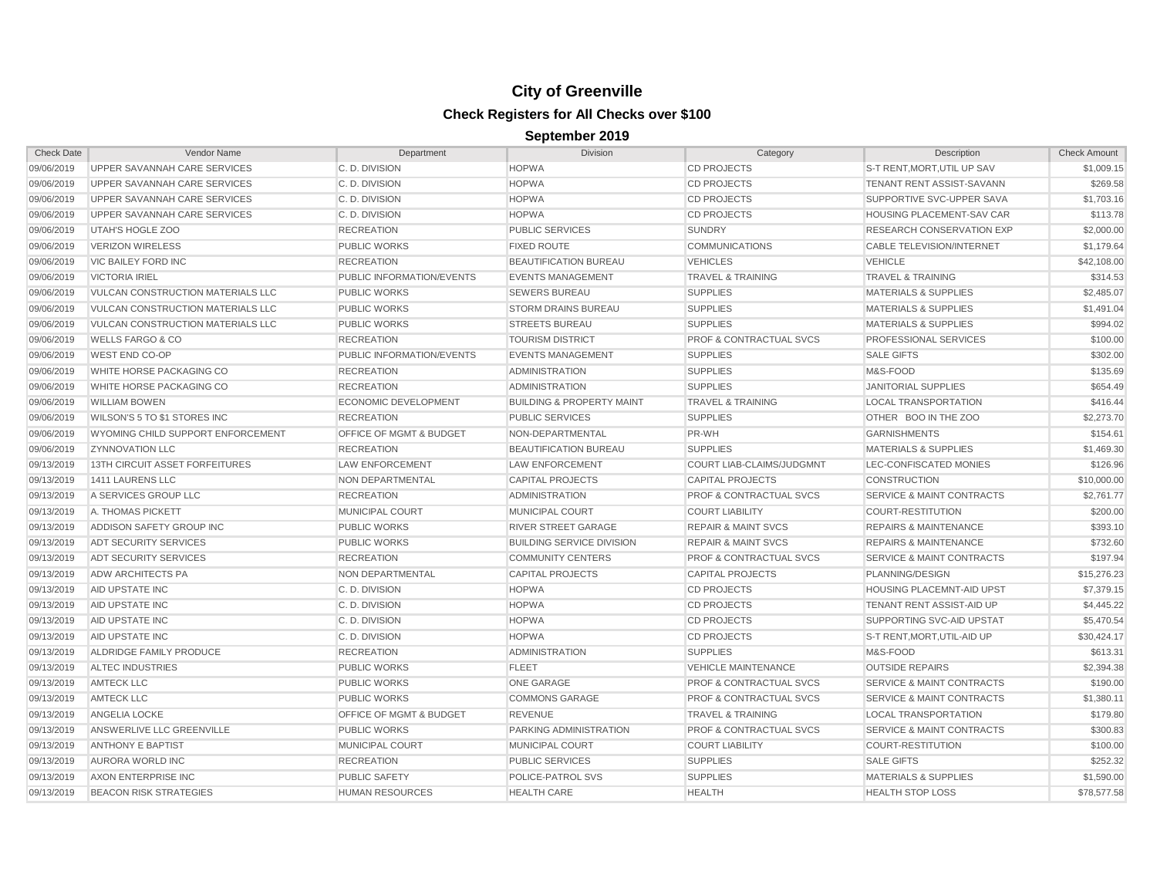| <b>Check Date</b> | Vendor Name                              | Department                         | <b>Division</b>                      | Category                           | Description                          | <b>Check Amount</b> |
|-------------------|------------------------------------------|------------------------------------|--------------------------------------|------------------------------------|--------------------------------------|---------------------|
| 09/06/2019        | UPPER SAVANNAH CARE SERVICES             | C.D. DIVISION                      | <b>HOPWA</b>                         | <b>CD PROJECTS</b>                 | S-T RENT, MORT, UTIL UP SAV          | \$1,009.15          |
| 09/06/2019        | UPPER SAVANNAH CARE SERVICES             | C.D. DIVISION                      | <b>HOPWA</b>                         | <b>CD PROJECTS</b>                 | <b>TENANT RENT ASSIST-SAVANN</b>     | \$269.58            |
| 09/06/2019        | UPPER SAVANNAH CARE SERVICES             | C. D. DIVISION                     | <b>HOPWA</b>                         | <b>CD PROJECTS</b>                 | SUPPORTIVE SVC-UPPER SAVA            | \$1,703.16          |
| 09/06/2019        | UPPER SAVANNAH CARE SERVICES             | C.D. DIVISION                      | <b>HOPWA</b>                         | <b>CD PROJECTS</b>                 | HOUSING PLACEMENT-SAV CAR            | \$113.78            |
| 09/06/2019        | UTAH'S HOGLE ZOO                         | <b>RECREATION</b>                  | <b>PUBLIC SERVICES</b>               | <b>SUNDRY</b>                      | <b>RESEARCH CONSERVATION EXP</b>     | \$2,000.00          |
| 09/06/2019        | <b>VERIZON WIRELESS</b>                  | <b>PUBLIC WORKS</b>                | <b>FIXED ROUTE</b>                   | <b>COMMUNICATIONS</b>              | <b>CABLE TELEVISION/INTERNET</b>     | \$1,179.64          |
| 09/06/2019        | VIC BAILEY FORD INC                      | <b>RECREATION</b>                  | <b>BEAUTIFICATION BUREAU</b>         | <b>VEHICLES</b>                    | <b>VEHICLE</b>                       | \$42,108.00         |
| 09/06/2019        | <b>VICTORIA IRIEL</b>                    | PUBLIC INFORMATION/EVENTS          | <b>EVENTS MANAGEMENT</b>             | <b>TRAVEL &amp; TRAINING</b>       | <b>TRAVEL &amp; TRAINING</b>         | \$314.53            |
| 09/06/2019        | <b>VULCAN CONSTRUCTION MATERIALS LLC</b> | <b>PUBLIC WORKS</b>                | <b>SEWERS BUREAU</b>                 | <b>SUPPLIES</b>                    | <b>MATERIALS &amp; SUPPLIES</b>      | \$2,485.07          |
| 09/06/2019        | VULCAN CONSTRUCTION MATERIALS LLC        | <b>PUBLIC WORKS</b>                | <b>STORM DRAINS BUREAU</b>           | <b>SUPPLIES</b>                    | <b>MATERIALS &amp; SUPPLIES</b>      | \$1,491.04          |
| 09/06/2019        | VULCAN CONSTRUCTION MATERIALS LLC        | <b>PUBLIC WORKS</b>                | <b>STREETS BUREAU</b>                | <b>SUPPLIES</b>                    | <b>MATERIALS &amp; SUPPLIES</b>      | \$994.02            |
| 09/06/2019        | <b>WELLS FARGO &amp; CO</b>              | <b>RECREATION</b>                  | <b>TOURISM DISTRICT</b>              | <b>PROF &amp; CONTRACTUAL SVCS</b> | PROFESSIONAL SERVICES                | \$100.00            |
| 09/06/2019        | WEST END CO-OP                           | PUBLIC INFORMATION/EVENTS          | <b>EVENTS MANAGEMENT</b>             | <b>SUPPLIES</b>                    | <b>SALE GIFTS</b>                    | \$302.00            |
| 09/06/2019        | WHITE HORSE PACKAGING CO                 | <b>RECREATION</b>                  | <b>ADMINISTRATION</b>                | <b>SUPPLIES</b>                    | M&S-FOOD                             | \$135.69            |
| 09/06/2019        | WHITE HORSE PACKAGING CO                 | <b>RECREATION</b>                  | <b>ADMINISTRATION</b>                | <b>SUPPLIES</b>                    | <b>JANITORIAL SUPPLIES</b>           | \$654.49            |
| 09/06/2019        | <b>WILLIAM BOWEN</b>                     | <b>ECONOMIC DEVELOPMENT</b>        | <b>BUILDING &amp; PROPERTY MAINT</b> | <b>TRAVEL &amp; TRAINING</b>       | <b>LOCAL TRANSPORTATION</b>          | \$416.44            |
| 09/06/2019        | <b>WILSON'S 5 TO \$1 STORES INC</b>      | <b>RECREATION</b>                  | <b>PUBLIC SERVICES</b>               | <b>SUPPLIES</b>                    | OTHER BOO IN THE ZOO                 | \$2,273.70          |
| 09/06/2019        | WYOMING CHILD SUPPORT ENFORCEMENT        | <b>OFFICE OF MGMT &amp; BUDGET</b> | NON-DEPARTMENTAL                     | PR-WH                              | <b>GARNISHMENTS</b>                  | \$154.61            |
| 09/06/2019        | <b>ZYNNOVATION LLC</b>                   | <b>RECREATION</b>                  | <b>BEAUTIFICATION BUREAU</b>         | <b>SUPPLIES</b>                    | <b>MATERIALS &amp; SUPPLIES</b>      | \$1,469.30          |
| 09/13/2019        | 13TH CIRCUIT ASSET FORFEITURES           | LAW ENFORCEMENT                    | <b>LAW ENFORCEMENT</b>               | COURT LIAB-CLAIMS/JUDGMNT          | LEC-CONFISCATED MONIES               | \$126.96            |
| 09/13/2019        | 1411 LAURENS LLC                         | NON DEPARTMENTAL                   | <b>CAPITAL PROJECTS</b>              | <b>CAPITAL PROJECTS</b>            | <b>CONSTRUCTION</b>                  | \$10,000.00         |
| 09/13/2019        | A SERVICES GROUP LLC                     | <b>RECREATION</b>                  | <b>ADMINISTRATION</b>                | <b>PROF &amp; CONTRACTUAL SVCS</b> | <b>SERVICE &amp; MAINT CONTRACTS</b> | \$2,761.77          |
| 09/13/2019        | A. THOMAS PICKETT                        | <b>MUNICIPAL COURT</b>             | MUNICIPAL COURT                      | <b>COURT LIABILITY</b>             | <b>COURT-RESTITUTION</b>             | \$200.00            |
| 09/13/2019        | ADDISON SAFETY GROUP INC                 | <b>PUBLIC WORKS</b>                | <b>RIVER STREET GARAGE</b>           | <b>REPAIR &amp; MAINT SVCS</b>     | <b>REPAIRS &amp; MAINTENANCE</b>     | \$393.10            |
| 09/13/2019        | ADT SECURITY SERVICES                    | <b>PUBLIC WORKS</b>                | <b>BUILDING SERVICE DIVISION</b>     | <b>REPAIR &amp; MAINT SVCS</b>     | <b>REPAIRS &amp; MAINTENANCE</b>     | \$732.60            |
| 09/13/2019        | ADT SECURITY SERVICES                    | <b>RECREATION</b>                  | <b>COMMUNITY CENTERS</b>             | <b>PROF &amp; CONTRACTUAL SVCS</b> | <b>SERVICE &amp; MAINT CONTRACTS</b> | \$197.94            |
| 09/13/2019        | <b>ADW ARCHITECTS PA</b>                 | NON DEPARTMENTAL                   | <b>CAPITAL PROJECTS</b>              | <b>CAPITAL PROJECTS</b>            | PLANNING/DESIGN                      | \$15,276.23         |
| 09/13/2019        | AID UPSTATE INC                          | C.D. DIVISION                      | <b>HOPWA</b>                         | <b>CD PROJECTS</b>                 | HOUSING PLACEMNT-AID UPST            | \$7,379.15          |
| 09/13/2019        | AID UPSTATE INC                          | C.D. DIVISION                      | <b>HOPWA</b>                         | <b>CD PROJECTS</b>                 | TENANT RENT ASSIST-AID UP            | \$4,445.22          |
| 09/13/2019        | AID UPSTATE INC                          | C.D. DIVISION                      | <b>HOPWA</b>                         | <b>CD PROJECTS</b>                 | SUPPORTING SVC-AID UPSTAT            | \$5,470.54          |
| 09/13/2019        | AID UPSTATE INC                          | C.D. DIVISION                      | <b>HOPWA</b>                         | <b>CD PROJECTS</b>                 | S-T RENT.MORT.UTIL-AID UP            | \$30.424.17         |
| 09/13/2019        | ALDRIDGE FAMILY PRODUCE                  | <b>RECREATION</b>                  | <b>ADMINISTRATION</b>                | <b>SUPPLIES</b>                    | M&S-FOOD                             | \$613.31            |
| 09/13/2019        | ALTEC INDUSTRIES                         | <b>PUBLIC WORKS</b>                | <b>FLEET</b>                         | <b>VEHICLE MAINTENANCE</b>         | <b>OUTSIDE REPAIRS</b>               | \$2,394.38          |
| 09/13/2019        | <b>AMTECK LLC</b>                        | <b>PUBLIC WORKS</b>                | ONE GARAGE                           | <b>PROF &amp; CONTRACTUAL SVCS</b> | <b>SERVICE &amp; MAINT CONTRACTS</b> | \$190.00            |
| 09/13/2019        | <b>AMTECK LLC</b>                        | <b>PUBLIC WORKS</b>                | <b>COMMONS GARAGE</b>                | <b>PROF &amp; CONTRACTUAL SVCS</b> | <b>SERVICE &amp; MAINT CONTRACTS</b> | \$1,380.11          |
| 09/13/2019        | ANGELIA LOCKE                            | OFFICE OF MGMT & BUDGET            | <b>REVENUE</b>                       | <b>TRAVEL &amp; TRAINING</b>       | <b>LOCAL TRANSPORTATION</b>          | \$179.80            |
| 09/13/2019        | ANSWERLIVE LLC GREENVILLE                | <b>PUBLIC WORKS</b>                | PARKING ADMINISTRATION               | <b>PROF &amp; CONTRACTUAL SVCS</b> | <b>SERVICE &amp; MAINT CONTRACTS</b> | \$300.83            |
| 09/13/2019        | <b>ANTHONY E BAPTIST</b>                 | MUNICIPAL COURT                    | MUNICIPAL COURT                      | <b>COURT LIABILITY</b>             | <b>COURT-RESTITUTION</b>             | \$100.00            |
| 09/13/2019        | AURORA WORLD INC                         | <b>RECREATION</b>                  | <b>PUBLIC SERVICES</b>               | <b>SUPPLIES</b>                    | <b>SALE GIFTS</b>                    | \$252.32            |
| 09/13/2019        | AXON ENTERPRISE INC                      | <b>PUBLIC SAFETY</b>               | POLICE-PATROL SVS                    | <b>SUPPLIES</b>                    | <b>MATERIALS &amp; SUPPLIES</b>      | \$1,590.00          |
| 09/13/2019        | <b>BEACON RISK STRATEGIES</b>            | <b>HUMAN RESOURCES</b>             | <b>HEALTH CARE</b>                   | <b>HEALTH</b>                      | <b>HEALTH STOP LOSS</b>              | \$78,577.58         |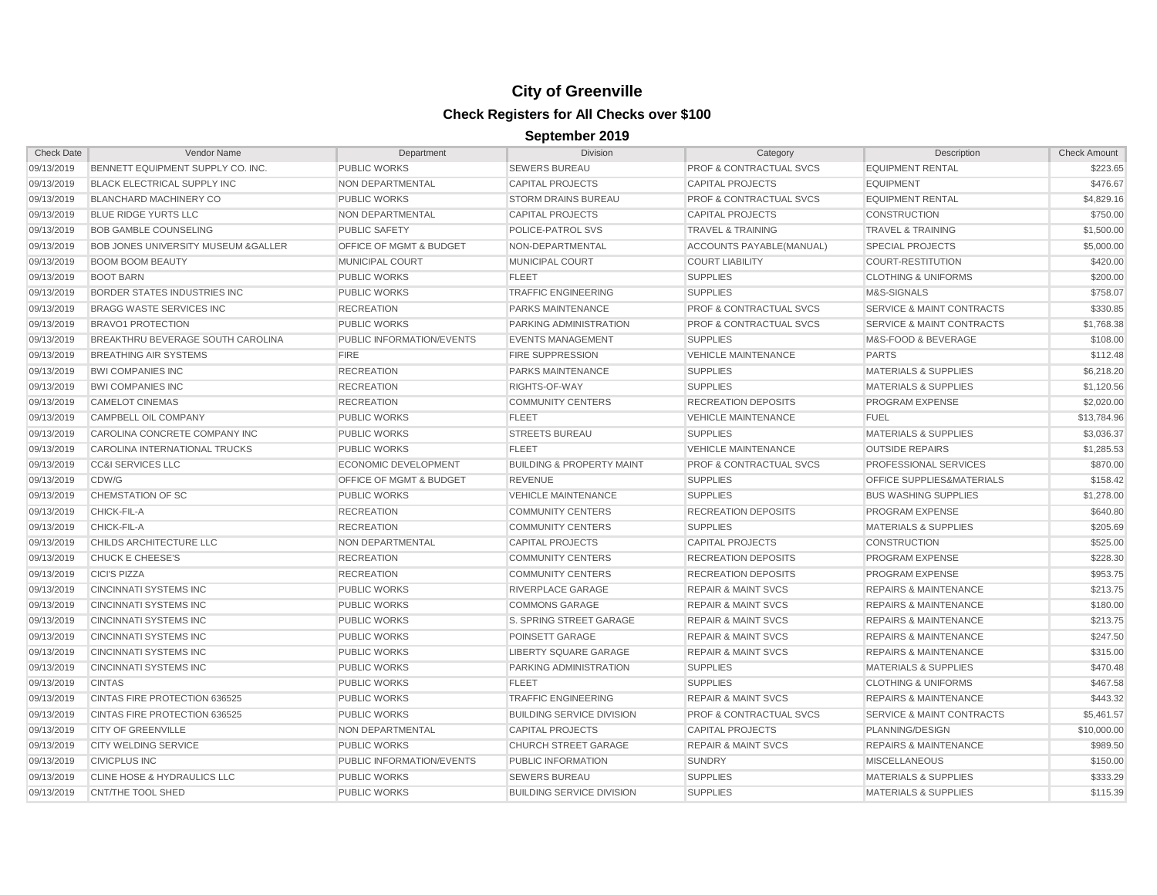| <b>Check Date</b> | <b>Vendor Name</b>                     | Department                         | <b>Division</b>                      | Category                           | Description                          | <b>Check Amount</b> |
|-------------------|----------------------------------------|------------------------------------|--------------------------------------|------------------------------------|--------------------------------------|---------------------|
| 09/13/2019        | BENNETT EQUIPMENT SUPPLY CO. INC.      | <b>PUBLIC WORKS</b>                | <b>SEWERS BUREAU</b>                 | PROF & CONTRACTUAL SVCS            | <b>EQUIPMENT RENTAL</b>              | \$223.65            |
| 09/13/2019        | <b>BLACK ELECTRICAL SUPPLY INC</b>     | NON DEPARTMENTAL                   | <b>CAPITAL PROJECTS</b>              | <b>CAPITAL PROJECTS</b>            | <b>EQUIPMENT</b>                     | \$476.67            |
| 09/13/2019        | <b>BLANCHARD MACHINERY CO</b>          | <b>PUBLIC WORKS</b>                | <b>STORM DRAINS BUREAU</b>           | <b>PROF &amp; CONTRACTUAL SVCS</b> | <b>EQUIPMENT RENTAL</b>              | \$4,829.16          |
| 09/13/2019        | <b>BLUE RIDGE YURTS LLC</b>            | NON DEPARTMENTAL                   | <b>CAPITAL PROJECTS</b>              | <b>CAPITAL PROJECTS</b>            | <b>CONSTRUCTION</b>                  | \$750.00            |
| 09/13/2019        | <b>BOB GAMBLE COUNSELING</b>           | <b>PUBLIC SAFETY</b>               | POLICE-PATROL SVS                    | <b>TRAVEL &amp; TRAINING</b>       | TRAVEL & TRAINING                    | \$1,500.00          |
| 09/13/2019        | BOB JONES UNIVERSITY MUSEUM & GALLER   | <b>OFFICE OF MGMT &amp; BUDGET</b> | NON-DEPARTMENTAL                     | ACCOUNTS PAYABLE(MANUAL)           | <b>SPECIAL PROJECTS</b>              | \$5,000.00          |
| 09/13/2019        | <b>BOOM BOOM BEAUTY</b>                | MUNICIPAL COURT                    | <b>MUNICIPAL COURT</b>               | <b>COURT LIABILITY</b>             | <b>COURT-RESTITUTION</b>             | \$420.00            |
| 09/13/2019        | <b>BOOT BARN</b>                       | <b>PUBLIC WORKS</b>                | <b>FLEET</b>                         | <b>SUPPLIES</b>                    | <b>CLOTHING &amp; UNIFORMS</b>       | \$200.00            |
| 09/13/2019        | BORDER STATES INDUSTRIES INC           | <b>PUBLIC WORKS</b>                | <b>TRAFFIC ENGINEERING</b>           | <b>SUPPLIES</b>                    | M&S-SIGNALS                          | \$758.07            |
| 09/13/2019        | <b>BRAGG WASTE SERVICES INC</b>        | <b>RECREATION</b>                  | PARKS MAINTENANCE                    | <b>PROF &amp; CONTRACTUAL SVCS</b> | <b>SERVICE &amp; MAINT CONTRACTS</b> | \$330.85            |
| 09/13/2019        | <b>BRAVO1 PROTECTION</b>               | <b>PUBLIC WORKS</b>                | PARKING ADMINISTRATION               | <b>PROF &amp; CONTRACTUAL SVCS</b> | <b>SERVICE &amp; MAINT CONTRACTS</b> | \$1,768.38          |
| 09/13/2019        | BREAKTHRU BEVERAGE SOUTH CAROLINA      | PUBLIC INFORMATION/EVENTS          | <b>EVENTS MANAGEMENT</b>             | <b>SUPPLIES</b>                    | M&S-FOOD & BEVERAGE                  | \$108.00            |
| 09/13/2019        | <b>BREATHING AIR SYSTEMS</b>           | <b>FIRE</b>                        | <b>FIRE SUPPRESSION</b>              | <b>VEHICLE MAINTENANCE</b>         | <b>PARTS</b>                         | \$112.48            |
| 09/13/2019        | <b>BWI COMPANIES INC</b>               | <b>RECREATION</b>                  | PARKS MAINTENANCE                    | <b>SUPPLIES</b>                    | <b>MATERIALS &amp; SUPPLIES</b>      | \$6,218.20          |
| 09/13/2019        | <b>BWI COMPANIES INC</b>               | <b>RECREATION</b>                  | RIGHTS-OF-WAY                        | <b>SUPPLIES</b>                    | <b>MATERIALS &amp; SUPPLIES</b>      | \$1,120.56          |
| 09/13/2019        | <b>CAMELOT CINEMAS</b>                 | <b>RECREATION</b>                  | <b>COMMUNITY CENTERS</b>             | <b>RECREATION DEPOSITS</b>         | PROGRAM EXPENSE                      | \$2,020.00          |
| 09/13/2019        | CAMPBELL OIL COMPANY                   | PUBLIC WORKS                       | <b>FLEET</b>                         | <b>VEHICLE MAINTENANCE</b>         | <b>FUEL</b>                          | \$13,784.96         |
| 09/13/2019        | CAROLINA CONCRETE COMPANY INC          | <b>PUBLIC WORKS</b>                | <b>STREETS BUREAU</b>                | <b>SUPPLIES</b>                    | <b>MATERIALS &amp; SUPPLIES</b>      | \$3,036.37          |
| 09/13/2019        | CAROLINA INTERNATIONAL TRUCKS          | <b>PUBLIC WORKS</b>                | <b>FLEET</b>                         | <b>VEHICLE MAINTENANCE</b>         | <b>OUTSIDE REPAIRS</b>               | \$1,285.53          |
| 09/13/2019        | <b>CC&amp;I SERVICES LLC</b>           | ECONOMIC DEVELOPMENT               | <b>BUILDING &amp; PROPERTY MAINT</b> | <b>PROF &amp; CONTRACTUAL SVCS</b> | PROFESSIONAL SERVICES                | \$870.00            |
| 09/13/2019        | CDW/G                                  | <b>OFFICE OF MGMT &amp; BUDGET</b> | <b>REVENUE</b>                       | <b>SUPPLIES</b>                    | <b>OFFICE SUPPLIES&amp;MATERIALS</b> | \$158.42            |
| 09/13/2019        | CHEMSTATION OF SC                      | <b>PUBLIC WORKS</b>                | <b>VEHICLE MAINTENANCE</b>           | <b>SUPPLIES</b>                    | <b>BUS WASHING SUPPLIES</b>          | \$1,278.00          |
| 09/13/2019        | CHICK-FIL-A                            | <b>RECREATION</b>                  | <b>COMMUNITY CENTERS</b>             | <b>RECREATION DEPOSITS</b>         | <b>PROGRAM EXPENSE</b>               | \$640.80            |
| 09/13/2019        | CHICK-FIL-A                            | <b>RECREATION</b>                  | <b>COMMUNITY CENTERS</b>             | <b>SUPPLIES</b>                    | <b>MATERIALS &amp; SUPPLIES</b>      | \$205.69            |
| 09/13/2019        | CHILDS ARCHITECTURE LLC                | NON DEPARTMENTAL                   | <b>CAPITAL PROJECTS</b>              | <b>CAPITAL PROJECTS</b>            | CONSTRUCTION                         | \$525.00            |
| 09/13/2019        | <b>CHUCK E CHEESE'S</b>                | <b>RECREATION</b>                  | <b>COMMUNITY CENTERS</b>             | <b>RECREATION DEPOSITS</b>         | PROGRAM EXPENSE                      | \$228.30            |
| 09/13/2019        | <b>CICI'S PIZZA</b>                    | <b>RECREATION</b>                  | <b>COMMUNITY CENTERS</b>             | <b>RECREATION DEPOSITS</b>         | PROGRAM EXPENSE                      | \$953.75            |
| 09/13/2019        | <b>CINCINNATI SYSTEMS INC</b>          | <b>PUBLIC WORKS</b>                | RIVERPLACE GARAGE                    | <b>REPAIR &amp; MAINT SVCS</b>     | <b>REPAIRS &amp; MAINTENANCE</b>     | \$213.75            |
| 09/13/2019        | <b>CINCINNATI SYSTEMS INC</b>          | <b>PUBLIC WORKS</b>                | <b>COMMONS GARAGE</b>                | <b>REPAIR &amp; MAINT SVCS</b>     | <b>REPAIRS &amp; MAINTENANCE</b>     | \$180.00            |
| 09/13/2019        | <b>CINCINNATI SYSTEMS INC</b>          | <b>PUBLIC WORKS</b>                | S. SPRING STREET GARAGE              | <b>REPAIR &amp; MAINT SVCS</b>     | <b>REPAIRS &amp; MAINTENANCE</b>     | \$213.75            |
| 09/13/2019        | <b>CINCINNATI SYSTEMS INC</b>          | PUBLIC WORKS                       | POINSETT GARAGE                      | <b>REPAIR &amp; MAINT SVCS</b>     | <b>REPAIRS &amp; MAINTENANCE</b>     | \$247.50            |
| 09/13/2019        | <b>CINCINNATI SYSTEMS INC</b>          | <b>PUBLIC WORKS</b>                | LIBERTY SQUARE GARAGE                | <b>REPAIR &amp; MAINT SVCS</b>     | <b>REPAIRS &amp; MAINTENANCE</b>     | \$315.00            |
| 09/13/2019        | <b>CINCINNATI SYSTEMS INC</b>          | <b>PUBLIC WORKS</b>                | <b>PARKING ADMINISTRATION</b>        | <b>SUPPLIES</b>                    | <b>MATERIALS &amp; SUPPLIES</b>      | \$470.48            |
| 09/13/2019        | <b>CINTAS</b>                          | <b>PUBLIC WORKS</b>                | <b>FLEET</b>                         | <b>SUPPLIES</b>                    | <b>CLOTHING &amp; UNIFORMS</b>       | \$467.58            |
| 09/13/2019        | CINTAS FIRE PROTECTION 636525          | <b>PUBLIC WORKS</b>                | <b>TRAFFIC ENGINEERING</b>           | <b>REPAIR &amp; MAINT SVCS</b>     | <b>REPAIRS &amp; MAINTENANCE</b>     | \$443.32            |
| 09/13/2019        | CINTAS FIRE PROTECTION 636525          | <b>PUBLIC WORKS</b>                | <b>BUILDING SERVICE DIVISION</b>     | <b>PROF &amp; CONTRACTUAL SVCS</b> | SERVICE & MAINT CONTRACTS            | \$5,461.57          |
| 09/13/2019        | <b>CITY OF GREENVILLE</b>              | NON DEPARTMENTAL                   | <b>CAPITAL PROJECTS</b>              | <b>CAPITAL PROJECTS</b>            | PLANNING/DESIGN                      | \$10,000.00         |
| 09/13/2019        | <b>CITY WELDING SERVICE</b>            | <b>PUBLIC WORKS</b>                | <b>CHURCH STREET GARAGE</b>          | <b>REPAIR &amp; MAINT SVCS</b>     | <b>REPAIRS &amp; MAINTENANCE</b>     | \$989.50            |
| 09/13/2019        | <b>CIVICPLUS INC</b>                   | PUBLIC INFORMATION/EVENTS          | PUBLIC INFORMATION                   | <b>SUNDRY</b>                      | <b>MISCELLANEOUS</b>                 | \$150.00            |
| 09/13/2019        | <b>CLINE HOSE &amp; HYDRAULICS LLC</b> | <b>PUBLIC WORKS</b>                | <b>SEWERS BUREAU</b>                 | <b>SUPPLIES</b>                    | <b>MATERIALS &amp; SUPPLIES</b>      | \$333.29            |
| 09/13/2019        | CNT/THE TOOL SHED                      | <b>PUBLIC WORKS</b>                | <b>BUILDING SERVICE DIVISION</b>     | <b>SUPPLIES</b>                    | <b>MATERIALS &amp; SUPPLIES</b>      | \$115.39            |
|                   |                                        |                                    |                                      |                                    |                                      |                     |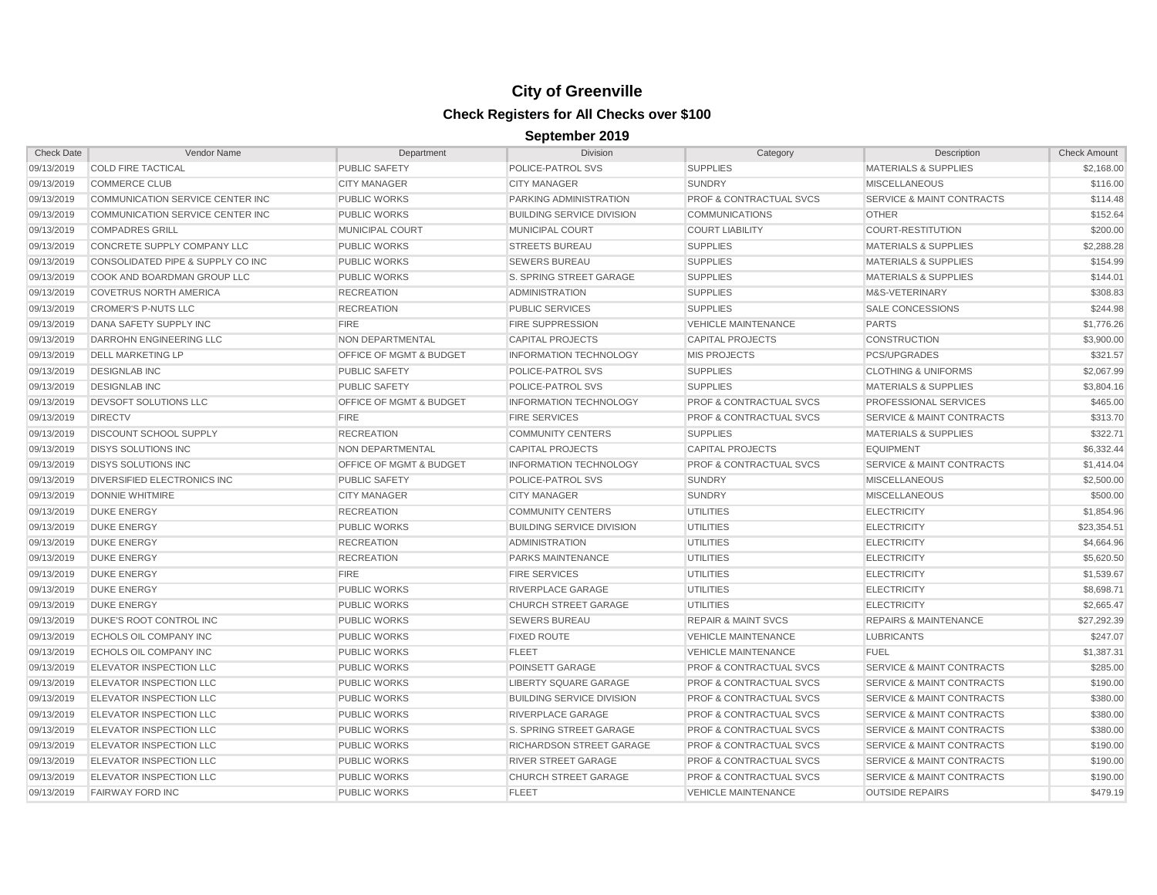| <b>Check Date</b> | <b>Vendor Name</b>                      | Department                         | Division                         | Category                           | Description                          | <b>Check Amount</b> |
|-------------------|-----------------------------------------|------------------------------------|----------------------------------|------------------------------------|--------------------------------------|---------------------|
| 09/13/2019        | <b>COLD FIRE TACTICAL</b>               | <b>PUBLIC SAFETY</b>               | POLICE-PATROL SVS                | <b>SUPPLIES</b>                    | <b>MATERIALS &amp; SUPPLIES</b>      | \$2,168.00          |
| 09/13/2019        | <b>COMMERCE CLUB</b>                    | <b>CITY MANAGER</b>                | <b>CITY MANAGER</b>              | <b>SUNDRY</b>                      | <b>MISCELLANEOUS</b>                 | \$116.00            |
| 09/13/2019        | COMMUNICATION SERVICE CENTER INC        | <b>PUBLIC WORKS</b>                | PARKING ADMINISTRATION           | <b>PROF &amp; CONTRACTUAL SVCS</b> | <b>SERVICE &amp; MAINT CONTRACTS</b> | \$114.48            |
| 09/13/2019        | <b>COMMUNICATION SERVICE CENTER INC</b> | <b>PUBLIC WORKS</b>                | <b>BUILDING SERVICE DIVISION</b> | <b>COMMUNICATIONS</b>              | <b>OTHER</b>                         | \$152.64            |
| 09/13/2019        | <b>COMPADRES GRILL</b>                  | <b>MUNICIPAL COURT</b>             | <b>MUNICIPAL COURT</b>           | <b>COURT LIABILITY</b>             | <b>COURT-RESTITUTION</b>             | \$200.00            |
| 09/13/2019        | CONCRETE SUPPLY COMPANY LLC             | <b>PUBLIC WORKS</b>                | <b>STREETS BUREAU</b>            | <b>SUPPLIES</b>                    | <b>MATERIALS &amp; SUPPLIES</b>      | \$2,288.28          |
| 09/13/2019        | CONSOLIDATED PIPE & SUPPLY CO INC       | <b>PUBLIC WORKS</b>                | <b>SEWERS BUREAU</b>             | <b>SUPPLIES</b>                    | <b>MATERIALS &amp; SUPPLIES</b>      | \$154.99            |
| 09/13/2019        | COOK AND BOARDMAN GROUP LLC             | <b>PUBLIC WORKS</b>                | S. SPRING STREET GARAGE          | <b>SUPPLIES</b>                    | <b>MATERIALS &amp; SUPPLIES</b>      | \$144.01            |
| 09/13/2019        | <b>COVETRUS NORTH AMERICA</b>           | <b>RECREATION</b>                  | <b>ADMINISTRATION</b>            | <b>SUPPLIES</b>                    | M&S-VETERINARY                       | \$308.83            |
| 09/13/2019        | <b>CROMER'S P-NUTS LLC</b>              | <b>RECREATION</b>                  | <b>PUBLIC SERVICES</b>           | <b>SUPPLIES</b>                    | SALE CONCESSIONS                     | \$244.98            |
| 09/13/2019        | DANA SAFETY SUPPLY INC                  | <b>FIRE</b>                        | <b>FIRE SUPPRESSION</b>          | <b>VEHICLE MAINTENANCE</b>         | <b>PARTS</b>                         | \$1,776.26          |
| 09/13/2019        | DARROHN ENGINEERING LLC                 | NON DEPARTMENTAL                   | CAPITAL PROJECTS                 | <b>CAPITAL PROJECTS</b>            | <b>CONSTRUCTION</b>                  | \$3,900.00          |
| 09/13/2019        | <b>DELL MARKETING LP</b>                | OFFICE OF MGMT & BUDGET            | <b>INFORMATION TECHNOLOGY</b>    | <b>MIS PROJECTS</b>                | PCS/UPGRADES                         | \$321.57            |
| 09/13/2019        | <b>DESIGNLAB INC</b>                    | <b>PUBLIC SAFETY</b>               | POLICE-PATROL SVS                | <b>SUPPLIES</b>                    | <b>CLOTHING &amp; UNIFORMS</b>       | \$2,067.99          |
| 09/13/2019        | <b>DESIGNLAB INC</b>                    | <b>PUBLIC SAFETY</b>               | POLICE-PATROL SVS                | <b>SUPPLIES</b>                    | <b>MATERIALS &amp; SUPPLIES</b>      | \$3,804.16          |
| 09/13/2019        | DEVSOFT SOLUTIONS LLC                   | <b>OFFICE OF MGMT &amp; BUDGET</b> | <b>INFORMATION TECHNOLOGY</b>    | <b>PROF &amp; CONTRACTUAL SVCS</b> | PROFESSIONAL SERVICES                | \$465.00            |
| 09/13/2019        | <b>DIRECTV</b>                          | <b>FIRE</b>                        | <b>FIRE SERVICES</b>             | <b>PROF &amp; CONTRACTUAL SVCS</b> | <b>SERVICE &amp; MAINT CONTRACTS</b> | \$313.70            |
| 09/13/2019        | <b>DISCOUNT SCHOOL SUPPLY</b>           | <b>RECREATION</b>                  | <b>COMMUNITY CENTERS</b>         | <b>SUPPLIES</b>                    | <b>MATERIALS &amp; SUPPLIES</b>      | \$322.71            |
| 09/13/2019        | <b>DISYS SOLUTIONS INC</b>              | <b>NON DEPARTMENTAL</b>            | <b>CAPITAL PROJECTS</b>          | <b>CAPITAL PROJECTS</b>            | <b>EQUIPMENT</b>                     | \$6,332.44          |
| 09/13/2019        | <b>DISYS SOLUTIONS INC</b>              | OFFICE OF MGMT & BUDGET            | <b>INFORMATION TECHNOLOGY</b>    | <b>PROF &amp; CONTRACTUAL SVCS</b> | <b>SERVICE &amp; MAINT CONTRACTS</b> | \$1,414.04          |
| 09/13/2019        | DIVERSIFIED ELECTRONICS INC             | <b>PUBLIC SAFETY</b>               | <b>POLICE-PATROL SVS</b>         | <b>SUNDRY</b>                      | <b>MISCELLANEOUS</b>                 | \$2,500.00          |
| 09/13/2019        | <b>DONNIE WHITMIRE</b>                  | <b>CITY MANAGER</b>                | <b>CITY MANAGER</b>              | <b>SUNDRY</b>                      | <b>MISCELLANEOUS</b>                 | \$500.00            |
| 09/13/2019        | <b>DUKE ENERGY</b>                      | <b>RECREATION</b>                  | <b>COMMUNITY CENTERS</b>         | UTILITIES                          | <b>ELECTRICITY</b>                   | \$1,854.96          |
| 09/13/2019        | <b>DUKE ENERGY</b>                      | <b>PUBLIC WORKS</b>                | <b>BUILDING SERVICE DIVISION</b> | <b>UTILITIES</b>                   | <b>ELECTRICITY</b>                   | \$23.354.51         |
| 09/13/2019        | <b>DUKE ENERGY</b>                      | <b>RECREATION</b>                  | <b>ADMINISTRATION</b>            | <b>UTILITIES</b>                   | <b>ELECTRICITY</b>                   | \$4,664.96          |
| 09/13/2019        | <b>DUKE ENERGY</b>                      | <b>RECREATION</b>                  | <b>PARKS MAINTENANCE</b>         | <b>UTILITIES</b>                   | <b>ELECTRICITY</b>                   | \$5,620.50          |
| 09/13/2019        | <b>DUKE ENERGY</b>                      | <b>FIRE</b>                        | <b>FIRE SERVICES</b>             | <b>UTILITIES</b>                   | <b>ELECTRICITY</b>                   | \$1,539.67          |
| 09/13/2019        | <b>DUKE ENERGY</b>                      | <b>PUBLIC WORKS</b>                | RIVERPLACE GARAGE                | <b>UTILITIES</b>                   | <b>ELECTRICITY</b>                   | \$8,698.71          |
| 09/13/2019        | <b>DUKE ENERGY</b>                      | <b>PUBLIC WORKS</b>                | <b>CHURCH STREET GARAGE</b>      | UTILITIES                          | <b>ELECTRICITY</b>                   | \$2,665.47          |
| 09/13/2019        | DUKE'S ROOT CONTROL INC                 | <b>PUBLIC WORKS</b>                | <b>SEWERS BUREAU</b>             | <b>REPAIR &amp; MAINT SVCS</b>     | <b>REPAIRS &amp; MAINTENANCE</b>     | \$27,292.39         |
| 09/13/2019        | <b>ECHOLS OIL COMPANY INC</b>           | <b>PUBLIC WORKS</b>                | <b>FIXED ROUTE</b>               | <b>VEHICLE MAINTENANCE</b>         | <b>LUBRICANTS</b>                    | \$247.07            |
| 09/13/2019        | <b>ECHOLS OIL COMPANY INC</b>           | <b>PUBLIC WORKS</b>                | <b>FLEET</b>                     | <b>VEHICLE MAINTENANCE</b>         | <b>FUEL</b>                          | \$1,387.31          |
| 09/13/2019        | <b>ELEVATOR INSPECTION LLC</b>          | <b>PUBLIC WORKS</b>                | POINSETT GARAGE                  | <b>PROF &amp; CONTRACTUAL SVCS</b> | SERVICE & MAINT CONTRACTS            | \$285.00            |
| 09/13/2019        | <b>ELEVATOR INSPECTION LLC</b>          | <b>PUBLIC WORKS</b>                | LIBERTY SQUARE GARAGE            | <b>PROF &amp; CONTRACTUAL SVCS</b> | SERVICE & MAINT CONTRACTS            | \$190.00            |
| 09/13/2019        | <b>ELEVATOR INSPECTION LLC</b>          | <b>PUBLIC WORKS</b>                | <b>BUILDING SERVICE DIVISION</b> | <b>PROF &amp; CONTRACTUAL SVCS</b> | SERVICE & MAINT CONTRACTS            | \$380.00            |
| 09/13/2019        | <b>ELEVATOR INSPECTION LLC</b>          | <b>PUBLIC WORKS</b>                | <b>RIVERPLACE GARAGE</b>         | <b>PROF &amp; CONTRACTUAL SVCS</b> | SERVICE & MAINT CONTRACTS            | \$380.00            |
| 09/13/2019        | <b>ELEVATOR INSPECTION LLC</b>          | <b>PUBLIC WORKS</b>                | <b>S. SPRING STREET GARAGE</b>   | <b>PROF &amp; CONTRACTUAL SVCS</b> | <b>SERVICE &amp; MAINT CONTRACTS</b> | \$380.00            |
| 09/13/2019        | <b>ELEVATOR INSPECTION LLC</b>          | <b>PUBLIC WORKS</b>                | RICHARDSON STREET GARAGE         | <b>PROF &amp; CONTRACTUAL SVCS</b> | SERVICE & MAINT CONTRACTS            | \$190.00            |
| 09/13/2019        | <b>ELEVATOR INSPECTION LLC</b>          | <b>PUBLIC WORKS</b>                | <b>RIVER STREET GARAGE</b>       | <b>PROF &amp; CONTRACTUAL SVCS</b> | <b>SERVICE &amp; MAINT CONTRACTS</b> | \$190.00            |
| 09/13/2019        | <b>ELEVATOR INSPECTION LLC</b>          | <b>PUBLIC WORKS</b>                | <b>CHURCH STREET GARAGE</b>      | <b>PROF &amp; CONTRACTUAL SVCS</b> | SERVICE & MAINT CONTRACTS            | \$190.00            |
| 09/13/2019        | <b>FAIRWAY FORD INC</b>                 | <b>PUBLIC WORKS</b>                | <b>FLEET</b>                     | <b>VEHICLE MAINTENANCE</b>         | <b>OUTSIDE REPAIRS</b>               | \$479.19            |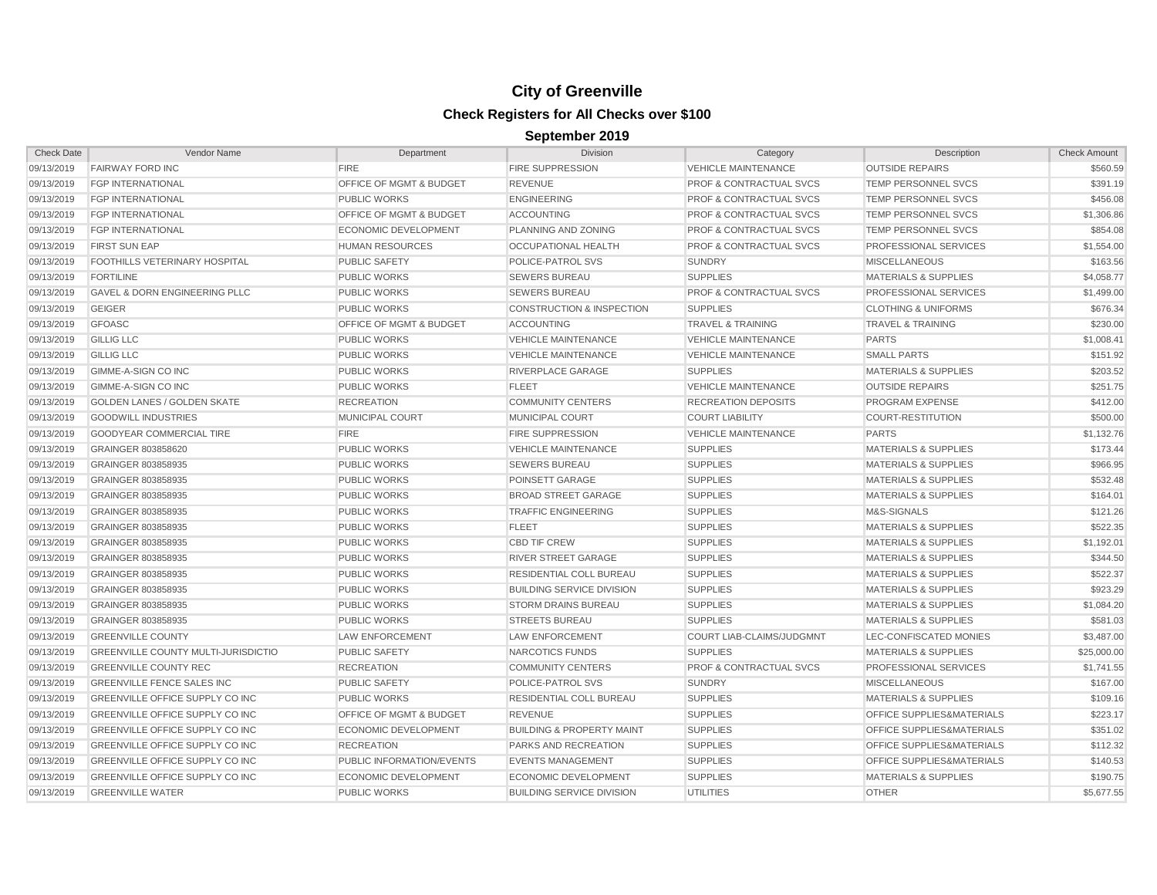| <b>Check Date</b> | Vendor Name                                | Department                         | <b>Division</b>                      | Category                           | Description                     | <b>Check Amount</b> |
|-------------------|--------------------------------------------|------------------------------------|--------------------------------------|------------------------------------|---------------------------------|---------------------|
| 09/13/2019        | <b>FAIRWAY FORD INC</b>                    | <b>FIRE</b>                        | <b>FIRE SUPPRESSION</b>              | <b>VEHICLE MAINTENANCE</b>         | <b>OUTSIDE REPAIRS</b>          | \$560.59            |
| 09/13/2019        | <b>FGP INTERNATIONAL</b>                   | <b>OFFICE OF MGMT &amp; BUDGET</b> | <b>REVENUE</b>                       | <b>PROF &amp; CONTRACTUAL SVCS</b> | TEMP PERSONNEL SVCS             | \$391.19            |
| 09/13/2019        | <b>FGP INTERNATIONAL</b>                   | <b>PUBLIC WORKS</b>                | <b>ENGINEERING</b>                   | <b>PROF &amp; CONTRACTUAL SVCS</b> | TEMP PERSONNEL SVCS             | \$456.08            |
| 09/13/2019        | <b>FGP INTERNATIONAL</b>                   | <b>OFFICE OF MGMT &amp; BUDGET</b> | <b>ACCOUNTING</b>                    | <b>PROF &amp; CONTRACTUAL SVCS</b> | TEMP PERSONNEL SVCS             | \$1,306.86          |
| 09/13/2019        | <b>FGP INTERNATIONAL</b>                   | <b>ECONOMIC DEVELOPMENT</b>        | PLANNING AND ZONING                  | <b>PROF &amp; CONTRACTUAL SVCS</b> | <b>TEMP PERSONNEL SVCS</b>      | \$854.08            |
| 09/13/2019        | <b>FIRST SUN EAP</b>                       | <b>HUMAN RESOURCES</b>             | <b>OCCUPATIONAL HEALTH</b>           | <b>PROF &amp; CONTRACTUAL SVCS</b> | PROFESSIONAL SERVICES           | \$1,554.00          |
| 09/13/2019        | FOOTHILLS VETERINARY HOSPITAL              | <b>PUBLIC SAFETY</b>               | POLICE-PATROL SVS                    | <b>SUNDRY</b>                      | <b>MISCELLANEOUS</b>            | \$163.56            |
| 09/13/2019        | <b>FORTILINE</b>                           | <b>PUBLIC WORKS</b>                | <b>SEWERS BUREAU</b>                 | <b>SUPPLIES</b>                    | <b>MATERIALS &amp; SUPPLIES</b> | \$4,058.77          |
| 09/13/2019        | <b>GAVEL &amp; DORN ENGINEERING PLLC</b>   | <b>PUBLIC WORKS</b>                | <b>SEWERS BUREAU</b>                 | <b>PROF &amp; CONTRACTUAL SVCS</b> | PROFESSIONAL SERVICES           | \$1,499.00          |
| 09/13/2019        | <b>GEIGER</b>                              | <b>PUBLIC WORKS</b>                | <b>CONSTRUCTION &amp; INSPECTION</b> | <b>SUPPLIES</b>                    | <b>CLOTHING &amp; UNIFORMS</b>  | \$676.34            |
| 09/13/2019        | <b>GFOASC</b>                              | <b>OFFICE OF MGMT &amp; BUDGET</b> | <b>ACCOUNTING</b>                    | <b>TRAVEL &amp; TRAINING</b>       | <b>TRAVEL &amp; TRAINING</b>    | \$230.00            |
| 09/13/2019        | <b>GILLIG LLC</b>                          | <b>PUBLIC WORKS</b>                | <b>VEHICLE MAINTENANCE</b>           | <b>VEHICLE MAINTENANCE</b>         | <b>PARTS</b>                    | \$1,008.41          |
| 09/13/2019        | <b>GILLIG LLC</b>                          | <b>PUBLIC WORKS</b>                | <b>VEHICLE MAINTENANCE</b>           | <b>VEHICLE MAINTENANCE</b>         | <b>SMALL PARTS</b>              | \$151.92            |
| 09/13/2019        | GIMME-A-SIGN CO INC                        | <b>PUBLIC WORKS</b>                | RIVERPLACE GARAGE                    | <b>SUPPLIES</b>                    | <b>MATERIALS &amp; SUPPLIES</b> | \$203.52            |
| 09/13/2019        | GIMME-A-SIGN CO INC                        | <b>PUBLIC WORKS</b>                | <b>FLEET</b>                         | <b>VEHICLE MAINTENANCE</b>         | <b>OUTSIDE REPAIRS</b>          | \$251.75            |
| 09/13/2019        | <b>GOLDEN LANES / GOLDEN SKATE</b>         | <b>RECREATION</b>                  | <b>COMMUNITY CENTERS</b>             | <b>RECREATION DEPOSITS</b>         | PROGRAM EXPENSE                 | \$412.00            |
| 09/13/2019        | <b>GOODWILL INDUSTRIES</b>                 | <b>MUNICIPAL COURT</b>             | MUNICIPAL COURT                      | <b>COURT LIABILITY</b>             | <b>COURT-RESTITUTION</b>        | \$500.00            |
| 09/13/2019        | <b>GOODYEAR COMMERCIAL TIRE</b>            | <b>FIRE</b>                        | <b>FIRE SUPPRESSION</b>              | <b>VEHICLE MAINTENANCE</b>         | <b>PARTS</b>                    | \$1,132.76          |
| 09/13/2019        | GRAINGER 803858620                         | <b>PUBLIC WORKS</b>                | <b>VEHICLE MAINTENANCE</b>           | <b>SUPPLIES</b>                    | <b>MATERIALS &amp; SUPPLIES</b> | \$173.44            |
| 09/13/2019        | GRAINGER 803858935                         | <b>PUBLIC WORKS</b>                | <b>SEWERS BUREAU</b>                 | <b>SUPPLIES</b>                    | <b>MATERIALS &amp; SUPPLIES</b> | \$966.95            |
| 09/13/2019        | GRAINGER 803858935                         | <b>PUBLIC WORKS</b>                | POINSETT GARAGE                      | <b>SUPPLIES</b>                    | <b>MATERIALS &amp; SUPPLIES</b> | \$532.48            |
| 09/13/2019        | GRAINGER 803858935                         | <b>PUBLIC WORKS</b>                | <b>BROAD STREET GARAGE</b>           | <b>SUPPLIES</b>                    | <b>MATERIALS &amp; SUPPLIES</b> | \$164.01            |
| 09/13/2019        | GRAINGER 803858935                         | <b>PUBLIC WORKS</b>                | <b>TRAFFIC ENGINEERING</b>           | <b>SUPPLIES</b>                    | M&S-SIGNALS                     | \$121.26            |
| 09/13/2019        | GRAINGER 803858935                         | <b>PUBLIC WORKS</b>                | <b>FLEET</b>                         | <b>SUPPLIES</b>                    | <b>MATERIALS &amp; SUPPLIES</b> | \$522.35            |
| 09/13/2019        | GRAINGER 803858935                         | <b>PUBLIC WORKS</b>                | <b>CBD TIF CREW</b>                  | <b>SUPPLIES</b>                    | <b>MATERIALS &amp; SUPPLIES</b> | \$1,192.01          |
| 09/13/2019        | GRAINGER 803858935                         | <b>PUBLIC WORKS</b>                | <b>RIVER STREET GARAGE</b>           | <b>SUPPLIES</b>                    | <b>MATERIALS &amp; SUPPLIES</b> | \$344.50            |
| 09/13/2019        | GRAINGER 803858935                         | <b>PUBLIC WORKS</b>                | RESIDENTIAL COLL BUREAU              | <b>SUPPLIES</b>                    | <b>MATERIALS &amp; SUPPLIES</b> | \$522.37            |
| 09/13/2019        | GRAINGER 803858935                         | <b>PUBLIC WORKS</b>                | <b>BUILDING SERVICE DIVISION</b>     | <b>SUPPLIES</b>                    | <b>MATERIALS &amp; SUPPLIES</b> | \$923.29            |
| 09/13/2019        | GRAINGER 803858935                         | <b>PUBLIC WORKS</b>                | <b>STORM DRAINS BUREAU</b>           | <b>SUPPLIES</b>                    | <b>MATERIALS &amp; SUPPLIES</b> | \$1,084.20          |
| 09/13/2019        | GRAINGER 803858935                         | <b>PUBLIC WORKS</b>                | <b>STREETS BUREAU</b>                | <b>SUPPLIES</b>                    | <b>MATERIALS &amp; SUPPLIES</b> | \$581.03            |
| 09/13/2019        | <b>GREENVILLE COUNTY</b>                   | <b>LAW ENFORCEMENT</b>             | <b>LAW ENFORCEMENT</b>               | COURT LIAB-CLAIMS/JUDGMNT          | LEC-CONFISCATED MONIES          | \$3,487.00          |
| 09/13/2019        | <b>GREENVILLE COUNTY MULTI-JURISDICTIO</b> | <b>PUBLIC SAFETY</b>               | NARCOTICS FUNDS                      | <b>SUPPLIES</b>                    | <b>MATERIALS &amp; SUPPLIES</b> | \$25,000.00         |
| 09/13/2019        | <b>GREENVILLE COUNTY REC</b>               | <b>RECREATION</b>                  | <b>COMMUNITY CENTERS</b>             | PROF & CONTRACTUAL SVCS            | PROFESSIONAL SERVICES           | \$1,741.55          |
| 09/13/2019        | <b>GREENVILLE FENCE SALES INC</b>          | <b>PUBLIC SAFETY</b>               | POLICE-PATROL SVS                    | <b>SUNDRY</b>                      | <b>MISCELLANEOUS</b>            | \$167.00            |
| 09/13/2019        | GREENVILLE OFFICE SUPPLY CO INC            | <b>PUBLIC WORKS</b>                | RESIDENTIAL COLL BUREAU              | <b>SUPPLIES</b>                    | <b>MATERIALS &amp; SUPPLIES</b> | \$109.16            |
| 09/13/2019        | <b>GREENVILLE OFFICE SUPPLY CO INC</b>     | OFFICE OF MGMT & BUDGET            | <b>REVENUE</b>                       | <b>SUPPLIES</b>                    | OFFICE SUPPLIES&MATERIALS       | \$223.17            |
| 09/13/2019        | GREENVILLE OFFICE SUPPLY CO INC            | ECONOMIC DEVELOPMENT               | <b>BUILDING &amp; PROPERTY MAINT</b> | <b>SUPPLIES</b>                    | OFFICE SUPPLIES&MATERIALS       | \$351.02            |
| 09/13/2019        | <b>GREENVILLE OFFICE SUPPLY CO INC</b>     | <b>RECREATION</b>                  | <b>PARKS AND RECREATION</b>          | <b>SUPPLIES</b>                    | OFFICE SUPPLIES&MATERIALS       | \$112.32            |
| 09/13/2019        | GREENVILLE OFFICE SUPPLY CO INC            | PUBLIC INFORMATION/EVENTS          | <b>EVENTS MANAGEMENT</b>             | <b>SUPPLIES</b>                    | OFFICE SUPPLIES&MATERIALS       | \$140.53            |
| 09/13/2019        | <b>GREENVILLE OFFICE SUPPLY CO INC</b>     | <b>ECONOMIC DEVELOPMENT</b>        | ECONOMIC DEVELOPMENT                 | <b>SUPPLIES</b>                    | <b>MATERIALS &amp; SUPPLIES</b> | \$190.75            |
| 09/13/2019        | <b>GREENVILLE WATER</b>                    | <b>PUBLIC WORKS</b>                | <b>BUILDING SERVICE DIVISION</b>     | <b>UTILITIES</b>                   | <b>OTHER</b>                    | \$5,677.55          |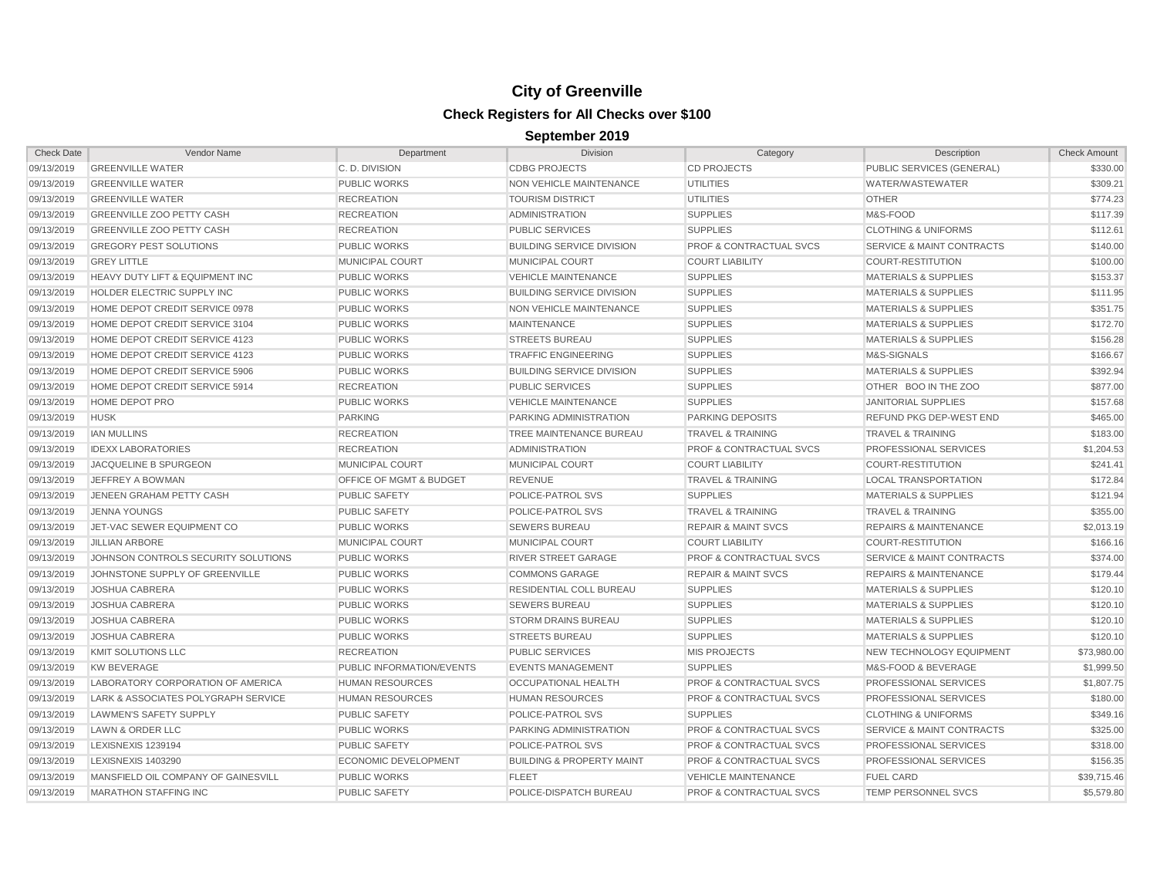| <b>Check Date</b> | Vendor Name                         | Department                         | <b>Division</b>                      | Category                           | Description                          | <b>Check Amount</b> |
|-------------------|-------------------------------------|------------------------------------|--------------------------------------|------------------------------------|--------------------------------------|---------------------|
| 09/13/2019        | <b>GREENVILLE WATER</b>             | C.D. DIVISION                      | <b>CDBG PROJECTS</b>                 | <b>CD PROJECTS</b>                 | PUBLIC SERVICES (GENERAL)            | \$330.00            |
| 09/13/2019        | <b>GREENVILLE WATER</b>             | <b>PUBLIC WORKS</b>                | <b>NON VEHICLE MAINTENANCE</b>       | <b>UTILITIES</b>                   | WATER/WASTEWATER                     | \$309.21            |
| 09/13/2019        | <b>GREENVILLE WATER</b>             | <b>RECREATION</b>                  | <b>TOURISM DISTRICT</b>              | <b>UTILITIES</b>                   | <b>OTHER</b>                         | \$774.23            |
| 09/13/2019        | <b>GREENVILLE ZOO PETTY CASH</b>    | <b>RECREATION</b>                  | <b>ADMINISTRATION</b>                | <b>SUPPLIES</b>                    | M&S-FOOD                             | \$117.39            |
| 09/13/2019        | <b>GREENVILLE ZOO PETTY CASH</b>    | <b>RECREATION</b>                  | <b>PUBLIC SERVICES</b>               | <b>SUPPLIES</b>                    | <b>CLOTHING &amp; UNIFORMS</b>       | \$112.61            |
| 09/13/2019        | <b>GREGORY PEST SOLUTIONS</b>       | <b>PUBLIC WORKS</b>                | <b>BUILDING SERVICE DIVISION</b>     | <b>PROF &amp; CONTRACTUAL SVCS</b> | <b>SERVICE &amp; MAINT CONTRACTS</b> | \$140.00            |
| 09/13/2019        | <b>GREY LITTLE</b>                  | <b>MUNICIPAL COURT</b>             | MUNICIPAL COURT                      | <b>COURT LIABILITY</b>             | <b>COURT-RESTITUTION</b>             | \$100.00            |
| 09/13/2019        | HEAVY DUTY LIFT & EQUIPMENT INC     | <b>PUBLIC WORKS</b>                | <b>VEHICLE MAINTENANCE</b>           | <b>SUPPLIES</b>                    | <b>MATERIALS &amp; SUPPLIES</b>      | \$153.37            |
| 09/13/2019        | HOLDER ELECTRIC SUPPLY INC          | <b>PUBLIC WORKS</b>                | <b>BUILDING SERVICE DIVISION</b>     | <b>SUPPLIES</b>                    | <b>MATERIALS &amp; SUPPLIES</b>      | \$111.95            |
| 09/13/2019        | HOME DEPOT CREDIT SERVICE 0978      | <b>PUBLIC WORKS</b>                | NON VEHICLE MAINTENANCE              | <b>SUPPLIES</b>                    | <b>MATERIALS &amp; SUPPLIES</b>      | \$351.75            |
| 09/13/2019        | HOME DEPOT CREDIT SERVICE 3104      | <b>PUBLIC WORKS</b>                | <b>MAINTENANCE</b>                   | <b>SUPPLIES</b>                    | <b>MATERIALS &amp; SUPPLIES</b>      | \$172.70            |
| 09/13/2019        | HOME DEPOT CREDIT SERVICE 4123      | <b>PUBLIC WORKS</b>                | <b>STREETS BUREAU</b>                | <b>SUPPLIES</b>                    | <b>MATERIALS &amp; SUPPLIES</b>      | \$156.28            |
| 09/13/2019        | HOME DEPOT CREDIT SERVICE 4123      | <b>PUBLIC WORKS</b>                | <b>TRAFFIC ENGINEERING</b>           | <b>SUPPLIES</b>                    | M&S-SIGNALS                          | \$166.67            |
| 09/13/2019        | HOME DEPOT CREDIT SERVICE 5906      | <b>PUBLIC WORKS</b>                | <b>BUILDING SERVICE DIVISION</b>     | <b>SUPPLIES</b>                    | <b>MATERIALS &amp; SUPPLIES</b>      | \$392.94            |
| 09/13/2019        | HOME DEPOT CREDIT SERVICE 5914      | <b>RECREATION</b>                  | <b>PUBLIC SERVICES</b>               | <b>SUPPLIES</b>                    | OTHER BOO IN THE ZOO                 | \$877.00            |
| 09/13/2019        | HOME DEPOT PRO                      | <b>PUBLIC WORKS</b>                | <b>VEHICLE MAINTENANCE</b>           | <b>SUPPLIES</b>                    | <b>JANITORIAL SUPPLIES</b>           | \$157.68            |
| 09/13/2019        | <b>HUSK</b>                         | <b>PARKING</b>                     | PARKING ADMINISTRATION               | <b>PARKING DEPOSITS</b>            | REFUND PKG DEP-WEST END              | \$465.00            |
| 09/13/2019        | <b>IAN MULLINS</b>                  | <b>RECREATION</b>                  | TREE MAINTENANCE BUREAU              | <b>TRAVEL &amp; TRAINING</b>       | <b>TRAVEL &amp; TRAINING</b>         | \$183.00            |
| 09/13/2019        | <b>IDEXX LABORATORIES</b>           | <b>RECREATION</b>                  | <b>ADMINISTRATION</b>                | <b>PROF &amp; CONTRACTUAL SVCS</b> | PROFESSIONAL SERVICES                | \$1,204.53          |
| 09/13/2019        | JACQUELINE B SPURGEON               | <b>MUNICIPAL COURT</b>             | MUNICIPAL COURT                      | <b>COURT LIABILITY</b>             | <b>COURT-RESTITUTION</b>             | \$241.41            |
| 09/13/2019        | JEFFREY A BOWMAN                    | <b>OFFICE OF MGMT &amp; BUDGET</b> | <b>REVENUE</b>                       | <b>TRAVEL &amp; TRAINING</b>       | <b>LOCAL TRANSPORTATION</b>          | \$172.84            |
| 09/13/2019        | JENEEN GRAHAM PETTY CASH            | <b>PUBLIC SAFETY</b>               | POLICE-PATROL SVS                    | <b>SUPPLIES</b>                    | <b>MATERIALS &amp; SUPPLIES</b>      | \$121.94            |
| 09/13/2019        | <b>JENNA YOUNGS</b>                 | <b>PUBLIC SAFETY</b>               | POLICE-PATROL SVS                    | <b>TRAVEL &amp; TRAINING</b>       | <b>TRAVEL &amp; TRAINING</b>         | \$355.00            |
| 09/13/2019        | JET-VAC SEWER EQUIPMENT CO          | <b>PUBLIC WORKS</b>                | <b>SEWERS BUREAU</b>                 | <b>REPAIR &amp; MAINT SVCS</b>     | <b>REPAIRS &amp; MAINTENANCE</b>     | \$2,013.19          |
| 09/13/2019        | <b>JILLIAN ARBORE</b>               | <b>MUNICIPAL COURT</b>             | <b>MUNICIPAL COURT</b>               | <b>COURT LIABILITY</b>             | <b>COURT-RESTITUTION</b>             | \$166.16            |
| 09/13/2019        | JOHNSON CONTROLS SECURITY SOLUTIONS | <b>PUBLIC WORKS</b>                | <b>RIVER STREET GARAGE</b>           | <b>PROF &amp; CONTRACTUAL SVCS</b> | <b>SERVICE &amp; MAINT CONTRACTS</b> | \$374.00            |
| 09/13/2019        | JOHNSTONE SUPPLY OF GREENVILLE      | <b>PUBLIC WORKS</b>                | <b>COMMONS GARAGE</b>                | <b>REPAIR &amp; MAINT SVCS</b>     | <b>REPAIRS &amp; MAINTENANCE</b>     | \$179.44            |
| 09/13/2019        | JOSHUA CABRERA                      | <b>PUBLIC WORKS</b>                | RESIDENTIAL COLL BUREAU              | <b>SUPPLIES</b>                    | <b>MATERIALS &amp; SUPPLIES</b>      | \$120.10            |
| 09/13/2019        | <b>JOSHUA CABRERA</b>               | <b>PUBLIC WORKS</b>                | <b>SEWERS BUREAU</b>                 | <b>SUPPLIES</b>                    | <b>MATERIALS &amp; SUPPLIES</b>      | \$120.10            |
| 09/13/2019        | <b>JOSHUA CABRERA</b>               | <b>PUBLIC WORKS</b>                | <b>STORM DRAINS BUREAU</b>           | <b>SUPPLIES</b>                    | <b>MATERIALS &amp; SUPPLIES</b>      | \$120.10            |
| 09/13/2019        | <b>JOSHUA CABRERA</b>               | <b>PUBLIC WORKS</b>                | <b>STREETS BUREAU</b>                | <b>SUPPLIES</b>                    | <b>MATERIALS &amp; SUPPLIES</b>      | \$120.10            |
| 09/13/2019        | <b>KMIT SOLUTIONS LLC</b>           | <b>RECREATION</b>                  | <b>PUBLIC SERVICES</b>               | <b>MIS PROJECTS</b>                | NEW TECHNOLOGY EQUIPMENT             | \$73,980.00         |
| 09/13/2019        | <b>KW BEVERAGE</b>                  | PUBLIC INFORMATION/EVENTS          | <b>EVENTS MANAGEMENT</b>             | <b>SUPPLIES</b>                    | M&S-FOOD & BEVERAGE                  | \$1,999.50          |
| 09/13/2019        | LABORATORY CORPORATION OF AMERICA   | <b>HUMAN RESOURCES</b>             | OCCUPATIONAL HEALTH                  | <b>PROF &amp; CONTRACTUAL SVCS</b> | PROFESSIONAL SERVICES                | \$1,807.75          |
| 09/13/2019        | LARK & ASSOCIATES POLYGRAPH SERVICE | <b>HUMAN RESOURCES</b>             | <b>HUMAN RESOURCES</b>               | <b>PROF &amp; CONTRACTUAL SVCS</b> | PROFESSIONAL SERVICES                | \$180.00            |
| 09/13/2019        | LAWMEN'S SAFETY SUPPLY              | <b>PUBLIC SAFETY</b>               | POLICE-PATROL SVS                    | <b>SUPPLIES</b>                    | <b>CLOTHING &amp; UNIFORMS</b>       | \$349.16            |
| 09/13/2019        | LAWN & ORDER LLC                    | <b>PUBLIC WORKS</b>                | PARKING ADMINISTRATION               | <b>PROF &amp; CONTRACTUAL SVCS</b> | <b>SERVICE &amp; MAINT CONTRACTS</b> | \$325.00            |
| 09/13/2019        | LEXISNEXIS 1239194                  | <b>PUBLIC SAFETY</b>               | <b>POLICE-PATROL SVS</b>             | <b>PROF &amp; CONTRACTUAL SVCS</b> | PROFESSIONAL SERVICES                | \$318.00            |
| 09/13/2019        | <b>LEXISNEXIS 1403290</b>           | <b>ECONOMIC DEVELOPMENT</b>        | <b>BUILDING &amp; PROPERTY MAINT</b> | <b>PROF &amp; CONTRACTUAL SVCS</b> | PROFESSIONAL SERVICES                | \$156.35            |
| 09/13/2019        | MANSFIELD OIL COMPANY OF GAINESVILL | <b>PUBLIC WORKS</b>                | <b>FLEET</b>                         | <b>VEHICLE MAINTENANCE</b>         | <b>FUEL CARD</b>                     | \$39,715.46         |
| 09/13/2019        | <b>MARATHON STAFFING INC</b>        | <b>PUBLIC SAFETY</b>               | POLICE-DISPATCH BUREAU               | <b>PROF &amp; CONTRACTUAL SVCS</b> | TEMP PERSONNEL SVCS                  | \$5,579.80          |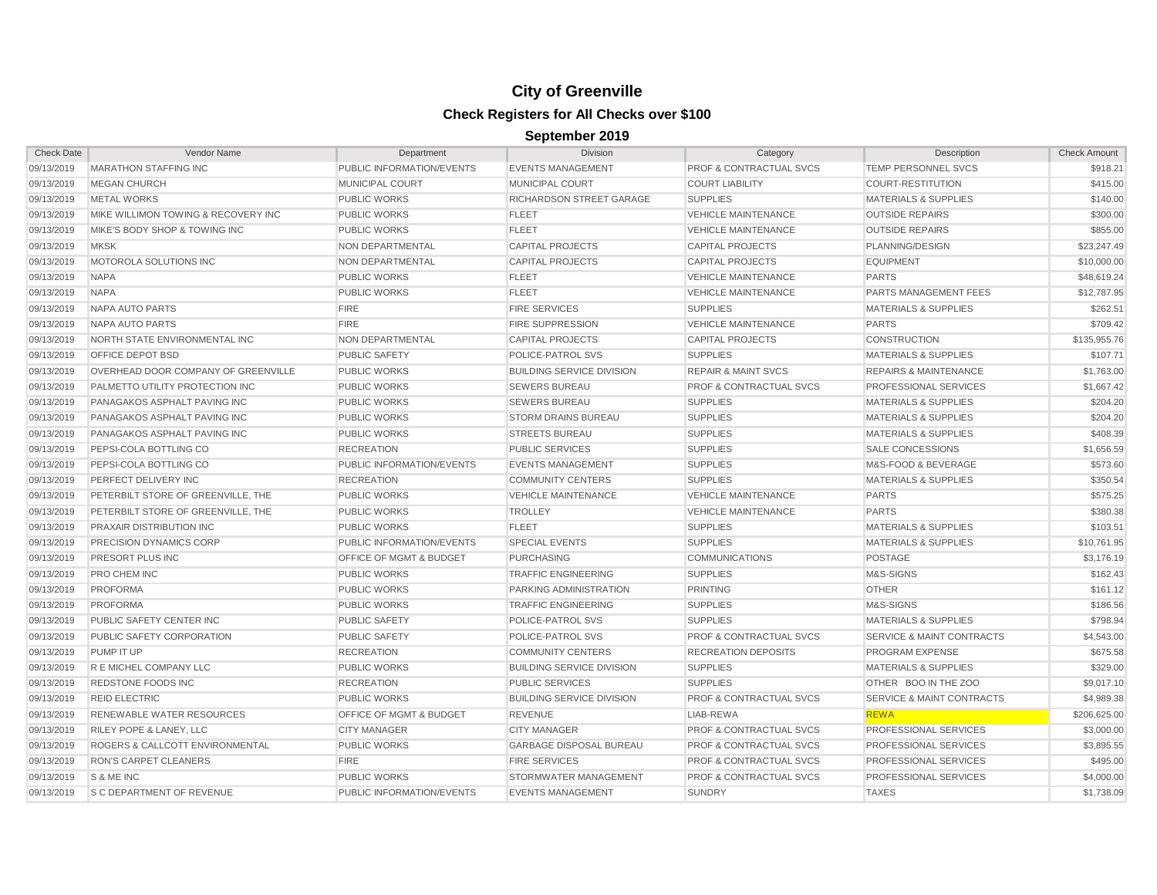| <b>Check Date</b> | Vendor Name                                | Department                | <b>Division</b>                  | Category                           | Description                          | <b>Check Amount</b> |
|-------------------|--------------------------------------------|---------------------------|----------------------------------|------------------------------------|--------------------------------------|---------------------|
| 09/13/2019        | <b>MARATHON STAFFING INC</b>               | PUBLIC INFORMATION/EVENTS | <b>EVENTS MANAGEMENT</b>         | <b>PROF &amp; CONTRACTUAL SVCS</b> | <b>TEMP PERSONNEL SVCS</b>           | \$918.21            |
| 09/13/2019        | <b>MEGAN CHURCH</b>                        | <b>MUNICIPAL COURT</b>    | <b>MUNICIPAL COURT</b>           | <b>COURT LIABILITY</b>             | <b>COURT-RESTITUTION</b>             | \$415.00            |
| 09/13/2019        | <b>METAL WORKS</b>                         | <b>PUBLIC WORKS</b>       | <b>RICHARDSON STREET GARAGE</b>  | <b>SUPPLIES</b>                    | <b>MATERIALS &amp; SUPPLIES</b>      | \$140.00            |
| 09/13/2019        | MIKE WILLIMON TOWING & RECOVERY INC        | <b>PUBLIC WORKS</b>       | <b>FLEET</b>                     | <b>VEHICLE MAINTENANCE</b>         | <b>OUTSIDE REPAIRS</b>               | \$300.00            |
| 09/13/2019        | MIKE'S BODY SHOP & TOWING INC              | <b>PUBLIC WORKS</b>       | <b>FLEET</b>                     | <b>VEHICLE MAINTENANCE</b>         | <b>OUTSIDE REPAIRS</b>               | \$855.00            |
| 09/13/2019        | <b>MKSK</b>                                | NON DEPARTMENTAL          | <b>CAPITAL PROJECTS</b>          | <b>CAPITAL PROJECTS</b>            | PLANNING/DESIGN                      | \$23,247.49         |
| 09/13/2019        | MOTOROLA SOLUTIONS INC                     | NON DEPARTMENTAL          | <b>CAPITAL PROJECTS</b>          | <b>CAPITAL PROJECTS</b>            | <b>EQUIPMENT</b>                     | \$10,000.00         |
| 09/13/2019        | <b>NAPA</b>                                | <b>PUBLIC WORKS</b>       | <b>FLEET</b>                     | <b>VEHICLE MAINTENANCE</b>         | <b>PARTS</b>                         | \$48,619.24         |
| 09/13/2019        | <b>NAPA</b>                                | <b>PUBLIC WORKS</b>       | <b>FLEET</b>                     | <b>VEHICLE MAINTENANCE</b>         | <b>PARTS MANAGEMENT FEES</b>         | \$12,787.95         |
| 09/13/2019        | NAPA AUTO PARTS                            | <b>FIRE</b>               | <b>FIRE SERVICES</b>             | <b>SUPPLIES</b>                    | <b>MATERIALS &amp; SUPPLIES</b>      | \$262.51            |
| 09/13/2019        | NAPA AUTO PARTS                            | <b>FIRE</b>               | <b>FIRE SUPPRESSION</b>          | <b>VEHICLE MAINTENANCE</b>         | <b>PARTS</b>                         | \$709.42            |
| 09/13/2019        | NORTH STATE ENVIRONMENTAL INC              | <b>NON DEPARTMENTAL</b>   | <b>CAPITAL PROJECTS</b>          | <b>CAPITAL PROJECTS</b>            | <b>CONSTRUCTION</b>                  | \$135,955.76        |
| 09/13/2019        | <b>OFFICE DEPOT BSD</b>                    | <b>PUBLIC SAFETY</b>      | POLICE-PATROL SVS                | <b>SUPPLIES</b>                    | <b>MATERIALS &amp; SUPPLIES</b>      | \$107.71            |
| 09/13/2019        | OVERHEAD DOOR COMPANY OF GREENVILLE        | <b>PUBLIC WORKS</b>       | <b>BUILDING SERVICE DIVISION</b> | <b>REPAIR &amp; MAINT SVCS</b>     | <b>REPAIRS &amp; MAINTENANCE</b>     | \$1,763.00          |
| 09/13/2019        | PALMETTO UTILITY PROTECTION INC            | <b>PUBLIC WORKS</b>       | <b>SEWERS BUREAU</b>             | <b>PROF &amp; CONTRACTUAL SVCS</b> | PROFESSIONAL SERVICES                | \$1,667.42          |
| 09/13/2019        | PANAGAKOS ASPHALT PAVING INC               | <b>PUBLIC WORKS</b>       | <b>SEWERS BUREAU</b>             | <b>SUPPLIES</b>                    | <b>MATERIALS &amp; SUPPLIES</b>      | \$204.20            |
| 09/13/2019        | PANAGAKOS ASPHALT PAVING INC               | <b>PUBLIC WORKS</b>       | <b>STORM DRAINS BUREAU</b>       | <b>SUPPLIES</b>                    | <b>MATERIALS &amp; SUPPLIES</b>      | \$204.20            |
| 09/13/2019        | PANAGAKOS ASPHALT PAVING INC               | <b>PUBLIC WORKS</b>       | <b>STREETS BUREAU</b>            | <b>SUPPLIES</b>                    | <b>MATERIALS &amp; SUPPLIES</b>      | \$408.39            |
| 09/13/2019        | PEPSI-COLA BOTTLING CO                     | <b>RECREATION</b>         | <b>PUBLIC SERVICES</b>           | <b>SUPPLIES</b>                    | <b>SALE CONCESSIONS</b>              | \$1,656.59          |
| 09/13/2019        | PEPSI-COLA BOTTLING CO                     | PUBLIC INFORMATION/EVENTS | <b>EVENTS MANAGEMENT</b>         | <b>SUPPLIES</b>                    | M&S-FOOD & BEVERAGE                  | \$573.60            |
| 09/13/2019        | <b>PERFECT DELIVERY INC</b>                | <b>RECREATION</b>         | <b>COMMUNITY CENTERS</b>         | <b>SUPPLIES</b>                    | <b>MATERIALS &amp; SUPPLIES</b>      | \$350.54            |
| 09/13/2019        | PETERBILT STORE OF GREENVILLE, THE         | <b>PUBLIC WORKS</b>       | <b>VEHICLE MAINTENANCE</b>       | <b>VEHICLE MAINTENANCE</b>         | <b>PARTS</b>                         | \$575.25            |
| 09/13/2019        | PETERBILT STORE OF GREENVILLE, THE         | <b>PUBLIC WORKS</b>       | <b>TROLLEY</b>                   | <b>VEHICLE MAINTENANCE</b>         | <b>PARTS</b>                         | \$380.38            |
| 09/13/2019        | <b>PRAXAIR DISTRIBUTION INC</b>            | <b>PUBLIC WORKS</b>       | <b>FLEET</b>                     | <b>SUPPLIES</b>                    | <b>MATERIALS &amp; SUPPLIES</b>      | \$103.51            |
| 09/13/2019        | <b>PRECISION DYNAMICS CORP</b>             | PUBLIC INFORMATION/EVENTS | <b>SPECIAL EVENTS</b>            | <b>SUPPLIES</b>                    | <b>MATERIALS &amp; SUPPLIES</b>      | \$10,761.95         |
| 09/13/2019        | PRESORT PLUS INC                           | OFFICE OF MGMT & BUDGET   | <b>PURCHASING</b>                | <b>COMMUNICATIONS</b>              | <b>POSTAGE</b>                       | \$3,176.19          |
| 09/13/2019        | <b>PRO CHEM INC</b>                        | <b>PUBLIC WORKS</b>       | <b>TRAFFIC ENGINEERING</b>       | <b>SUPPLIES</b>                    | M&S-SIGNS                            | \$162.43            |
| 09/13/2019        | <b>PROFORMA</b>                            | <b>PUBLIC WORKS</b>       | PARKING ADMINISTRATION           | PRINTING                           | <b>OTHER</b>                         | \$161.12            |
| 09/13/2019        | <b>PROFORMA</b>                            | <b>PUBLIC WORKS</b>       | <b>TRAFFIC ENGINEERING</b>       | <b>SUPPLIES</b>                    | M&S-SIGNS                            | \$186.56            |
| 09/13/2019        | <b>PUBLIC SAFETY CENTER INC</b>            | <b>PUBLIC SAFETY</b>      | POLICE-PATROL SVS                | <b>SUPPLIES</b>                    | <b>MATERIALS &amp; SUPPLIES</b>      | \$798.94            |
| 09/13/2019        | PUBLIC SAFETY CORPORATION                  | <b>PUBLIC SAFETY</b>      | POLICE-PATROL SVS                | <b>PROF &amp; CONTRACTUAL SVCS</b> | <b>SERVICE &amp; MAINT CONTRACTS</b> | \$4,543.00          |
| 09/13/2019        | PUMP IT UP                                 | <b>RECREATION</b>         | <b>COMMUNITY CENTERS</b>         | <b>RECREATION DEPOSITS</b>         | <b>PROGRAM EXPENSE</b>               | \$675.58            |
| 09/13/2019        | <b>R E MICHEL COMPANY LLC</b>              | <b>PUBLIC WORKS</b>       | <b>BUILDING SERVICE DIVISION</b> | <b>SUPPLIES</b>                    | <b>MATERIALS &amp; SUPPLIES</b>      | \$329.00            |
| 09/13/2019        | <b>REDSTONE FOODS INC</b>                  | <b>RECREATION</b>         | <b>PUBLIC SERVICES</b>           | <b>SUPPLIES</b>                    | OTHER BOO IN THE ZOO                 | \$9,017.10          |
| 09/13/2019        | <b>REID ELECTRIC</b>                       | <b>PUBLIC WORKS</b>       | <b>BUILDING SERVICE DIVISION</b> | <b>PROF &amp; CONTRACTUAL SVCS</b> | <b>SERVICE &amp; MAINT CONTRACTS</b> | \$4,989.38          |
| 09/13/2019        | <b>RENEWABLE WATER RESOURCES</b>           | OFFICE OF MGMT & BUDGET   | <b>REVENUE</b>                   | LIAB-REWA                          | <b>REWA</b>                          | \$206,625.00        |
| 09/13/2019        | <b>RILEY POPE &amp; LANEY, LLC</b>         | <b>CITY MANAGER</b>       | <b>CITY MANAGER</b>              | <b>PROF &amp; CONTRACTUAL SVCS</b> | PROFESSIONAL SERVICES                | \$3,000.00          |
| 09/13/2019        | <b>ROGERS &amp; CALLCOTT ENVIRONMENTAL</b> | PUBLIC WORKS              | <b>GARBAGE DISPOSAL BUREAU</b>   | <b>PROF &amp; CONTRACTUAL SVCS</b> | <b>PROFESSIONAL SERVICES</b>         | \$3,895.55          |
| 09/13/2019        | <b>RON'S CARPET CLEANERS</b>               | <b>FIRE</b>               | <b>FIRE SERVICES</b>             | <b>PROF &amp; CONTRACTUAL SVCS</b> | PROFESSIONAL SERVICES                | \$495.00            |
| 09/13/2019        | S & ME INC                                 | <b>PUBLIC WORKS</b>       | <b>STORMWATER MANAGEMENT</b>     | <b>PROF &amp; CONTRACTUAL SVCS</b> | <b>PROFESSIONAL SERVICES</b>         | \$4,000.00          |
| 09/13/2019        | <b>S C DEPARTMENT OF REVENUE</b>           | PUBLIC INFORMATION/EVENTS | <b>EVENTS MANAGEMENT</b>         | <b>SUNDRY</b>                      | <b>TAXES</b>                         | \$1,738.09          |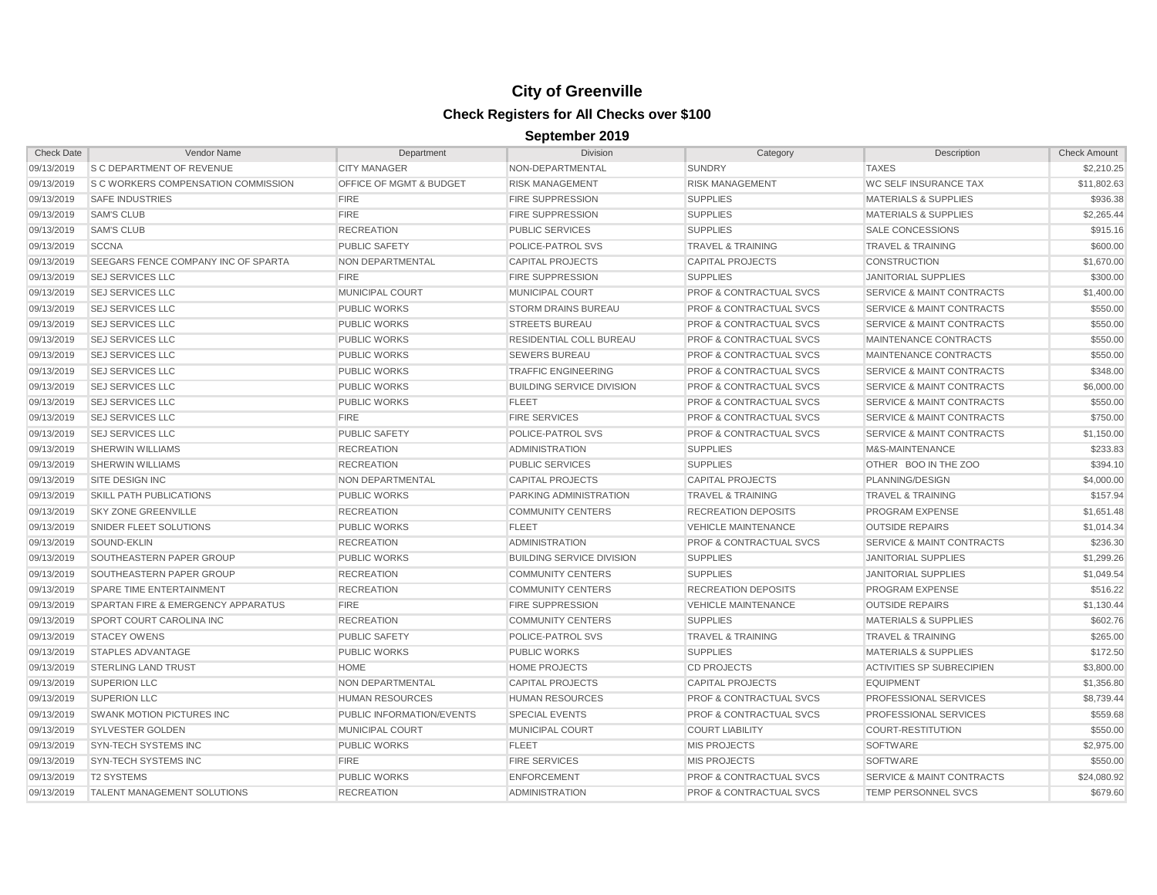| <b>Check Date</b> | Vendor Name                                   | Department                         | <b>Division</b>                  | Category                           | Description                          | <b>Check Amount</b> |
|-------------------|-----------------------------------------------|------------------------------------|----------------------------------|------------------------------------|--------------------------------------|---------------------|
| 09/13/2019        | <b>S C DEPARTMENT OF REVENUE</b>              | <b>CITY MANAGER</b>                | NON-DEPARTMENTAL                 | <b>SUNDRY</b>                      | <b>TAXES</b>                         | \$2.210.25          |
| 09/13/2019        | <b>S C WORKERS COMPENSATION COMMISSION</b>    | <b>OFFICE OF MGMT &amp; BUDGET</b> | <b>RISK MANAGEMENT</b>           | <b>RISK MANAGEMENT</b>             | <b>WC SELF INSURANCE TAX</b>         | \$11,802.63         |
| 09/13/2019        | <b>SAFE INDUSTRIES</b>                        | <b>FIRE</b>                        | <b>FIRE SUPPRESSION</b>          | <b>SUPPLIES</b>                    | <b>MATERIALS &amp; SUPPLIES</b>      | \$936.38            |
| 09/13/2019        | <b>SAM'S CLUB</b>                             | <b>FIRE</b>                        | <b>FIRE SUPPRESSION</b>          | <b>SUPPLIES</b>                    | <b>MATERIALS &amp; SUPPLIES</b>      | \$2,265.44          |
| 09/13/2019        | <b>SAM'S CLUB</b>                             | <b>RECREATION</b>                  | <b>PUBLIC SERVICES</b>           | <b>SUPPLIES</b>                    | <b>SALE CONCESSIONS</b>              | \$915.16            |
| 09/13/2019        | <b>SCCNA</b>                                  | <b>PUBLIC SAFETY</b>               | POLICE-PATROL SVS                | <b>TRAVEL &amp; TRAINING</b>       | <b>TRAVEL &amp; TRAINING</b>         | \$600.00            |
| 09/13/2019        | <b>SEEGARS FENCE COMPANY INC OF SPARTA</b>    | NON DEPARTMENTAL                   | <b>CAPITAL PROJECTS</b>          | <b>CAPITAL PROJECTS</b>            | <b>CONSTRUCTION</b>                  | \$1,670.00          |
| 09/13/2019        | <b>SEJ SERVICES LLC</b>                       | <b>FIRE</b>                        | <b>FIRE SUPPRESSION</b>          | <b>SUPPLIES</b>                    | <b>JANITORIAL SUPPLIES</b>           | \$300.00            |
| 09/13/2019        | <b>SEJ SERVICES LLC</b>                       | <b>MUNICIPAL COURT</b>             | <b>MUNICIPAL COURT</b>           | <b>PROF &amp; CONTRACTUAL SVCS</b> | <b>SERVICE &amp; MAINT CONTRACTS</b> | \$1,400.00          |
| 09/13/2019        | <b>SEJ SERVICES LLC</b>                       | <b>PUBLIC WORKS</b>                | <b>STORM DRAINS BUREAU</b>       | <b>PROF &amp; CONTRACTUAL SVCS</b> | <b>SERVICE &amp; MAINT CONTRACTS</b> | \$550.00            |
| 09/13/2019        | <b>SEJ SERVICES LLC</b>                       | <b>PUBLIC WORKS</b>                | <b>STREETS BUREAU</b>            | <b>PROF &amp; CONTRACTUAL SVCS</b> | <b>SERVICE &amp; MAINT CONTRACTS</b> | \$550.00            |
| 09/13/2019        | <b>SEJ SERVICES LLC</b>                       | <b>PUBLIC WORKS</b>                | <b>RESIDENTIAL COLL BUREAU</b>   | <b>PROF &amp; CONTRACTUAL SVCS</b> | MAINTENANCE CONTRACTS                | \$550.00            |
| 09/13/2019        | <b>SEJ SERVICES LLC</b>                       | <b>PUBLIC WORKS</b>                | <b>SEWERS BUREAU</b>             | <b>PROF &amp; CONTRACTUAL SVCS</b> | MAINTENANCE CONTRACTS                | \$550.00            |
| 09/13/2019        | <b>SEJ SERVICES LLC</b>                       | <b>PUBLIC WORKS</b>                | <b>TRAFFIC ENGINEERING</b>       | <b>PROF &amp; CONTRACTUAL SVCS</b> | <b>SERVICE &amp; MAINT CONTRACTS</b> | \$348.00            |
| 09/13/2019        | <b>SEJ SERVICES LLC</b>                       | <b>PUBLIC WORKS</b>                | <b>BUILDING SERVICE DIVISION</b> | <b>PROF &amp; CONTRACTUAL SVCS</b> | <b>SERVICE &amp; MAINT CONTRACTS</b> | \$6,000.00          |
| 09/13/2019        | <b>SEJ SERVICES LLC</b>                       | <b>PUBLIC WORKS</b>                | <b>FLEET</b>                     | <b>PROF &amp; CONTRACTUAL SVCS</b> | <b>SERVICE &amp; MAINT CONTRACTS</b> | \$550.00            |
| 09/13/2019        | <b>SEJ SERVICES LLC</b>                       | <b>FIRE</b>                        | <b>FIRE SERVICES</b>             | <b>PROF &amp; CONTRACTUAL SVCS</b> | <b>SERVICE &amp; MAINT CONTRACTS</b> | \$750.00            |
| 09/13/2019        | <b>SEJ SERVICES LLC</b>                       | <b>PUBLIC SAFETY</b>               | <b>POLICE-PATROL SVS</b>         | <b>PROF &amp; CONTRACTUAL SVCS</b> | <b>SERVICE &amp; MAINT CONTRACTS</b> | \$1,150.00          |
| 09/13/2019        | <b>SHERWIN WILLIAMS</b>                       | <b>RECREATION</b>                  | <b>ADMINISTRATION</b>            | <b>SUPPLIES</b>                    | M&S-MAINTENANCE                      | \$233.83            |
| 09/13/2019        | <b>SHERWIN WILLIAMS</b>                       | <b>RECREATION</b>                  | <b>PUBLIC SERVICES</b>           | <b>SUPPLIES</b>                    | OTHER BOO IN THE ZOO                 | \$394.10            |
| 09/13/2019        | <b>SITE DESIGN INC</b>                        | <b>NON DEPARTMENTAL</b>            | <b>CAPITAL PROJECTS</b>          | <b>CAPITAL PROJECTS</b>            | PLANNING/DESIGN                      | \$4,000.00          |
| 09/13/2019        | SKILL PATH PUBLICATIONS                       | <b>PUBLIC WORKS</b>                | PARKING ADMINISTRATION           | <b>TRAVEL &amp; TRAINING</b>       | <b>TRAVEL &amp; TRAINING</b>         | \$157.94            |
| 09/13/2019        | <b>SKY ZONE GREENVILLE</b>                    | <b>RECREATION</b>                  | <b>COMMUNITY CENTERS</b>         | <b>RECREATION DEPOSITS</b>         | PROGRAM EXPENSE                      | \$1,651.48          |
| 09/13/2019        | SNIDER FLEET SOLUTIONS                        | <b>PUBLIC WORKS</b>                | <b>FLEET</b>                     | <b>VEHICLE MAINTENANCE</b>         | <b>OUTSIDE REPAIRS</b>               | \$1,014.34          |
| 09/13/2019        | SOUND-EKLIN                                   | <b>RECREATION</b>                  | <b>ADMINISTRATION</b>            | <b>PROF &amp; CONTRACTUAL SVCS</b> | <b>SERVICE &amp; MAINT CONTRACTS</b> | \$236.30            |
| 09/13/2019        | SOUTHEASTERN PAPER GROUP                      | <b>PUBLIC WORKS</b>                | <b>BUILDING SERVICE DIVISION</b> | <b>SUPPLIES</b>                    | <b>JANITORIAL SUPPLIES</b>           | \$1,299.26          |
| 09/13/2019        | SOUTHEASTERN PAPER GROUP                      | <b>RECREATION</b>                  | <b>COMMUNITY CENTERS</b>         | <b>SUPPLIES</b>                    | <b>JANITORIAL SUPPLIES</b>           | \$1,049.54          |
| 09/13/2019        | <b>SPARE TIME ENTERTAINMENT</b>               | <b>RECREATION</b>                  | <b>COMMUNITY CENTERS</b>         | <b>RECREATION DEPOSITS</b>         | PROGRAM EXPENSE                      | \$516.22            |
| 09/13/2019        | <b>SPARTAN FIRE &amp; EMERGENCY APPARATUS</b> | <b>FIRE</b>                        | <b>FIRE SUPPRESSION</b>          | <b>VEHICLE MAINTENANCE</b>         | <b>OUTSIDE REPAIRS</b>               | \$1,130.44          |
| 09/13/2019        | <b>SPORT COURT CAROLINA INC</b>               | <b>RECREATION</b>                  | <b>COMMUNITY CENTERS</b>         | <b>SUPPLIES</b>                    | <b>MATERIALS &amp; SUPPLIES</b>      | \$602.76            |
| 09/13/2019        | <b>STACEY OWENS</b>                           | <b>PUBLIC SAFETY</b>               | POLICE-PATROL SVS                | <b>TRAVEL &amp; TRAINING</b>       | <b>TRAVEL &amp; TRAINING</b>         | \$265.00            |
| 09/13/2019        | <b>STAPLES ADVANTAGE</b>                      | <b>PUBLIC WORKS</b>                | <b>PUBLIC WORKS</b>              | <b>SUPPLIES</b>                    | <b>MATERIALS &amp; SUPPLIES</b>      | \$172.50            |
| 09/13/2019        | <b>STERLING LAND TRUST</b>                    | <b>HOME</b>                        | <b>HOME PROJECTS</b>             | <b>CD PROJECTS</b>                 | <b>ACTIVITIES SP SUBRECIPIEN</b>     | \$3,800.00          |
| 09/13/2019        | <b>SUPERION LLC</b>                           | NON DEPARTMENTAL                   | <b>CAPITAL PROJECTS</b>          | <b>CAPITAL PROJECTS</b>            | <b>EQUIPMENT</b>                     | \$1,356.80          |
| 09/13/2019        | <b>SUPERION LLC</b>                           | <b>HUMAN RESOURCES</b>             | <b>HUMAN RESOURCES</b>           | <b>PROF &amp; CONTRACTUAL SVCS</b> | PROFESSIONAL SERVICES                | \$8,739.44          |
| 09/13/2019        | <b>SWANK MOTION PICTURES INC</b>              | PUBLIC INFORMATION/EVENTS          | <b>SPECIAL EVENTS</b>            | <b>PROF &amp; CONTRACTUAL SVCS</b> | PROFESSIONAL SERVICES                | \$559.68            |
| 09/13/2019        | <b>SYLVESTER GOLDEN</b>                       | MUNICIPAL COURT                    | MUNICIPAL COURT                  | <b>COURT LIABILITY</b>             | <b>COURT-RESTITUTION</b>             | \$550.00            |
| 09/13/2019        | <b>SYN-TECH SYSTEMS INC</b>                   | <b>PUBLIC WORKS</b>                | <b>FLEET</b>                     | <b>MIS PROJECTS</b>                | <b>SOFTWARE</b>                      | \$2,975.00          |
| 09/13/2019        | <b>SYN-TECH SYSTEMS INC</b>                   | <b>FIRE</b>                        | <b>FIRE SERVICES</b>             | <b>MIS PROJECTS</b>                | <b>SOFTWARE</b>                      | \$550.00            |
| 09/13/2019        | <b>T2 SYSTEMS</b>                             | <b>PUBLIC WORKS</b>                | <b>ENFORCEMENT</b>               | <b>PROF &amp; CONTRACTUAL SVCS</b> | <b>SERVICE &amp; MAINT CONTRACTS</b> | \$24,080.92         |
| 09/13/2019        | <b>TALENT MANAGEMENT SOLUTIONS</b>            | <b>RECREATION</b>                  | <b>ADMINISTRATION</b>            | <b>PROF &amp; CONTRACTUAL SVCS</b> | TEMP PERSONNEL SVCS                  | \$679.60            |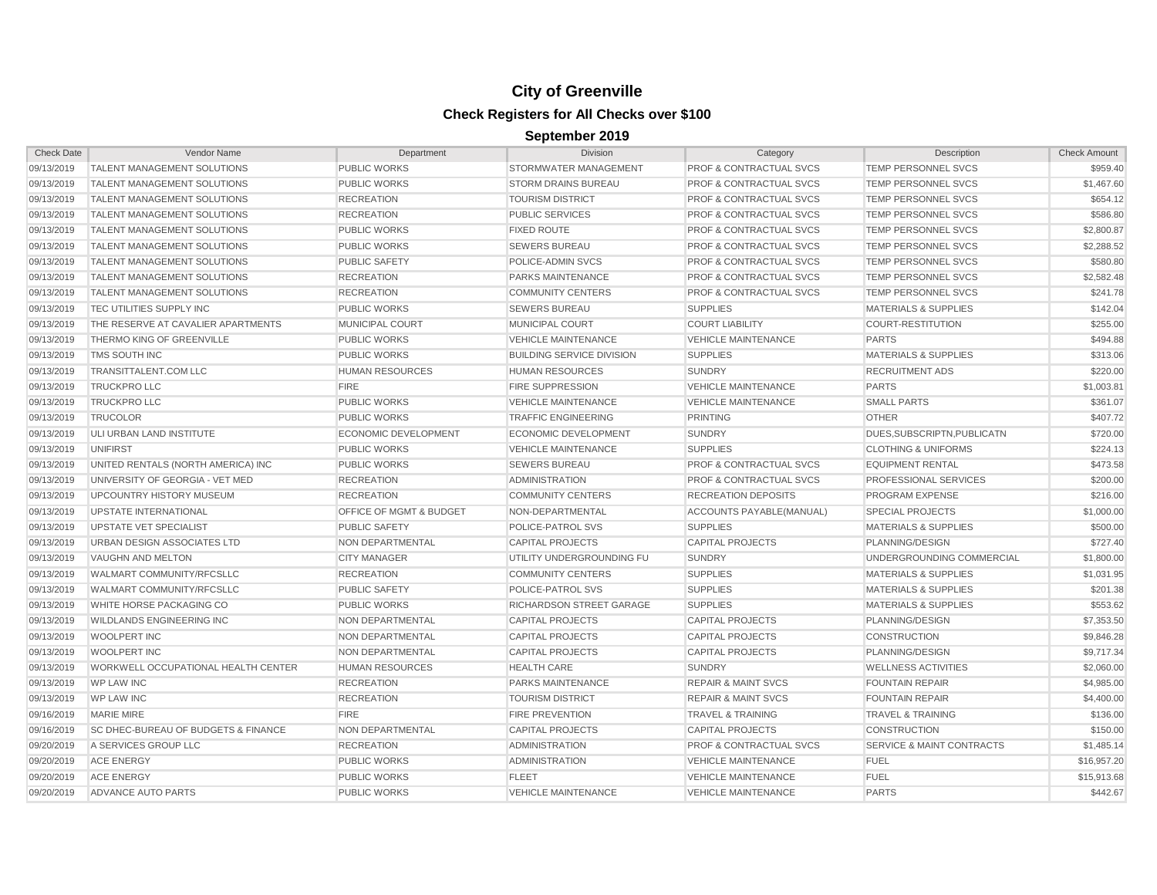| <b>Check Date</b> | Vendor Name                                    | Department                  | <b>Division</b>                  | Category                           | Description                          | <b>Check Amount</b> |
|-------------------|------------------------------------------------|-----------------------------|----------------------------------|------------------------------------|--------------------------------------|---------------------|
| 09/13/2019        | <b>TALENT MANAGEMENT SOLUTIONS</b>             | <b>PUBLIC WORKS</b>         | <b>STORMWATER MANAGEMENT</b>     | <b>PROF &amp; CONTRACTUAL SVCS</b> | <b>TEMP PERSONNEL SVCS</b>           | \$959.40            |
| 09/13/2019        | <b>TALENT MANAGEMENT SOLUTIONS</b>             | <b>PUBLIC WORKS</b>         | <b>STORM DRAINS BUREAU</b>       | <b>PROF &amp; CONTRACTUAL SVCS</b> | <b>TEMP PERSONNEL SVCS</b>           | \$1,467.60          |
| 09/13/2019        | <b>TALENT MANAGEMENT SOLUTIONS</b>             | <b>RECREATION</b>           | <b>TOURISM DISTRICT</b>          | <b>PROF &amp; CONTRACTUAL SVCS</b> | <b>TEMP PERSONNEL SVCS</b>           | \$654.12            |
| 09/13/2019        | <b>TALENT MANAGEMENT SOLUTIONS</b>             | <b>RECREATION</b>           | <b>PUBLIC SERVICES</b>           | <b>PROF &amp; CONTRACTUAL SVCS</b> | TEMP PERSONNEL SVCS                  | \$586.80            |
| 09/13/2019        | <b>TALENT MANAGEMENT SOLUTIONS</b>             | <b>PUBLIC WORKS</b>         | <b>FIXED ROUTE</b>               | <b>PROF &amp; CONTRACTUAL SVCS</b> | TEMP PERSONNEL SVCS                  | \$2,800.87          |
| 09/13/2019        | <b>TALENT MANAGEMENT SOLUTIONS</b>             | <b>PUBLIC WORKS</b>         | <b>SEWERS BUREAU</b>             | <b>PROF &amp; CONTRACTUAL SVCS</b> | TEMP PERSONNEL SVCS                  | \$2,288.52          |
| 09/13/2019        | <b>TALENT MANAGEMENT SOLUTIONS</b>             | <b>PUBLIC SAFETY</b>        | POLICE-ADMIN SVCS                | <b>PROF &amp; CONTRACTUAL SVCS</b> | TEMP PERSONNEL SVCS                  | \$580.80            |
| 09/13/2019        | <b>TALENT MANAGEMENT SOLUTIONS</b>             | <b>RECREATION</b>           | PARKS MAINTENANCE                | <b>PROF &amp; CONTRACTUAL SVCS</b> | <b>TEMP PERSONNEL SVCS</b>           | \$2,582.48          |
| 09/13/2019        | <b>TALENT MANAGEMENT SOLUTIONS</b>             | <b>RECREATION</b>           | <b>COMMUNITY CENTERS</b>         | <b>PROF &amp; CONTRACTUAL SVCS</b> | <b>TEMP PERSONNEL SVCS</b>           | \$241.78            |
| 09/13/2019        | <b>TEC UTILITIES SUPPLY INC</b>                | <b>PUBLIC WORKS</b>         | <b>SEWERS BUREAU</b>             | <b>SUPPLIES</b>                    | <b>MATERIALS &amp; SUPPLIES</b>      | \$142.04            |
| 09/13/2019        | THE RESERVE AT CAVALIER APARTMENTS             | MUNICIPAL COURT             | <b>MUNICIPAL COURT</b>           | <b>COURT LIABILITY</b>             | <b>COURT-RESTITUTION</b>             | \$255.00            |
| 09/13/2019        | <b>THERMO KING OF GREENVILLE</b>               | <b>PUBLIC WORKS</b>         | <b>VEHICLE MAINTENANCE</b>       | <b>VEHICLE MAINTENANCE</b>         | <b>PARTS</b>                         | \$494.88            |
| 09/13/2019        | TMS SOUTH INC                                  | <b>PUBLIC WORKS</b>         | <b>BUILDING SERVICE DIVISION</b> | <b>SUPPLIES</b>                    | <b>MATERIALS &amp; SUPPLIES</b>      | \$313.06            |
| 09/13/2019        | <b>TRANSITTALENT.COM LLC</b>                   | <b>HUMAN RESOURCES</b>      | <b>HUMAN RESOURCES</b>           | <b>SUNDRY</b>                      | <b>RECRUITMENT ADS</b>               | \$220.00            |
| 09/13/2019        | <b>TRUCKPRO LLC</b>                            | <b>FIRE</b>                 | <b>FIRE SUPPRESSION</b>          | <b>VEHICLE MAINTENANCE</b>         | <b>PARTS</b>                         | \$1,003.81          |
| 09/13/2019        | <b>TRUCKPRO LLC</b>                            | <b>PUBLIC WORKS</b>         | <b>VEHICLE MAINTENANCE</b>       | <b>VEHICLE MAINTENANCE</b>         | <b>SMALL PARTS</b>                   | \$361.07            |
| 09/13/2019        | <b>TRUCOLOR</b>                                | <b>PUBLIC WORKS</b>         | <b>TRAFFIC ENGINEERING</b>       | <b>PRINTING</b>                    | <b>OTHER</b>                         | \$407.72            |
| 09/13/2019        | ULI URBAN LAND INSTITUTE                       | <b>ECONOMIC DEVELOPMENT</b> | <b>ECONOMIC DEVELOPMENT</b>      | <b>SUNDRY</b>                      | DUES.SUBSCRIPTN.PUBLICATN            | \$720.00            |
| 09/13/2019        | <b>UNIFIRST</b>                                | <b>PUBLIC WORKS</b>         | <b>VEHICLE MAINTENANCE</b>       | <b>SUPPLIES</b>                    | <b>CLOTHING &amp; UNIFORMS</b>       | \$224.13            |
| 09/13/2019        | UNITED RENTALS (NORTH AMERICA) INC             | <b>PUBLIC WORKS</b>         | <b>SEWERS BUREAU</b>             | <b>PROF &amp; CONTRACTUAL SVCS</b> | <b>EQUIPMENT RENTAL</b>              | \$473.58            |
| 09/13/2019        | UNIVERSITY OF GEORGIA - VET MED                | <b>RECREATION</b>           | <b>ADMINISTRATION</b>            | <b>PROF &amp; CONTRACTUAL SVCS</b> | <b>PROFESSIONAL SERVICES</b>         | \$200.00            |
| 09/13/2019        | <b>UPCOUNTRY HISTORY MUSEUM</b>                | <b>RECREATION</b>           | <b>COMMUNITY CENTERS</b>         | <b>RECREATION DEPOSITS</b>         | <b>PROGRAM EXPENSE</b>               | \$216.00            |
| 09/13/2019        | UPSTATE INTERNATIONAL                          | OFFICE OF MGMT & BUDGET     | NON-DEPARTMENTAL                 | ACCOUNTS PAYABLE(MANUAL)           | <b>SPECIAL PROJECTS</b>              | \$1,000.00          |
| 09/13/2019        | UPSTATE VET SPECIALIST                         | <b>PUBLIC SAFETY</b>        | POLICE-PATROL SVS                | <b>SUPPLIES</b>                    | <b>MATERIALS &amp; SUPPLIES</b>      | \$500.00            |
| 09/13/2019        | URBAN DESIGN ASSOCIATES LTD                    | NON DEPARTMENTAL            | <b>CAPITAL PROJECTS</b>          | <b>CAPITAL PROJECTS</b>            | PLANNING/DESIGN                      | \$727.40            |
| 09/13/2019        | VAUGHN AND MELTON                              | <b>CITY MANAGER</b>         | UTILITY UNDERGROUNDING FU        | <b>SUNDRY</b>                      | UNDERGROUNDING COMMERCIAL            | \$1,800.00          |
| 09/13/2019        | WALMART COMMUNITY/RFCSLLC                      | <b>RECREATION</b>           | <b>COMMUNITY CENTERS</b>         | <b>SUPPLIES</b>                    | <b>MATERIALS &amp; SUPPLIES</b>      | \$1,031.95          |
| 09/13/2019        | <b>WALMART COMMUNITY/RFCSLLC</b>               | <b>PUBLIC SAFETY</b>        | <b>POLICE-PATROL SVS</b>         | <b>SUPPLIES</b>                    | <b>MATERIALS &amp; SUPPLIES</b>      | \$201.38            |
| 09/13/2019        | WHITE HORSE PACKAGING CO                       | <b>PUBLIC WORKS</b>         | RICHARDSON STREET GARAGE         | <b>SUPPLIES</b>                    | <b>MATERIALS &amp; SUPPLIES</b>      | \$553.62            |
| 09/13/2019        | <b>WILDLANDS ENGINEERING INC</b>               | <b>NON DEPARTMENTAL</b>     | <b>CAPITAL PROJECTS</b>          | <b>CAPITAL PROJECTS</b>            | PLANNING/DESIGN                      | \$7,353.50          |
| 09/13/2019        | <b>WOOLPERT INC</b>                            | NON DEPARTMENTAL            | <b>CAPITAL PROJECTS</b>          | <b>CAPITAL PROJECTS</b>            | <b>CONSTRUCTION</b>                  | \$9,846.28          |
| 09/13/2019        | <b>WOOLPERT INC</b>                            | NON DEPARTMENTAL            | <b>CAPITAL PROJECTS</b>          | <b>CAPITAL PROJECTS</b>            | PLANNING/DESIGN                      | \$9,717.34          |
| 09/13/2019        | <b>WORKWELL OCCUPATIONAL HEALTH CENTER</b>     | <b>HUMAN RESOURCES</b>      | <b>HEALTH CARE</b>               | <b>SUNDRY</b>                      | <b>WELLNESS ACTIVITIES</b>           | \$2,060.00          |
| 09/13/2019        | <b>WP LAW INC</b>                              | <b>RECREATION</b>           | PARKS MAINTENANCE                | <b>REPAIR &amp; MAINT SVCS</b>     | <b>FOUNTAIN REPAIR</b>               | \$4,985.00          |
| 09/13/2019        | <b>WP LAW INC</b>                              | <b>RECREATION</b>           | <b>TOURISM DISTRICT</b>          | <b>REPAIR &amp; MAINT SVCS</b>     | <b>FOUNTAIN REPAIR</b>               | \$4,400.00          |
| 09/16/2019        | <b>MARIE MIRE</b>                              | <b>FIRE</b>                 | <b>FIRE PREVENTION</b>           | <b>TRAVEL &amp; TRAINING</b>       | <b>TRAVEL &amp; TRAINING</b>         | \$136.00            |
| 09/16/2019        | <b>SC DHEC-BUREAU OF BUDGETS &amp; FINANCE</b> | <b>NON DEPARTMENTAL</b>     | <b>CAPITAL PROJECTS</b>          | <b>CAPITAL PROJECTS</b>            | <b>CONSTRUCTION</b>                  | \$150.00            |
| 09/20/2019        | A SERVICES GROUP LLC                           | <b>RECREATION</b>           | <b>ADMINISTRATION</b>            | <b>PROF &amp; CONTRACTUAL SVCS</b> | <b>SERVICE &amp; MAINT CONTRACTS</b> | \$1,485.14          |
| 09/20/2019        | <b>ACE ENERGY</b>                              | <b>PUBLIC WORKS</b>         | <b>ADMINISTRATION</b>            | <b>VEHICLE MAINTENANCE</b>         | <b>FUEL</b>                          | \$16.957.20         |
| 09/20/2019        | <b>ACE ENERGY</b>                              | <b>PUBLIC WORKS</b>         | <b>FLEET</b>                     | <b>VEHICLE MAINTENANCE</b>         | <b>FUEL</b>                          | \$15,913.68         |
| 09/20/2019        | <b>ADVANCE AUTO PARTS</b>                      | <b>PUBLIC WORKS</b>         | <b>VEHICLE MAINTENANCE</b>       | <b>VEHICLE MAINTENANCE</b>         | <b>PARTS</b>                         | \$442.67            |
|                   |                                                |                             |                                  |                                    |                                      |                     |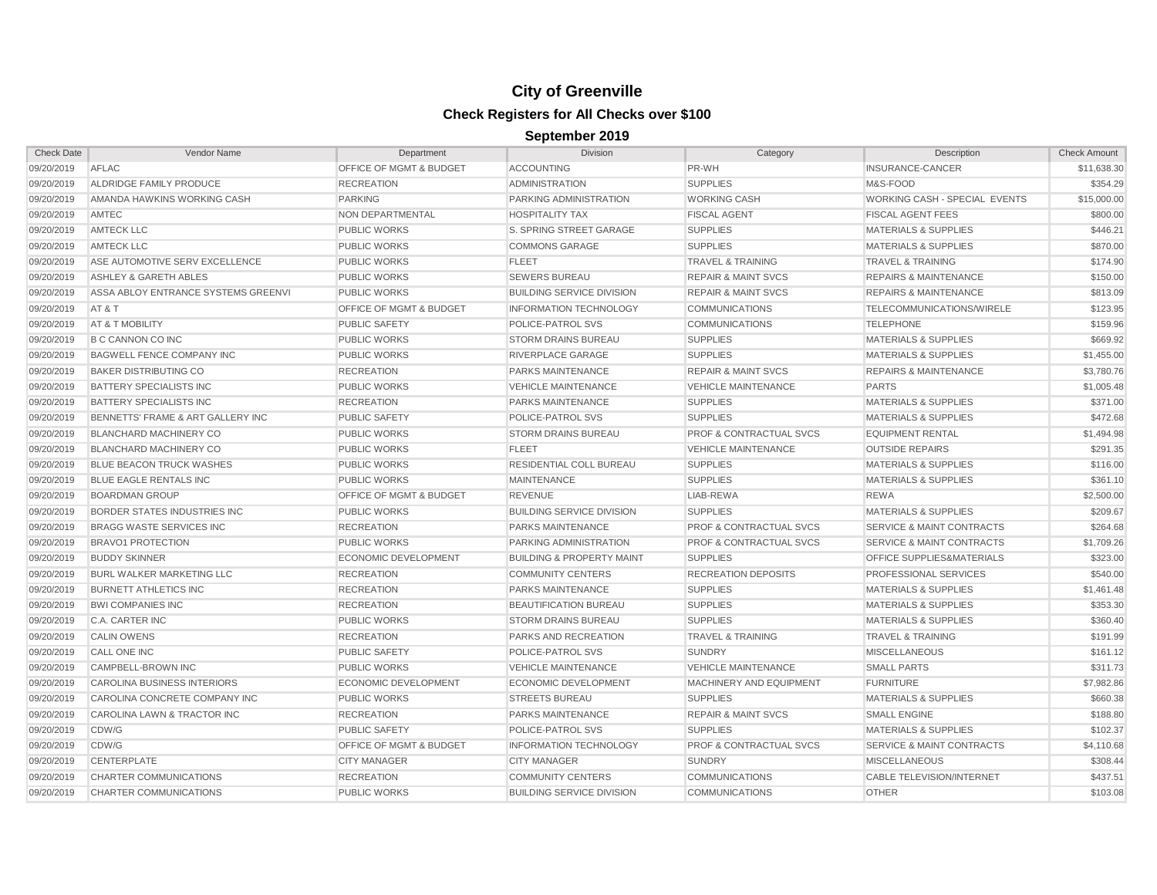| <b>Check Date</b> | Vendor Name                         | Department                         | <b>Division</b>                      | Category                           | Description                          | <b>Check Amount</b> |
|-------------------|-------------------------------------|------------------------------------|--------------------------------------|------------------------------------|--------------------------------------|---------------------|
| 09/20/2019        | AFLAC                               | <b>OFFICE OF MGMT &amp; BUDGET</b> | <b>ACCOUNTING</b>                    | PR-WH                              | INSURANCE-CANCER                     | \$11,638,30         |
| 09/20/2019        | ALDRIDGE FAMILY PRODUCE             | <b>RECREATION</b>                  | <b>ADMINISTRATION</b>                | <b>SUPPLIES</b>                    | M&S-FOOD                             | \$354.29            |
| 09/20/2019        | AMANDA HAWKINS WORKING CASH         | <b>PARKING</b>                     | PARKING ADMINISTRATION               | <b>WORKING CASH</b>                | WORKING CASH - SPECIAL EVENTS        | \$15,000.00         |
| 09/20/2019        | AMTEC                               | NON DEPARTMENTAL                   | <b>HOSPITALITY TAX</b>               | <b>FISCAL AGENT</b>                | <b>FISCAL AGENT FEES</b>             | \$800.00            |
| 09/20/2019        | <b>AMTECK LLC</b>                   | <b>PUBLIC WORKS</b>                | S. SPRING STREET GARAGE              | <b>SUPPLIES</b>                    | <b>MATERIALS &amp; SUPPLIES</b>      | \$446.21            |
| 09/20/2019        | <b>AMTECK LLC</b>                   | <b>PUBLIC WORKS</b>                | <b>COMMONS GARAGE</b>                | <b>SUPPLIES</b>                    | <b>MATERIALS &amp; SUPPLIES</b>      | \$870.00            |
| 09/20/2019        | ASE AUTOMOTIVE SERV EXCELLENCE      | <b>PUBLIC WORKS</b>                | <b>FLEET</b>                         | <b>TRAVEL &amp; TRAINING</b>       | <b>TRAVEL &amp; TRAINING</b>         | \$174.90            |
| 09/20/2019        | ASHLEY & GARETH ABLES               | <b>PUBLIC WORKS</b>                | <b>SEWERS BUREAU</b>                 | <b>REPAIR &amp; MAINT SVCS</b>     | <b>REPAIRS &amp; MAINTENANCE</b>     | \$150.00            |
| 09/20/2019        | ASSA ABLOY ENTRANCE SYSTEMS GREENVI | <b>PUBLIC WORKS</b>                | <b>BUILDING SERVICE DIVISION</b>     | <b>REPAIR &amp; MAINT SVCS</b>     | <b>REPAIRS &amp; MAINTENANCE</b>     | \$813.09            |
| 09/20/2019        | AT&T                                | OFFICE OF MGMT & BUDGET            | <b>INFORMATION TECHNOLOGY</b>        | <b>COMMUNICATIONS</b>              | TELECOMMUNICATIONS/WIRELE            | \$123.95            |
| 09/20/2019        | AT & T MOBILITY                     | <b>PUBLIC SAFETY</b>               | POLICE-PATROL SVS                    | <b>COMMUNICATIONS</b>              | <b>TELEPHONE</b>                     | \$159.96            |
| 09/20/2019        | <b>B C CANNON CO INC</b>            | <b>PUBLIC WORKS</b>                | <b>STORM DRAINS BUREAU</b>           | <b>SUPPLIES</b>                    | <b>MATERIALS &amp; SUPPLIES</b>      | \$669.92            |
| 09/20/2019        | <b>BAGWELL FENCE COMPANY INC</b>    | <b>PUBLIC WORKS</b>                | RIVERPLACE GARAGE                    | <b>SUPPLIES</b>                    | <b>MATERIALS &amp; SUPPLIES</b>      | \$1,455.00          |
| 09/20/2019        | <b>BAKER DISTRIBUTING CO</b>        | <b>RECREATION</b>                  | PARKS MAINTENANCE                    | <b>REPAIR &amp; MAINT SVCS</b>     | <b>REPAIRS &amp; MAINTENANCE</b>     | \$3,780.76          |
| 09/20/2019        | BATTERY SPECIALISTS INC             | <b>PUBLIC WORKS</b>                | <b>VEHICLE MAINTENANCE</b>           | <b>VEHICLE MAINTENANCE</b>         | <b>PARTS</b>                         | \$1,005.48          |
| 09/20/2019        | BATTERY SPECIALISTS INC             | <b>RECREATION</b>                  | <b>PARKS MAINTENANCE</b>             | <b>SUPPLIES</b>                    | <b>MATERIALS &amp; SUPPLIES</b>      | \$371.00            |
| 09/20/2019        | BENNETTS' FRAME & ART GALLERY INC   | <b>PUBLIC SAFETY</b>               | POLICE-PATROL SVS                    | <b>SUPPLIES</b>                    | <b>MATERIALS &amp; SUPPLIES</b>      | \$472.68            |
| 09/20/2019        | BLANCHARD MACHINERY CO              | <b>PUBLIC WORKS</b>                | <b>STORM DRAINS BUREAU</b>           | <b>PROF &amp; CONTRACTUAL SVCS</b> | <b>EQUIPMENT RENTAL</b>              | \$1,494.98          |
| 09/20/2019        | <b>BLANCHARD MACHINERY CO</b>       | <b>PUBLIC WORKS</b>                | <b>FLEET</b>                         | <b>VEHICLE MAINTENANCE</b>         | <b>OUTSIDE REPAIRS</b>               | \$291.35            |
| 09/20/2019        | <b>BLUE BEACON TRUCK WASHES</b>     | <b>PUBLIC WORKS</b>                | RESIDENTIAL COLL BUREAU              | <b>SUPPLIES</b>                    | <b>MATERIALS &amp; SUPPLIES</b>      | \$116.00            |
| 09/20/2019        | <b>BLUE EAGLE RENTALS INC</b>       | <b>PUBLIC WORKS</b>                | <b>MAINTENANCE</b>                   | <b>SUPPLIES</b>                    | <b>MATERIALS &amp; SUPPLIES</b>      | \$361.10            |
| 09/20/2019        | <b>BOARDMAN GROUP</b>               | OFFICE OF MGMT & BUDGET            | <b>REVENUE</b>                       | LIAB-REWA                          | <b>REWA</b>                          | \$2,500.00          |
| 09/20/2019        | BORDER STATES INDUSTRIES INC        | <b>PUBLIC WORKS</b>                | <b>BUILDING SERVICE DIVISION</b>     | <b>SUPPLIES</b>                    | <b>MATERIALS &amp; SUPPLIES</b>      | \$209.67            |
| 09/20/2019        | <b>BRAGG WASTE SERVICES INC</b>     | <b>RECREATION</b>                  | PARKS MAINTENANCE                    | <b>PROF &amp; CONTRACTUAL SVCS</b> | <b>SERVICE &amp; MAINT CONTRACTS</b> | \$264.68            |
| 09/20/2019        | <b>BRAVO1 PROTECTION</b>            | <b>PUBLIC WORKS</b>                | PARKING ADMINISTRATION               | <b>PROF &amp; CONTRACTUAL SVCS</b> | SERVICE & MAINT CONTRACTS            | \$1,709.26          |
| 09/20/2019        | <b>BUDDY SKINNER</b>                | ECONOMIC DEVELOPMENT               | <b>BUILDING &amp; PROPERTY MAINT</b> | <b>SUPPLIES</b>                    | <b>OFFICE SUPPLIES&amp;MATERIALS</b> | \$323.00            |
| 09/20/2019        | <b>BURL WALKER MARKETING LLC</b>    | <b>RECREATION</b>                  | <b>COMMUNITY CENTERS</b>             | <b>RECREATION DEPOSITS</b>         | PROFESSIONAL SERVICES                | \$540.00            |
| 09/20/2019        | <b>BURNETT ATHLETICS INC</b>        | <b>RECREATION</b>                  | <b>PARKS MAINTENANCE</b>             | <b>SUPPLIES</b>                    | <b>MATERIALS &amp; SUPPLIES</b>      | \$1,461.48          |
| 09/20/2019        | <b>BWI COMPANIES INC</b>            | <b>RECREATION</b>                  | <b>BEAUTIFICATION BUREAU</b>         | <b>SUPPLIES</b>                    | <b>MATERIALS &amp; SUPPLIES</b>      | \$353.30            |
| 09/20/2019        | <b>C.A. CARTER INC</b>              | <b>PUBLIC WORKS</b>                | <b>STORM DRAINS BUREAU</b>           | <b>SUPPLIES</b>                    | <b>MATERIALS &amp; SUPPLIES</b>      | \$360.40            |
| 09/20/2019        | <b>CALIN OWENS</b>                  | <b>RECREATION</b>                  | PARKS AND RECREATION                 | <b>TRAVEL &amp; TRAINING</b>       | <b>TRAVEL &amp; TRAINING</b>         | \$191.99            |
| 09/20/2019        | <b>CALL ONE INC</b>                 | <b>PUBLIC SAFETY</b>               | POLICE-PATROL SVS                    | <b>SUNDRY</b>                      | <b>MISCELLANEOUS</b>                 | \$161.12            |
| 09/20/2019        | CAMPBELL-BROWN INC                  | <b>PUBLIC WORKS</b>                | <b>VEHICLE MAINTENANCE</b>           | <b>VEHICLE MAINTENANCE</b>         | <b>SMALL PARTS</b>                   | \$311.73            |
| 09/20/2019        | <b>CAROLINA BUSINESS INTERIORS</b>  | ECONOMIC DEVELOPMENT               | <b>ECONOMIC DEVELOPMENT</b>          | MACHINERY AND EQUIPMENT            | <b>FURNITURE</b>                     | \$7,982.86          |
| 09/20/2019        | CAROLINA CONCRETE COMPANY INC       | <b>PUBLIC WORKS</b>                | <b>STREETS BUREAU</b>                | <b>SUPPLIES</b>                    | <b>MATERIALS &amp; SUPPLIES</b>      | \$660.38            |
| 09/20/2019        | CAROLINA LAWN & TRACTOR INC         | <b>RECREATION</b>                  | PARKS MAINTENANCE                    | <b>REPAIR &amp; MAINT SVCS</b>     | <b>SMALL ENGINE</b>                  | \$188.80            |
| 09/20/2019        | CDW/G                               | <b>PUBLIC SAFETY</b>               | POLICE-PATROL SVS                    | <b>SUPPLIES</b>                    | <b>MATERIALS &amp; SUPPLIES</b>      | \$102.37            |
| 09/20/2019        | CDW/G                               | <b>OFFICE OF MGMT &amp; BUDGET</b> | <b>INFORMATION TECHNOLOGY</b>        | <b>PROF &amp; CONTRACTUAL SVCS</b> | <b>SERVICE &amp; MAINT CONTRACTS</b> | \$4,110.68          |
| 09/20/2019        | CENTERPLATE                         | <b>CITY MANAGER</b>                | <b>CITY MANAGER</b>                  | <b>SUNDRY</b>                      | <b>MISCELLANEOUS</b>                 | \$308.44            |
| 09/20/2019        | <b>CHARTER COMMUNICATIONS</b>       | <b>RECREATION</b>                  | <b>COMMUNITY CENTERS</b>             | <b>COMMUNICATIONS</b>              | CABLE TELEVISION/INTERNET            | \$437.51            |
| 09/20/2019        | <b>CHARTER COMMUNICATIONS</b>       | <b>PUBLIC WORKS</b>                | <b>BUILDING SERVICE DIVISION</b>     | <b>COMMUNICATIONS</b>              | <b>OTHER</b>                         | \$103.08            |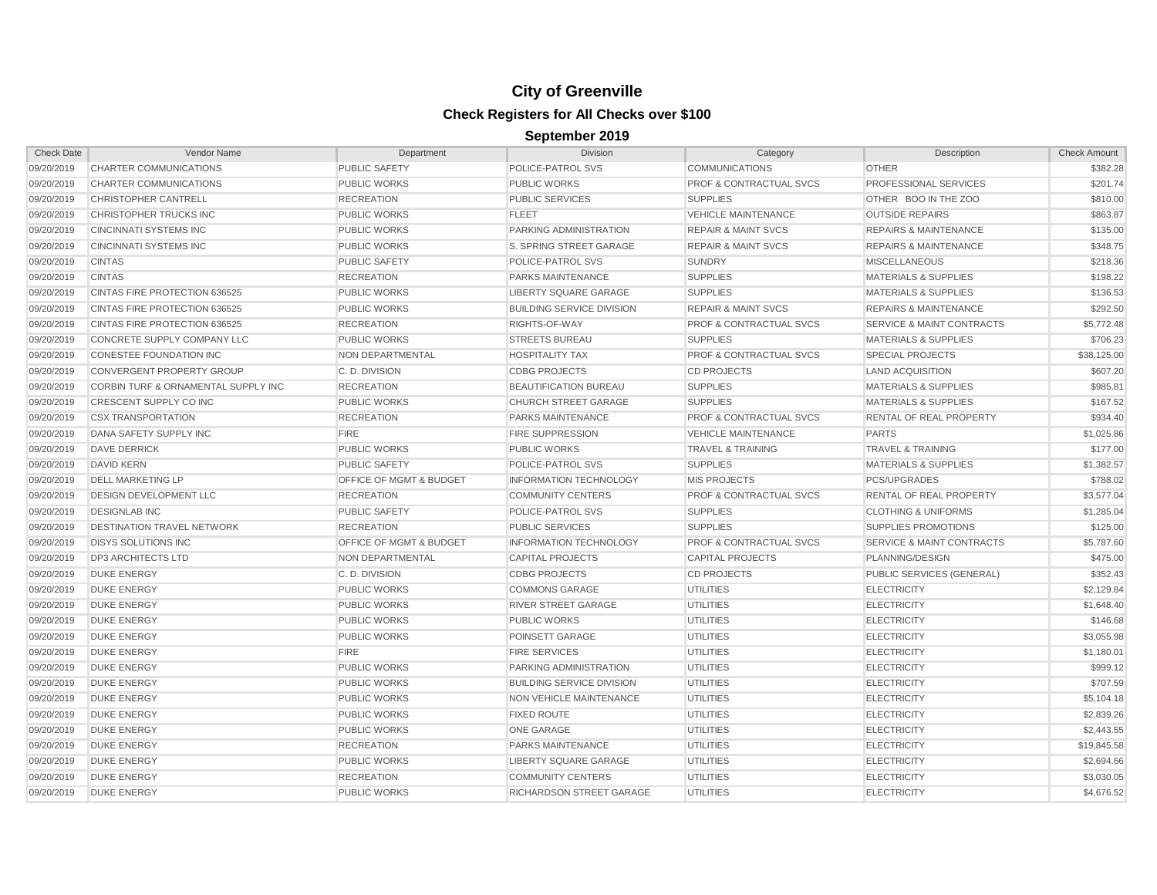| <b>Check Date</b> | Vendor Name                         | Department              | <b>Division</b>                  | Category                           | Description                          | <b>Check Amount</b> |
|-------------------|-------------------------------------|-------------------------|----------------------------------|------------------------------------|--------------------------------------|---------------------|
| 09/20/2019        | CHARTER COMMUNICATIONS              | <b>PUBLIC SAFETY</b>    | POLICE-PATROL SVS                | <b>COMMUNICATIONS</b>              | <b>OTHER</b>                         | \$382.28            |
| 09/20/2019        | CHARTER COMMUNICATIONS              | <b>PUBLIC WORKS</b>     | <b>PUBLIC WORKS</b>              | <b>PROF &amp; CONTRACTUAL SVCS</b> | PROFESSIONAL SERVICES                | \$201.74            |
| 09/20/2019        | <b>CHRISTOPHER CANTRELL</b>         | <b>RECREATION</b>       | <b>PUBLIC SERVICES</b>           | <b>SUPPLIES</b>                    | OTHER BOO IN THE ZOO                 | \$810.00            |
| 09/20/2019        | CHRISTOPHER TRUCKS INC              | <b>PUBLIC WORKS</b>     | <b>FLEET</b>                     | <b>VEHICLE MAINTENANCE</b>         | <b>OUTSIDE REPAIRS</b>               | \$863.87            |
| 09/20/2019        | <b>CINCINNATI SYSTEMS INC</b>       | <b>PUBLIC WORKS</b>     | PARKING ADMINISTRATION           | <b>REPAIR &amp; MAINT SVCS</b>     | <b>REPAIRS &amp; MAINTENANCE</b>     | \$135.00            |
| 09/20/2019        | <b>CINCINNATI SYSTEMS INC</b>       | <b>PUBLIC WORKS</b>     | S. SPRING STREET GARAGE          | <b>REPAIR &amp; MAINT SVCS</b>     | <b>REPAIRS &amp; MAINTENANCE</b>     | \$348.75            |
| 09/20/2019        | <b>CINTAS</b>                       | <b>PUBLIC SAFETY</b>    | POLICE-PATROL SVS                | <b>SUNDRY</b>                      | <b>MISCELLANEOUS</b>                 | \$218.36            |
| 09/20/2019        | <b>CINTAS</b>                       | <b>RECREATION</b>       | PARKS MAINTENANCE                | <b>SUPPLIES</b>                    | <b>MATERIALS &amp; SUPPLIES</b>      | \$198.22            |
| 09/20/2019        | CINTAS FIRE PROTECTION 636525       | <b>PUBLIC WORKS</b>     | <b>LIBERTY SQUARE GARAGE</b>     | <b>SUPPLIES</b>                    | <b>MATERIALS &amp; SUPPLIES</b>      | \$136.53            |
| 09/20/2019        | CINTAS FIRE PROTECTION 636525       | <b>PUBLIC WORKS</b>     | <b>BUILDING SERVICE DIVISION</b> | <b>REPAIR &amp; MAINT SVCS</b>     | <b>REPAIRS &amp; MAINTENANCE</b>     | \$292.50            |
| 09/20/2019        | CINTAS FIRE PROTECTION 636525       | <b>RECREATION</b>       | RIGHTS-OF-WAY                    | <b>PROF &amp; CONTRACTUAL SVCS</b> | <b>SERVICE &amp; MAINT CONTRACTS</b> | \$5,772.48          |
| 09/20/2019        | CONCRETE SUPPLY COMPANY LLC         | <b>PUBLIC WORKS</b>     | <b>STREETS BUREAU</b>            | <b>SUPPLIES</b>                    | <b>MATERIALS &amp; SUPPLIES</b>      | \$706.23            |
| 09/20/2019        | CONESTEE FOUNDATION INC             | NON DEPARTMENTAL        | <b>HOSPITALITY TAX</b>           | <b>PROF &amp; CONTRACTUAL SVCS</b> | <b>SPECIAL PROJECTS</b>              | \$38,125.00         |
| 09/20/2019        | <b>CONVERGENT PROPERTY GROUP</b>    | C.D. DIVISION           | <b>CDBG PROJECTS</b>             | <b>CD PROJECTS</b>                 | <b>LAND ACQUISITION</b>              | \$607.20            |
| 09/20/2019        | CORBIN TURF & ORNAMENTAL SUPPLY INC | <b>RECREATION</b>       | BEAUTIFICATION BUREAU            | <b>SUPPLIES</b>                    | <b>MATERIALS &amp; SUPPLIES</b>      | \$985.81            |
| 09/20/2019        | CRESCENT SUPPLY CO INC              | <b>PUBLIC WORKS</b>     | <b>CHURCH STREET GARAGE</b>      | <b>SUPPLIES</b>                    | <b>MATERIALS &amp; SUPPLIES</b>      | \$167.52            |
| 09/20/2019        | <b>CSX TRANSPORTATION</b>           | <b>RECREATION</b>       | PARKS MAINTENANCE                | <b>PROF &amp; CONTRACTUAL SVCS</b> | RENTAL OF REAL PROPERTY              | \$934.40            |
| 09/20/2019        | DANA SAFETY SUPPLY INC              | <b>FIRE</b>             | <b>FIRE SUPPRESSION</b>          | <b>VEHICLE MAINTENANCE</b>         | <b>PARTS</b>                         | \$1,025.86          |
| 09/20/2019        | <b>DAVE DERRICK</b>                 | <b>PUBLIC WORKS</b>     | <b>PUBLIC WORKS</b>              | <b>TRAVEL &amp; TRAINING</b>       | <b>TRAVEL &amp; TRAINING</b>         | \$177.00            |
| 09/20/2019        | <b>DAVID KERN</b>                   | <b>PUBLIC SAFETY</b>    | POLICE-PATROL SVS                | <b>SUPPLIES</b>                    | <b>MATERIALS &amp; SUPPLIES</b>      | \$1,382.57          |
| 09/20/2019        | <b>DELL MARKETING LP</b>            | OFFICE OF MGMT & BUDGET | <b>INFORMATION TECHNOLOGY</b>    | <b>MIS PROJECTS</b>                | <b>PCS/UPGRADES</b>                  | \$788.02            |
| 09/20/2019        | <b>DESIGN DEVELOPMENT LLC</b>       | <b>RECREATION</b>       | <b>COMMUNITY CENTERS</b>         | <b>PROF &amp; CONTRACTUAL SVCS</b> | RENTAL OF REAL PROPERTY              | \$3,577.04          |
| 09/20/2019        | <b>DESIGNLAB INC</b>                | <b>PUBLIC SAFETY</b>    | POLICE-PATROL SVS                | <b>SUPPLIES</b>                    | <b>CLOTHING &amp; UNIFORMS</b>       | \$1,285.04          |
| 09/20/2019        | <b>DESTINATION TRAVEL NETWORK</b>   | <b>RECREATION</b>       | <b>PUBLIC SERVICES</b>           | <b>SUPPLIES</b>                    | <b>SUPPLIES PROMOTIONS</b>           | \$125.00            |
| 09/20/2019        | <b>DISYS SOLUTIONS INC</b>          | OFFICE OF MGMT & BUDGET | <b>INFORMATION TECHNOLOGY</b>    | <b>PROF &amp; CONTRACTUAL SVCS</b> | <b>SERVICE &amp; MAINT CONTRACTS</b> | \$5,787.60          |
| 09/20/2019        | <b>DP3 ARCHITECTS LTD</b>           | NON DEPARTMENTAL        | <b>CAPITAL PROJECTS</b>          | <b>CAPITAL PROJECTS</b>            | PLANNING/DESIGN                      | \$475.00            |
| 09/20/2019        | <b>DUKE ENERGY</b>                  | C.D. DIVISION           | <b>CDBG PROJECTS</b>             | <b>CD PROJECTS</b>                 | PUBLIC SERVICES (GENERAL)            | \$352.43            |
| 09/20/2019        | <b>DUKE ENERGY</b>                  | <b>PUBLIC WORKS</b>     | <b>COMMONS GARAGE</b>            | <b>UTILITIES</b>                   | <b>ELECTRICITY</b>                   | \$2,129.84          |
| 09/20/2019        | <b>DUKE ENERGY</b>                  | <b>PUBLIC WORKS</b>     | <b>RIVER STREET GARAGE</b>       | <b>UTILITIES</b>                   | <b>ELECTRICITY</b>                   | \$1,648.40          |
| 09/20/2019        | <b>DUKE ENERGY</b>                  | <b>PUBLIC WORKS</b>     | <b>PUBLIC WORKS</b>              | <b>UTILITIES</b>                   | <b>ELECTRICITY</b>                   | \$146.68            |
| 09/20/2019        | <b>DUKE ENERGY</b>                  | <b>PUBLIC WORKS</b>     | POINSETT GARAGE                  | <b>UTILITIES</b>                   | <b>ELECTRICITY</b>                   | \$3,055.98          |
| 09/20/2019        | <b>DUKE ENERGY</b>                  | <b>FIRE</b>             | <b>FIRE SERVICES</b>             | <b>UTILITIES</b>                   | <b>ELECTRICITY</b>                   | \$1,180.01          |
| 09/20/2019        | <b>DUKE ENERGY</b>                  | <b>PUBLIC WORKS</b>     | PARKING ADMINISTRATION           | <b>UTILITIES</b>                   | <b>ELECTRICITY</b>                   | \$999.12            |
| 09/20/2019        | <b>DUKE ENERGY</b>                  | <b>PUBLIC WORKS</b>     | <b>BUILDING SERVICE DIVISION</b> | <b>UTILITIES</b>                   | <b>ELECTRICITY</b>                   | \$707.59            |
| 09/20/2019        | <b>DUKE ENERGY</b>                  | <b>PUBLIC WORKS</b>     | NON VEHICLE MAINTENANCE          | <b>UTILITIES</b>                   | <b>ELECTRICITY</b>                   | \$5,104.18          |
| 09/20/2019        | <b>DUKE ENERGY</b>                  | <b>PUBLIC WORKS</b>     | <b>FIXED ROUTE</b>               | <b>UTILITIES</b>                   | <b>ELECTRICITY</b>                   | \$2,839.26          |
| 09/20/2019        | <b>DUKE ENERGY</b>                  | <b>PUBLIC WORKS</b>     | ONE GARAGE                       | <b>UTILITIES</b>                   | <b>ELECTRICITY</b>                   | \$2,443.55          |
| 09/20/2019        | <b>DUKE ENERGY</b>                  | <b>RECREATION</b>       | PARKS MAINTENANCE                | <b>UTILITIES</b>                   | <b>ELECTRICITY</b>                   | \$19,845.58         |
| 09/20/2019        | <b>DUKE ENERGY</b>                  | <b>PUBLIC WORKS</b>     | <b>LIBERTY SQUARE GARAGE</b>     | <b>UTILITIES</b>                   | <b>ELECTRICITY</b>                   | \$2,694.66          |
| 09/20/2019        | <b>DUKE ENERGY</b>                  | <b>RECREATION</b>       | <b>COMMUNITY CENTERS</b>         | <b>UTILITIES</b>                   | <b>ELECTRICITY</b>                   | \$3,030.05          |
| 09/20/2019        | <b>DUKE ENERGY</b>                  | <b>PUBLIC WORKS</b>     | RICHARDSON STREET GARAGE         | <b>UTILITIES</b>                   | <b>ELECTRICITY</b>                   | \$4,676.52          |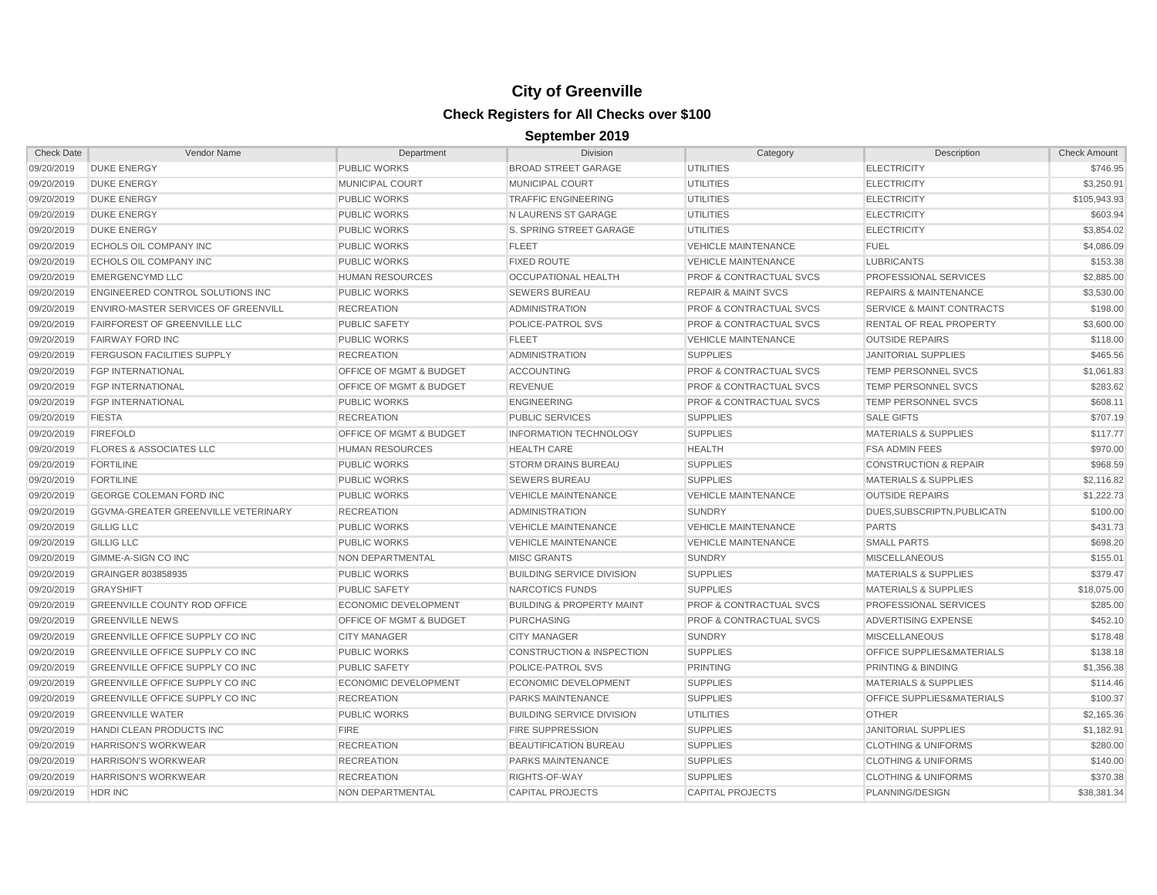| <b>Check Date</b> | Vendor Name                                | Department                         | <b>Division</b>                      | Category                           | Description                          | <b>Check Amount</b> |
|-------------------|--------------------------------------------|------------------------------------|--------------------------------------|------------------------------------|--------------------------------------|---------------------|
| 09/20/2019        | <b>DUKE ENERGY</b>                         | <b>PUBLIC WORKS</b>                | <b>BROAD STREET GARAGE</b>           | UTILITIES                          | <b>ELECTRICITY</b>                   | \$746.95            |
| 09/20/2019        | <b>DUKE ENERGY</b>                         | MUNICIPAL COURT                    | <b>MUNICIPAL COURT</b>               | UTILITIES                          | <b>ELECTRICITY</b>                   | \$3,250.91          |
| 09/20/2019        | <b>DUKE ENERGY</b>                         | <b>PUBLIC WORKS</b>                | <b>TRAFFIC ENGINEERING</b>           | UTILITIES                          | <b>ELECTRICITY</b>                   | \$105,943.93        |
| 09/20/2019        | <b>DUKE ENERGY</b>                         | <b>PUBLIC WORKS</b>                | N LAURENS ST GARAGE                  | <b>UTILITIES</b>                   | <b>ELECTRICITY</b>                   | \$603.94            |
| 09/20/2019        | <b>DUKE ENERGY</b>                         | <b>PUBLIC WORKS</b>                | S. SPRING STREET GARAGE              | <b>UTILITIES</b>                   | <b>ELECTRICITY</b>                   | \$3,854.02          |
| 09/20/2019        | <b>ECHOLS OIL COMPANY INC</b>              | <b>PUBLIC WORKS</b>                | <b>FLEET</b>                         | <b>VEHICLE MAINTENANCE</b>         | <b>FUEL</b>                          | \$4,086.09          |
| 09/20/2019        | ECHOLS OIL COMPANY INC                     | <b>PUBLIC WORKS</b>                | <b>FIXED ROUTE</b>                   | <b>VEHICLE MAINTENANCE</b>         | <b>LUBRICANTS</b>                    | \$153.38            |
| 09/20/2019        | <b>EMERGENCYMD LLC</b>                     | <b>HUMAN RESOURCES</b>             | OCCUPATIONAL HEALTH                  | <b>PROF &amp; CONTRACTUAL SVCS</b> | <b>PROFESSIONAL SERVICES</b>         | \$2,885.00          |
| 09/20/2019        | ENGINEERED CONTROL SOLUTIONS INC           | <b>PUBLIC WORKS</b>                | <b>SEWERS BUREAU</b>                 | <b>REPAIR &amp; MAINT SVCS</b>     | <b>REPAIRS &amp; MAINTENANCE</b>     | \$3,530.00          |
| 09/20/2019        | <b>ENVIRO-MASTER SERVICES OF GREENVILL</b> | <b>RECREATION</b>                  | <b>ADMINISTRATION</b>                | <b>PROF &amp; CONTRACTUAL SVCS</b> | <b>SERVICE &amp; MAINT CONTRACTS</b> | \$198.00            |
| 09/20/2019        | FAIRFOREST OF GREENVILLE LLC               | <b>PUBLIC SAFETY</b>               | <b>POLICE-PATROL SVS</b>             | <b>PROF &amp; CONTRACTUAL SVCS</b> | <b>RENTAL OF REAL PROPERTY</b>       | \$3,600.00          |
| 09/20/2019        | <b>FAIRWAY FORD INC</b>                    | <b>PUBLIC WORKS</b>                | <b>FLEET</b>                         | <b>VEHICLE MAINTENANCE</b>         | <b>OUTSIDE REPAIRS</b>               | \$118.00            |
| 09/20/2019        | <b>FERGUSON FACILITIES SUPPLY</b>          | <b>RECREATION</b>                  | <b>ADMINISTRATION</b>                | <b>SUPPLIES</b>                    | <b>JANITORIAL SUPPLIES</b>           | \$465.56            |
| 09/20/2019        | <b>FGP INTERNATIONAL</b>                   | OFFICE OF MGMT & BUDGET            | <b>ACCOUNTING</b>                    | <b>PROF &amp; CONTRACTUAL SVCS</b> | TEMP PERSONNEL SVCS                  | \$1,061.83          |
| 09/20/2019        | FGP INTERNATIONAL                          | <b>OFFICE OF MGMT &amp; BUDGET</b> | <b>REVENUE</b>                       | <b>PROF &amp; CONTRACTUAL SVCS</b> | TEMP PERSONNEL SVCS                  | \$283.62            |
| 09/20/2019        | <b>FGP INTERNATIONAL</b>                   | <b>PUBLIC WORKS</b>                | <b>ENGINEERING</b>                   | <b>PROF &amp; CONTRACTUAL SVCS</b> | TEMP PERSONNEL SVCS                  | \$608.11            |
| 09/20/2019        | <b>FIESTA</b>                              | <b>RECREATION</b>                  | <b>PUBLIC SERVICES</b>               | <b>SUPPLIES</b>                    | <b>SALE GIFTS</b>                    | \$707.19            |
| 09/20/2019        | <b>FIREFOLD</b>                            | <b>OFFICE OF MGMT &amp; BUDGET</b> | <b>INFORMATION TECHNOLOGY</b>        | <b>SUPPLIES</b>                    | <b>MATERIALS &amp; SUPPLIES</b>      | \$117.77            |
| 09/20/2019        | <b>FLORES &amp; ASSOCIATES LLC</b>         | <b>HUMAN RESOURCES</b>             | <b>HEALTH CARE</b>                   | <b>HEALTH</b>                      | <b>FSA ADMIN FEES</b>                | \$970.00            |
| 09/20/2019        | <b>FORTILINE</b>                           | <b>PUBLIC WORKS</b>                | <b>STORM DRAINS BUREAU</b>           | <b>SUPPLIES</b>                    | <b>CONSTRUCTION &amp; REPAIR</b>     | \$968.59            |
| 09/20/2019        | <b>FORTILINE</b>                           | <b>PUBLIC WORKS</b>                | <b>SEWERS BUREAU</b>                 | <b>SUPPLIES</b>                    | <b>MATERIALS &amp; SUPPLIES</b>      | \$2,116.82          |
| 09/20/2019        | GEORGE COLEMAN FORD INC                    | <b>PUBLIC WORKS</b>                | <b>VEHICLE MAINTENANCE</b>           | <b>VEHICLE MAINTENANCE</b>         | <b>OUTSIDE REPAIRS</b>               | \$1,222.73          |
| 09/20/2019        | GGVMA-GREATER GREENVILLE VETERINARY        | <b>RECREATION</b>                  | <b>ADMINISTRATION</b>                | <b>SUNDRY</b>                      | DUES.SUBSCRIPTN.PUBLICATN            | \$100.00            |
| 09/20/2019        | <b>GILLIG LLC</b>                          | <b>PUBLIC WORKS</b>                | <b>VEHICLE MAINTENANCE</b>           | <b>VEHICLE MAINTENANCE</b>         | <b>PARTS</b>                         | \$431.73            |
| 09/20/2019        | <b>GILLIG LLC</b>                          | <b>PUBLIC WORKS</b>                | <b>VEHICLE MAINTENANCE</b>           | <b>VEHICLE MAINTENANCE</b>         | <b>SMALL PARTS</b>                   | \$698.20            |
| 09/20/2019        | GIMME-A-SIGN CO INC                        | NON DEPARTMENTAL                   | <b>MISC GRANTS</b>                   | <b>SUNDRY</b>                      | <b>MISCELLANEOUS</b>                 | \$155.01            |
| 09/20/2019        | GRAINGER 803858935                         | <b>PUBLIC WORKS</b>                | <b>BUILDING SERVICE DIVISION</b>     | <b>SUPPLIES</b>                    | <b>MATERIALS &amp; SUPPLIES</b>      | \$379.47            |
| 09/20/2019        | <b>GRAYSHIFT</b>                           | <b>PUBLIC SAFETY</b>               | NARCOTICS FUNDS                      | <b>SUPPLIES</b>                    | <b>MATERIALS &amp; SUPPLIES</b>      | \$18,075.00         |
| 09/20/2019        | <b>GREENVILLE COUNTY ROD OFFICE</b>        | <b>ECONOMIC DEVELOPMENT</b>        | <b>BUILDING &amp; PROPERTY MAINT</b> | <b>PROF &amp; CONTRACTUAL SVCS</b> | <b>PROFESSIONAL SERVICES</b>         | \$285.00            |
| 09/20/2019        | <b>GREENVILLE NEWS</b>                     | OFFICE OF MGMT & BUDGET            | <b>PURCHASING</b>                    | <b>PROF &amp; CONTRACTUAL SVCS</b> | ADVERTISING EXPENSE                  | \$452.10            |
| 09/20/2019        | GREENVILLE OFFICE SUPPLY CO INC            | <b>CITY MANAGER</b>                | <b>CITY MANAGER</b>                  | <b>SUNDRY</b>                      | <b>MISCELLANEOUS</b>                 | \$178.48            |
| 09/20/2019        | GREENVILLE OFFICE SUPPLY CO INC            | <b>PUBLIC WORKS</b>                | <b>CONSTRUCTION &amp; INSPECTION</b> | <b>SUPPLIES</b>                    | OFFICE SUPPLIES&MATERIALS            | \$138.18            |
| 09/20/2019        | GREENVILLE OFFICE SUPPLY CO INC            | <b>PUBLIC SAFETY</b>               | POLICE-PATROL SVS                    | <b>PRINTING</b>                    | PRINTING & BINDING                   | \$1,356.38          |
| 09/20/2019        | GREENVILLE OFFICE SUPPLY CO INC            | <b>ECONOMIC DEVELOPMENT</b>        | ECONOMIC DEVELOPMENT                 | <b>SUPPLIES</b>                    | <b>MATERIALS &amp; SUPPLIES</b>      | \$114.46            |
| 09/20/2019        | GREENVILLE OFFICE SUPPLY CO INC            | <b>RECREATION</b>                  | PARKS MAINTENANCE                    | <b>SUPPLIES</b>                    | OFFICE SUPPLIES&MATERIALS            | \$100.37            |
| 09/20/2019        | <b>GREENVILLE WATER</b>                    | <b>PUBLIC WORKS</b>                | <b>BUILDING SERVICE DIVISION</b>     | <b>UTILITIES</b>                   | <b>OTHER</b>                         | \$2,165.36          |
| 09/20/2019        | HANDI CLEAN PRODUCTS INC                   | <b>FIRE</b>                        | <b>FIRE SUPPRESSION</b>              | <b>SUPPLIES</b>                    | <b>JANITORIAL SUPPLIES</b>           | \$1,182.91          |
| 09/20/2019        | <b>HARRISON'S WORKWEAR</b>                 | <b>RECREATION</b>                  | BEAUTIFICATION BUREAU                | <b>SUPPLIES</b>                    | <b>CLOTHING &amp; UNIFORMS</b>       | \$280.00            |
| 09/20/2019        | <b>HARRISON'S WORKWEAR</b>                 | <b>RECREATION</b>                  | PARKS MAINTENANCE                    | <b>SUPPLIES</b>                    | <b>CLOTHING &amp; UNIFORMS</b>       | \$140.00            |
| 09/20/2019        | <b>HARRISON'S WORKWEAR</b>                 | <b>RECREATION</b>                  | RIGHTS-OF-WAY                        | <b>SUPPLIES</b>                    | <b>CLOTHING &amp; UNIFORMS</b>       | \$370.38            |
| 09/20/2019        | HDR INC                                    | NON DEPARTMENTAL                   | <b>CAPITAL PROJECTS</b>              | <b>CAPITAL PROJECTS</b>            | PLANNING/DESIGN                      | \$38,381.34         |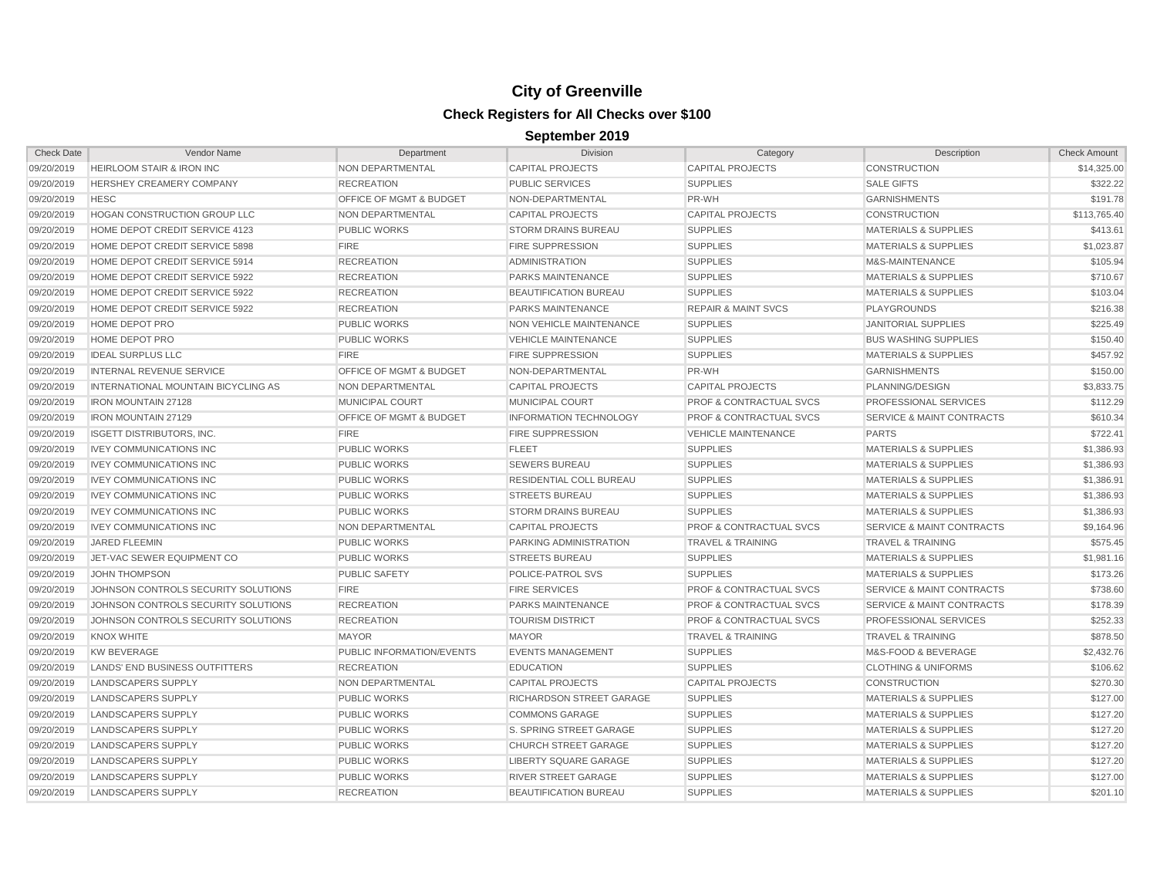| <b>Check Date</b> | Vendor Name                                | Department                         | Division                      | Category                           | Description                          | <b>Check Amount</b> |
|-------------------|--------------------------------------------|------------------------------------|-------------------------------|------------------------------------|--------------------------------------|---------------------|
| 09/20/2019        | <b>HEIRLOOM STAIR &amp; IRON INC</b>       | NON DEPARTMENTAL                   | <b>CAPITAL PROJECTS</b>       | <b>CAPITAL PROJECTS</b>            | <b>CONSTRUCTION</b>                  | \$14,325.00         |
| 09/20/2019        | <b>HERSHEY CREAMERY COMPANY</b>            | <b>RECREATION</b>                  | PUBLIC SERVICES               | <b>SUPPLIES</b>                    | <b>SALE GIFTS</b>                    | \$322.22            |
| 09/20/2019        | <b>HESC</b>                                | OFFICE OF MGMT & BUDGET            | NON-DEPARTMENTAL              | PR-WH                              | <b>GARNISHMENTS</b>                  | \$191.78            |
| 09/20/2019        | <b>HOGAN CONSTRUCTION GROUP LLC</b>        | NON DEPARTMENTAL                   | <b>CAPITAL PROJECTS</b>       | <b>CAPITAL PROJECTS</b>            | <b>CONSTRUCTION</b>                  | \$113,765.40        |
| 09/20/2019        | HOME DEPOT CREDIT SERVICE 4123             | <b>PUBLIC WORKS</b>                | <b>STORM DRAINS BUREAU</b>    | <b>SUPPLIES</b>                    | <b>MATERIALS &amp; SUPPLIES</b>      | \$413.61            |
| 09/20/2019        | HOME DEPOT CREDIT SERVICE 5898             | <b>FIRE</b>                        | <b>FIRE SUPPRESSION</b>       | <b>SUPPLIES</b>                    | <b>MATERIALS &amp; SUPPLIES</b>      | \$1,023.87          |
| 09/20/2019        | HOME DEPOT CREDIT SERVICE 5914             | <b>RECREATION</b>                  | <b>ADMINISTRATION</b>         | <b>SUPPLIES</b>                    | M&S-MAINTENANCE                      | \$105.94            |
| 09/20/2019        | HOME DEPOT CREDIT SERVICE 5922             | <b>RECREATION</b>                  | PARKS MAINTENANCE             | <b>SUPPLIES</b>                    | <b>MATERIALS &amp; SUPPLIES</b>      | \$710.67            |
| 09/20/2019        | HOME DEPOT CREDIT SERVICE 5922             | <b>RECREATION</b>                  | <b>BEAUTIFICATION BUREAU</b>  | <b>SUPPLIES</b>                    | <b>MATERIALS &amp; SUPPLIES</b>      | \$103.04            |
| 09/20/2019        | HOME DEPOT CREDIT SERVICE 5922             | <b>RECREATION</b>                  | <b>PARKS MAINTENANCE</b>      | <b>REPAIR &amp; MAINT SVCS</b>     | PLAYGROUNDS                          | \$216.38            |
| 09/20/2019        | <b>HOME DEPOT PRO</b>                      | <b>PUBLIC WORKS</b>                | NON VEHICLE MAINTENANCE       | <b>SUPPLIES</b>                    | JANITORIAL SUPPLIES                  | \$225.49            |
| 09/20/2019        | <b>HOME DEPOT PRO</b>                      | <b>PUBLIC WORKS</b>                | <b>VEHICLE MAINTENANCE</b>    | <b>SUPPLIES</b>                    | <b>BUS WASHING SUPPLIES</b>          | \$150.40            |
| 09/20/2019        | <b>IDEAL SURPLUS LLC</b>                   | <b>FIRE</b>                        | <b>FIRE SUPPRESSION</b>       | <b>SUPPLIES</b>                    | <b>MATERIALS &amp; SUPPLIES</b>      | \$457.92            |
| 09/20/2019        | <b>INTERNAL REVENUE SERVICE</b>            | OFFICE OF MGMT & BUDGET            | NON-DEPARTMENTAL              | PR-WH                              | <b>GARNISHMENTS</b>                  | \$150.00            |
| 09/20/2019        | <b>INTERNATIONAL MOUNTAIN BICYCLING AS</b> | <b>NON DEPARTMENTAL</b>            | <b>CAPITAL PROJECTS</b>       | <b>CAPITAL PROJECTS</b>            | PLANNING/DESIGN                      | \$3,833.75          |
| 09/20/2019        | <b>IRON MOUNTAIN 27128</b>                 | <b>MUNICIPAL COURT</b>             | MUNICIPAL COURT               | <b>PROF &amp; CONTRACTUAL SVCS</b> | PROFESSIONAL SERVICES                | \$112.29            |
| 09/20/2019        | <b>IRON MOUNTAIN 27129</b>                 | <b>OFFICE OF MGMT &amp; BUDGET</b> | <b>INFORMATION TECHNOLOGY</b> | <b>PROF &amp; CONTRACTUAL SVCS</b> | SERVICE & MAINT CONTRACTS            | \$610.34            |
| 09/20/2019        | <b>ISGETT DISTRIBUTORS, INC.</b>           | FIRE                               | <b>FIRE SUPPRESSION</b>       | <b>VEHICLE MAINTENANCE</b>         | <b>PARTS</b>                         | \$722.41            |
| 09/20/2019        | <b>IVEY COMMUNICATIONS INC</b>             | <b>PUBLIC WORKS</b>                | <b>FLEET</b>                  | <b>SUPPLIES</b>                    | <b>MATERIALS &amp; SUPPLIES</b>      | \$1,386.93          |
| 09/20/2019        | <b>IVEY COMMUNICATIONS INC</b>             | <b>PUBLIC WORKS</b>                | <b>SEWERS BUREAU</b>          | <b>SUPPLIES</b>                    | <b>MATERIALS &amp; SUPPLIES</b>      | \$1,386.93          |
| 09/20/2019        | <b>IVEY COMMUNICATIONS INC</b>             | <b>PUBLIC WORKS</b>                | RESIDENTIAL COLL BUREAU       | <b>SUPPLIES</b>                    | <b>MATERIALS &amp; SUPPLIES</b>      | \$1,386.91          |
| 09/20/2019        | <b>IVEY COMMUNICATIONS INC</b>             | <b>PUBLIC WORKS</b>                | <b>STREETS BUREAU</b>         | <b>SUPPLIES</b>                    | <b>MATERIALS &amp; SUPPLIES</b>      | \$1,386.93          |
| 09/20/2019        | <b>IVEY COMMUNICATIONS INC</b>             | <b>PUBLIC WORKS</b>                | <b>STORM DRAINS BUREAU</b>    | <b>SUPPLIES</b>                    | <b>MATERIALS &amp; SUPPLIES</b>      | \$1,386.93          |
| 09/20/2019        | <b>IVEY COMMUNICATIONS INC</b>             | <b>NON DEPARTMENTAL</b>            | <b>CAPITAL PROJECTS</b>       | <b>PROF &amp; CONTRACTUAL SVCS</b> | <b>SERVICE &amp; MAINT CONTRACTS</b> | \$9,164.96          |
| 09/20/2019        | JARED FLEEMIN                              | <b>PUBLIC WORKS</b>                | PARKING ADMINISTRATION        | <b>TRAVEL &amp; TRAINING</b>       | <b>TRAVEL &amp; TRAINING</b>         | \$575.45            |
| 09/20/2019        | JET-VAC SEWER EQUIPMENT CO                 | <b>PUBLIC WORKS</b>                | <b>STREETS BUREAU</b>         | <b>SUPPLIES</b>                    | <b>MATERIALS &amp; SUPPLIES</b>      | \$1,981.16          |
| 09/20/2019        | <b>JOHN THOMPSON</b>                       | <b>PUBLIC SAFETY</b>               | POLICE-PATROL SVS             | <b>SUPPLIES</b>                    | <b>MATERIALS &amp; SUPPLIES</b>      | \$173.26            |
| 09/20/2019        | JOHNSON CONTROLS SECURITY SOLUTIONS        | <b>FIRE</b>                        | <b>FIRE SERVICES</b>          | <b>PROF &amp; CONTRACTUAL SVCS</b> | <b>SERVICE &amp; MAINT CONTRACTS</b> | \$738.60            |
| 09/20/2019        | JOHNSON CONTROLS SECURITY SOLUTIONS        | <b>RECREATION</b>                  | PARKS MAINTENANCE             | <b>PROF &amp; CONTRACTUAL SVCS</b> | SERVICE & MAINT CONTRACTS            | \$178.39            |
| 09/20/2019        | JOHNSON CONTROLS SECURITY SOLUTIONS        | <b>RECREATION</b>                  | <b>TOURISM DISTRICT</b>       | <b>PROF &amp; CONTRACTUAL SVCS</b> | <b>PROFESSIONAL SERVICES</b>         | \$252.33            |
| 09/20/2019        | <b>KNOX WHITE</b>                          | <b>MAYOR</b>                       | <b>MAYOR</b>                  | <b>TRAVEL &amp; TRAINING</b>       | TRAVEL & TRAINING                    | \$878.50            |
| 09/20/2019        | KW BEVERAGE                                | <b>PUBLIC INFORMATION/EVENTS</b>   | <b>EVENTS MANAGEMENT</b>      | <b>SUPPLIES</b>                    | M&S-FOOD & BEVERAGE                  | \$2,432.76          |
| 09/20/2019        | LANDS' END BUSINESS OUTFITTERS             | <b>RECREATION</b>                  | <b>EDUCATION</b>              | <b>SUPPLIES</b>                    | <b>CLOTHING &amp; UNIFORMS</b>       | \$106.62            |
| 09/20/2019        | <b>LANDSCAPERS SUPPLY</b>                  | <b>NON DEPARTMENTAL</b>            | <b>CAPITAL PROJECTS</b>       | <b>CAPITAL PROJECTS</b>            | <b>CONSTRUCTION</b>                  | \$270.30            |
| 09/20/2019        | <b>LANDSCAPERS SUPPLY</b>                  | <b>PUBLIC WORKS</b>                | RICHARDSON STREET GARAGE      | <b>SUPPLIES</b>                    | <b>MATERIALS &amp; SUPPLIES</b>      | \$127.00            |
| 09/20/2019        | <b>LANDSCAPERS SUPPLY</b>                  | <b>PUBLIC WORKS</b>                | <b>COMMONS GARAGE</b>         | <b>SUPPLIES</b>                    | MATERIALS & SUPPLIES                 | \$127.20            |
| 09/20/2019        | LANDSCAPERS SUPPLY                         | <b>PUBLIC WORKS</b>                | S. SPRING STREET GARAGE       | <b>SUPPLIES</b>                    | <b>MATERIALS &amp; SUPPLIES</b>      | \$127.20            |
| 09/20/2019        | <b>LANDSCAPERS SUPPLY</b>                  | <b>PUBLIC WORKS</b>                | <b>CHURCH STREET GARAGE</b>   | <b>SUPPLIES</b>                    | <b>MATERIALS &amp; SUPPLIES</b>      | \$127.20            |
| 09/20/2019        | LANDSCAPERS SUPPLY                         | <b>PUBLIC WORKS</b>                | LIBERTY SQUARE GARAGE         | <b>SUPPLIES</b>                    | <b>MATERIALS &amp; SUPPLIES</b>      | \$127.20            |
| 09/20/2019        | <b>LANDSCAPERS SUPPLY</b>                  | <b>PUBLIC WORKS</b>                | <b>RIVER STREET GARAGE</b>    | <b>SUPPLIES</b>                    | <b>MATERIALS &amp; SUPPLIES</b>      | \$127.00            |
| 09/20/2019        | LANDSCAPERS SUPPLY                         | <b>RECREATION</b>                  | <b>BEAUTIFICATION BUREAU</b>  | <b>SUPPLIES</b>                    | <b>MATERIALS &amp; SUPPLIES</b>      | \$201.10            |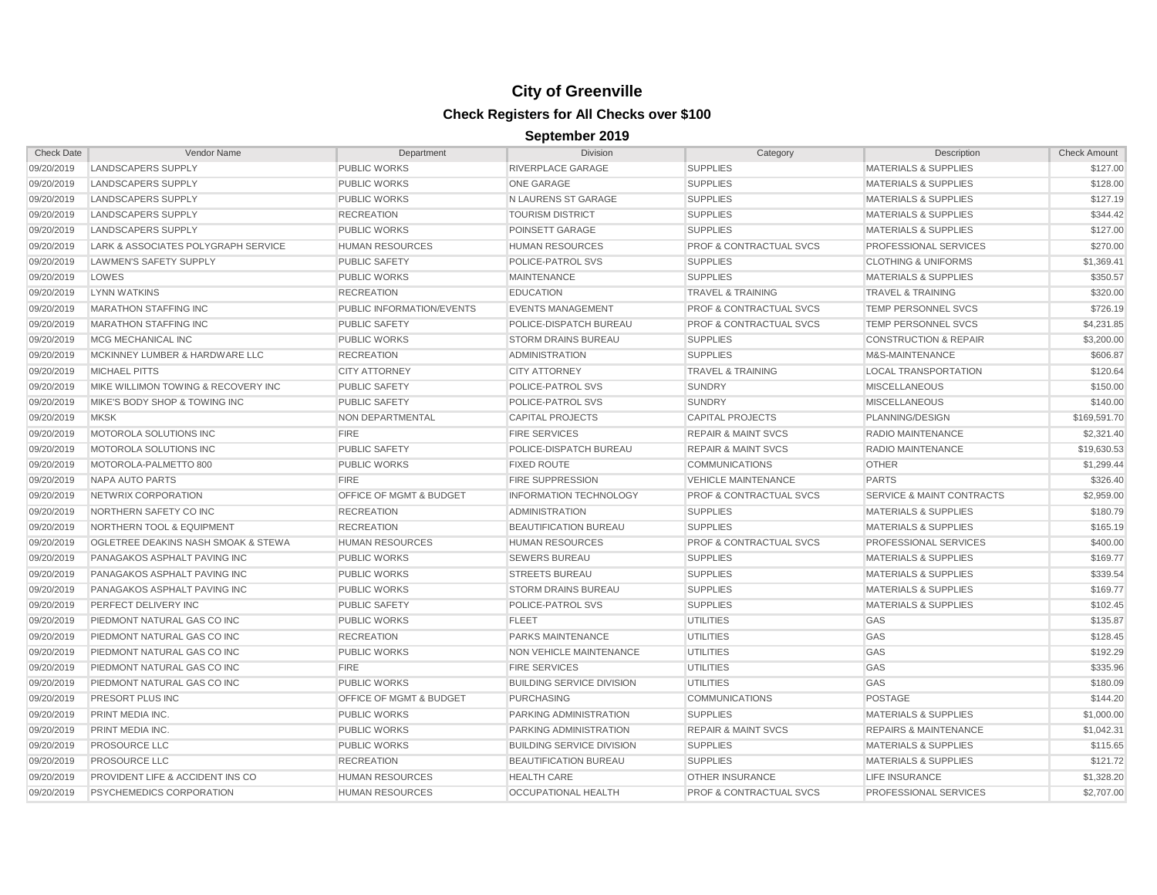| <b>Check Date</b> | Vendor Name                          | Department                         | <b>Division</b>                  | Category                           | Description                          | <b>Check Amount</b> |
|-------------------|--------------------------------------|------------------------------------|----------------------------------|------------------------------------|--------------------------------------|---------------------|
| 09/20/2019        | <b>LANDSCAPERS SUPPLY</b>            | <b>PUBLIC WORKS</b>                | <b>RIVERPLACE GARAGE</b>         | <b>SUPPLIES</b>                    | <b>MATERIALS &amp; SUPPLIES</b>      | \$127.00            |
| 09/20/2019        | LANDSCAPERS SUPPLY                   | <b>PUBLIC WORKS</b>                | <b>ONE GARAGE</b>                | <b>SUPPLIES</b>                    | <b>MATERIALS &amp; SUPPLIES</b>      | \$128.00            |
| 09/20/2019        | <b>LANDSCAPERS SUPPLY</b>            | <b>PUBLIC WORKS</b>                | N LAURENS ST GARAGE              | <b>SUPPLIES</b>                    | <b>MATERIALS &amp; SUPPLIES</b>      | \$127.19            |
| 09/20/2019        | <b>LANDSCAPERS SUPPLY</b>            | <b>RECREATION</b>                  | <b>TOURISM DISTRICT</b>          | <b>SUPPLIES</b>                    | <b>MATERIALS &amp; SUPPLIES</b>      | \$344.42            |
| 09/20/2019        | <b>LANDSCAPERS SUPPLY</b>            | <b>PUBLIC WORKS</b>                | POINSETT GARAGE                  | <b>SUPPLIES</b>                    | <b>MATERIALS &amp; SUPPLIES</b>      | \$127.00            |
| 09/20/2019        | LARK & ASSOCIATES POLYGRAPH SERVICE  | <b>HUMAN RESOURCES</b>             | <b>HUMAN RESOURCES</b>           | <b>PROF &amp; CONTRACTUAL SVCS</b> | PROFESSIONAL SERVICES                | \$270.00            |
| 09/20/2019        | LAWMEN'S SAFETY SUPPLY               | <b>PUBLIC SAFETY</b>               | <b>POLICE-PATROL SVS</b>         | <b>SUPPLIES</b>                    | <b>CLOTHING &amp; UNIFORMS</b>       | \$1,369.41          |
| 09/20/2019        | LOWES                                | <b>PUBLIC WORKS</b>                | <b>MAINTENANCE</b>               | <b>SUPPLIES</b>                    | <b>MATERIALS &amp; SUPPLIES</b>      | \$350.57            |
| 09/20/2019        | <b>LYNN WATKINS</b>                  | <b>RECREATION</b>                  | <b>EDUCATION</b>                 | <b>TRAVEL &amp; TRAINING</b>       | <b>TRAVEL &amp; TRAINING</b>         | \$320.00            |
| 09/20/2019        | <b>MARATHON STAFFING INC</b>         | <b>PUBLIC INFORMATION/EVENTS</b>   | <b>EVENTS MANAGEMENT</b>         | <b>PROF &amp; CONTRACTUAL SVCS</b> | <b>TEMP PERSONNEL SVCS</b>           | \$726.19            |
| 09/20/2019        | <b>MARATHON STAFFING INC</b>         | <b>PUBLIC SAFETY</b>               | POLICE-DISPATCH BUREAU           | <b>PROF &amp; CONTRACTUAL SVCS</b> | TEMP PERSONNEL SVCS                  | \$4,231.85          |
| 09/20/2019        | MCG MECHANICAL INC                   | <b>PUBLIC WORKS</b>                | <b>STORM DRAINS BUREAU</b>       | <b>SUPPLIES</b>                    | <b>CONSTRUCTION &amp; REPAIR</b>     | \$3,200.00          |
| 09/20/2019        | MCKINNEY LUMBER & HARDWARE LLC       | <b>RECREATION</b>                  | <b>ADMINISTRATION</b>            | <b>SUPPLIES</b>                    | M&S-MAINTENANCE                      | \$606.87            |
| 09/20/2019        | <b>MICHAEL PITTS</b>                 | <b>CITY ATTORNEY</b>               | <b>CITY ATTORNEY</b>             | <b>TRAVEL &amp; TRAINING</b>       | <b>LOCAL TRANSPORTATION</b>          | \$120.64            |
| 09/20/2019        | MIKE WILLIMON TOWING & RECOVERY INC  | <b>PUBLIC SAFETY</b>               | POLICE-PATROL SVS                | <b>SUNDRY</b>                      | <b>MISCELLANEOUS</b>                 | \$150.00            |
| 09/20/2019        | MIKE'S BODY SHOP & TOWING INC        | <b>PUBLIC SAFETY</b>               | POLICE-PATROL SVS                | <b>SUNDRY</b>                      | <b>MISCELLANEOUS</b>                 | \$140.00            |
| 09/20/2019        | <b>MKSK</b>                          | NON DEPARTMENTAL                   | <b>CAPITAL PROJECTS</b>          | <b>CAPITAL PROJECTS</b>            | PLANNING/DESIGN                      | \$169,591.70        |
| 09/20/2019        | MOTOROLA SOLUTIONS INC               | <b>FIRE</b>                        | <b>FIRE SERVICES</b>             | <b>REPAIR &amp; MAINT SVCS</b>     | RADIO MAINTENANCE                    | \$2,321.40          |
| 09/20/2019        | MOTOROLA SOLUTIONS INC               | <b>PUBLIC SAFETY</b>               | POLICE-DISPATCH BUREAU           | <b>REPAIR &amp; MAINT SVCS</b>     | RADIO MAINTENANCE                    | \$19,630.53         |
| 09/20/2019        | MOTOROLA-PALMETTO 800                | <b>PUBLIC WORKS</b>                | <b>FIXED ROUTE</b>               | <b>COMMUNICATIONS</b>              | <b>OTHER</b>                         | \$1,299.44          |
| 09/20/2019        | <b>NAPA AUTO PARTS</b>               | <b>FIRE</b>                        | <b>FIRE SUPPRESSION</b>          | <b>VEHICLE MAINTENANCE</b>         | <b>PARTS</b>                         | \$326.40            |
| 09/20/2019        | NETWRIX CORPORATION                  | <b>OFFICE OF MGMT &amp; BUDGET</b> | <b>INFORMATION TECHNOLOGY</b>    | <b>PROF &amp; CONTRACTUAL SVCS</b> | <b>SERVICE &amp; MAINT CONTRACTS</b> | \$2,959.00          |
| 09/20/2019        | NORTHERN SAFETY CO INC               | <b>RECREATION</b>                  | <b>ADMINISTRATION</b>            | <b>SUPPLIES</b>                    | <b>MATERIALS &amp; SUPPLIES</b>      | \$180.79            |
| 09/20/2019        | <b>NORTHERN TOOL &amp; EQUIPMENT</b> | <b>RECREATION</b>                  | <b>BEAUTIFICATION BUREAU</b>     | <b>SUPPLIES</b>                    | <b>MATERIALS &amp; SUPPLIES</b>      | \$165.19            |
| 09/20/2019        | OGLETREE DEAKINS NASH SMOAK & STEWA  | <b>HUMAN RESOURCES</b>             | <b>HUMAN RESOURCES</b>           | <b>PROF &amp; CONTRACTUAL SVCS</b> | <b>PROFESSIONAL SERVICES</b>         | \$400.00            |
| 09/20/2019        | PANAGAKOS ASPHALT PAVING INC         | <b>PUBLIC WORKS</b>                | <b>SEWERS BUREAU</b>             | <b>SUPPLIES</b>                    | <b>MATERIALS &amp; SUPPLIES</b>      | \$169.77            |
| 09/20/2019        | PANAGAKOS ASPHALT PAVING INC         | <b>PUBLIC WORKS</b>                | <b>STREETS BUREAU</b>            | <b>SUPPLIES</b>                    | <b>MATERIALS &amp; SUPPLIES</b>      | \$339.54            |
| 09/20/2019        | PANAGAKOS ASPHALT PAVING INC         | <b>PUBLIC WORKS</b>                | <b>STORM DRAINS BUREAU</b>       | <b>SUPPLIES</b>                    | <b>MATERIALS &amp; SUPPLIES</b>      | \$169.77            |
| 09/20/2019        | PERFECT DELIVERY INC                 | <b>PUBLIC SAFETY</b>               | POLICE-PATROL SVS                | <b>SUPPLIES</b>                    | <b>MATERIALS &amp; SUPPLIES</b>      | \$102.45            |
| 09/20/2019        | PIEDMONT NATURAL GAS CO INC          | <b>PUBLIC WORKS</b>                | <b>FLEET</b>                     | <b>UTILITIES</b>                   | GAS                                  | \$135.87            |
| 09/20/2019        | PIEDMONT NATURAL GAS CO INC          | <b>RECREATION</b>                  | <b>PARKS MAINTENANCE</b>         | <b>UTILITIES</b>                   | GAS                                  | \$128.45            |
| 09/20/2019        | PIEDMONT NATURAL GAS CO INC          | <b>PUBLIC WORKS</b>                | NON VEHICLE MAINTENANCE          | <b>UTILITIES</b>                   | GAS                                  | \$192.29            |
| 09/20/2019        | PIEDMONT NATURAL GAS CO INC          | <b>FIRE</b>                        | <b>FIRE SERVICES</b>             | <b>UTILITIES</b>                   | GAS                                  | \$335.96            |
| 09/20/2019        | PIEDMONT NATURAL GAS CO INC          | <b>PUBLIC WORKS</b>                | <b>BUILDING SERVICE DIVISION</b> | UTILITIES                          | GAS                                  | \$180.09            |
| 09/20/2019        | PRESORT PLUS INC                     | <b>OFFICE OF MGMT &amp; BUDGET</b> | <b>PURCHASING</b>                | <b>COMMUNICATIONS</b>              | <b>POSTAGE</b>                       | \$144.20            |
| 09/20/2019        | PRINT MEDIA INC.                     | <b>PUBLIC WORKS</b>                | PARKING ADMINISTRATION           | <b>SUPPLIES</b>                    | <b>MATERIALS &amp; SUPPLIES</b>      | \$1,000.00          |
| 09/20/2019        | PRINT MEDIA INC                      | <b>PUBLIC WORKS</b>                | PARKING ADMINISTRATION           | <b>REPAIR &amp; MAINT SVCS</b>     | <b>REPAIRS &amp; MAINTENANCE</b>     | \$1,042.31          |
| 09/20/2019        | PROSOURCE LLC                        | <b>PUBLIC WORKS</b>                | <b>BUILDING SERVICE DIVISION</b> | <b>SUPPLIES</b>                    | <b>MATERIALS &amp; SUPPLIES</b>      | \$115.65            |
| 09/20/2019        | PROSOURCE LLC                        | <b>RECREATION</b>                  | BEAUTIFICATION BUREAU            | <b>SUPPLIES</b>                    | <b>MATERIALS &amp; SUPPLIES</b>      | \$121.72            |
| 09/20/2019        | PROVIDENT LIFE & ACCIDENT INS CO     | <b>HUMAN RESOURCES</b>             | <b>HEALTH CARE</b>               | <b>OTHER INSURANCE</b>             | LIFE INSURANCE                       | \$1,328.20          |
| 09/20/2019        | PSYCHEMEDICS CORPORATION             | <b>HUMAN RESOURCES</b>             | OCCUPATIONAL HEALTH              | PROF & CONTRACTUAL SVCS            | PROFESSIONAL SERVICES                | \$2,707.00          |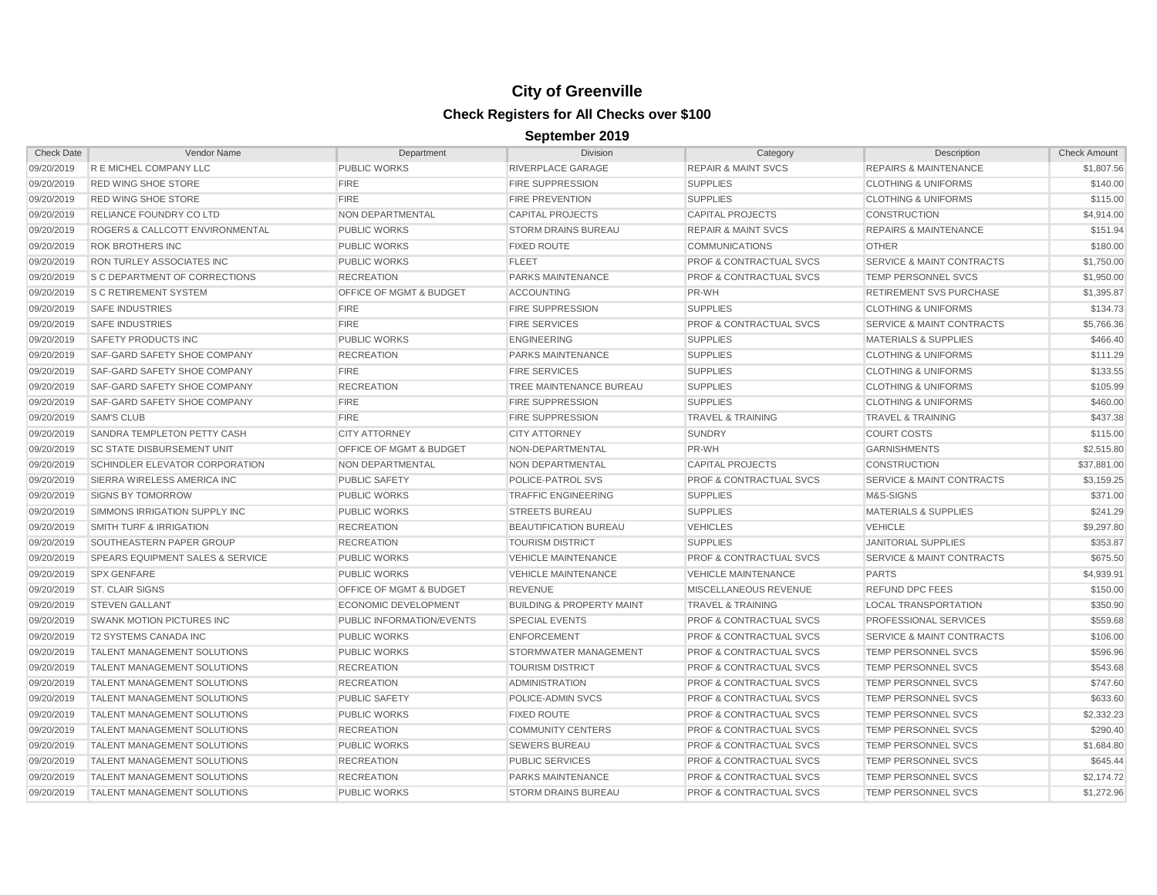| <b>Check Date</b> | Vendor Name                                 | Department                         | Division                             | Category                           | Description                          | <b>Check Amount</b> |
|-------------------|---------------------------------------------|------------------------------------|--------------------------------------|------------------------------------|--------------------------------------|---------------------|
| 09/20/2019        | R E MICHEL COMPANY LLC                      | <b>PUBLIC WORKS</b>                | <b>RIVERPLACE GARAGE</b>             | <b>REPAIR &amp; MAINT SVCS</b>     | <b>REPAIRS &amp; MAINTENANCE</b>     | \$1,807.56          |
| 09/20/2019        | <b>RED WING SHOE STORE</b>                  | <b>FIRE</b>                        | <b>FIRE SUPPRESSION</b>              | <b>SUPPLIES</b>                    | <b>CLOTHING &amp; UNIFORMS</b>       | \$140.00            |
| 09/20/2019        | <b>RED WING SHOE STORE</b>                  | <b>FIRE</b>                        | <b>FIRE PREVENTION</b>               | <b>SUPPLIES</b>                    | <b>CLOTHING &amp; UNIFORMS</b>       | \$115.00            |
| 09/20/2019        | <b>RELIANCE FOUNDRY CO LTD</b>              | NON DEPARTMENTAL                   | <b>CAPITAL PROJECTS</b>              | <b>CAPITAL PROJECTS</b>            | <b>CONSTRUCTION</b>                  | \$4,914.00          |
| 09/20/2019        | <b>ROGERS &amp; CALLCOTT ENVIRONMENTAL</b>  | <b>PUBLIC WORKS</b>                | <b>STORM DRAINS BUREAU</b>           | <b>REPAIR &amp; MAINT SVCS</b>     | <b>REPAIRS &amp; MAINTENANCE</b>     | \$151.94            |
| 09/20/2019        | <b>ROK BROTHERS INC</b>                     | <b>PUBLIC WORKS</b>                | <b>FIXED ROUTE</b>                   | <b>COMMUNICATIONS</b>              | <b>OTHER</b>                         | \$180.00            |
| 09/20/2019        | <b>RON TURLEY ASSOCIATES INC</b>            | <b>PUBLIC WORKS</b>                | <b>FLEET</b>                         | <b>PROF &amp; CONTRACTUAL SVCS</b> | <b>SERVICE &amp; MAINT CONTRACTS</b> | \$1,750.00          |
| 09/20/2019        | <b>S C DEPARTMENT OF CORRECTIONS</b>        | <b>RECREATION</b>                  | PARKS MAINTENANCE                    | <b>PROF &amp; CONTRACTUAL SVCS</b> | TEMP PERSONNEL SVCS                  | \$1,950.00          |
| 09/20/2019        | <b>S C RETIREMENT SYSTEM</b>                | <b>OFFICE OF MGMT &amp; BUDGET</b> | <b>ACCOUNTING</b>                    | PR-WH                              | <b>RETIREMENT SVS PURCHASE</b>       | \$1,395.87          |
| 09/20/2019        | <b>SAFE INDUSTRIES</b>                      | <b>FIRE</b>                        | <b>FIRE SUPPRESSION</b>              | <b>SUPPLIES</b>                    | <b>CLOTHING &amp; UNIFORMS</b>       | \$134.73            |
| 09/20/2019        | <b>SAFE INDUSTRIES</b>                      | <b>FIRE</b>                        | <b>FIRE SERVICES</b>                 | <b>PROF &amp; CONTRACTUAL SVCS</b> | SERVICE & MAINT CONTRACTS            | \$5,766.36          |
| 09/20/2019        | SAFETY PRODUCTS INC                         | <b>PUBLIC WORKS</b>                | <b>ENGINEERING</b>                   | <b>SUPPLIES</b>                    | <b>MATERIALS &amp; SUPPLIES</b>      | \$466.40            |
| 09/20/2019        | <b>SAF-GARD SAFETY SHOE COMPANY</b>         | <b>RECREATION</b>                  | PARKS MAINTENANCE                    | <b>SUPPLIES</b>                    | <b>CLOTHING &amp; UNIFORMS</b>       | \$111.29            |
| 09/20/2019        | <b>SAF-GARD SAFETY SHOE COMPANY</b>         | <b>FIRE</b>                        | <b>FIRE SERVICES</b>                 | <b>SUPPLIES</b>                    | <b>CLOTHING &amp; UNIFORMS</b>       | \$133.55            |
| 09/20/2019        | <b>SAF-GARD SAFETY SHOE COMPANY</b>         | <b>RECREATION</b>                  | <b>TREE MAINTENANCE BUREAU</b>       | <b>SUPPLIES</b>                    | <b>CLOTHING &amp; UNIFORMS</b>       | \$105.99            |
| 09/20/2019        | <b>SAF-GARD SAFETY SHOE COMPANY</b>         | <b>FIRE</b>                        | <b>FIRE SUPPRESSION</b>              | <b>SUPPLIES</b>                    | <b>CLOTHING &amp; UNIFORMS</b>       | \$460.00            |
| 09/20/2019        | <b>SAM'S CLUB</b>                           | <b>FIRE</b>                        | <b>FIRE SUPPRESSION</b>              | <b>TRAVEL &amp; TRAINING</b>       | TRAVEL & TRAINING                    | \$437.38            |
| 09/20/2019        | SANDRA TEMPLETON PETTY CASH                 | <b>CITY ATTORNEY</b>               | <b>CITY ATTORNEY</b>                 | <b>SUNDRY</b>                      | <b>COURT COSTS</b>                   | \$115.00            |
| 09/20/2019        | <b>SC STATE DISBURSEMENT UNIT</b>           | <b>OFFICE OF MGMT &amp; BUDGET</b> | NON-DEPARTMENTAL                     | PR-WH                              | <b>GARNISHMENTS</b>                  | \$2,515.80          |
| 09/20/2019        | SCHINDLER ELEVATOR CORPORATION              | <b>NON DEPARTMENTAL</b>            | NON DEPARTMENTAL                     | <b>CAPITAL PROJECTS</b>            | <b>CONSTRUCTION</b>                  | \$37,881.00         |
| 09/20/2019        | SIERRA WIRELESS AMERICA INC                 | <b>PUBLIC SAFETY</b>               | POLICE-PATROL SVS                    | <b>PROF &amp; CONTRACTUAL SVCS</b> | <b>SERVICE &amp; MAINT CONTRACTS</b> | \$3,159.25          |
| 09/20/2019        | <b>SIGNS BY TOMORROW</b>                    | <b>PUBLIC WORKS</b>                | <b>TRAFFIC ENGINEERING</b>           | <b>SUPPLIES</b>                    | M&S-SIGNS                            | \$371.00            |
| 09/20/2019        | SIMMONS IRRIGATION SUPPLY INC               | <b>PUBLIC WORKS</b>                | <b>STREETS BUREAU</b>                | <b>SUPPLIES</b>                    | <b>MATERIALS &amp; SUPPLIES</b>      | \$241.29            |
| 09/20/2019        | <b>SMITH TURF &amp; IRRIGATION</b>          | <b>RECREATION</b>                  | <b>BEAUTIFICATION BUREAU</b>         | <b>VEHICLES</b>                    | <b>VEHICLE</b>                       | \$9,297.80          |
| 09/20/2019        | SOUTHEASTERN PAPER GROUP                    | <b>RECREATION</b>                  | <b>TOURISM DISTRICT</b>              | <b>SUPPLIES</b>                    | <b>JANITORIAL SUPPLIES</b>           | \$353.87            |
| 09/20/2019        | <b>SPEARS EQUIPMENT SALES &amp; SERVICE</b> | <b>PUBLIC WORKS</b>                | <b>VEHICLE MAINTENANCE</b>           | <b>PROF &amp; CONTRACTUAL SVCS</b> | <b>SERVICE &amp; MAINT CONTRACTS</b> | \$675.50            |
| 09/20/2019        | <b>SPX GENFARE</b>                          | <b>PUBLIC WORKS</b>                | <b>VEHICLE MAINTENANCE</b>           | <b>VEHICLE MAINTENANCE</b>         | <b>PARTS</b>                         | \$4,939.91          |
| 09/20/2019        | <b>ST. CLAIR SIGNS</b>                      | OFFICE OF MGMT & BUDGET            | <b>REVENUE</b>                       | MISCELLANEOUS REVENUE              | <b>REFUND DPC FEES</b>               | \$150.00            |
| 09/20/2019        | <b>STEVEN GALLANT</b>                       | <b>ECONOMIC DEVELOPMENT</b>        | <b>BUILDING &amp; PROPERTY MAINT</b> | <b>TRAVEL &amp; TRAINING</b>       | <b>LOCAL TRANSPORTATION</b>          | \$350.90            |
| 09/20/2019        | <b>SWANK MOTION PICTURES INC</b>            | <b>PUBLIC INFORMATION/EVENTS</b>   | <b>SPECIAL EVENTS</b>                | <b>PROF &amp; CONTRACTUAL SVCS</b> | <b>PROFESSIONAL SERVICES</b>         | \$559.68            |
| 09/20/2019        | <b>T2 SYSTEMS CANADA INC</b>                | <b>PUBLIC WORKS</b>                | <b>ENFORCEMENT</b>                   | <b>PROF &amp; CONTRACTUAL SVCS</b> | <b>SERVICE &amp; MAINT CONTRACTS</b> | \$106.00            |
| 09/20/2019        | <b>TALENT MANAGEMENT SOLUTIONS</b>          | <b>PUBLIC WORKS</b>                | STORMWATER MANAGEMENT                | <b>PROF &amp; CONTRACTUAL SVCS</b> | TEMP PERSONNEL SVCS                  | \$596.96            |
| 09/20/2019        | <b>TALENT MANAGEMENT SOLUTIONS</b>          | <b>RECREATION</b>                  | <b>TOURISM DISTRICT</b>              | <b>PROF &amp; CONTRACTUAL SVCS</b> | TEMP PERSONNEL SVCS                  | \$543.68            |
| 09/20/2019        | <b>TALENT MANAGEMENT SOLUTIONS</b>          | <b>RECREATION</b>                  | ADMINISTRATION                       | <b>PROF &amp; CONTRACTUAL SVCS</b> | TEMP PERSONNEL SVCS                  | \$747.60            |
| 09/20/2019        | <b>TALENT MANAGEMENT SOLUTIONS</b>          | <b>PUBLIC SAFETY</b>               | POLICE-ADMIN SVCS                    | <b>PROF &amp; CONTRACTUAL SVCS</b> | TEMP PERSONNEL SVCS                  | \$633.60            |
| 09/20/2019        | <b>TALENT MANAGEMENT SOLUTIONS</b>          | PUBLIC WORKS                       | <b>FIXED ROUTE</b>                   | <b>PROF &amp; CONTRACTUAL SVCS</b> | TEMP PERSONNEL SVCS                  | \$2,332.23          |
| 09/20/2019        | <b>TALENT MANAGEMENT SOLUTIONS</b>          | <b>RECREATION</b>                  | <b>COMMUNITY CENTERS</b>             | <b>PROF &amp; CONTRACTUAL SVCS</b> | TEMP PERSONNEL SVCS                  | \$290.40            |
| 09/20/2019        | <b>TALENT MANAGEMENT SOLUTIONS</b>          | <b>PUBLIC WORKS</b>                | <b>SEWERS BUREAU</b>                 | <b>PROF &amp; CONTRACTUAL SVCS</b> | TEMP PERSONNEL SVCS                  | \$1,684.80          |
| 09/20/2019        | <b>TALENT MANAGEMENT SOLUTIONS</b>          | <b>RECREATION</b>                  | PUBLIC SERVICES                      | <b>PROF &amp; CONTRACTUAL SVCS</b> | TEMP PERSONNEL SVCS                  | \$645.44            |
| 09/20/2019        | <b>TALENT MANAGEMENT SOLUTIONS</b>          | <b>RECREATION</b>                  | PARKS MAINTENANCE                    | <b>PROF &amp; CONTRACTUAL SVCS</b> | TEMP PERSONNEL SVCS                  | \$2,174.72          |
| 09/20/2019        | <b>TALENT MANAGEMENT SOLUTIONS</b>          | <b>PUBLIC WORKS</b>                | <b>STORM DRAINS BUREAU</b>           | <b>PROF &amp; CONTRACTUAL SVCS</b> | <b>TEMP PERSONNEL SVCS</b>           | \$1,272.96          |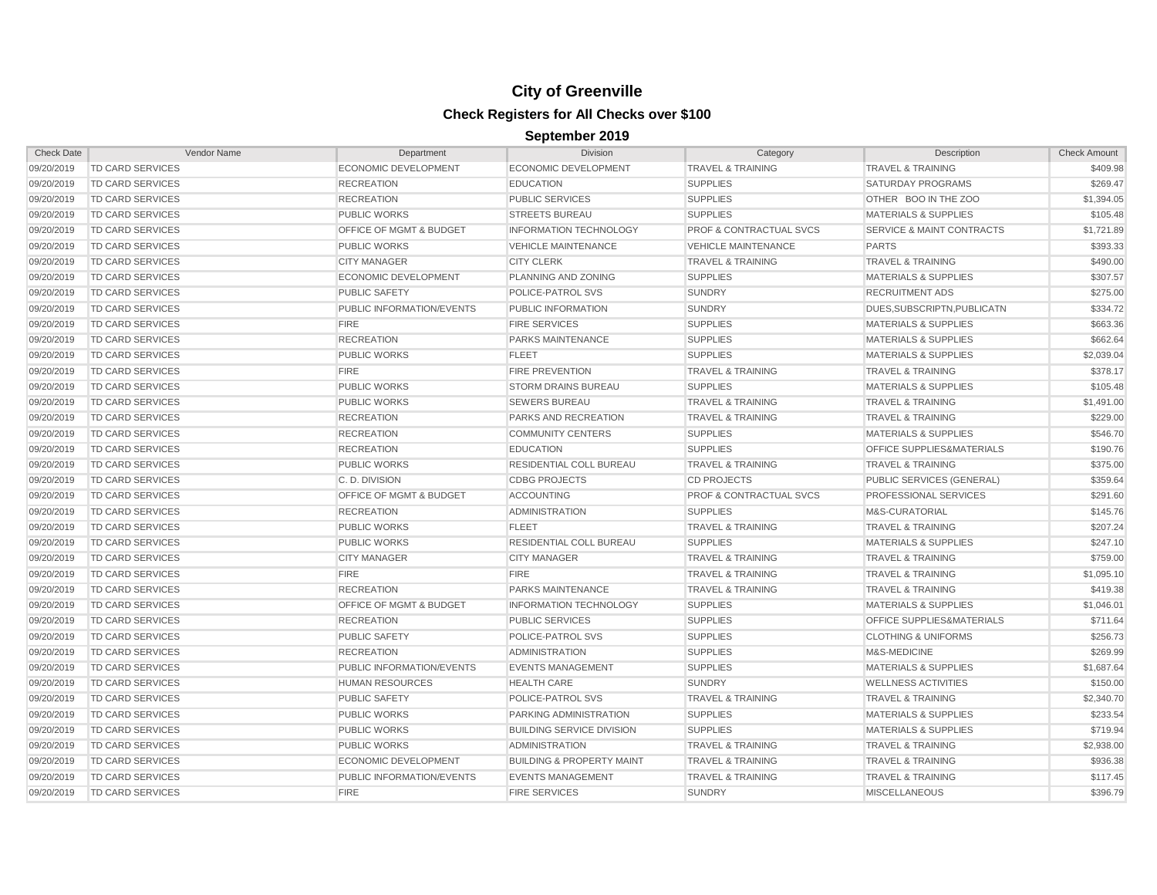| <b>Check Date</b> | Vendor Name             | Department                         | <b>Division</b>                      | Category                           | Description                          | <b>Check Amount</b> |
|-------------------|-------------------------|------------------------------------|--------------------------------------|------------------------------------|--------------------------------------|---------------------|
| 09/20/2019        | <b>TD CARD SERVICES</b> | ECONOMIC DEVELOPMENT               | ECONOMIC DEVELOPMENT                 | <b>TRAVEL &amp; TRAINING</b>       | <b>TRAVEL &amp; TRAINING</b>         | \$409.98            |
| 09/20/2019        | <b>TD CARD SERVICES</b> | <b>RECREATION</b>                  | <b>EDUCATION</b>                     | <b>SUPPLIES</b>                    | <b>SATURDAY PROGRAMS</b>             | \$269.47            |
| 09/20/2019        | <b>TD CARD SERVICES</b> | <b>RECREATION</b>                  | <b>PUBLIC SERVICES</b>               | <b>SUPPLIES</b>                    | OTHER BOO IN THE ZOO                 | \$1,394.05          |
| 09/20/2019        | <b>TD CARD SERVICES</b> | <b>PUBLIC WORKS</b>                | <b>STREETS BUREAU</b>                | <b>SUPPLIES</b>                    | <b>MATERIALS &amp; SUPPLIES</b>      | \$105.48            |
| 09/20/2019        | <b>TD CARD SERVICES</b> | OFFICE OF MGMT & BUDGET            | <b>INFORMATION TECHNOLOGY</b>        | <b>PROF &amp; CONTRACTUAL SVCS</b> | <b>SERVICE &amp; MAINT CONTRACTS</b> | \$1,721.89          |
| 09/20/2019        | <b>TD CARD SERVICES</b> | <b>PUBLIC WORKS</b>                | <b>VEHICLE MAINTENANCE</b>           | <b>VEHICLE MAINTENANCE</b>         | <b>PARTS</b>                         | \$393.33            |
| 09/20/2019        | <b>TD CARD SERVICES</b> | <b>CITY MANAGER</b>                | <b>CITY CLERK</b>                    | <b>TRAVEL &amp; TRAINING</b>       | <b>TRAVEL &amp; TRAINING</b>         | \$490.00            |
| 09/20/2019        | TD CARD SERVICES        | <b>ECONOMIC DEVELOPMENT</b>        | PLANNING AND ZONING                  | <b>SUPPLIES</b>                    | <b>MATERIALS &amp; SUPPLIES</b>      | \$307.57            |
| 09/20/2019        | TD CARD SERVICES        | <b>PUBLIC SAFETY</b>               | POLICE-PATROL SVS                    | <b>SUNDRY</b>                      | <b>RECRUITMENT ADS</b>               | \$275.00            |
| 09/20/2019        | TD CARD SERVICES        | <b>PUBLIC INFORMATION/EVENTS</b>   | PUBLIC INFORMATION                   | <b>SUNDRY</b>                      | DUES, SUBSCRIPTN, PUBLICATN          | \$334.72            |
| 09/20/2019        | TD CARD SERVICES        | <b>FIRE</b>                        | <b>FIRE SERVICES</b>                 | <b>SUPPLIES</b>                    | <b>MATERIALS &amp; SUPPLIES</b>      | \$663.36            |
| 09/20/2019        | TD CARD SERVICES        | <b>RECREATION</b>                  | <b>PARKS MAINTENANCE</b>             | <b>SUPPLIES</b>                    | <b>MATERIALS &amp; SUPPLIES</b>      | \$662.64            |
| 09/20/2019        | TD CARD SERVICES        | <b>PUBLIC WORKS</b>                | <b>FLEET</b>                         | <b>SUPPLIES</b>                    | <b>MATERIALS &amp; SUPPLIES</b>      | \$2,039.04          |
| 09/20/2019        | TD CARD SERVICES        | <b>FIRE</b>                        | <b>FIRE PREVENTION</b>               | <b>TRAVEL &amp; TRAINING</b>       | <b>TRAVEL &amp; TRAINING</b>         | \$378.17            |
| 09/20/2019        | TD CARD SERVICES        | <b>PUBLIC WORKS</b>                | <b>STORM DRAINS BUREAU</b>           | <b>SUPPLIES</b>                    | <b>MATERIALS &amp; SUPPLIES</b>      | \$105.48            |
| 09/20/2019        | TD CARD SERVICES        | <b>PUBLIC WORKS</b>                | <b>SEWERS BUREAU</b>                 | <b>TRAVEL &amp; TRAINING</b>       | <b>TRAVEL &amp; TRAINING</b>         | \$1,491.00          |
| 09/20/2019        | TD CARD SERVICES        | <b>RECREATION</b>                  | PARKS AND RECREATION                 | <b>TRAVEL &amp; TRAINING</b>       | <b>TRAVEL &amp; TRAINING</b>         | \$229.00            |
| 09/20/2019        | <b>TD CARD SERVICES</b> | <b>RECREATION</b>                  | <b>COMMUNITY CENTERS</b>             | <b>SUPPLIES</b>                    | <b>MATERIALS &amp; SUPPLIES</b>      | \$546.70            |
| 09/20/2019        | <b>TD CARD SERVICES</b> | <b>RECREATION</b>                  | <b>EDUCATION</b>                     | <b>SUPPLIES</b>                    | OFFICE SUPPLIES&MATERIALS            | \$190.76            |
| 09/20/2019        | TD CARD SERVICES        | <b>PUBLIC WORKS</b>                | RESIDENTIAL COLL BUREAU              | <b>TRAVEL &amp; TRAINING</b>       | <b>TRAVEL &amp; TRAINING</b>         | \$375.00            |
| 09/20/2019        | TD CARD SERVICES        | C.D. DIVISION                      | <b>CDBG PROJECTS</b>                 | <b>CD PROJECTS</b>                 | PUBLIC SERVICES (GENERAL)            | \$359.64            |
| 09/20/2019        | TD CARD SERVICES        | <b>OFFICE OF MGMT &amp; BUDGET</b> | <b>ACCOUNTING</b>                    | <b>PROF &amp; CONTRACTUAL SVCS</b> | <b>PROFESSIONAL SERVICES</b>         | \$291.60            |
| 09/20/2019        | TD CARD SERVICES        | <b>RECREATION</b>                  | <b>ADMINISTRATION</b>                | <b>SUPPLIES</b>                    | M&S-CURATORIAL                       | \$145.76            |
| 09/20/2019        | TD CARD SERVICES        | <b>PUBLIC WORKS</b>                | <b>FLEET</b>                         | <b>TRAVEL &amp; TRAINING</b>       | <b>TRAVEL &amp; TRAINING</b>         | \$207.24            |
| 09/20/2019        | TD CARD SERVICES        | <b>PUBLIC WORKS</b>                | RESIDENTIAL COLL BUREAU              | <b>SUPPLIES</b>                    | <b>MATERIALS &amp; SUPPLIES</b>      | \$247.10            |
| 09/20/2019        | <b>TD CARD SERVICES</b> | <b>CITY MANAGER</b>                | <b>CITY MANAGER</b>                  | <b>TRAVEL &amp; TRAINING</b>       | <b>TRAVEL &amp; TRAINING</b>         | \$759.00            |
| 09/20/2019        | <b>TD CARD SERVICES</b> | <b>FIRE</b>                        | <b>FIRE</b>                          | <b>TRAVEL &amp; TRAINING</b>       | <b>TRAVEL &amp; TRAINING</b>         | \$1,095.10          |
| 09/20/2019        | <b>TD CARD SERVICES</b> | <b>RECREATION</b>                  | <b>PARKS MAINTENANCE</b>             | <b>TRAVEL &amp; TRAINING</b>       | <b>TRAVEL &amp; TRAINING</b>         | \$419.38            |
| 09/20/2019        | TD CARD SERVICES        | <b>OFFICE OF MGMT &amp; BUDGET</b> | <b>INFORMATION TECHNOLOGY</b>        | <b>SUPPLIES</b>                    | <b>MATERIALS &amp; SUPPLIES</b>      | \$1,046.01          |
| 09/20/2019        | <b>TD CARD SERVICES</b> | <b>RECREATION</b>                  | <b>PUBLIC SERVICES</b>               | <b>SUPPLIES</b>                    | <b>OFFICE SUPPLIES&amp;MATERIALS</b> | \$711.64            |
| 09/20/2019        | TD CARD SERVICES        | <b>PUBLIC SAFETY</b>               | POLICE-PATROL SVS                    | <b>SUPPLIES</b>                    | <b>CLOTHING &amp; UNIFORMS</b>       | \$256.73            |
| 09/20/2019        | <b>TD CARD SERVICES</b> | <b>RECREATION</b>                  | <b>ADMINISTRATION</b>                | <b>SUPPLIES</b>                    | M&S-MEDICINE                         | \$269.99            |
| 09/20/2019        | <b>TD CARD SERVICES</b> | PUBLIC INFORMATION/EVENTS          | <b>EVENTS MANAGEMENT</b>             | <b>SUPPLIES</b>                    | <b>MATERIALS &amp; SUPPLIES</b>      | \$1,687.64          |
| 09/20/2019        | <b>TD CARD SERVICES</b> | <b>HUMAN RESOURCES</b>             | <b>HEALTH CARE</b>                   | <b>SUNDRY</b>                      | <b>WELLNESS ACTIVITIES</b>           | \$150.00            |
| 09/20/2019        | <b>TD CARD SERVICES</b> | <b>PUBLIC SAFETY</b>               | POLICE-PATROL SVS                    | <b>TRAVEL &amp; TRAINING</b>       | <b>TRAVEL &amp; TRAINING</b>         | \$2,340.70          |
| 09/20/2019        | <b>TD CARD SERVICES</b> | <b>PUBLIC WORKS</b>                | PARKING ADMINISTRATION               | <b>SUPPLIES</b>                    | <b>MATERIALS &amp; SUPPLIES</b>      | \$233.54            |
| 09/20/2019        | <b>TD CARD SERVICES</b> | <b>PUBLIC WORKS</b>                | <b>BUILDING SERVICE DIVISION</b>     | <b>SUPPLIES</b>                    | <b>MATERIALS &amp; SUPPLIES</b>      | \$719.94            |
| 09/20/2019        | <b>TD CARD SERVICES</b> | <b>PUBLIC WORKS</b>                | <b>ADMINISTRATION</b>                | <b>TRAVEL &amp; TRAINING</b>       | <b>TRAVEL &amp; TRAINING</b>         | \$2,938.00          |
| 09/20/2019        | <b>TD CARD SERVICES</b> | <b>ECONOMIC DEVELOPMENT</b>        | <b>BUILDING &amp; PROPERTY MAINT</b> | <b>TRAVEL &amp; TRAINING</b>       | <b>TRAVEL &amp; TRAINING</b>         | \$936.38            |
| 09/20/2019        | TD CARD SERVICES        | PUBLIC INFORMATION/EVENTS          | <b>EVENTS MANAGEMENT</b>             | <b>TRAVEL &amp; TRAINING</b>       | <b>TRAVEL &amp; TRAINING</b>         | \$117.45            |
| 09/20/2019        | <b>TD CARD SERVICES</b> | <b>FIRE</b>                        | <b>FIRE SERVICES</b>                 | <b>SUNDRY</b>                      | <b>MISCELLANEOUS</b>                 | \$396.79            |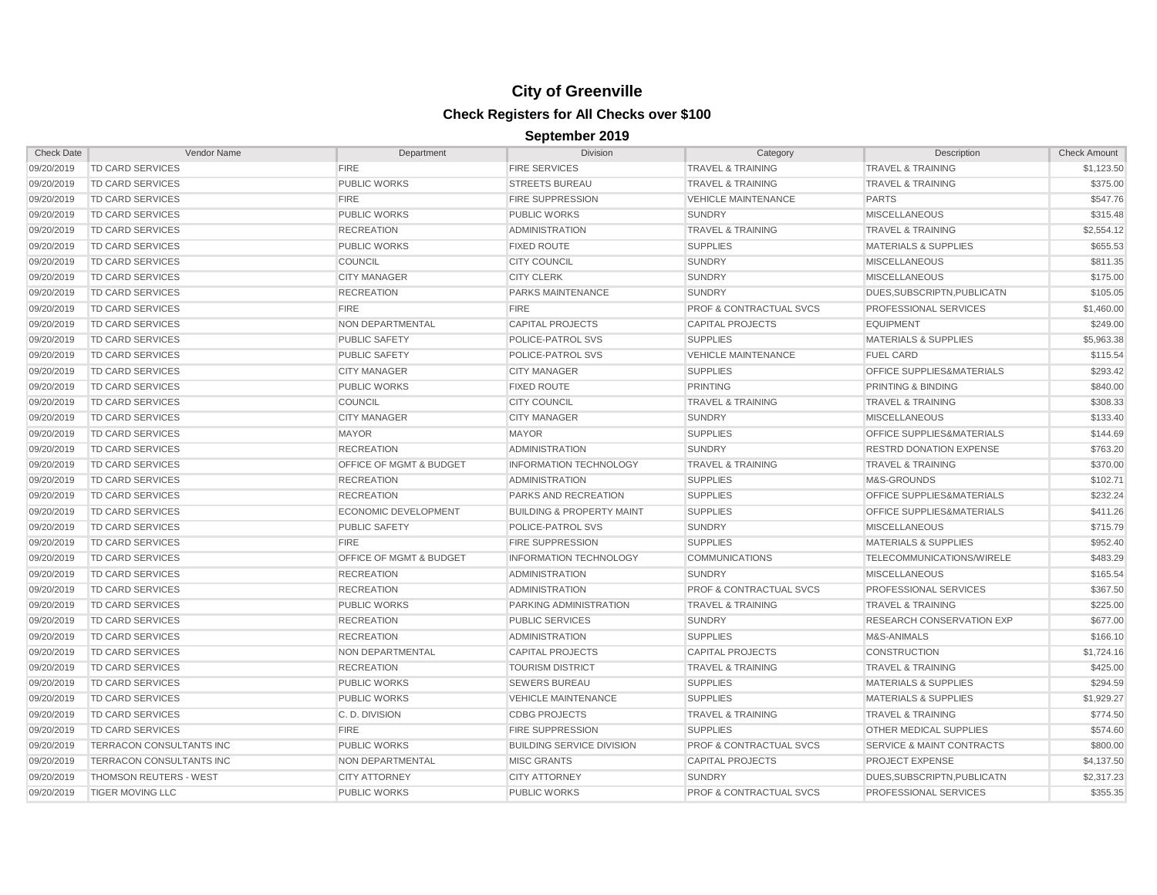| <b>Check Date</b> | Vendor Name                   | Department                         | <b>Division</b>                      | Category                           | Description                          | <b>Check Amount</b> |
|-------------------|-------------------------------|------------------------------------|--------------------------------------|------------------------------------|--------------------------------------|---------------------|
| 09/20/2019        | <b>TD CARD SERVICES</b>       | <b>FIRE</b>                        | <b>FIRE SERVICES</b>                 | <b>TRAVEL &amp; TRAINING</b>       | <b>TRAVEL &amp; TRAINING</b>         | \$1,123.50          |
| 09/20/2019        | <b>TD CARD SERVICES</b>       | <b>PUBLIC WORKS</b>                | <b>STREETS BUREAU</b>                | <b>TRAVEL &amp; TRAINING</b>       | <b>TRAVEL &amp; TRAINING</b>         | \$375.00            |
| 09/20/2019        | <b>TD CARD SERVICES</b>       | <b>FIRE</b>                        | <b>FIRE SUPPRESSION</b>              | <b>VEHICLE MAINTENANCE</b>         | <b>PARTS</b>                         | \$547.76            |
| 09/20/2019        | <b>TD CARD SERVICES</b>       | <b>PUBLIC WORKS</b>                | <b>PUBLIC WORKS</b>                  | <b>SUNDRY</b>                      | <b>MISCELLANEOUS</b>                 | \$315.48            |
| 09/20/2019        | <b>TD CARD SERVICES</b>       | <b>RECREATION</b>                  | <b>ADMINISTRATION</b>                | <b>TRAVEL &amp; TRAINING</b>       | <b>TRAVEL &amp; TRAINING</b>         | \$2,554.12          |
| 09/20/2019        | <b>TD CARD SERVICES</b>       | <b>PUBLIC WORKS</b>                | <b>FIXED ROUTE</b>                   | <b>SUPPLIES</b>                    | <b>MATERIALS &amp; SUPPLIES</b>      | \$655.53            |
| 09/20/2019        | <b>TD CARD SERVICES</b>       | <b>COUNCIL</b>                     | <b>CITY COUNCIL</b>                  | <b>SUNDRY</b>                      | <b>MISCELLANEOUS</b>                 | \$811.35            |
| 09/20/2019        | <b>TD CARD SERVICES</b>       | <b>CITY MANAGER</b>                | <b>CITY CLERK</b>                    | <b>SUNDRY</b>                      | <b>MISCELLANEOUS</b>                 | \$175.00            |
| 09/20/2019        | <b>TD CARD SERVICES</b>       | <b>RECREATION</b>                  | <b>PARKS MAINTENANCE</b>             | <b>SUNDRY</b>                      | DUES.SUBSCRIPTN.PUBLICATN            | \$105.05            |
| 09/20/2019        | <b>TD CARD SERVICES</b>       | <b>FIRE</b>                        | <b>FIRE</b>                          | <b>PROF &amp; CONTRACTUAL SVCS</b> | PROFESSIONAL SERVICES                | \$1,460.00          |
| 09/20/2019        | TD CARD SERVICES              | NON DEPARTMENTAL                   | <b>CAPITAL PROJECTS</b>              | <b>CAPITAL PROJECTS</b>            | <b>EQUIPMENT</b>                     | \$249.00            |
| 09/20/2019        | <b>TD CARD SERVICES</b>       | <b>PUBLIC SAFETY</b>               | POLICE-PATROL SVS                    | <b>SUPPLIES</b>                    | <b>MATERIALS &amp; SUPPLIES</b>      | \$5,963.38          |
| 09/20/2019        | <b>TD CARD SERVICES</b>       | <b>PUBLIC SAFETY</b>               | POLICE-PATROL SVS                    | <b>VEHICLE MAINTENANCE</b>         | <b>FUEL CARD</b>                     | \$115.54            |
| 09/20/2019        | <b>TD CARD SERVICES</b>       | <b>CITY MANAGER</b>                | <b>CITY MANAGER</b>                  | <b>SUPPLIES</b>                    | OFFICE SUPPLIES&MATERIALS            | \$293.42            |
| 09/20/2019        | <b>TD CARD SERVICES</b>       | <b>PUBLIC WORKS</b>                | <b>FIXED ROUTE</b>                   | <b>PRINTING</b>                    | <b>PRINTING &amp; BINDING</b>        | \$840.00            |
| 09/20/2019        | <b>TD CARD SERVICES</b>       | <b>COUNCIL</b>                     | <b>CITY COUNCIL</b>                  | <b>TRAVEL &amp; TRAINING</b>       | <b>TRAVEL &amp; TRAINING</b>         | \$308.33            |
| 09/20/2019        | TD CARD SERVICES              | <b>CITY MANAGER</b>                | <b>CITY MANAGER</b>                  | <b>SUNDRY</b>                      | <b>MISCELLANEOUS</b>                 | \$133.40            |
| 09/20/2019        | <b>TD CARD SERVICES</b>       | <b>MAYOR</b>                       | <b>MAYOR</b>                         | <b>SUPPLIES</b>                    | <b>OFFICE SUPPLIES&amp;MATERIALS</b> | \$144.69            |
| 09/20/2019        | <b>TD CARD SERVICES</b>       | <b>RECREATION</b>                  | <b>ADMINISTRATION</b>                | <b>SUNDRY</b>                      | <b>RESTRD DONATION EXPENSE</b>       | \$763.20            |
| 09/20/2019        | TD CARD SERVICES              | <b>OFFICE OF MGMT &amp; BUDGET</b> | <b>INFORMATION TECHNOLOGY</b>        | <b>TRAVEL &amp; TRAINING</b>       | <b>TRAVEL &amp; TRAINING</b>         | \$370.00            |
| 09/20/2019        | TD CARD SERVICES              | <b>RECREATION</b>                  | <b>ADMINISTRATION</b>                | <b>SUPPLIES</b>                    | M&S-GROUNDS                          | \$102.71            |
| 09/20/2019        | <b>TD CARD SERVICES</b>       | <b>RECREATION</b>                  | PARKS AND RECREATION                 | <b>SUPPLIES</b>                    | OFFICE SUPPLIES&MATERIALS            | \$232.24            |
| 09/20/2019        | <b>TD CARD SERVICES</b>       | <b>ECONOMIC DEVELOPMENT</b>        | <b>BUILDING &amp; PROPERTY MAINT</b> | <b>SUPPLIES</b>                    | OFFICE SUPPLIES&MATERIALS            | \$411.26            |
| 09/20/2019        | <b>TD CARD SERVICES</b>       | <b>PUBLIC SAFETY</b>               | POLICE-PATROL SVS                    | <b>SUNDRY</b>                      | <b>MISCELLANEOUS</b>                 | \$715.79            |
| 09/20/2019        | <b>TD CARD SERVICES</b>       | <b>FIRE</b>                        | <b>FIRE SUPPRESSION</b>              | <b>SUPPLIES</b>                    | <b>MATERIALS &amp; SUPPLIES</b>      | \$952.40            |
| 09/20/2019        | <b>TD CARD SERVICES</b>       | <b>OFFICE OF MGMT &amp; BUDGET</b> | <b>INFORMATION TECHNOLOGY</b>        | <b>COMMUNICATIONS</b>              | TELECOMMUNICATIONS/WIRELE            | \$483.29            |
| 09/20/2019        | <b>TD CARD SERVICES</b>       | <b>RECREATION</b>                  | <b>ADMINISTRATION</b>                | <b>SUNDRY</b>                      | <b>MISCELLANEOUS</b>                 | \$165.54            |
| 09/20/2019        | <b>TD CARD SERVICES</b>       | <b>RECREATION</b>                  | <b>ADMINISTRATION</b>                | <b>PROF &amp; CONTRACTUAL SVCS</b> | PROFESSIONAL SERVICES                | \$367.50            |
| 09/20/2019        | <b>TD CARD SERVICES</b>       | <b>PUBLIC WORKS</b>                | PARKING ADMINISTRATION               | <b>TRAVEL &amp; TRAINING</b>       | <b>TRAVEL &amp; TRAINING</b>         | \$225.00            |
| 09/20/2019        | <b>TD CARD SERVICES</b>       | <b>RECREATION</b>                  | <b>PUBLIC SERVICES</b>               | <b>SUNDRY</b>                      | RESEARCH CONSERVATION EXP            | \$677.00            |
| 09/20/2019        | <b>TD CARD SERVICES</b>       | <b>RECREATION</b>                  | <b>ADMINISTRATION</b>                | <b>SUPPLIES</b>                    | M&S-ANIMALS                          | \$166.10            |
| 09/20/2019        | <b>TD CARD SERVICES</b>       | NON DEPARTMENTAL                   | <b>CAPITAL PROJECTS</b>              | <b>CAPITAL PROJECTS</b>            | <b>CONSTRUCTION</b>                  | \$1,724.16          |
| 09/20/2019        | <b>TD CARD SERVICES</b>       | <b>RECREATION</b>                  | <b>TOURISM DISTRICT</b>              | <b>TRAVEL &amp; TRAINING</b>       | <b>TRAVEL &amp; TRAINING</b>         | \$425.00            |
| 09/20/2019        | TD CARD SERVICES              | <b>PUBLIC WORKS</b>                | <b>SEWERS BUREAU</b>                 | <b>SUPPLIES</b>                    | <b>MATERIALS &amp; SUPPLIES</b>      | \$294.59            |
| 09/20/2019        | <b>TD CARD SERVICES</b>       | <b>PUBLIC WORKS</b>                | <b>VEHICLE MAINTENANCE</b>           | <b>SUPPLIES</b>                    | <b>MATERIALS &amp; SUPPLIES</b>      | \$1,929.27          |
| 09/20/2019        | <b>TD CARD SERVICES</b>       | C.D. DIVISION                      | <b>CDBG PROJECTS</b>                 | <b>TRAVEL &amp; TRAINING</b>       | TRAVEL & TRAINING                    | \$774.50            |
| 09/20/2019        | <b>TD CARD SERVICES</b>       | <b>FIRE</b>                        | <b>FIRE SUPPRESSION</b>              | <b>SUPPLIES</b>                    | OTHER MEDICAL SUPPLIES               | \$574.60            |
| 09/20/2019        | TERRACON CONSULTANTS INC      | <b>PUBLIC WORKS</b>                | <b>BUILDING SERVICE DIVISION</b>     | <b>PROF &amp; CONTRACTUAL SVCS</b> | <b>SERVICE &amp; MAINT CONTRACTS</b> | \$800.00            |
| 09/20/2019        | TERRACON CONSULTANTS INC      | NON DEPARTMENTAL                   | <b>MISC GRANTS</b>                   | <b>CAPITAL PROJECTS</b>            | <b>PROJECT EXPENSE</b>               | \$4,137.50          |
| 09/20/2019        | <b>THOMSON REUTERS - WEST</b> | <b>CITY ATTORNEY</b>               | <b>CITY ATTORNEY</b>                 | <b>SUNDRY</b>                      | DUES, SUBSCRIPTN, PUBLICATN          | \$2,317.23          |
| 09/20/2019        | <b>TIGER MOVING LLC</b>       | <b>PUBLIC WORKS</b>                | <b>PUBLIC WORKS</b>                  | <b>PROF &amp; CONTRACTUAL SVCS</b> | PROFESSIONAL SERVICES                | \$355.35            |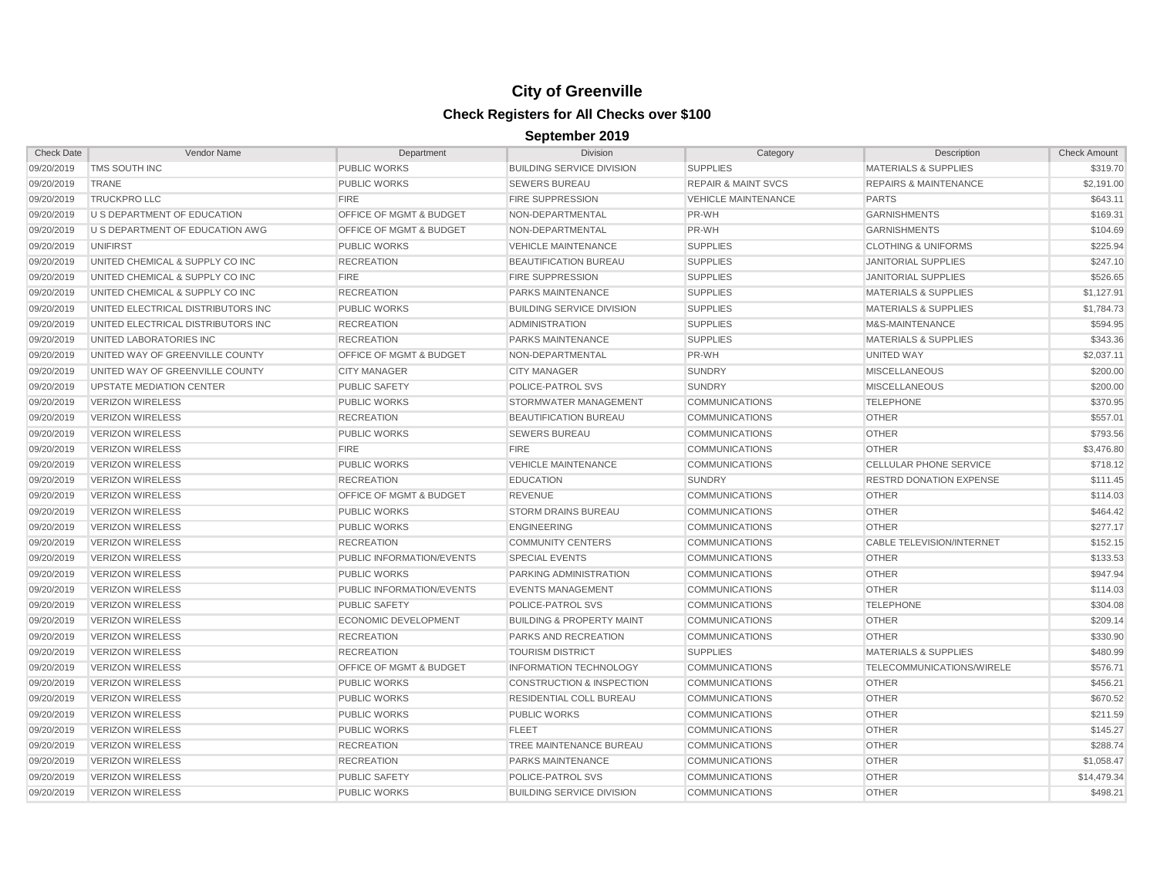| <b>Check Date</b> | Vendor Name                        | Department                         | Division                             | Category                       | Description                      | <b>Check Amount</b> |
|-------------------|------------------------------------|------------------------------------|--------------------------------------|--------------------------------|----------------------------------|---------------------|
| 09/20/2019        | TMS SOUTH INC                      | <b>PUBLIC WORKS</b>                | <b>BUILDING SERVICE DIVISION</b>     | <b>SUPPLIES</b>                | <b>MATERIALS &amp; SUPPLIES</b>  | \$319.70            |
| 09/20/2019        | TRANE                              | <b>PUBLIC WORKS</b>                | <b>SEWERS BUREAU</b>                 | <b>REPAIR &amp; MAINT SVCS</b> | <b>REPAIRS &amp; MAINTENANCE</b> | \$2,191.00          |
| 09/20/2019        | <b>TRUCKPRO LLC</b>                | <b>FIRE</b>                        | <b>FIRE SUPPRESSION</b>              | <b>VEHICLE MAINTENANCE</b>     | <b>PARTS</b>                     | \$643.11            |
| 09/20/2019        | U S DEPARTMENT OF EDUCATION        | <b>OFFICE OF MGMT &amp; BUDGET</b> | NON-DEPARTMENTAL                     | PR-WH                          | <b>GARNISHMENTS</b>              | \$169.31            |
| 09/20/2019        | U S DEPARTMENT OF EDUCATION AWG    | OFFICE OF MGMT & BUDGET            | NON-DEPARTMENTAL                     | PR-WH                          | <b>GARNISHMENTS</b>              | \$104.69            |
| 09/20/2019        | <b>UNIFIRST</b>                    | <b>PUBLIC WORKS</b>                | <b>VEHICLE MAINTENANCE</b>           | <b>SUPPLIES</b>                | <b>CLOTHING &amp; UNIFORMS</b>   | \$225.94            |
| 09/20/2019        | UNITED CHEMICAL & SUPPLY CO INC    | <b>RECREATION</b>                  | <b>BEAUTIFICATION BUREAU</b>         | <b>SUPPLIES</b>                | <b>JANITORIAL SUPPLIES</b>       | \$247.10            |
| 09/20/2019        | UNITED CHEMICAL & SUPPLY CO INC    | <b>FIRE</b>                        | <b>FIRE SUPPRESSION</b>              | <b>SUPPLIES</b>                | <b>JANITORIAL SUPPLIES</b>       | \$526.65            |
| 09/20/2019        | UNITED CHEMICAL & SUPPLY CO INC    | <b>RECREATION</b>                  | <b>PARKS MAINTENANCE</b>             | <b>SUPPLIES</b>                | <b>MATERIALS &amp; SUPPLIES</b>  | \$1,127.91          |
| 09/20/2019        | UNITED ELECTRICAL DISTRIBUTORS INC | <b>PUBLIC WORKS</b>                | <b>BUILDING SERVICE DIVISION</b>     | <b>SUPPLIES</b>                | <b>MATERIALS &amp; SUPPLIES</b>  | \$1,784.73          |
| 09/20/2019        | UNITED ELECTRICAL DISTRIBUTORS INC | <b>RECREATION</b>                  | <b>ADMINISTRATION</b>                | <b>SUPPLIES</b>                | M&S-MAINTENANCE                  | \$594.95            |
| 09/20/2019        | UNITED LABORATORIES INC            | <b>RECREATION</b>                  | <b>PARKS MAINTENANCE</b>             | <b>SUPPLIES</b>                | <b>MATERIALS &amp; SUPPLIES</b>  | \$343.36            |
| 09/20/2019        | UNITED WAY OF GREENVILLE COUNTY    | <b>OFFICE OF MGMT &amp; BUDGET</b> | NON-DEPARTMENTAL                     | PR-WH                          | UNITED WAY                       | \$2,037.11          |
| 09/20/2019        | UNITED WAY OF GREENVILLE COUNTY    | <b>CITY MANAGER</b>                | <b>CITY MANAGER</b>                  | <b>SUNDRY</b>                  | <b>MISCELLANEOUS</b>             | \$200.00            |
| 09/20/2019        | <b>UPSTATE MEDIATION CENTER</b>    | <b>PUBLIC SAFETY</b>               | POLICE-PATROL SVS                    | <b>SUNDRY</b>                  | <b>MISCELLANEOUS</b>             | \$200.00            |
| 09/20/2019        | <b>VERIZON WIRELESS</b>            | <b>PUBLIC WORKS</b>                | STORMWATER MANAGEMENT                | <b>COMMUNICATIONS</b>          | <b>TELEPHONE</b>                 | \$370.95            |
| 09/20/2019        | <b>VERIZON WIRELESS</b>            | <b>RECREATION</b>                  | <b>BEAUTIFICATION BUREAU</b>         | <b>COMMUNICATIONS</b>          | <b>OTHER</b>                     | \$557.01            |
| 09/20/2019        | <b>VERIZON WIRELESS</b>            | <b>PUBLIC WORKS</b>                | <b>SEWERS BUREAU</b>                 | <b>COMMUNICATIONS</b>          | <b>OTHER</b>                     | \$793.56            |
| 09/20/2019        | <b>VERIZON WIRELESS</b>            | <b>FIRE</b>                        | <b>FIRE</b>                          | <b>COMMUNICATIONS</b>          | <b>OTHER</b>                     | \$3,476.80          |
| 09/20/2019        | <b>VERIZON WIRELESS</b>            | <b>PUBLIC WORKS</b>                | <b>VEHICLE MAINTENANCE</b>           | <b>COMMUNICATIONS</b>          | <b>CELLULAR PHONE SERVICE</b>    | \$718.12            |
| 09/20/2019        | <b>VERIZON WIRELESS</b>            | <b>RECREATION</b>                  | <b>EDUCATION</b>                     | <b>SUNDRY</b>                  | <b>RESTRD DONATION EXPENSE</b>   | \$111.45            |
| 09/20/2019        | <b>VERIZON WIRELESS</b>            | OFFICE OF MGMT & BUDGET            | <b>REVENUE</b>                       | <b>COMMUNICATIONS</b>          | <b>OTHER</b>                     | \$114.03            |
| 09/20/2019        | <b>VERIZON WIRELESS</b>            | <b>PUBLIC WORKS</b>                | <b>STORM DRAINS BUREAU</b>           | <b>COMMUNICATIONS</b>          | <b>OTHER</b>                     | \$464.42            |
| 09/20/2019        | <b>VERIZON WIRELESS</b>            | <b>PUBLIC WORKS</b>                | <b>ENGINEERING</b>                   | <b>COMMUNICATIONS</b>          | <b>OTHER</b>                     | \$277.17            |
| 09/20/2019        | <b>VERIZON WIRELESS</b>            | <b>RECREATION</b>                  | <b>COMMUNITY CENTERS</b>             | <b>COMMUNICATIONS</b>          | <b>CABLE TELEVISION/INTERNET</b> | \$152.15            |
| 09/20/2019        | <b>VERIZON WIRELESS</b>            | PUBLIC INFORMATION/EVENTS          | <b>SPECIAL EVENTS</b>                | <b>COMMUNICATIONS</b>          | <b>OTHER</b>                     | \$133.53            |
| 09/20/2019        | <b>VERIZON WIRELESS</b>            | <b>PUBLIC WORKS</b>                | PARKING ADMINISTRATION               | <b>COMMUNICATIONS</b>          | <b>OTHER</b>                     | \$947.94            |
| 09/20/2019        | <b>VERIZON WIRELESS</b>            | <b>PUBLIC INFORMATION/EVENTS</b>   | <b>EVENTS MANAGEMENT</b>             | <b>COMMUNICATIONS</b>          | <b>OTHER</b>                     | \$114.03            |
| 09/20/2019        | <b>VERIZON WIRELESS</b>            | <b>PUBLIC SAFETY</b>               | POLICE-PATROL SVS                    | <b>COMMUNICATIONS</b>          | <b>TELEPHONE</b>                 | \$304.08            |
| 09/20/2019        | <b>VERIZON WIRELESS</b>            | <b>ECONOMIC DEVELOPMENT</b>        | <b>BUILDING &amp; PROPERTY MAINT</b> | <b>COMMUNICATIONS</b>          | <b>OTHER</b>                     | \$209.14            |
| 09/20/2019        | <b>VERIZON WIRELESS</b>            | <b>RECREATION</b>                  | PARKS AND RECREATION                 | <b>COMMUNICATIONS</b>          | <b>OTHER</b>                     | \$330.90            |
| 09/20/2019        | <b>VERIZON WIRELESS</b>            | <b>RECREATION</b>                  | <b>TOURISM DISTRICT</b>              | <b>SUPPLIES</b>                | <b>MATERIALS &amp; SUPPLIES</b>  | \$480.99            |
| 09/20/2019        | <b>VERIZON WIRELESS</b>            | <b>OFFICE OF MGMT &amp; BUDGET</b> | <b>INFORMATION TECHNOLOGY</b>        | <b>COMMUNICATIONS</b>          | TELECOMMUNICATIONS/WIRELE        | \$576.71            |
| 09/20/2019        | <b>VERIZON WIRELESS</b>            | <b>PUBLIC WORKS</b>                | <b>CONSTRUCTION &amp; INSPECTION</b> | <b>COMMUNICATIONS</b>          | <b>OTHER</b>                     | \$456.21            |
| 09/20/2019        | <b>VERIZON WIRELESS</b>            | <b>PUBLIC WORKS</b>                | <b>RESIDENTIAL COLL BUREAU</b>       | <b>COMMUNICATIONS</b>          | <b>OTHER</b>                     | \$670.52            |
| 09/20/2019        | <b>VERIZON WIRELESS</b>            | <b>PUBLIC WORKS</b>                | <b>PUBLIC WORKS</b>                  | <b>COMMUNICATIONS</b>          | <b>OTHER</b>                     | \$211.59            |
| 09/20/2019        | <b>VERIZON WIRELESS</b>            | <b>PUBLIC WORKS</b>                | <b>FLEET</b>                         | <b>COMMUNICATIONS</b>          | <b>OTHER</b>                     | \$145.27            |
| 09/20/2019        | <b>VERIZON WIRELESS</b>            | <b>RECREATION</b>                  | <b>TREE MAINTENANCE BUREAU</b>       | <b>COMMUNICATIONS</b>          | <b>OTHER</b>                     | \$288.74            |
| 09/20/2019        | <b>VERIZON WIRELESS</b>            | <b>RECREATION</b>                  | <b>PARKS MAINTENANCE</b>             | <b>COMMUNICATIONS</b>          | <b>OTHER</b>                     | \$1,058.47          |
| 09/20/2019        | <b>VERIZON WIRELESS</b>            | <b>PUBLIC SAFETY</b>               | POLICE-PATROL SVS                    | <b>COMMUNICATIONS</b>          | <b>OTHER</b>                     | \$14,479.34         |
| 09/20/2019        | <b>VERIZON WIRELESS</b>            | <b>PUBLIC WORKS</b>                | <b>BUILDING SERVICE DIVISION</b>     | <b>COMMUNICATIONS</b>          | <b>OTHER</b>                     | \$498.21            |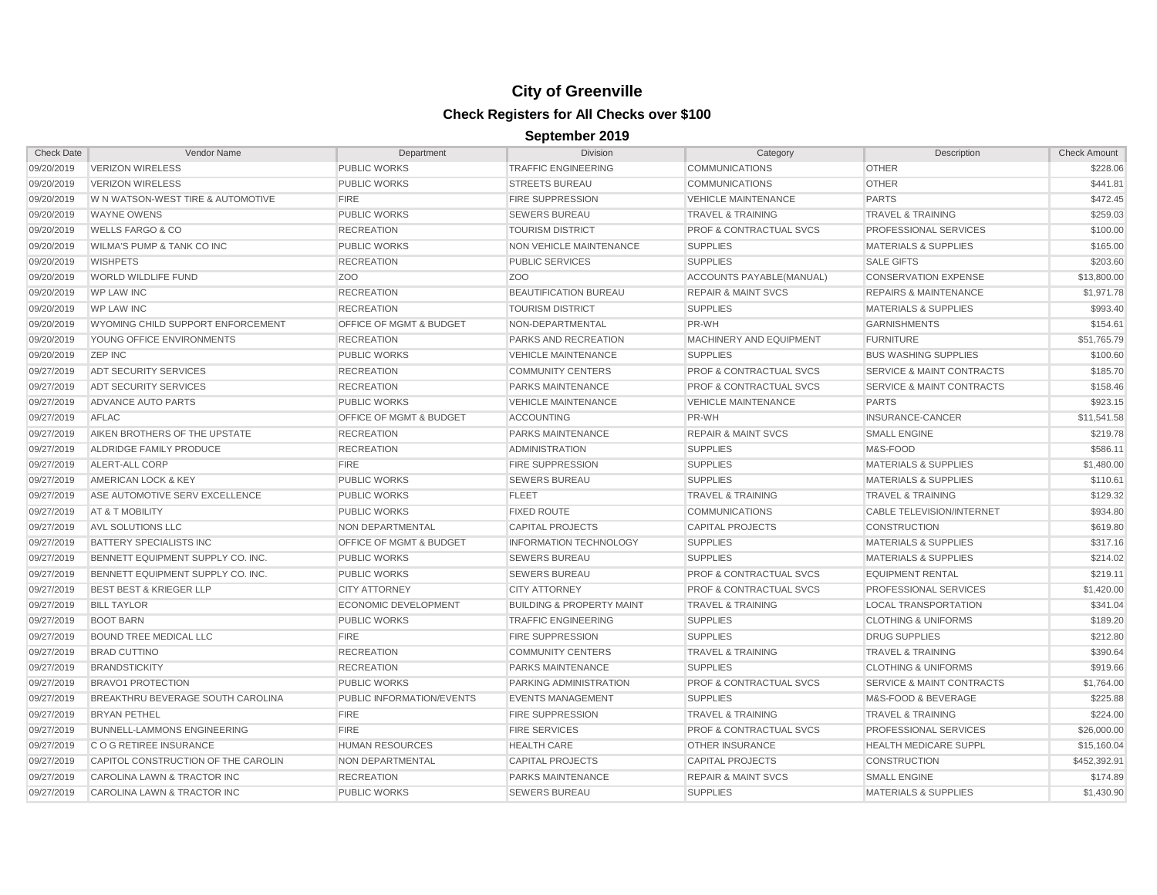| 09/20/2019<br><b>VERIZON WIRELESS</b><br><b>PUBLIC WORKS</b><br><b>TRAFFIC ENGINEERING</b><br><b>COMMUNICATIONS</b><br><b>OTHER</b><br>09/20/2019<br><b>OTHER</b><br><b>VERIZON WIRELESS</b><br><b>PUBLIC WORKS</b><br><b>STREETS BUREAU</b><br><b>COMMUNICATIONS</b><br><b>PARTS</b><br>09/20/2019<br>W N WATSON-WEST TIRE & AUTOMOTIVE<br><b>FIRE</b><br><b>FIRE SUPPRESSION</b><br><b>VEHICLE MAINTENANCE</b><br>09/20/2019<br><b>WAYNE OWENS</b><br><b>PUBLIC WORKS</b><br><b>SEWERS BUREAU</b><br><b>TRAVEL &amp; TRAINING</b><br><b>TRAVEL &amp; TRAINING</b><br>09/20/2019<br><b>WELLS FARGO &amp; CO</b><br><b>RECREATION</b><br><b>TOURISM DISTRICT</b><br><b>PROF &amp; CONTRACTUAL SVCS</b><br>PROFESSIONAL SERVICES<br>09/20/2019<br><b>WILMA'S PUMP &amp; TANK CO INC</b><br><b>PUBLIC WORKS</b><br>NON VEHICLE MAINTENANCE<br><b>SUPPLIES</b><br><b>MATERIALS &amp; SUPPLIES</b><br>09/20/2019<br><b>WISHPETS</b><br><b>RECREATION</b><br><b>PUBLIC SERVICES</b><br><b>SUPPLIES</b><br><b>SALE GIFTS</b><br>09/20/2019<br><b>WORLD WILDLIFE FUND</b><br>Z <sub>O</sub> O<br>Z <sub>O</sub> O<br>ACCOUNTS PAYABLE(MANUAL)<br><b>CONSERVATION EXPENSE</b><br>09/20/2019<br><b>WP LAW INC</b><br><b>RECREATION</b><br><b>BEAUTIFICATION BUREAU</b><br><b>REPAIR &amp; MAINT SVCS</b><br><b>REPAIRS &amp; MAINTENANCE</b><br>09/20/2019<br><b>SUPPLIES</b><br><b>WP LAW INC</b><br><b>RECREATION</b><br><b>TOURISM DISTRICT</b><br><b>MATERIALS &amp; SUPPLIES</b><br>09/20/2019<br>WYOMING CHILD SUPPORT ENFORCEMENT<br><b>OFFICE OF MGMT &amp; BUDGET</b><br>NON-DEPARTMENTAL<br>PR-WH<br><b>GARNISHMENTS</b><br>09/20/2019<br><b>RECREATION</b><br><b>PARKS AND RECREATION</b><br>MACHINERY AND EQUIPMENT<br><b>FURNITURE</b><br>YOUNG OFFICE ENVIRONMENTS<br>09/20/2019<br><b>ZEP INC</b><br><b>PUBLIC WORKS</b><br><b>VEHICLE MAINTENANCE</b><br><b>SUPPLIES</b><br><b>BUS WASHING SUPPLIES</b><br>09/27/2019<br>ADT SECURITY SERVICES<br><b>RECREATION</b><br><b>COMMUNITY CENTERS</b><br>PROF & CONTRACTUAL SVCS<br><b>SERVICE &amp; MAINT CONTRACTS</b><br>09/27/2019<br><b>PROF &amp; CONTRACTUAL SVCS</b><br>SERVICE & MAINT CONTRACTS<br>ADT SECURITY SERVICES<br><b>RECREATION</b><br><b>PARKS MAINTENANCE</b><br>09/27/2019<br>ADVANCE AUTO PARTS<br><b>PUBLIC WORKS</b><br><b>VEHICLE MAINTENANCE</b><br><b>VEHICLE MAINTENANCE</b><br><b>PARTS</b><br>09/27/2019<br>AFLAC<br>OFFICE OF MGMT & BUDGET<br><b>ACCOUNTING</b><br>PR-WH<br>INSURANCE-CANCER<br>09/27/2019<br>AIKEN BROTHERS OF THE UPSTATE<br><b>RECREATION</b><br>PARKS MAINTENANCE<br><b>REPAIR &amp; MAINT SVCS</b><br><b>SMALL ENGINE</b><br><b>SUPPLIES</b><br>09/27/2019<br>ALDRIDGE FAMILY PRODUCE<br><b>RECREATION</b><br><b>ADMINISTRATION</b><br>M&S-FOOD<br>09/27/2019<br>ALERT-ALL CORP<br><b>FIRE</b><br><b>SUPPLIES</b><br><b>MATERIALS &amp; SUPPLIES</b><br><b>FIRE SUPPRESSION</b><br>09/27/2019<br>AMERICAN LOCK & KEY<br><b>PUBLIC WORKS</b><br><b>SEWERS BUREAU</b><br><b>SUPPLIES</b><br><b>MATERIALS &amp; SUPPLIES</b><br>09/27/2019<br>ASE AUTOMOTIVE SERV EXCELLENCE<br><b>PUBLIC WORKS</b><br><b>FLEET</b><br><b>TRAVEL &amp; TRAINING</b><br><b>TRAVEL &amp; TRAINING</b><br>09/27/2019<br>AT & T MOBILITY<br><b>PUBLIC WORKS</b><br><b>FIXED ROUTE</b><br>CABLE TELEVISION/INTERNET<br><b>COMMUNICATIONS</b><br>09/27/2019<br>AVL SOLUTIONS LLC<br>NON DEPARTMENTAL<br><b>CAPITAL PROJECTS</b><br><b>CAPITAL PROJECTS</b><br><b>CONSTRUCTION</b><br>09/27/2019<br><b>BATTERY SPECIALISTS INC</b><br><b>OFFICE OF MGMT &amp; BUDGET</b><br><b>INFORMATION TECHNOLOGY</b><br><b>SUPPLIES</b><br><b>MATERIALS &amp; SUPPLIES</b><br>09/27/2019<br>BENNETT EQUIPMENT SUPPLY CO. INC.<br><b>PUBLIC WORKS</b><br><b>SEWERS BUREAU</b><br><b>SUPPLIES</b><br><b>MATERIALS &amp; SUPPLIES</b><br><b>PROF &amp; CONTRACTUAL SVCS</b><br>09/27/2019<br>BENNETT EQUIPMENT SUPPLY CO. INC.<br><b>PUBLIC WORKS</b><br><b>SEWERS BUREAU</b><br><b>EQUIPMENT RENTAL</b><br>09/27/2019<br><b>BEST BEST &amp; KRIEGER LLP</b><br><b>CITY ATTORNEY</b><br><b>CITY ATTORNEY</b><br><b>PROF &amp; CONTRACTUAL SVCS</b><br>PROFESSIONAL SERVICES<br>09/27/2019<br><b>BILL TAYLOR</b><br><b>ECONOMIC DEVELOPMENT</b><br><b>BUILDING &amp; PROPERTY MAINT</b><br><b>TRAVEL &amp; TRAINING</b><br><b>LOCAL TRANSPORTATION</b><br>09/27/2019<br><b>BOOT BARN</b><br><b>PUBLIC WORKS</b><br><b>TRAFFIC ENGINEERING</b><br><b>SUPPLIES</b><br><b>CLOTHING &amp; UNIFORMS</b><br>09/27/2019<br><b>BOUND TREE MEDICAL LLC</b><br><b>FIRE</b><br><b>FIRE SUPPRESSION</b><br><b>SUPPLIES</b><br><b>DRUG SUPPLIES</b><br>09/27/2019<br><b>BRAD CUTTINO</b><br><b>RECREATION</b><br><b>COMMUNITY CENTERS</b><br><b>TRAVEL &amp; TRAINING</b><br><b>TRAVEL &amp; TRAINING</b><br>09/27/2019<br><b>BRANDSTICKITY</b><br><b>RECREATION</b><br>PARKS MAINTENANCE<br><b>SUPPLIES</b><br><b>CLOTHING &amp; UNIFORMS</b><br>09/27/2019<br><b>BRAVO1 PROTECTION</b><br><b>PUBLIC WORKS</b><br>PARKING ADMINISTRATION<br><b>PROF &amp; CONTRACTUAL SVCS</b><br><b>SERVICE &amp; MAINT CONTRACTS</b><br>09/27/2019<br>BREAKTHRU BEVERAGE SOUTH CAROLINA<br>PUBLIC INFORMATION/EVENTS<br><b>EVENTS MANAGEMENT</b><br><b>SUPPLIES</b><br>M&S-FOOD & BEVERAGE<br>09/27/2019<br><b>BRYAN PETHEL</b><br><b>FIRE</b><br><b>FIRE SUPPRESSION</b><br><b>TRAVEL &amp; TRAINING</b><br><b>TRAVEL &amp; TRAINING</b><br>09/27/2019<br><b>BUNNELL-LAMMONS ENGINEERING</b><br><b>FIRE</b><br><b>FIRE SERVICES</b><br><b>PROF &amp; CONTRACTUAL SVCS</b><br>PROFESSIONAL SERVICES<br>09/27/2019<br>C O G RETIREE INSURANCE<br><b>HUMAN RESOURCES</b><br><b>HEALTH CARE</b><br><b>OTHER INSURANCE</b><br><b>HEALTH MEDICARE SUPPL</b><br>09/27/2019<br>CAPITOL CONSTRUCTION OF THE CAROLIN<br>NON DEPARTMENTAL<br><b>CAPITAL PROJECTS</b><br><b>CAPITAL PROJECTS</b><br><b>CONSTRUCTION</b><br>\$452,392.91<br>09/27/2019<br>CAROLINA LAWN & TRACTOR INC<br><b>RECREATION</b><br><b>PARKS MAINTENANCE</b><br><b>REPAIR &amp; MAINT SVCS</b><br><b>SMALL ENGINE</b><br>09/27/2019<br>CAROLINA LAWN & TRACTOR INC<br><b>PUBLIC WORKS</b><br><b>SEWERS BUREAU</b><br><b>SUPPLIES</b><br><b>MATERIALS &amp; SUPPLIES</b> | <b>Check Date</b> | Vendor Name | Department | <b>Division</b> | Category | Description | <b>Check Amount</b> |
|----------------------------------------------------------------------------------------------------------------------------------------------------------------------------------------------------------------------------------------------------------------------------------------------------------------------------------------------------------------------------------------------------------------------------------------------------------------------------------------------------------------------------------------------------------------------------------------------------------------------------------------------------------------------------------------------------------------------------------------------------------------------------------------------------------------------------------------------------------------------------------------------------------------------------------------------------------------------------------------------------------------------------------------------------------------------------------------------------------------------------------------------------------------------------------------------------------------------------------------------------------------------------------------------------------------------------------------------------------------------------------------------------------------------------------------------------------------------------------------------------------------------------------------------------------------------------------------------------------------------------------------------------------------------------------------------------------------------------------------------------------------------------------------------------------------------------------------------------------------------------------------------------------------------------------------------------------------------------------------------------------------------------------------------------------------------------------------------------------------------------------------------------------------------------------------------------------------------------------------------------------------------------------------------------------------------------------------------------------------------------------------------------------------------------------------------------------------------------------------------------------------------------------------------------------------------------------------------------------------------------------------------------------------------------------------------------------------------------------------------------------------------------------------------------------------------------------------------------------------------------------------------------------------------------------------------------------------------------------------------------------------------------------------------------------------------------------------------------------------------------------------------------------------------------------------------------------------------------------------------------------------------------------------------------------------------------------------------------------------------------------------------------------------------------------------------------------------------------------------------------------------------------------------------------------------------------------------------------------------------------------------------------------------------------------------------------------------------------------------------------------------------------------------------------------------------------------------------------------------------------------------------------------------------------------------------------------------------------------------------------------------------------------------------------------------------------------------------------------------------------------------------------------------------------------------------------------------------------------------------------------------------------------------------------------------------------------------------------------------------------------------------------------------------------------------------------------------------------------------------------------------------------------------------------------------------------------------------------------------------------------------------------------------------------------------------------------------------------------------------------------------------------------------------------------------------------------------------------------------------------------------------------------------------------------------------------------------------------------------------------------------------------------------------------------------------------------------------------------------------------------------------------------------------------------------------------------------------------------------------------------------------------------------------------------------------------------------------------------------------------------------------------------------------------------------------------------------------------------------------------------------------------------------------------------------------------------------------------------------------------------------------------------------------------------------------------------------------------------------------------------------------------------------------------------------------------------------------------------------------------------------------------------------------------------------------------------------------------------------------------------------------------------------------------------------------------------------------------------------------------------------------------------------------------|-------------------|-------------|------------|-----------------|----------|-------------|---------------------|
|                                                                                                                                                                                                                                                                                                                                                                                                                                                                                                                                                                                                                                                                                                                                                                                                                                                                                                                                                                                                                                                                                                                                                                                                                                                                                                                                                                                                                                                                                                                                                                                                                                                                                                                                                                                                                                                                                                                                                                                                                                                                                                                                                                                                                                                                                                                                                                                                                                                                                                                                                                                                                                                                                                                                                                                                                                                                                                                                                                                                                                                                                                                                                                                                                                                                                                                                                                                                                                                                                                                                                                                                                                                                                                                                                                                                                                                                                                                                                                                                                                                                                                                                                                                                                                                                                                                                                                                                                                                                                                                                                                                                                                                                                                                                                                                                                                                                                                                                                                                                                                                                                                                                                                                                                                                                                                                                                                                                                                                                                                                                                                                                                                                                                                                                                                                                                                                                                                                                                                                                                                                                                                                                                                            |                   |             |            |                 |          |             | \$228.06            |
|                                                                                                                                                                                                                                                                                                                                                                                                                                                                                                                                                                                                                                                                                                                                                                                                                                                                                                                                                                                                                                                                                                                                                                                                                                                                                                                                                                                                                                                                                                                                                                                                                                                                                                                                                                                                                                                                                                                                                                                                                                                                                                                                                                                                                                                                                                                                                                                                                                                                                                                                                                                                                                                                                                                                                                                                                                                                                                                                                                                                                                                                                                                                                                                                                                                                                                                                                                                                                                                                                                                                                                                                                                                                                                                                                                                                                                                                                                                                                                                                                                                                                                                                                                                                                                                                                                                                                                                                                                                                                                                                                                                                                                                                                                                                                                                                                                                                                                                                                                                                                                                                                                                                                                                                                                                                                                                                                                                                                                                                                                                                                                                                                                                                                                                                                                                                                                                                                                                                                                                                                                                                                                                                                                            |                   |             |            |                 |          |             | \$441.81            |
|                                                                                                                                                                                                                                                                                                                                                                                                                                                                                                                                                                                                                                                                                                                                                                                                                                                                                                                                                                                                                                                                                                                                                                                                                                                                                                                                                                                                                                                                                                                                                                                                                                                                                                                                                                                                                                                                                                                                                                                                                                                                                                                                                                                                                                                                                                                                                                                                                                                                                                                                                                                                                                                                                                                                                                                                                                                                                                                                                                                                                                                                                                                                                                                                                                                                                                                                                                                                                                                                                                                                                                                                                                                                                                                                                                                                                                                                                                                                                                                                                                                                                                                                                                                                                                                                                                                                                                                                                                                                                                                                                                                                                                                                                                                                                                                                                                                                                                                                                                                                                                                                                                                                                                                                                                                                                                                                                                                                                                                                                                                                                                                                                                                                                                                                                                                                                                                                                                                                                                                                                                                                                                                                                                            |                   |             |            |                 |          |             | \$472.45            |
|                                                                                                                                                                                                                                                                                                                                                                                                                                                                                                                                                                                                                                                                                                                                                                                                                                                                                                                                                                                                                                                                                                                                                                                                                                                                                                                                                                                                                                                                                                                                                                                                                                                                                                                                                                                                                                                                                                                                                                                                                                                                                                                                                                                                                                                                                                                                                                                                                                                                                                                                                                                                                                                                                                                                                                                                                                                                                                                                                                                                                                                                                                                                                                                                                                                                                                                                                                                                                                                                                                                                                                                                                                                                                                                                                                                                                                                                                                                                                                                                                                                                                                                                                                                                                                                                                                                                                                                                                                                                                                                                                                                                                                                                                                                                                                                                                                                                                                                                                                                                                                                                                                                                                                                                                                                                                                                                                                                                                                                                                                                                                                                                                                                                                                                                                                                                                                                                                                                                                                                                                                                                                                                                                                            |                   |             |            |                 |          |             | \$259.03            |
|                                                                                                                                                                                                                                                                                                                                                                                                                                                                                                                                                                                                                                                                                                                                                                                                                                                                                                                                                                                                                                                                                                                                                                                                                                                                                                                                                                                                                                                                                                                                                                                                                                                                                                                                                                                                                                                                                                                                                                                                                                                                                                                                                                                                                                                                                                                                                                                                                                                                                                                                                                                                                                                                                                                                                                                                                                                                                                                                                                                                                                                                                                                                                                                                                                                                                                                                                                                                                                                                                                                                                                                                                                                                                                                                                                                                                                                                                                                                                                                                                                                                                                                                                                                                                                                                                                                                                                                                                                                                                                                                                                                                                                                                                                                                                                                                                                                                                                                                                                                                                                                                                                                                                                                                                                                                                                                                                                                                                                                                                                                                                                                                                                                                                                                                                                                                                                                                                                                                                                                                                                                                                                                                                                            |                   |             |            |                 |          |             | \$100.00            |
|                                                                                                                                                                                                                                                                                                                                                                                                                                                                                                                                                                                                                                                                                                                                                                                                                                                                                                                                                                                                                                                                                                                                                                                                                                                                                                                                                                                                                                                                                                                                                                                                                                                                                                                                                                                                                                                                                                                                                                                                                                                                                                                                                                                                                                                                                                                                                                                                                                                                                                                                                                                                                                                                                                                                                                                                                                                                                                                                                                                                                                                                                                                                                                                                                                                                                                                                                                                                                                                                                                                                                                                                                                                                                                                                                                                                                                                                                                                                                                                                                                                                                                                                                                                                                                                                                                                                                                                                                                                                                                                                                                                                                                                                                                                                                                                                                                                                                                                                                                                                                                                                                                                                                                                                                                                                                                                                                                                                                                                                                                                                                                                                                                                                                                                                                                                                                                                                                                                                                                                                                                                                                                                                                                            |                   |             |            |                 |          |             | \$165.00            |
|                                                                                                                                                                                                                                                                                                                                                                                                                                                                                                                                                                                                                                                                                                                                                                                                                                                                                                                                                                                                                                                                                                                                                                                                                                                                                                                                                                                                                                                                                                                                                                                                                                                                                                                                                                                                                                                                                                                                                                                                                                                                                                                                                                                                                                                                                                                                                                                                                                                                                                                                                                                                                                                                                                                                                                                                                                                                                                                                                                                                                                                                                                                                                                                                                                                                                                                                                                                                                                                                                                                                                                                                                                                                                                                                                                                                                                                                                                                                                                                                                                                                                                                                                                                                                                                                                                                                                                                                                                                                                                                                                                                                                                                                                                                                                                                                                                                                                                                                                                                                                                                                                                                                                                                                                                                                                                                                                                                                                                                                                                                                                                                                                                                                                                                                                                                                                                                                                                                                                                                                                                                                                                                                                                            |                   |             |            |                 |          |             | \$203.60            |
|                                                                                                                                                                                                                                                                                                                                                                                                                                                                                                                                                                                                                                                                                                                                                                                                                                                                                                                                                                                                                                                                                                                                                                                                                                                                                                                                                                                                                                                                                                                                                                                                                                                                                                                                                                                                                                                                                                                                                                                                                                                                                                                                                                                                                                                                                                                                                                                                                                                                                                                                                                                                                                                                                                                                                                                                                                                                                                                                                                                                                                                                                                                                                                                                                                                                                                                                                                                                                                                                                                                                                                                                                                                                                                                                                                                                                                                                                                                                                                                                                                                                                                                                                                                                                                                                                                                                                                                                                                                                                                                                                                                                                                                                                                                                                                                                                                                                                                                                                                                                                                                                                                                                                                                                                                                                                                                                                                                                                                                                                                                                                                                                                                                                                                                                                                                                                                                                                                                                                                                                                                                                                                                                                                            |                   |             |            |                 |          |             | \$13,800.00         |
|                                                                                                                                                                                                                                                                                                                                                                                                                                                                                                                                                                                                                                                                                                                                                                                                                                                                                                                                                                                                                                                                                                                                                                                                                                                                                                                                                                                                                                                                                                                                                                                                                                                                                                                                                                                                                                                                                                                                                                                                                                                                                                                                                                                                                                                                                                                                                                                                                                                                                                                                                                                                                                                                                                                                                                                                                                                                                                                                                                                                                                                                                                                                                                                                                                                                                                                                                                                                                                                                                                                                                                                                                                                                                                                                                                                                                                                                                                                                                                                                                                                                                                                                                                                                                                                                                                                                                                                                                                                                                                                                                                                                                                                                                                                                                                                                                                                                                                                                                                                                                                                                                                                                                                                                                                                                                                                                                                                                                                                                                                                                                                                                                                                                                                                                                                                                                                                                                                                                                                                                                                                                                                                                                                            |                   |             |            |                 |          |             | \$1,971.78          |
|                                                                                                                                                                                                                                                                                                                                                                                                                                                                                                                                                                                                                                                                                                                                                                                                                                                                                                                                                                                                                                                                                                                                                                                                                                                                                                                                                                                                                                                                                                                                                                                                                                                                                                                                                                                                                                                                                                                                                                                                                                                                                                                                                                                                                                                                                                                                                                                                                                                                                                                                                                                                                                                                                                                                                                                                                                                                                                                                                                                                                                                                                                                                                                                                                                                                                                                                                                                                                                                                                                                                                                                                                                                                                                                                                                                                                                                                                                                                                                                                                                                                                                                                                                                                                                                                                                                                                                                                                                                                                                                                                                                                                                                                                                                                                                                                                                                                                                                                                                                                                                                                                                                                                                                                                                                                                                                                                                                                                                                                                                                                                                                                                                                                                                                                                                                                                                                                                                                                                                                                                                                                                                                                                                            |                   |             |            |                 |          |             | \$993.40            |
|                                                                                                                                                                                                                                                                                                                                                                                                                                                                                                                                                                                                                                                                                                                                                                                                                                                                                                                                                                                                                                                                                                                                                                                                                                                                                                                                                                                                                                                                                                                                                                                                                                                                                                                                                                                                                                                                                                                                                                                                                                                                                                                                                                                                                                                                                                                                                                                                                                                                                                                                                                                                                                                                                                                                                                                                                                                                                                                                                                                                                                                                                                                                                                                                                                                                                                                                                                                                                                                                                                                                                                                                                                                                                                                                                                                                                                                                                                                                                                                                                                                                                                                                                                                                                                                                                                                                                                                                                                                                                                                                                                                                                                                                                                                                                                                                                                                                                                                                                                                                                                                                                                                                                                                                                                                                                                                                                                                                                                                                                                                                                                                                                                                                                                                                                                                                                                                                                                                                                                                                                                                                                                                                                                            |                   |             |            |                 |          |             | \$154.61            |
|                                                                                                                                                                                                                                                                                                                                                                                                                                                                                                                                                                                                                                                                                                                                                                                                                                                                                                                                                                                                                                                                                                                                                                                                                                                                                                                                                                                                                                                                                                                                                                                                                                                                                                                                                                                                                                                                                                                                                                                                                                                                                                                                                                                                                                                                                                                                                                                                                                                                                                                                                                                                                                                                                                                                                                                                                                                                                                                                                                                                                                                                                                                                                                                                                                                                                                                                                                                                                                                                                                                                                                                                                                                                                                                                                                                                                                                                                                                                                                                                                                                                                                                                                                                                                                                                                                                                                                                                                                                                                                                                                                                                                                                                                                                                                                                                                                                                                                                                                                                                                                                                                                                                                                                                                                                                                                                                                                                                                                                                                                                                                                                                                                                                                                                                                                                                                                                                                                                                                                                                                                                                                                                                                                            |                   |             |            |                 |          |             | \$51,765.79         |
|                                                                                                                                                                                                                                                                                                                                                                                                                                                                                                                                                                                                                                                                                                                                                                                                                                                                                                                                                                                                                                                                                                                                                                                                                                                                                                                                                                                                                                                                                                                                                                                                                                                                                                                                                                                                                                                                                                                                                                                                                                                                                                                                                                                                                                                                                                                                                                                                                                                                                                                                                                                                                                                                                                                                                                                                                                                                                                                                                                                                                                                                                                                                                                                                                                                                                                                                                                                                                                                                                                                                                                                                                                                                                                                                                                                                                                                                                                                                                                                                                                                                                                                                                                                                                                                                                                                                                                                                                                                                                                                                                                                                                                                                                                                                                                                                                                                                                                                                                                                                                                                                                                                                                                                                                                                                                                                                                                                                                                                                                                                                                                                                                                                                                                                                                                                                                                                                                                                                                                                                                                                                                                                                                                            |                   |             |            |                 |          |             | \$100.60            |
|                                                                                                                                                                                                                                                                                                                                                                                                                                                                                                                                                                                                                                                                                                                                                                                                                                                                                                                                                                                                                                                                                                                                                                                                                                                                                                                                                                                                                                                                                                                                                                                                                                                                                                                                                                                                                                                                                                                                                                                                                                                                                                                                                                                                                                                                                                                                                                                                                                                                                                                                                                                                                                                                                                                                                                                                                                                                                                                                                                                                                                                                                                                                                                                                                                                                                                                                                                                                                                                                                                                                                                                                                                                                                                                                                                                                                                                                                                                                                                                                                                                                                                                                                                                                                                                                                                                                                                                                                                                                                                                                                                                                                                                                                                                                                                                                                                                                                                                                                                                                                                                                                                                                                                                                                                                                                                                                                                                                                                                                                                                                                                                                                                                                                                                                                                                                                                                                                                                                                                                                                                                                                                                                                                            |                   |             |            |                 |          |             | \$185.70            |
|                                                                                                                                                                                                                                                                                                                                                                                                                                                                                                                                                                                                                                                                                                                                                                                                                                                                                                                                                                                                                                                                                                                                                                                                                                                                                                                                                                                                                                                                                                                                                                                                                                                                                                                                                                                                                                                                                                                                                                                                                                                                                                                                                                                                                                                                                                                                                                                                                                                                                                                                                                                                                                                                                                                                                                                                                                                                                                                                                                                                                                                                                                                                                                                                                                                                                                                                                                                                                                                                                                                                                                                                                                                                                                                                                                                                                                                                                                                                                                                                                                                                                                                                                                                                                                                                                                                                                                                                                                                                                                                                                                                                                                                                                                                                                                                                                                                                                                                                                                                                                                                                                                                                                                                                                                                                                                                                                                                                                                                                                                                                                                                                                                                                                                                                                                                                                                                                                                                                                                                                                                                                                                                                                                            |                   |             |            |                 |          |             | \$158.46            |
|                                                                                                                                                                                                                                                                                                                                                                                                                                                                                                                                                                                                                                                                                                                                                                                                                                                                                                                                                                                                                                                                                                                                                                                                                                                                                                                                                                                                                                                                                                                                                                                                                                                                                                                                                                                                                                                                                                                                                                                                                                                                                                                                                                                                                                                                                                                                                                                                                                                                                                                                                                                                                                                                                                                                                                                                                                                                                                                                                                                                                                                                                                                                                                                                                                                                                                                                                                                                                                                                                                                                                                                                                                                                                                                                                                                                                                                                                                                                                                                                                                                                                                                                                                                                                                                                                                                                                                                                                                                                                                                                                                                                                                                                                                                                                                                                                                                                                                                                                                                                                                                                                                                                                                                                                                                                                                                                                                                                                                                                                                                                                                                                                                                                                                                                                                                                                                                                                                                                                                                                                                                                                                                                                                            |                   |             |            |                 |          |             | \$923.15            |
|                                                                                                                                                                                                                                                                                                                                                                                                                                                                                                                                                                                                                                                                                                                                                                                                                                                                                                                                                                                                                                                                                                                                                                                                                                                                                                                                                                                                                                                                                                                                                                                                                                                                                                                                                                                                                                                                                                                                                                                                                                                                                                                                                                                                                                                                                                                                                                                                                                                                                                                                                                                                                                                                                                                                                                                                                                                                                                                                                                                                                                                                                                                                                                                                                                                                                                                                                                                                                                                                                                                                                                                                                                                                                                                                                                                                                                                                                                                                                                                                                                                                                                                                                                                                                                                                                                                                                                                                                                                                                                                                                                                                                                                                                                                                                                                                                                                                                                                                                                                                                                                                                                                                                                                                                                                                                                                                                                                                                                                                                                                                                                                                                                                                                                                                                                                                                                                                                                                                                                                                                                                                                                                                                                            |                   |             |            |                 |          |             | \$11,541.58         |
|                                                                                                                                                                                                                                                                                                                                                                                                                                                                                                                                                                                                                                                                                                                                                                                                                                                                                                                                                                                                                                                                                                                                                                                                                                                                                                                                                                                                                                                                                                                                                                                                                                                                                                                                                                                                                                                                                                                                                                                                                                                                                                                                                                                                                                                                                                                                                                                                                                                                                                                                                                                                                                                                                                                                                                                                                                                                                                                                                                                                                                                                                                                                                                                                                                                                                                                                                                                                                                                                                                                                                                                                                                                                                                                                                                                                                                                                                                                                                                                                                                                                                                                                                                                                                                                                                                                                                                                                                                                                                                                                                                                                                                                                                                                                                                                                                                                                                                                                                                                                                                                                                                                                                                                                                                                                                                                                                                                                                                                                                                                                                                                                                                                                                                                                                                                                                                                                                                                                                                                                                                                                                                                                                                            |                   |             |            |                 |          |             | \$219.78            |
|                                                                                                                                                                                                                                                                                                                                                                                                                                                                                                                                                                                                                                                                                                                                                                                                                                                                                                                                                                                                                                                                                                                                                                                                                                                                                                                                                                                                                                                                                                                                                                                                                                                                                                                                                                                                                                                                                                                                                                                                                                                                                                                                                                                                                                                                                                                                                                                                                                                                                                                                                                                                                                                                                                                                                                                                                                                                                                                                                                                                                                                                                                                                                                                                                                                                                                                                                                                                                                                                                                                                                                                                                                                                                                                                                                                                                                                                                                                                                                                                                                                                                                                                                                                                                                                                                                                                                                                                                                                                                                                                                                                                                                                                                                                                                                                                                                                                                                                                                                                                                                                                                                                                                                                                                                                                                                                                                                                                                                                                                                                                                                                                                                                                                                                                                                                                                                                                                                                                                                                                                                                                                                                                                                            |                   |             |            |                 |          |             | \$586.11            |
|                                                                                                                                                                                                                                                                                                                                                                                                                                                                                                                                                                                                                                                                                                                                                                                                                                                                                                                                                                                                                                                                                                                                                                                                                                                                                                                                                                                                                                                                                                                                                                                                                                                                                                                                                                                                                                                                                                                                                                                                                                                                                                                                                                                                                                                                                                                                                                                                                                                                                                                                                                                                                                                                                                                                                                                                                                                                                                                                                                                                                                                                                                                                                                                                                                                                                                                                                                                                                                                                                                                                                                                                                                                                                                                                                                                                                                                                                                                                                                                                                                                                                                                                                                                                                                                                                                                                                                                                                                                                                                                                                                                                                                                                                                                                                                                                                                                                                                                                                                                                                                                                                                                                                                                                                                                                                                                                                                                                                                                                                                                                                                                                                                                                                                                                                                                                                                                                                                                                                                                                                                                                                                                                                                            |                   |             |            |                 |          |             | \$1,480.00          |
|                                                                                                                                                                                                                                                                                                                                                                                                                                                                                                                                                                                                                                                                                                                                                                                                                                                                                                                                                                                                                                                                                                                                                                                                                                                                                                                                                                                                                                                                                                                                                                                                                                                                                                                                                                                                                                                                                                                                                                                                                                                                                                                                                                                                                                                                                                                                                                                                                                                                                                                                                                                                                                                                                                                                                                                                                                                                                                                                                                                                                                                                                                                                                                                                                                                                                                                                                                                                                                                                                                                                                                                                                                                                                                                                                                                                                                                                                                                                                                                                                                                                                                                                                                                                                                                                                                                                                                                                                                                                                                                                                                                                                                                                                                                                                                                                                                                                                                                                                                                                                                                                                                                                                                                                                                                                                                                                                                                                                                                                                                                                                                                                                                                                                                                                                                                                                                                                                                                                                                                                                                                                                                                                                                            |                   |             |            |                 |          |             | \$110.61            |
|                                                                                                                                                                                                                                                                                                                                                                                                                                                                                                                                                                                                                                                                                                                                                                                                                                                                                                                                                                                                                                                                                                                                                                                                                                                                                                                                                                                                                                                                                                                                                                                                                                                                                                                                                                                                                                                                                                                                                                                                                                                                                                                                                                                                                                                                                                                                                                                                                                                                                                                                                                                                                                                                                                                                                                                                                                                                                                                                                                                                                                                                                                                                                                                                                                                                                                                                                                                                                                                                                                                                                                                                                                                                                                                                                                                                                                                                                                                                                                                                                                                                                                                                                                                                                                                                                                                                                                                                                                                                                                                                                                                                                                                                                                                                                                                                                                                                                                                                                                                                                                                                                                                                                                                                                                                                                                                                                                                                                                                                                                                                                                                                                                                                                                                                                                                                                                                                                                                                                                                                                                                                                                                                                                            |                   |             |            |                 |          |             | \$129.32            |
|                                                                                                                                                                                                                                                                                                                                                                                                                                                                                                                                                                                                                                                                                                                                                                                                                                                                                                                                                                                                                                                                                                                                                                                                                                                                                                                                                                                                                                                                                                                                                                                                                                                                                                                                                                                                                                                                                                                                                                                                                                                                                                                                                                                                                                                                                                                                                                                                                                                                                                                                                                                                                                                                                                                                                                                                                                                                                                                                                                                                                                                                                                                                                                                                                                                                                                                                                                                                                                                                                                                                                                                                                                                                                                                                                                                                                                                                                                                                                                                                                                                                                                                                                                                                                                                                                                                                                                                                                                                                                                                                                                                                                                                                                                                                                                                                                                                                                                                                                                                                                                                                                                                                                                                                                                                                                                                                                                                                                                                                                                                                                                                                                                                                                                                                                                                                                                                                                                                                                                                                                                                                                                                                                                            |                   |             |            |                 |          |             | \$934.80            |
|                                                                                                                                                                                                                                                                                                                                                                                                                                                                                                                                                                                                                                                                                                                                                                                                                                                                                                                                                                                                                                                                                                                                                                                                                                                                                                                                                                                                                                                                                                                                                                                                                                                                                                                                                                                                                                                                                                                                                                                                                                                                                                                                                                                                                                                                                                                                                                                                                                                                                                                                                                                                                                                                                                                                                                                                                                                                                                                                                                                                                                                                                                                                                                                                                                                                                                                                                                                                                                                                                                                                                                                                                                                                                                                                                                                                                                                                                                                                                                                                                                                                                                                                                                                                                                                                                                                                                                                                                                                                                                                                                                                                                                                                                                                                                                                                                                                                                                                                                                                                                                                                                                                                                                                                                                                                                                                                                                                                                                                                                                                                                                                                                                                                                                                                                                                                                                                                                                                                                                                                                                                                                                                                                                            |                   |             |            |                 |          |             | \$619.80            |
|                                                                                                                                                                                                                                                                                                                                                                                                                                                                                                                                                                                                                                                                                                                                                                                                                                                                                                                                                                                                                                                                                                                                                                                                                                                                                                                                                                                                                                                                                                                                                                                                                                                                                                                                                                                                                                                                                                                                                                                                                                                                                                                                                                                                                                                                                                                                                                                                                                                                                                                                                                                                                                                                                                                                                                                                                                                                                                                                                                                                                                                                                                                                                                                                                                                                                                                                                                                                                                                                                                                                                                                                                                                                                                                                                                                                                                                                                                                                                                                                                                                                                                                                                                                                                                                                                                                                                                                                                                                                                                                                                                                                                                                                                                                                                                                                                                                                                                                                                                                                                                                                                                                                                                                                                                                                                                                                                                                                                                                                                                                                                                                                                                                                                                                                                                                                                                                                                                                                                                                                                                                                                                                                                                            |                   |             |            |                 |          |             | \$317.16            |
|                                                                                                                                                                                                                                                                                                                                                                                                                                                                                                                                                                                                                                                                                                                                                                                                                                                                                                                                                                                                                                                                                                                                                                                                                                                                                                                                                                                                                                                                                                                                                                                                                                                                                                                                                                                                                                                                                                                                                                                                                                                                                                                                                                                                                                                                                                                                                                                                                                                                                                                                                                                                                                                                                                                                                                                                                                                                                                                                                                                                                                                                                                                                                                                                                                                                                                                                                                                                                                                                                                                                                                                                                                                                                                                                                                                                                                                                                                                                                                                                                                                                                                                                                                                                                                                                                                                                                                                                                                                                                                                                                                                                                                                                                                                                                                                                                                                                                                                                                                                                                                                                                                                                                                                                                                                                                                                                                                                                                                                                                                                                                                                                                                                                                                                                                                                                                                                                                                                                                                                                                                                                                                                                                                            |                   |             |            |                 |          |             | \$214.02            |
|                                                                                                                                                                                                                                                                                                                                                                                                                                                                                                                                                                                                                                                                                                                                                                                                                                                                                                                                                                                                                                                                                                                                                                                                                                                                                                                                                                                                                                                                                                                                                                                                                                                                                                                                                                                                                                                                                                                                                                                                                                                                                                                                                                                                                                                                                                                                                                                                                                                                                                                                                                                                                                                                                                                                                                                                                                                                                                                                                                                                                                                                                                                                                                                                                                                                                                                                                                                                                                                                                                                                                                                                                                                                                                                                                                                                                                                                                                                                                                                                                                                                                                                                                                                                                                                                                                                                                                                                                                                                                                                                                                                                                                                                                                                                                                                                                                                                                                                                                                                                                                                                                                                                                                                                                                                                                                                                                                                                                                                                                                                                                                                                                                                                                                                                                                                                                                                                                                                                                                                                                                                                                                                                                                            |                   |             |            |                 |          |             | \$219.11            |
|                                                                                                                                                                                                                                                                                                                                                                                                                                                                                                                                                                                                                                                                                                                                                                                                                                                                                                                                                                                                                                                                                                                                                                                                                                                                                                                                                                                                                                                                                                                                                                                                                                                                                                                                                                                                                                                                                                                                                                                                                                                                                                                                                                                                                                                                                                                                                                                                                                                                                                                                                                                                                                                                                                                                                                                                                                                                                                                                                                                                                                                                                                                                                                                                                                                                                                                                                                                                                                                                                                                                                                                                                                                                                                                                                                                                                                                                                                                                                                                                                                                                                                                                                                                                                                                                                                                                                                                                                                                                                                                                                                                                                                                                                                                                                                                                                                                                                                                                                                                                                                                                                                                                                                                                                                                                                                                                                                                                                                                                                                                                                                                                                                                                                                                                                                                                                                                                                                                                                                                                                                                                                                                                                                            |                   |             |            |                 |          |             | \$1,420.00          |
|                                                                                                                                                                                                                                                                                                                                                                                                                                                                                                                                                                                                                                                                                                                                                                                                                                                                                                                                                                                                                                                                                                                                                                                                                                                                                                                                                                                                                                                                                                                                                                                                                                                                                                                                                                                                                                                                                                                                                                                                                                                                                                                                                                                                                                                                                                                                                                                                                                                                                                                                                                                                                                                                                                                                                                                                                                                                                                                                                                                                                                                                                                                                                                                                                                                                                                                                                                                                                                                                                                                                                                                                                                                                                                                                                                                                                                                                                                                                                                                                                                                                                                                                                                                                                                                                                                                                                                                                                                                                                                                                                                                                                                                                                                                                                                                                                                                                                                                                                                                                                                                                                                                                                                                                                                                                                                                                                                                                                                                                                                                                                                                                                                                                                                                                                                                                                                                                                                                                                                                                                                                                                                                                                                            |                   |             |            |                 |          |             | \$341.04            |
|                                                                                                                                                                                                                                                                                                                                                                                                                                                                                                                                                                                                                                                                                                                                                                                                                                                                                                                                                                                                                                                                                                                                                                                                                                                                                                                                                                                                                                                                                                                                                                                                                                                                                                                                                                                                                                                                                                                                                                                                                                                                                                                                                                                                                                                                                                                                                                                                                                                                                                                                                                                                                                                                                                                                                                                                                                                                                                                                                                                                                                                                                                                                                                                                                                                                                                                                                                                                                                                                                                                                                                                                                                                                                                                                                                                                                                                                                                                                                                                                                                                                                                                                                                                                                                                                                                                                                                                                                                                                                                                                                                                                                                                                                                                                                                                                                                                                                                                                                                                                                                                                                                                                                                                                                                                                                                                                                                                                                                                                                                                                                                                                                                                                                                                                                                                                                                                                                                                                                                                                                                                                                                                                                                            |                   |             |            |                 |          |             | \$189.20            |
|                                                                                                                                                                                                                                                                                                                                                                                                                                                                                                                                                                                                                                                                                                                                                                                                                                                                                                                                                                                                                                                                                                                                                                                                                                                                                                                                                                                                                                                                                                                                                                                                                                                                                                                                                                                                                                                                                                                                                                                                                                                                                                                                                                                                                                                                                                                                                                                                                                                                                                                                                                                                                                                                                                                                                                                                                                                                                                                                                                                                                                                                                                                                                                                                                                                                                                                                                                                                                                                                                                                                                                                                                                                                                                                                                                                                                                                                                                                                                                                                                                                                                                                                                                                                                                                                                                                                                                                                                                                                                                                                                                                                                                                                                                                                                                                                                                                                                                                                                                                                                                                                                                                                                                                                                                                                                                                                                                                                                                                                                                                                                                                                                                                                                                                                                                                                                                                                                                                                                                                                                                                                                                                                                                            |                   |             |            |                 |          |             | \$212.80            |
|                                                                                                                                                                                                                                                                                                                                                                                                                                                                                                                                                                                                                                                                                                                                                                                                                                                                                                                                                                                                                                                                                                                                                                                                                                                                                                                                                                                                                                                                                                                                                                                                                                                                                                                                                                                                                                                                                                                                                                                                                                                                                                                                                                                                                                                                                                                                                                                                                                                                                                                                                                                                                                                                                                                                                                                                                                                                                                                                                                                                                                                                                                                                                                                                                                                                                                                                                                                                                                                                                                                                                                                                                                                                                                                                                                                                                                                                                                                                                                                                                                                                                                                                                                                                                                                                                                                                                                                                                                                                                                                                                                                                                                                                                                                                                                                                                                                                                                                                                                                                                                                                                                                                                                                                                                                                                                                                                                                                                                                                                                                                                                                                                                                                                                                                                                                                                                                                                                                                                                                                                                                                                                                                                                            |                   |             |            |                 |          |             | \$390.64            |
|                                                                                                                                                                                                                                                                                                                                                                                                                                                                                                                                                                                                                                                                                                                                                                                                                                                                                                                                                                                                                                                                                                                                                                                                                                                                                                                                                                                                                                                                                                                                                                                                                                                                                                                                                                                                                                                                                                                                                                                                                                                                                                                                                                                                                                                                                                                                                                                                                                                                                                                                                                                                                                                                                                                                                                                                                                                                                                                                                                                                                                                                                                                                                                                                                                                                                                                                                                                                                                                                                                                                                                                                                                                                                                                                                                                                                                                                                                                                                                                                                                                                                                                                                                                                                                                                                                                                                                                                                                                                                                                                                                                                                                                                                                                                                                                                                                                                                                                                                                                                                                                                                                                                                                                                                                                                                                                                                                                                                                                                                                                                                                                                                                                                                                                                                                                                                                                                                                                                                                                                                                                                                                                                                                            |                   |             |            |                 |          |             | \$919.66            |
|                                                                                                                                                                                                                                                                                                                                                                                                                                                                                                                                                                                                                                                                                                                                                                                                                                                                                                                                                                                                                                                                                                                                                                                                                                                                                                                                                                                                                                                                                                                                                                                                                                                                                                                                                                                                                                                                                                                                                                                                                                                                                                                                                                                                                                                                                                                                                                                                                                                                                                                                                                                                                                                                                                                                                                                                                                                                                                                                                                                                                                                                                                                                                                                                                                                                                                                                                                                                                                                                                                                                                                                                                                                                                                                                                                                                                                                                                                                                                                                                                                                                                                                                                                                                                                                                                                                                                                                                                                                                                                                                                                                                                                                                                                                                                                                                                                                                                                                                                                                                                                                                                                                                                                                                                                                                                                                                                                                                                                                                                                                                                                                                                                                                                                                                                                                                                                                                                                                                                                                                                                                                                                                                                                            |                   |             |            |                 |          |             | \$1,764.00          |
|                                                                                                                                                                                                                                                                                                                                                                                                                                                                                                                                                                                                                                                                                                                                                                                                                                                                                                                                                                                                                                                                                                                                                                                                                                                                                                                                                                                                                                                                                                                                                                                                                                                                                                                                                                                                                                                                                                                                                                                                                                                                                                                                                                                                                                                                                                                                                                                                                                                                                                                                                                                                                                                                                                                                                                                                                                                                                                                                                                                                                                                                                                                                                                                                                                                                                                                                                                                                                                                                                                                                                                                                                                                                                                                                                                                                                                                                                                                                                                                                                                                                                                                                                                                                                                                                                                                                                                                                                                                                                                                                                                                                                                                                                                                                                                                                                                                                                                                                                                                                                                                                                                                                                                                                                                                                                                                                                                                                                                                                                                                                                                                                                                                                                                                                                                                                                                                                                                                                                                                                                                                                                                                                                                            |                   |             |            |                 |          |             | \$225.88            |
|                                                                                                                                                                                                                                                                                                                                                                                                                                                                                                                                                                                                                                                                                                                                                                                                                                                                                                                                                                                                                                                                                                                                                                                                                                                                                                                                                                                                                                                                                                                                                                                                                                                                                                                                                                                                                                                                                                                                                                                                                                                                                                                                                                                                                                                                                                                                                                                                                                                                                                                                                                                                                                                                                                                                                                                                                                                                                                                                                                                                                                                                                                                                                                                                                                                                                                                                                                                                                                                                                                                                                                                                                                                                                                                                                                                                                                                                                                                                                                                                                                                                                                                                                                                                                                                                                                                                                                                                                                                                                                                                                                                                                                                                                                                                                                                                                                                                                                                                                                                                                                                                                                                                                                                                                                                                                                                                                                                                                                                                                                                                                                                                                                                                                                                                                                                                                                                                                                                                                                                                                                                                                                                                                                            |                   |             |            |                 |          |             | \$224.00            |
|                                                                                                                                                                                                                                                                                                                                                                                                                                                                                                                                                                                                                                                                                                                                                                                                                                                                                                                                                                                                                                                                                                                                                                                                                                                                                                                                                                                                                                                                                                                                                                                                                                                                                                                                                                                                                                                                                                                                                                                                                                                                                                                                                                                                                                                                                                                                                                                                                                                                                                                                                                                                                                                                                                                                                                                                                                                                                                                                                                                                                                                                                                                                                                                                                                                                                                                                                                                                                                                                                                                                                                                                                                                                                                                                                                                                                                                                                                                                                                                                                                                                                                                                                                                                                                                                                                                                                                                                                                                                                                                                                                                                                                                                                                                                                                                                                                                                                                                                                                                                                                                                                                                                                                                                                                                                                                                                                                                                                                                                                                                                                                                                                                                                                                                                                                                                                                                                                                                                                                                                                                                                                                                                                                            |                   |             |            |                 |          |             | \$26,000.00         |
|                                                                                                                                                                                                                                                                                                                                                                                                                                                                                                                                                                                                                                                                                                                                                                                                                                                                                                                                                                                                                                                                                                                                                                                                                                                                                                                                                                                                                                                                                                                                                                                                                                                                                                                                                                                                                                                                                                                                                                                                                                                                                                                                                                                                                                                                                                                                                                                                                                                                                                                                                                                                                                                                                                                                                                                                                                                                                                                                                                                                                                                                                                                                                                                                                                                                                                                                                                                                                                                                                                                                                                                                                                                                                                                                                                                                                                                                                                                                                                                                                                                                                                                                                                                                                                                                                                                                                                                                                                                                                                                                                                                                                                                                                                                                                                                                                                                                                                                                                                                                                                                                                                                                                                                                                                                                                                                                                                                                                                                                                                                                                                                                                                                                                                                                                                                                                                                                                                                                                                                                                                                                                                                                                                            |                   |             |            |                 |          |             | \$15,160.04         |
|                                                                                                                                                                                                                                                                                                                                                                                                                                                                                                                                                                                                                                                                                                                                                                                                                                                                                                                                                                                                                                                                                                                                                                                                                                                                                                                                                                                                                                                                                                                                                                                                                                                                                                                                                                                                                                                                                                                                                                                                                                                                                                                                                                                                                                                                                                                                                                                                                                                                                                                                                                                                                                                                                                                                                                                                                                                                                                                                                                                                                                                                                                                                                                                                                                                                                                                                                                                                                                                                                                                                                                                                                                                                                                                                                                                                                                                                                                                                                                                                                                                                                                                                                                                                                                                                                                                                                                                                                                                                                                                                                                                                                                                                                                                                                                                                                                                                                                                                                                                                                                                                                                                                                                                                                                                                                                                                                                                                                                                                                                                                                                                                                                                                                                                                                                                                                                                                                                                                                                                                                                                                                                                                                                            |                   |             |            |                 |          |             |                     |
|                                                                                                                                                                                                                                                                                                                                                                                                                                                                                                                                                                                                                                                                                                                                                                                                                                                                                                                                                                                                                                                                                                                                                                                                                                                                                                                                                                                                                                                                                                                                                                                                                                                                                                                                                                                                                                                                                                                                                                                                                                                                                                                                                                                                                                                                                                                                                                                                                                                                                                                                                                                                                                                                                                                                                                                                                                                                                                                                                                                                                                                                                                                                                                                                                                                                                                                                                                                                                                                                                                                                                                                                                                                                                                                                                                                                                                                                                                                                                                                                                                                                                                                                                                                                                                                                                                                                                                                                                                                                                                                                                                                                                                                                                                                                                                                                                                                                                                                                                                                                                                                                                                                                                                                                                                                                                                                                                                                                                                                                                                                                                                                                                                                                                                                                                                                                                                                                                                                                                                                                                                                                                                                                                                            |                   |             |            |                 |          |             | \$174.89            |
|                                                                                                                                                                                                                                                                                                                                                                                                                                                                                                                                                                                                                                                                                                                                                                                                                                                                                                                                                                                                                                                                                                                                                                                                                                                                                                                                                                                                                                                                                                                                                                                                                                                                                                                                                                                                                                                                                                                                                                                                                                                                                                                                                                                                                                                                                                                                                                                                                                                                                                                                                                                                                                                                                                                                                                                                                                                                                                                                                                                                                                                                                                                                                                                                                                                                                                                                                                                                                                                                                                                                                                                                                                                                                                                                                                                                                                                                                                                                                                                                                                                                                                                                                                                                                                                                                                                                                                                                                                                                                                                                                                                                                                                                                                                                                                                                                                                                                                                                                                                                                                                                                                                                                                                                                                                                                                                                                                                                                                                                                                                                                                                                                                                                                                                                                                                                                                                                                                                                                                                                                                                                                                                                                                            |                   |             |            |                 |          |             | \$1,430.90          |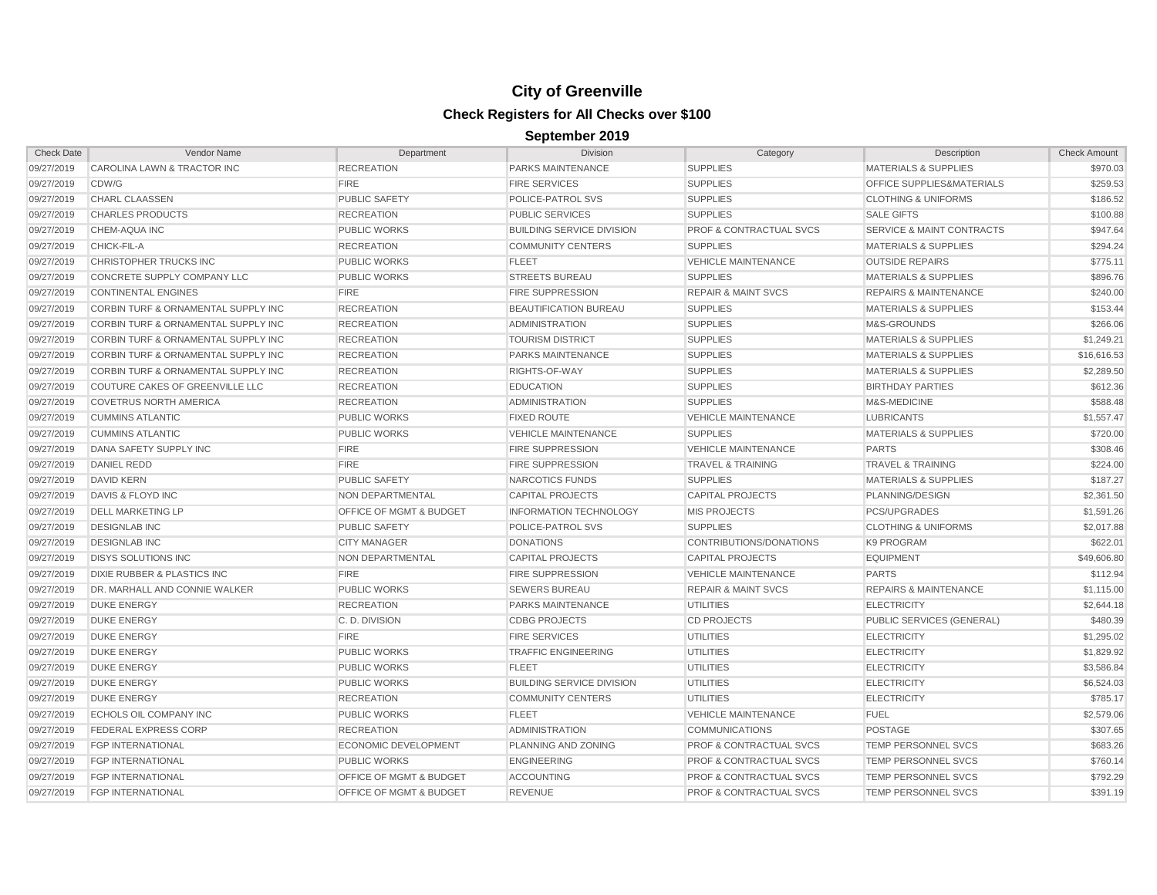| <b>Check Date</b> | Vendor Name                                    | Department                         | Division                         | Category                           | Description                          | <b>Check Amount</b> |
|-------------------|------------------------------------------------|------------------------------------|----------------------------------|------------------------------------|--------------------------------------|---------------------|
| 09/27/2019        | CAROLINA LAWN & TRACTOR INC                    | <b>RECREATION</b>                  | PARKS MAINTENANCE                | <b>SUPPLIES</b>                    | <b>MATERIALS &amp; SUPPLIES</b>      | \$970.03            |
| 09/27/2019        | CDW/G                                          | <b>FIRE</b>                        | <b>FIRE SERVICES</b>             | <b>SUPPLIES</b>                    | OFFICE SUPPLIES&MATERIALS            | \$259.53            |
| 09/27/2019        | <b>CHARL CLAASSEN</b>                          | <b>PUBLIC SAFETY</b>               | POLICE-PATROL SVS                | <b>SUPPLIES</b>                    | <b>CLOTHING &amp; UNIFORMS</b>       | \$186.52            |
| 09/27/2019        | <b>CHARLES PRODUCTS</b>                        | <b>RECREATION</b>                  | PUBLIC SERVICES                  | <b>SUPPLIES</b>                    | <b>SALE GIFTS</b>                    | \$100.88            |
| 09/27/2019        | <b>CHEM-AQUA INC</b>                           | <b>PUBLIC WORKS</b>                | <b>BUILDING SERVICE DIVISION</b> | <b>PROF &amp; CONTRACTUAL SVCS</b> | <b>SERVICE &amp; MAINT CONTRACTS</b> | \$947.64            |
| 09/27/2019        | CHICK-FIL-A                                    | <b>RECREATION</b>                  | <b>COMMUNITY CENTERS</b>         | <b>SUPPLIES</b>                    | <b>MATERIALS &amp; SUPPLIES</b>      | \$294.24            |
| 09/27/2019        | CHRISTOPHER TRUCKS INC                         | <b>PUBLIC WORKS</b>                | <b>FLEET</b>                     | <b>VEHICLE MAINTENANCE</b>         | <b>OUTSIDE REPAIRS</b>               | \$775.11            |
| 09/27/2019        | CONCRETE SUPPLY COMPANY LLC                    | <b>PUBLIC WORKS</b>                | <b>STREETS BUREAU</b>            | <b>SUPPLIES</b>                    | <b>MATERIALS &amp; SUPPLIES</b>      | \$896.76            |
| 09/27/2019        | <b>CONTINENTAL ENGINES</b>                     | <b>FIRE</b>                        | <b>FIRE SUPPRESSION</b>          | <b>REPAIR &amp; MAINT SVCS</b>     | <b>REPAIRS &amp; MAINTENANCE</b>     | \$240.00            |
| 09/27/2019        | CORBIN TURF & ORNAMENTAL SUPPLY INC            | <b>RECREATION</b>                  | BEAUTIFICATION BUREAU            | <b>SUPPLIES</b>                    | <b>MATERIALS &amp; SUPPLIES</b>      | \$153.44            |
| 09/27/2019        | CORBIN TURF & ORNAMENTAL SUPPLY INC            | <b>RECREATION</b>                  | <b>ADMINISTRATION</b>            | <b>SUPPLIES</b>                    | M&S-GROUNDS                          | \$266.06            |
| 09/27/2019        | CORBIN TURF & ORNAMENTAL SUPPLY INC            | <b>RECREATION</b>                  | <b>TOURISM DISTRICT</b>          | <b>SUPPLIES</b>                    | <b>MATERIALS &amp; SUPPLIES</b>      | \$1,249.21          |
| 09/27/2019        | <b>CORBIN TURF &amp; ORNAMENTAL SUPPLY INC</b> | <b>RECREATION</b>                  | PARKS MAINTENANCE                | <b>SUPPLIES</b>                    | <b>MATERIALS &amp; SUPPLIES</b>      | \$16,616.53         |
| 09/27/2019        | CORBIN TURF & ORNAMENTAL SUPPLY INC            | <b>RECREATION</b>                  | RIGHTS-OF-WAY                    | <b>SUPPLIES</b>                    | <b>MATERIALS &amp; SUPPLIES</b>      | \$2,289.50          |
| 09/27/2019        | COUTURE CAKES OF GREENVILLE LLC                | <b>RECREATION</b>                  | <b>EDUCATION</b>                 | <b>SUPPLIES</b>                    | <b>BIRTHDAY PARTIES</b>              | \$612.36            |
| 09/27/2019        | <b>COVETRUS NORTH AMERICA</b>                  | <b>RECREATION</b>                  | <b>ADMINISTRATION</b>            | <b>SUPPLIES</b>                    | M&S-MEDICINE                         | \$588.48            |
| 09/27/2019        | <b>CUMMINS ATLANTIC</b>                        | <b>PUBLIC WORKS</b>                | <b>FIXED ROUTE</b>               | <b>VEHICLE MAINTENANCE</b>         | <b>LUBRICANTS</b>                    | \$1,557.47          |
| 09/27/2019        | <b>CUMMINS ATLANTIC</b>                        | <b>PUBLIC WORKS</b>                | <b>VEHICLE MAINTENANCE</b>       | <b>SUPPLIES</b>                    | <b>MATERIALS &amp; SUPPLIES</b>      | \$720.00            |
| 09/27/2019        | DANA SAFETY SUPPLY INC                         | <b>FIRE</b>                        | <b>FIRE SUPPRESSION</b>          | <b>VEHICLE MAINTENANCE</b>         | <b>PARTS</b>                         | \$308.46            |
| 09/27/2019        | <b>DANIEL REDD</b>                             | <b>FIRE</b>                        | <b>FIRE SUPPRESSION</b>          | <b>TRAVEL &amp; TRAINING</b>       | TRAVEL & TRAINING                    | \$224.00            |
| 09/27/2019        | <b>DAVID KERN</b>                              | <b>PUBLIC SAFETY</b>               | NARCOTICS FUNDS                  | <b>SUPPLIES</b>                    | <b>MATERIALS &amp; SUPPLIES</b>      | \$187.27            |
| 09/27/2019        | <b>DAVIS &amp; FLOYD INC</b>                   | NON DEPARTMENTAL                   | <b>CAPITAL PROJECTS</b>          | <b>CAPITAL PROJECTS</b>            | PLANNING/DESIGN                      | \$2,361.50          |
| 09/27/2019        | <b>DELL MARKETING LP</b>                       | OFFICE OF MGMT & BUDGET            | <b>INFORMATION TECHNOLOGY</b>    | <b>MIS PROJECTS</b>                | PCS/UPGRADES                         | \$1,591.26          |
| 09/27/2019        | <b>DESIGNLAB INC</b>                           | <b>PUBLIC SAFETY</b>               | POLICE-PATROL SVS                | <b>SUPPLIES</b>                    | <b>CLOTHING &amp; UNIFORMS</b>       | \$2,017.88          |
| 09/27/2019        | <b>DESIGNLAB INC</b>                           | <b>CITY MANAGER</b>                | <b>DONATIONS</b>                 | CONTRIBUTIONS/DONATIONS            | K9 PROGRAM                           | \$622.01            |
| 09/27/2019        | <b>DISYS SOLUTIONS INC</b>                     | NON DEPARTMENTAL                   | <b>CAPITAL PROJECTS</b>          | <b>CAPITAL PROJECTS</b>            | <b>EQUIPMENT</b>                     | \$49,606.80         |
| 09/27/2019        | DIXIE RUBBER & PLASTICS INC                    | <b>FIRE</b>                        | <b>FIRE SUPPRESSION</b>          | <b>VEHICLE MAINTENANCE</b>         | <b>PARTS</b>                         | \$112.94            |
| 09/27/2019        | DR. MARHALL AND CONNIE WALKER                  | <b>PUBLIC WORKS</b>                | <b>SEWERS BUREAU</b>             | <b>REPAIR &amp; MAINT SVCS</b>     | <b>REPAIRS &amp; MAINTENANCE</b>     | \$1,115.00          |
| 09/27/2019        | <b>DUKE ENERGY</b>                             | <b>RECREATION</b>                  | PARKS MAINTENANCE                | UTILITIES                          | <b>ELECTRICITY</b>                   | \$2,644.18          |
| 09/27/2019        | <b>DUKE ENERGY</b>                             | C.D. DIVISION                      | <b>CDBG PROJECTS</b>             | <b>CD PROJECTS</b>                 | <b>PUBLIC SERVICES (GENERAL)</b>     | \$480.39            |
| 09/27/2019        | <b>DUKE ENERGY</b>                             | <b>FIRE</b>                        | <b>FIRE SERVICES</b>             | UTILITIES                          | <b>ELECTRICITY</b>                   | \$1,295.02          |
| 09/27/2019        | <b>DUKE ENERGY</b>                             | <b>PUBLIC WORKS</b>                | <b>TRAFFIC ENGINEERING</b>       | <b>UTILITIES</b>                   | <b>ELECTRICITY</b>                   | \$1,829.92          |
| 09/27/2019        | <b>DUKE ENERGY</b>                             | <b>PUBLIC WORKS</b>                | <b>FLEET</b>                     | <b>UTILITIES</b>                   | <b>ELECTRICITY</b>                   | \$3,586.84          |
| 09/27/2019        | <b>DUKE ENERGY</b>                             | <b>PUBLIC WORKS</b>                | <b>BUILDING SERVICE DIVISION</b> | UTILITIES                          | <b>ELECTRICITY</b>                   | \$6,524.03          |
| 09/27/2019        | <b>DUKE ENERGY</b>                             | <b>RECREATION</b>                  | <b>COMMUNITY CENTERS</b>         | <b>UTILITIES</b>                   | <b>ELECTRICITY</b>                   | \$785.17            |
| 09/27/2019        | ECHOLS OIL COMPANY INC                         | <b>PUBLIC WORKS</b>                | <b>FLEET</b>                     | <b>VEHICLE MAINTENANCE</b>         | <b>FUEL</b>                          | \$2,579.06          |
| 09/27/2019        | <b>FEDERAL EXPRESS CORP</b>                    | <b>RECREATION</b>                  | <b>ADMINISTRATION</b>            | <b>COMMUNICATIONS</b>              | <b>POSTAGE</b>                       | \$307.65            |
| 09/27/2019        | <b>FGP INTERNATIONAL</b>                       | ECONOMIC DEVELOPMENT               | PLANNING AND ZONING              | <b>PROF &amp; CONTRACTUAL SVCS</b> | TEMP PERSONNEL SVCS                  | \$683.26            |
| 09/27/2019        | <b>FGP INTERNATIONAL</b>                       | <b>PUBLIC WORKS</b>                | <b>ENGINEERING</b>               | <b>PROF &amp; CONTRACTUAL SVCS</b> | TEMP PERSONNEL SVCS                  | \$760.14            |
| 09/27/2019        | <b>FGP INTERNATIONAL</b>                       | OFFICE OF MGMT & BUDGET            | <b>ACCOUNTING</b>                | <b>PROF &amp; CONTRACTUAL SVCS</b> | TEMP PERSONNEL SVCS                  | \$792.29            |
| 09/27/2019        | <b>FGP INTERNATIONAL</b>                       | <b>OFFICE OF MGMT &amp; BUDGET</b> | <b>REVENUE</b>                   | <b>PROF &amp; CONTRACTUAL SVCS</b> | TEMP PERSONNEL SVCS                  | \$391.19            |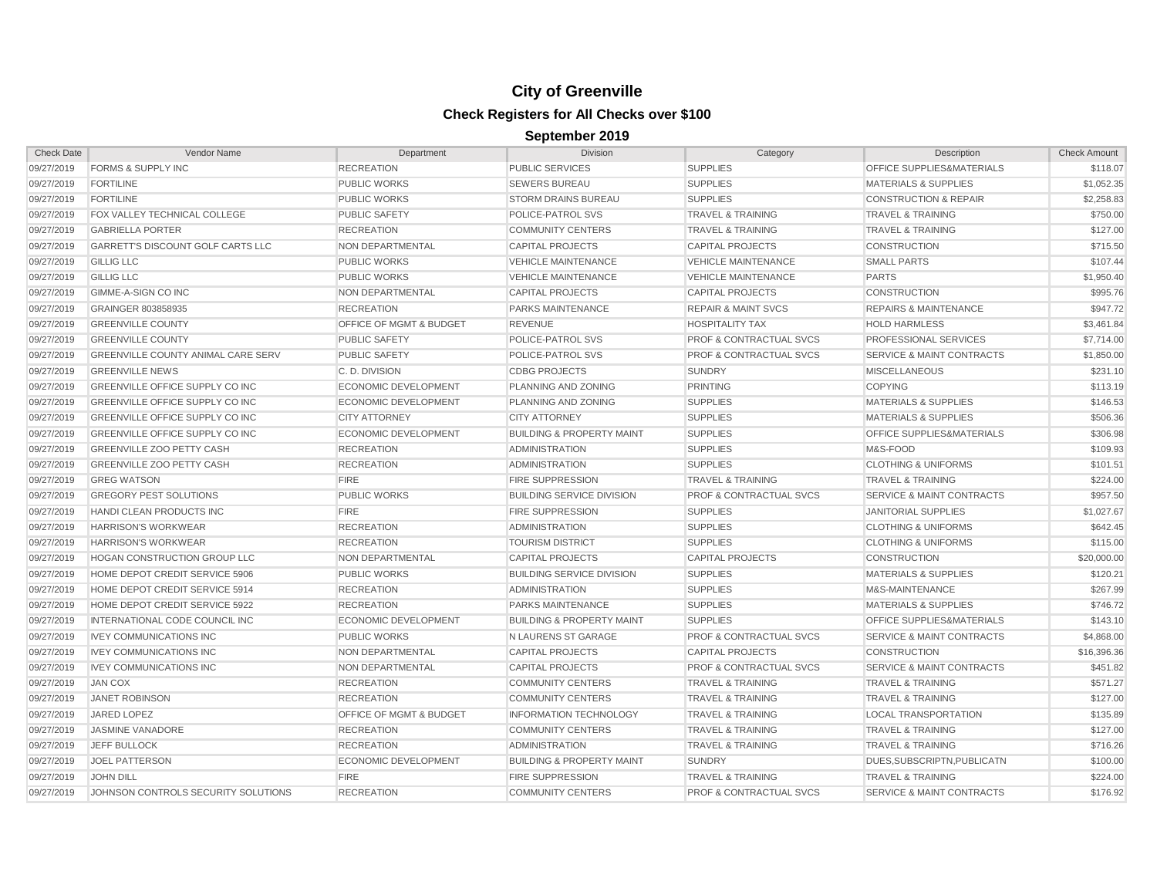| <b>Check Date</b> | Vendor Name                             | Department                         | <b>Division</b>                      | Category                           | Description                          | <b>Check Amount</b> |
|-------------------|-----------------------------------------|------------------------------------|--------------------------------------|------------------------------------|--------------------------------------|---------------------|
| 09/27/2019        | <b>FORMS &amp; SUPPLY INC</b>           | <b>RECREATION</b>                  | <b>PUBLIC SERVICES</b>               | <b>SUPPLIES</b>                    | OFFICE SUPPLIES&MATERIALS            | \$118.07            |
| 09/27/2019        | <b>FORTILINE</b>                        | <b>PUBLIC WORKS</b>                | <b>SEWERS BUREAU</b>                 | <b>SUPPLIES</b>                    | <b>MATERIALS &amp; SUPPLIES</b>      | \$1,052.35          |
| 09/27/2019        | <b>FORTILINE</b>                        | <b>PUBLIC WORKS</b>                | <b>STORM DRAINS BUREAU</b>           | <b>SUPPLIES</b>                    | <b>CONSTRUCTION &amp; REPAIR</b>     | \$2,258.83          |
| 09/27/2019        | FOX VALLEY TECHNICAL COLLEGE            | <b>PUBLIC SAFETY</b>               | POLICE-PATROL SVS                    | <b>TRAVEL &amp; TRAINING</b>       | <b>TRAVEL &amp; TRAINING</b>         | \$750.00            |
| 09/27/2019        | <b>GABRIELLA PORTER</b>                 | <b>RECREATION</b>                  | <b>COMMUNITY CENTERS</b>             | <b>TRAVEL &amp; TRAINING</b>       | <b>TRAVEL &amp; TRAINING</b>         | \$127.00            |
| 09/27/2019        | GARRETT'S DISCOUNT GOLF CARTS LLC       | <b>NON DEPARTMENTAL</b>            | <b>CAPITAL PROJECTS</b>              | <b>CAPITAL PROJECTS</b>            | <b>CONSTRUCTION</b>                  | \$715.50            |
| 09/27/2019        | <b>GILLIG LLC</b>                       | <b>PUBLIC WORKS</b>                | <b>VEHICLE MAINTENANCE</b>           | <b>VEHICLE MAINTENANCE</b>         | <b>SMALL PARTS</b>                   | \$107.44            |
| 09/27/2019        | <b>GILLIG LLC</b>                       | <b>PUBLIC WORKS</b>                | <b>VEHICLE MAINTENANCE</b>           | <b>VEHICLE MAINTENANCE</b>         | <b>PARTS</b>                         | \$1,950.40          |
| 09/27/2019        | GIMME-A-SIGN CO INC                     | NON DEPARTMENTAL                   | <b>CAPITAL PROJECTS</b>              | <b>CAPITAL PROJECTS</b>            | <b>CONSTRUCTION</b>                  | \$995.76            |
| 09/27/2019        | GRAINGER 803858935                      | <b>RECREATION</b>                  | <b>PARKS MAINTENANCE</b>             | <b>REPAIR &amp; MAINT SVCS</b>     | <b>REPAIRS &amp; MAINTENANCE</b>     | \$947.72            |
| 09/27/2019        | <b>GREENVILLE COUNTY</b>                | OFFICE OF MGMT & BUDGET            | <b>REVENUE</b>                       | <b>HOSPITALITY TAX</b>             | <b>HOLD HARMLESS</b>                 | \$3,461.84          |
| 09/27/2019        | <b>GREENVILLE COUNTY</b>                | <b>PUBLIC SAFETY</b>               | POLICE-PATROL SVS                    | <b>PROF &amp; CONTRACTUAL SVCS</b> | PROFESSIONAL SERVICES                | \$7,714.00          |
| 09/27/2019        | GREENVILLE COUNTY ANIMAL CARE SERV      | <b>PUBLIC SAFETY</b>               | POLICE-PATROL SVS                    | <b>PROF &amp; CONTRACTUAL SVCS</b> | SERVICE & MAINT CONTRACTS            | \$1,850.00          |
| 09/27/2019        | <b>GREENVILLE NEWS</b>                  | C.D. DIVISION                      | <b>CDBG PROJECTS</b>                 | <b>SUNDRY</b>                      | <b>MISCELLANEOUS</b>                 | \$231.10            |
| 09/27/2019        | GREENVILLE OFFICE SUPPLY CO INC         | <b>ECONOMIC DEVELOPMENT</b>        | PLANNING AND ZONING                  | <b>PRINTING</b>                    | <b>COPYING</b>                       | \$113.19            |
| 09/27/2019        | <b>GREENVILLE OFFICE SUPPLY CO INC</b>  | <b>ECONOMIC DEVELOPMENT</b>        | PLANNING AND ZONING                  | <b>SUPPLIES</b>                    | <b>MATERIALS &amp; SUPPLIES</b>      | \$146.53            |
| 09/27/2019        | <b>GREENVILLE OFFICE SUPPLY CO INC.</b> | <b>CITY ATTORNEY</b>               | <b>CITY ATTORNEY</b>                 | <b>SUPPLIES</b>                    | <b>MATERIALS &amp; SUPPLIES</b>      | \$506.36            |
| 09/27/2019        | GREENVILLE OFFICE SUPPLY CO INC         | <b>ECONOMIC DEVELOPMENT</b>        | <b>BUILDING &amp; PROPERTY MAINT</b> | <b>SUPPLIES</b>                    | OFFICE SUPPLIES&MATERIALS            | \$306.98            |
| 09/27/2019        | <b>GREENVILLE ZOO PETTY CASH</b>        | <b>RECREATION</b>                  | <b>ADMINISTRATION</b>                | <b>SUPPLIES</b>                    | M&S-FOOD                             | \$109.93            |
| 09/27/2019        | <b>GREENVILLE ZOO PETTY CASH</b>        | <b>RECREATION</b>                  | <b>ADMINISTRATION</b>                | <b>SUPPLIES</b>                    | <b>CLOTHING &amp; UNIFORMS</b>       | \$101.51            |
| 09/27/2019        | <b>GREG WATSON</b>                      | <b>FIRE</b>                        | <b>FIRE SUPPRESSION</b>              | <b>TRAVEL &amp; TRAINING</b>       | <b>TRAVEL &amp; TRAINING</b>         | \$224.00            |
| 09/27/2019        | <b>GREGORY PEST SOLUTIONS</b>           | <b>PUBLIC WORKS</b>                | <b>BUILDING SERVICE DIVISION</b>     | <b>PROF &amp; CONTRACTUAL SVCS</b> | <b>SERVICE &amp; MAINT CONTRACTS</b> | \$957.50            |
| 09/27/2019        | HANDI CLEAN PRODUCTS INC                | <b>FIRE</b>                        | <b>FIRE SUPPRESSION</b>              | <b>SUPPLIES</b>                    | <b>JANITORIAL SUPPLIES</b>           | \$1,027.67          |
| 09/27/2019        | <b>HARRISON'S WORKWEAR</b>              | <b>RECREATION</b>                  | <b>ADMINISTRATION</b>                | <b>SUPPLIES</b>                    | <b>CLOTHING &amp; UNIFORMS</b>       | \$642.45            |
| 09/27/2019        | <b>HARRISON'S WORKWEAR</b>              | <b>RECREATION</b>                  | <b>TOURISM DISTRICT</b>              | <b>SUPPLIES</b>                    | <b>CLOTHING &amp; UNIFORMS</b>       | \$115.00            |
| 09/27/2019        | HOGAN CONSTRUCTION GROUP LLC            | NON DEPARTMENTAL                   | <b>CAPITAL PROJECTS</b>              | <b>CAPITAL PROJECTS</b>            | <b>CONSTRUCTION</b>                  | \$20,000.00         |
| 09/27/2019        | HOME DEPOT CREDIT SERVICE 5906          | <b>PUBLIC WORKS</b>                | <b>BUILDING SERVICE DIVISION</b>     | <b>SUPPLIES</b>                    | <b>MATERIALS &amp; SUPPLIES</b>      | \$120.21            |
| 09/27/2019        | HOME DEPOT CREDIT SERVICE 5914          | <b>RECREATION</b>                  | <b>ADMINISTRATION</b>                | <b>SUPPLIES</b>                    | M&S-MAINTENANCE                      | \$267.99            |
| 09/27/2019        | HOME DEPOT CREDIT SERVICE 5922          | <b>RECREATION</b>                  | PARKS MAINTENANCE                    | <b>SUPPLIES</b>                    | <b>MATERIALS &amp; SUPPLIES</b>      | \$746.72            |
| 09/27/2019        | INTERNATIONAL CODE COUNCIL INC          | <b>ECONOMIC DEVELOPMENT</b>        | <b>BUILDING &amp; PROPERTY MAINT</b> | <b>SUPPLIES</b>                    | OFFICE SUPPLIES&MATERIALS            | \$143.10            |
| 09/27/2019        | <b>IVEY COMMUNICATIONS INC</b>          | <b>PUBLIC WORKS</b>                | N LAURENS ST GARAGE                  | <b>PROF &amp; CONTRACTUAL SVCS</b> | <b>SERVICE &amp; MAINT CONTRACTS</b> | \$4,868.00          |
| 09/27/2019        | <b>IVEY COMMUNICATIONS INC</b>          | <b>NON DEPARTMENTAL</b>            | <b>CAPITAL PROJECTS</b>              | <b>CAPITAL PROJECTS</b>            | <b>CONSTRUCTION</b>                  | \$16,396.36         |
| 09/27/2019        | <b>IVEY COMMUNICATIONS INC</b>          | NON DEPARTMENTAL                   | <b>CAPITAL PROJECTS</b>              | <b>PROF &amp; CONTRACTUAL SVCS</b> | <b>SERVICE &amp; MAINT CONTRACTS</b> | \$451.82            |
| 09/27/2019        | <b>JAN COX</b>                          | <b>RECREATION</b>                  | <b>COMMUNITY CENTERS</b>             | <b>TRAVEL &amp; TRAINING</b>       | <b>TRAVEL &amp; TRAINING</b>         | \$571.27            |
| 09/27/2019        | <b>JANET ROBINSON</b>                   | <b>RECREATION</b>                  | <b>COMMUNITY CENTERS</b>             | <b>TRAVEL &amp; TRAINING</b>       | <b>TRAVEL &amp; TRAINING</b>         | \$127.00            |
| 09/27/2019        | <b>JARED LOPEZ</b>                      | <b>OFFICE OF MGMT &amp; BUDGET</b> | <b>INFORMATION TECHNOLOGY</b>        | <b>TRAVEL &amp; TRAINING</b>       | <b>LOCAL TRANSPORTATION</b>          | \$135.89            |
| 09/27/2019        | <b>JASMINE VANADORE</b>                 | <b>RECREATION</b>                  | <b>COMMUNITY CENTERS</b>             | <b>TRAVEL &amp; TRAINING</b>       | <b>TRAVEL &amp; TRAINING</b>         | \$127.00            |
| 09/27/2019        | JEFF BULLOCK                            | <b>RECREATION</b>                  | <b>ADMINISTRATION</b>                | <b>TRAVEL &amp; TRAINING</b>       | <b>TRAVEL &amp; TRAINING</b>         | \$716.26            |
| 09/27/2019        | <b>JOEL PATTERSON</b>                   | <b>ECONOMIC DEVELOPMENT</b>        | <b>BUILDING &amp; PROPERTY MAINT</b> | <b>SUNDRY</b>                      | DUES, SUBSCRIPTN, PUBLICATN          | \$100.00            |
| 09/27/2019        | <b>JOHN DILL</b>                        | <b>FIRE</b>                        | <b>FIRE SUPPRESSION</b>              | <b>TRAVEL &amp; TRAINING</b>       | <b>TRAVEL &amp; TRAINING</b>         | \$224.00            |
| 09/27/2019        | JOHNSON CONTROLS SECURITY SOLUTIONS     | <b>RECREATION</b>                  | <b>COMMUNITY CENTERS</b>             | <b>PROF &amp; CONTRACTUAL SVCS</b> | <b>SERVICE &amp; MAINT CONTRACTS</b> | \$176.92            |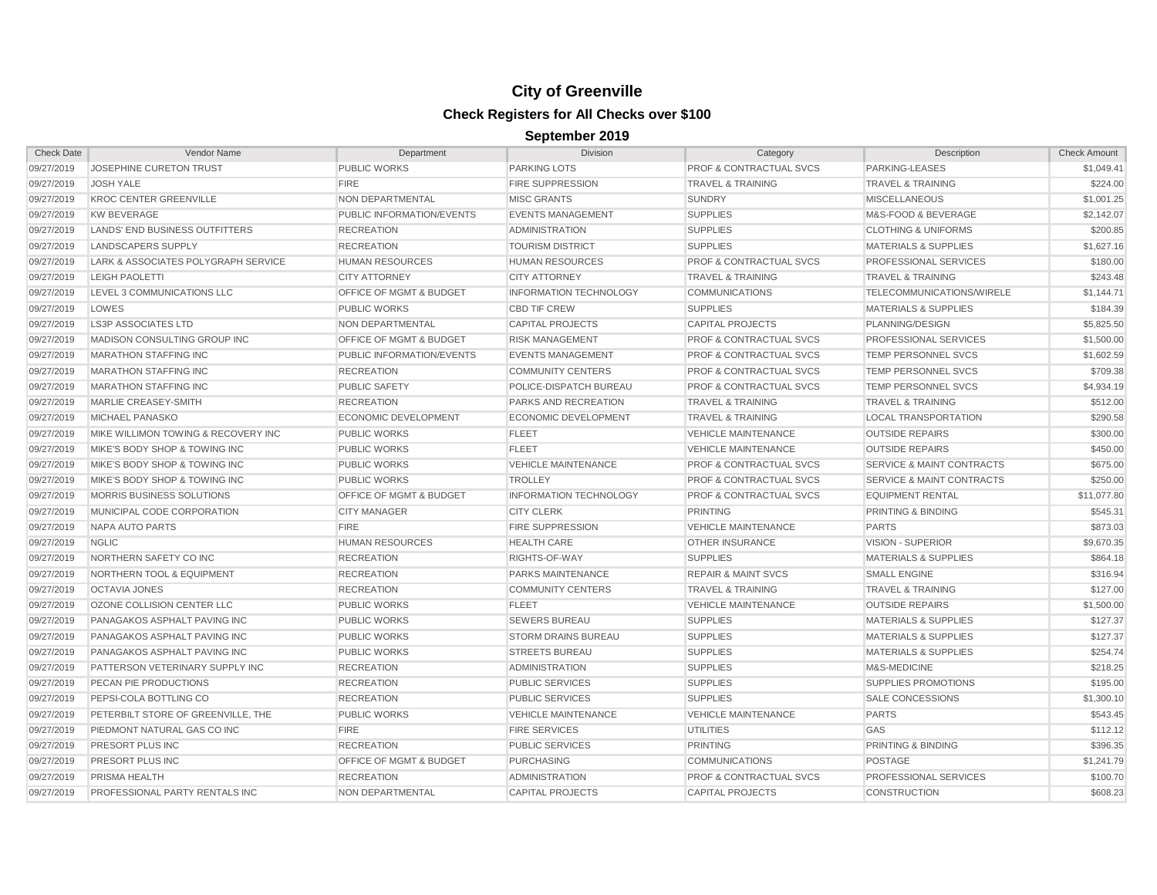| <b>Check Date</b> | Vendor Name                           | Department                         | <b>Division</b>               | Category                           | Description                          | <b>Check Amount</b> |
|-------------------|---------------------------------------|------------------------------------|-------------------------------|------------------------------------|--------------------------------------|---------------------|
| 09/27/2019        | JOSEPHINE CURETON TRUST               | <b>PUBLIC WORKS</b>                | <b>PARKING LOTS</b>           | <b>PROF &amp; CONTRACTUAL SVCS</b> | PARKING-LEASES                       | \$1,049.41          |
| 09/27/2019        | <b>JOSH YALE</b>                      | <b>FIRE</b>                        | <b>FIRE SUPPRESSION</b>       | <b>TRAVEL &amp; TRAINING</b>       | <b>TRAVEL &amp; TRAINING</b>         | \$224.00            |
| 09/27/2019        | <b>KROC CENTER GREENVILLE</b>         | NON DEPARTMENTAL                   | <b>MISC GRANTS</b>            | <b>SUNDRY</b>                      | <b>MISCELLANEOUS</b>                 | \$1,001.25          |
| 09/27/2019        | <b>KW BEVERAGE</b>                    | PUBLIC INFORMATION/EVENTS          | <b>EVENTS MANAGEMENT</b>      | <b>SUPPLIES</b>                    | M&S-FOOD & BEVERAGE                  | \$2,142.07          |
| 09/27/2019        | <b>LANDS' END BUSINESS OUTFITTERS</b> | <b>RECREATION</b>                  | <b>ADMINISTRATION</b>         | <b>SUPPLIES</b>                    | <b>CLOTHING &amp; UNIFORMS</b>       | \$200.85            |
| 09/27/2019        | <b>LANDSCAPERS SUPPLY</b>             | <b>RECREATION</b>                  | <b>TOURISM DISTRICT</b>       | <b>SUPPLIES</b>                    | <b>MATERIALS &amp; SUPPLIES</b>      | \$1,627.16          |
| 09/27/2019        | LARK & ASSOCIATES POLYGRAPH SERVICE   | <b>HUMAN RESOURCES</b>             | <b>HUMAN RESOURCES</b>        | <b>PROF &amp; CONTRACTUAL SVCS</b> | PROFESSIONAL SERVICES                | \$180.00            |
| 09/27/2019        | <b>LEIGH PAOLETTI</b>                 | <b>CITY ATTORNEY</b>               | <b>CITY ATTORNEY</b>          | <b>TRAVEL &amp; TRAINING</b>       | <b>TRAVEL &amp; TRAINING</b>         | \$243.48            |
| 09/27/2019        | LEVEL 3 COMMUNICATIONS LLC            | OFFICE OF MGMT & BUDGET            | <b>INFORMATION TECHNOLOGY</b> | <b>COMMUNICATIONS</b>              | <b>TELECOMMUNICATIONS/WIRELE</b>     | \$1,144.71          |
| 09/27/2019        | LOWES                                 | <b>PUBLIC WORKS</b>                | <b>CBD TIF CREW</b>           | <b>SUPPLIES</b>                    | <b>MATERIALS &amp; SUPPLIES</b>      | \$184.39            |
| 09/27/2019        | <b>LS3P ASSOCIATES LTD</b>            | NON DEPARTMENTAL                   | <b>CAPITAL PROJECTS</b>       | <b>CAPITAL PROJECTS</b>            | PLANNING/DESIGN                      | \$5,825.50          |
| 09/27/2019        | MADISON CONSULTING GROUP INC          | OFFICE OF MGMT & BUDGET            | <b>RISK MANAGEMENT</b>        | <b>PROF &amp; CONTRACTUAL SVCS</b> | PROFESSIONAL SERVICES                | \$1,500.00          |
| 09/27/2019        | <b>MARATHON STAFFING INC</b>          | PUBLIC INFORMATION/EVENTS          | <b>EVENTS MANAGEMENT</b>      | <b>PROF &amp; CONTRACTUAL SVCS</b> | TEMP PERSONNEL SVCS                  | \$1,602.59          |
| 09/27/2019        | <b>MARATHON STAFFING INC</b>          | <b>RECREATION</b>                  | <b>COMMUNITY CENTERS</b>      | <b>PROF &amp; CONTRACTUAL SVCS</b> | <b>TEMP PERSONNEL SVCS</b>           | \$709.38            |
| 09/27/2019        | <b>MARATHON STAFFING INC</b>          | <b>PUBLIC SAFETY</b>               | POLICE-DISPATCH BUREAU        | <b>PROF &amp; CONTRACTUAL SVCS</b> | <b>TEMP PERSONNEL SVCS</b>           | \$4.934.19          |
| 09/27/2019        | MARLIE CREASEY-SMITH                  | <b>RECREATION</b>                  | <b>PARKS AND RECREATION</b>   | <b>TRAVEL &amp; TRAINING</b>       | <b>TRAVEL &amp; TRAINING</b>         | \$512.00            |
| 09/27/2019        | <b>MICHAEL PANASKO</b>                | <b>ECONOMIC DEVELOPMENT</b>        | <b>ECONOMIC DEVELOPMENT</b>   | <b>TRAVEL &amp; TRAINING</b>       | <b>LOCAL TRANSPORTATION</b>          | \$290.58            |
| 09/27/2019        | MIKE WILLIMON TOWING & RECOVERY INC   | <b>PUBLIC WORKS</b>                | <b>FLEET</b>                  | <b>VEHICLE MAINTENANCE</b>         | <b>OUTSIDE REPAIRS</b>               | \$300.00            |
| 09/27/2019        | MIKE'S BODY SHOP & TOWING INC         | <b>PUBLIC WORKS</b>                | <b>FLEET</b>                  | <b>VEHICLE MAINTENANCE</b>         | <b>OUTSIDE REPAIRS</b>               | \$450.00            |
| 09/27/2019        | MIKE'S BODY SHOP & TOWING INC         | <b>PUBLIC WORKS</b>                | <b>VEHICLE MAINTENANCE</b>    | <b>PROF &amp; CONTRACTUAL SVCS</b> | <b>SERVICE &amp; MAINT CONTRACTS</b> | \$675.00            |
| 09/27/2019        | MIKE'S BODY SHOP & TOWING INC         | <b>PUBLIC WORKS</b>                | <b>TROLLEY</b>                | <b>PROF &amp; CONTRACTUAL SVCS</b> | <b>SERVICE &amp; MAINT CONTRACTS</b> | \$250.00            |
| 09/27/2019        | MORRIS BUSINESS SOLUTIONS             | <b>OFFICE OF MGMT &amp; BUDGET</b> | <b>INFORMATION TECHNOLOGY</b> | <b>PROF &amp; CONTRACTUAL SVCS</b> | <b>EQUIPMENT RENTAL</b>              | \$11,077.80         |
| 09/27/2019        | MUNICIPAL CODE CORPORATION            | <b>CITY MANAGER</b>                | <b>CITY CLERK</b>             | <b>PRINTING</b>                    | <b>PRINTING &amp; BINDING</b>        | \$545.31            |
| 09/27/2019        | <b>NAPA AUTO PARTS</b>                | <b>FIRE</b>                        | <b>FIRE SUPPRESSION</b>       | <b>VEHICLE MAINTENANCE</b>         | <b>PARTS</b>                         | \$873.03            |
| 09/27/2019        | <b>NGLIC</b>                          | <b>HUMAN RESOURCES</b>             | <b>HEALTH CARE</b>            | <b>OTHER INSURANCE</b>             | <b>VISION - SUPERIOR</b>             | \$9,670.35          |
| 09/27/2019        | NORTHERN SAFETY CO INC                | <b>RECREATION</b>                  | RIGHTS-OF-WAY                 | <b>SUPPLIES</b>                    | <b>MATERIALS &amp; SUPPLIES</b>      | \$864.18            |
| 09/27/2019        | NORTHERN TOOL & EQUIPMENT             | <b>RECREATION</b>                  | PARKS MAINTENANCE             | <b>REPAIR &amp; MAINT SVCS</b>     | <b>SMALL ENGINE</b>                  | \$316.94            |
| 09/27/2019        | <b>OCTAVIA JONES</b>                  | <b>RECREATION</b>                  | <b>COMMUNITY CENTERS</b>      | <b>TRAVEL &amp; TRAINING</b>       | <b>TRAVEL &amp; TRAINING</b>         | \$127.00            |
| 09/27/2019        | OZONE COLLISION CENTER LLC            | <b>PUBLIC WORKS</b>                | <b>FLEET</b>                  | <b>VEHICLE MAINTENANCE</b>         | <b>OUTSIDE REPAIRS</b>               | \$1,500.00          |
| 09/27/2019        | PANAGAKOS ASPHALT PAVING INC          | <b>PUBLIC WORKS</b>                | <b>SEWERS BUREAU</b>          | <b>SUPPLIES</b>                    | <b>MATERIALS &amp; SUPPLIES</b>      | \$127.37            |
| 09/27/2019        | PANAGAKOS ASPHALT PAVING INC          | <b>PUBLIC WORKS</b>                | <b>STORM DRAINS BUREAU</b>    | <b>SUPPLIES</b>                    | <b>MATERIALS &amp; SUPPLIES</b>      | \$127.37            |
| 09/27/2019        | PANAGAKOS ASPHALT PAVING INC          | <b>PUBLIC WORKS</b>                | <b>STREETS BUREAU</b>         | <b>SUPPLIES</b>                    | <b>MATERIALS &amp; SUPPLIES</b>      | \$254.74            |
| 09/27/2019        | PATTERSON VETERINARY SUPPLY INC       | <b>RECREATION</b>                  | <b>ADMINISTRATION</b>         | <b>SUPPLIES</b>                    | M&S-MEDICINE                         | \$218.25            |
| 09/27/2019        | PECAN PIE PRODUCTIONS                 | <b>RECREATION</b>                  | <b>PUBLIC SERVICES</b>        | <b>SUPPLIES</b>                    | <b>SUPPLIES PROMOTIONS</b>           | \$195.00            |
| 09/27/2019        | PEPSI-COLA BOTTLING CO                | <b>RECREATION</b>                  | <b>PUBLIC SERVICES</b>        | <b>SUPPLIES</b>                    | <b>SALE CONCESSIONS</b>              | \$1,300.10          |
| 09/27/2019        | PETERBILT STORE OF GREENVILLE, THE    | <b>PUBLIC WORKS</b>                | <b>VEHICLE MAINTENANCE</b>    | <b>VEHICLE MAINTENANCE</b>         | <b>PARTS</b>                         | \$543.45            |
| 09/27/2019        | PIEDMONT NATURAL GAS CO INC           | <b>FIRE</b>                        | <b>FIRE SERVICES</b>          | <b>UTILITIES</b>                   | <b>GAS</b>                           | \$112.12            |
| 09/27/2019        | PRESORT PLUS INC                      | <b>RECREATION</b>                  | <b>PUBLIC SERVICES</b>        | <b>PRINTING</b>                    | PRINTING & BINDING                   | \$396.35            |
| 09/27/2019        | PRESORT PLUS INC                      | OFFICE OF MGMT & BUDGET            | <b>PURCHASING</b>             | <b>COMMUNICATIONS</b>              | <b>POSTAGE</b>                       | \$1,241.79          |
| 09/27/2019        | PRISMA HEALTH                         | <b>RECREATION</b>                  | <b>ADMINISTRATION</b>         | <b>PROF &amp; CONTRACTUAL SVCS</b> | PROFESSIONAL SERVICES                | \$100.70            |
| 09/27/2019        | PROFESSIONAL PARTY RENTALS INC        | NON DEPARTMENTAL                   | <b>CAPITAL PROJECTS</b>       | <b>CAPITAL PROJECTS</b>            | <b>CONSTRUCTION</b>                  | \$608.23            |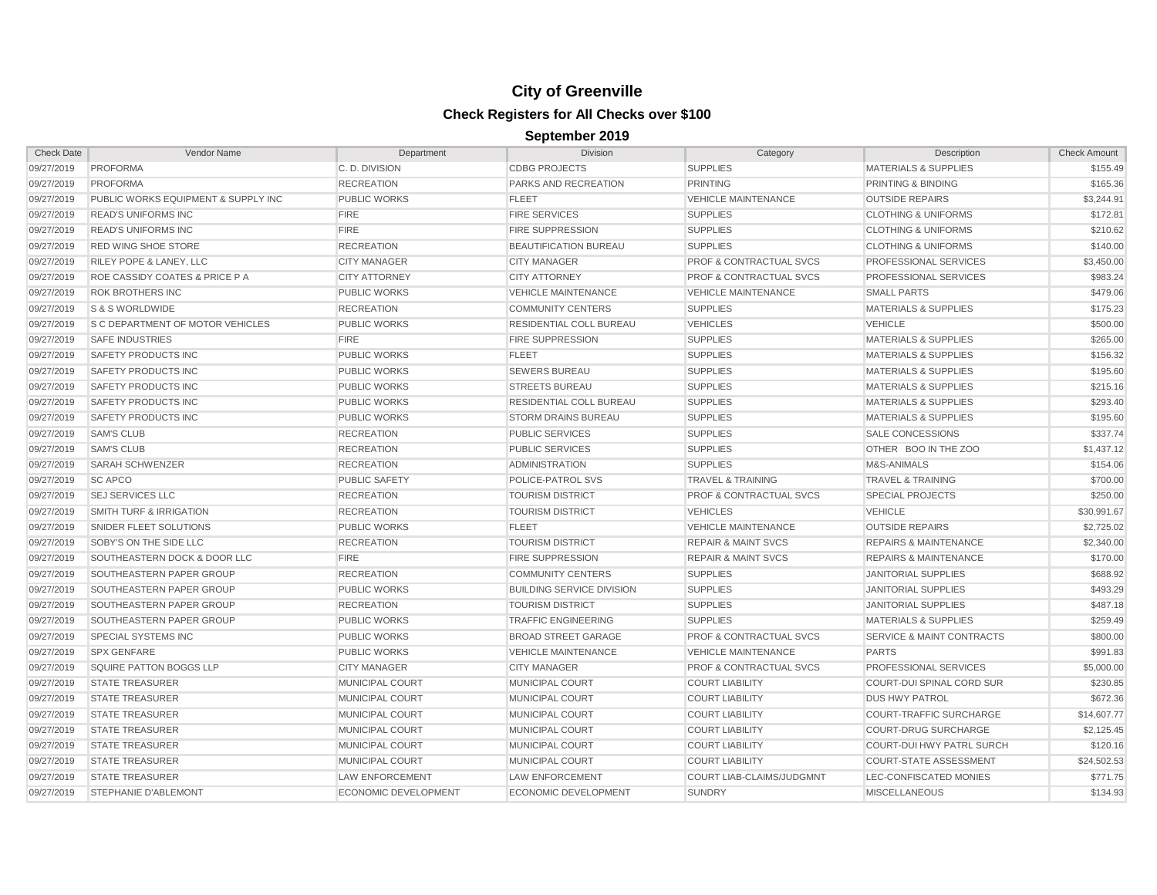| <b>Check Date</b> | <b>Vendor Name</b>                  | Department             | <b>Division</b>                  | Category                           | Description                          | <b>Check Amount</b> |
|-------------------|-------------------------------------|------------------------|----------------------------------|------------------------------------|--------------------------------------|---------------------|
| 09/27/2019        | PROFORMA                            | C. D. DIVISION         | <b>CDBG PROJECTS</b>             | <b>SUPPLIES</b>                    | <b>MATERIALS &amp; SUPPLIES</b>      | \$155.49            |
| 09/27/2019        | <b>PROFORMA</b>                     | <b>RECREATION</b>      | PARKS AND RECREATION             | <b>PRINTING</b>                    | PRINTING & BINDING                   | \$165.36            |
| 09/27/2019        | PUBLIC WORKS EQUIPMENT & SUPPLY INC | <b>PUBLIC WORKS</b>    | <b>FLEET</b>                     | <b>VEHICLE MAINTENANCE</b>         | <b>OUTSIDE REPAIRS</b>               | \$3,244.91          |
| 09/27/2019        | <b>READ'S UNIFORMS INC</b>          | <b>FIRE</b>            | <b>FIRE SERVICES</b>             | <b>SUPPLIES</b>                    | <b>CLOTHING &amp; UNIFORMS</b>       | \$172.81            |
| 09/27/2019        | <b>READ'S UNIFORMS INC</b>          | <b>FIRE</b>            | <b>FIRE SUPPRESSION</b>          | <b>SUPPLIES</b>                    | <b>CLOTHING &amp; UNIFORMS</b>       | \$210.62            |
| 09/27/2019        | <b>RED WING SHOE STORE</b>          | <b>RECREATION</b>      | <b>BEAUTIFICATION BUREAU</b>     | <b>SUPPLIES</b>                    | <b>CLOTHING &amp; UNIFORMS</b>       | \$140.00            |
| 09/27/2019        | RILEY POPE & LANEY, LLC             | <b>CITY MANAGER</b>    | <b>CITY MANAGER</b>              | <b>PROF &amp; CONTRACTUAL SVCS</b> | PROFESSIONAL SERVICES                | \$3,450.00          |
| 09/27/2019        | ROE CASSIDY COATES & PRICE P A      | <b>CITY ATTORNEY</b>   | <b>CITY ATTORNEY</b>             | <b>PROF &amp; CONTRACTUAL SVCS</b> | PROFESSIONAL SERVICES                | \$983.24            |
| 09/27/2019        | <b>ROK BROTHERS INC</b>             | <b>PUBLIC WORKS</b>    | <b>VEHICLE MAINTENANCE</b>       | <b>VEHICLE MAINTENANCE</b>         | <b>SMALL PARTS</b>                   | \$479.06            |
| 09/27/2019        | <b>S&amp;SWORLDWIDE</b>             | <b>RECREATION</b>      | <b>COMMUNITY CENTERS</b>         | <b>SUPPLIES</b>                    | <b>MATERIALS &amp; SUPPLIES</b>      | \$175.23            |
| 09/27/2019        | S C DEPARTMENT OF MOTOR VEHICLES    | <b>PUBLIC WORKS</b>    | <b>RESIDENTIAL COLL BUREAU</b>   | <b>VEHICLES</b>                    | <b>VEHICLE</b>                       | \$500.00            |
| 09/27/2019        | <b>SAFE INDUSTRIES</b>              | <b>FIRE</b>            | <b>FIRE SUPPRESSION</b>          | <b>SUPPLIES</b>                    | <b>MATERIALS &amp; SUPPLIES</b>      | \$265.00            |
| 09/27/2019        | SAFETY PRODUCTS INC                 | PUBLIC WORKS           | <b>FLEET</b>                     | <b>SUPPLIES</b>                    | <b>MATERIALS &amp; SUPPLIES</b>      | \$156.32            |
| 09/27/2019        | SAFETY PRODUCTS INC                 | <b>PUBLIC WORKS</b>    | <b>SEWERS BUREAU</b>             | <b>SUPPLIES</b>                    | <b>MATERIALS &amp; SUPPLIES</b>      | \$195.60            |
| 09/27/2019        | SAFETY PRODUCTS INC                 | <b>PUBLIC WORKS</b>    | <b>STREETS BUREAU</b>            | <b>SUPPLIES</b>                    | <b>MATERIALS &amp; SUPPLIES</b>      | \$215.16            |
| 09/27/2019        | SAFETY PRODUCTS INC                 | <b>PUBLIC WORKS</b>    | RESIDENTIAL COLL BUREAU          | <b>SUPPLIES</b>                    | <b>MATERIALS &amp; SUPPLIES</b>      | \$293.40            |
| 09/27/2019        | SAFETY PRODUCTS INC                 | <b>PUBLIC WORKS</b>    | <b>STORM DRAINS BUREAU</b>       | <b>SUPPLIES</b>                    | <b>MATERIALS &amp; SUPPLIES</b>      | \$195.60            |
| 09/27/2019        | <b>SAM'S CLUB</b>                   | <b>RECREATION</b>      | <b>PUBLIC SERVICES</b>           | <b>SUPPLIES</b>                    | <b>SALE CONCESSIONS</b>              | \$337.74            |
| 09/27/2019        | <b>SAM'S CLUB</b>                   | <b>RECREATION</b>      | <b>PUBLIC SERVICES</b>           | <b>SUPPLIES</b>                    | OTHER BOO IN THE ZOO                 | \$1,437.12          |
| 09/27/2019        | <b>SARAH SCHWENZER</b>              | <b>RECREATION</b>      | <b>ADMINISTRATION</b>            | <b>SUPPLIES</b>                    | M&S-ANIMALS                          | \$154.06            |
| 09/27/2019        | <b>SC APCO</b>                      | <b>PUBLIC SAFETY</b>   | POLICE-PATROL SVS                | <b>TRAVEL &amp; TRAINING</b>       | <b>TRAVEL &amp; TRAINING</b>         | \$700.00            |
| 09/27/2019        | <b>SEJ SERVICES LLC</b>             | <b>RECREATION</b>      | <b>TOURISM DISTRICT</b>          | <b>PROF &amp; CONTRACTUAL SVCS</b> | <b>SPECIAL PROJECTS</b>              | \$250.00            |
| 09/27/2019        | <b>SMITH TURF &amp; IRRIGATION</b>  | <b>RECREATION</b>      | <b>TOURISM DISTRICT</b>          | <b>VEHICLES</b>                    | <b>VEHICLE</b>                       | \$30,991.67         |
| 09/27/2019        | SNIDER FLEET SOLUTIONS              | <b>PUBLIC WORKS</b>    | <b>FLEET</b>                     | <b>VEHICLE MAINTENANCE</b>         | <b>OUTSIDE REPAIRS</b>               | \$2,725.02          |
| 09/27/2019        | SOBY'S ON THE SIDE LLC              | <b>RECREATION</b>      | <b>TOURISM DISTRICT</b>          | <b>REPAIR &amp; MAINT SVCS</b>     | <b>REPAIRS &amp; MAINTENANCE</b>     | \$2,340.00          |
| 09/27/2019        | SOUTHEASTERN DOCK & DOOR LLC        | <b>FIRE</b>            | <b>FIRE SUPPRESSION</b>          | <b>REPAIR &amp; MAINT SVCS</b>     | <b>REPAIRS &amp; MAINTENANCE</b>     | \$170.00            |
| 09/27/2019        | SOUTHEASTERN PAPER GROUP            | <b>RECREATION</b>      | <b>COMMUNITY CENTERS</b>         | <b>SUPPLIES</b>                    | <b>JANITORIAL SUPPLIES</b>           | \$688.92            |
| 09/27/2019        | SOUTHEASTERN PAPER GROUP            | <b>PUBLIC WORKS</b>    | <b>BUILDING SERVICE DIVISION</b> | <b>SUPPLIES</b>                    | <b>JANITORIAL SUPPLIES</b>           | \$493.29            |
| 09/27/2019        | SOUTHEASTERN PAPER GROUP            | <b>RECREATION</b>      | <b>TOURISM DISTRICT</b>          | <b>SUPPLIES</b>                    | <b>JANITORIAL SUPPLIES</b>           | \$487.18            |
| 09/27/2019        | SOUTHEASTERN PAPER GROUP            | <b>PUBLIC WORKS</b>    | <b>TRAFFIC ENGINEERING</b>       | <b>SUPPLIES</b>                    | <b>MATERIALS &amp; SUPPLIES</b>      | \$259.49            |
| 09/27/2019        | <b>SPECIAL SYSTEMS INC</b>          | <b>PUBLIC WORKS</b>    | <b>BROAD STREET GARAGE</b>       | <b>PROF &amp; CONTRACTUAL SVCS</b> | <b>SERVICE &amp; MAINT CONTRACTS</b> | \$800.00            |
| 09/27/2019        | <b>SPX GENFARE</b>                  | <b>PUBLIC WORKS</b>    | <b>VEHICLE MAINTENANCE</b>       | <b>VEHICLE MAINTENANCE</b>         | <b>PARTS</b>                         | \$991.83            |
| 09/27/2019        | <b>SQUIRE PATTON BOGGS LLP</b>      | <b>CITY MANAGER</b>    | <b>CITY MANAGER</b>              | <b>PROF &amp; CONTRACTUAL SVCS</b> | PROFESSIONAL SERVICES                | \$5,000.00          |
| 09/27/2019        | <b>STATE TREASURER</b>              | MUNICIPAL COURT        | <b>MUNICIPAL COURT</b>           | <b>COURT LIABILITY</b>             | COURT-DUI SPINAL CORD SUR            | \$230.85            |
| 09/27/2019        | <b>STATE TREASURER</b>              | MUNICIPAL COURT        | <b>MUNICIPAL COURT</b>           | <b>COURT LIABILITY</b>             | <b>DUS HWY PATROL</b>                | \$672.36            |
| 09/27/2019        | <b>STATE TREASURER</b>              | MUNICIPAL COURT        | <b>MUNICIPAL COURT</b>           | <b>COURT LIABILITY</b>             | <b>COURT-TRAFFIC SURCHARGE</b>       | \$14,607.77         |
| 09/27/2019        | <b>STATE TREASURER</b>              | MUNICIPAL COURT        | <b>MUNICIPAL COURT</b>           | <b>COURT LIABILITY</b>             | <b>COURT-DRUG SURCHARGE</b>          | \$2,125.45          |
| 09/27/2019        | <b>STATE TREASURER</b>              | MUNICIPAL COURT        | MUNICIPAL COURT                  | <b>COURT LIABILITY</b>             | <b>COURT-DUI HWY PATRL SURCH</b>     | \$120.16            |
| 09/27/2019        | <b>STATE TREASURER</b>              | MUNICIPAL COURT        | <b>MUNICIPAL COURT</b>           | <b>COURT LIABILITY</b>             | <b>COURT-STATE ASSESSMENT</b>        | \$24,502.53         |
| 09/27/2019        | <b>STATE TREASURER</b>              | <b>LAW ENFORCEMENT</b> | <b>LAW ENFORCEMENT</b>           | COURT LIAB-CLAIMS/JUDGMNT          | LEC-CONFISCATED MONIES               | \$771.75            |
| 09/27/2019        | <b>STEPHANIE D'ABLEMONT</b>         | ECONOMIC DEVELOPMENT   | ECONOMIC DEVELOPMENT             | <b>SUNDRY</b>                      | <b>MISCELLANEOUS</b>                 | \$134.93            |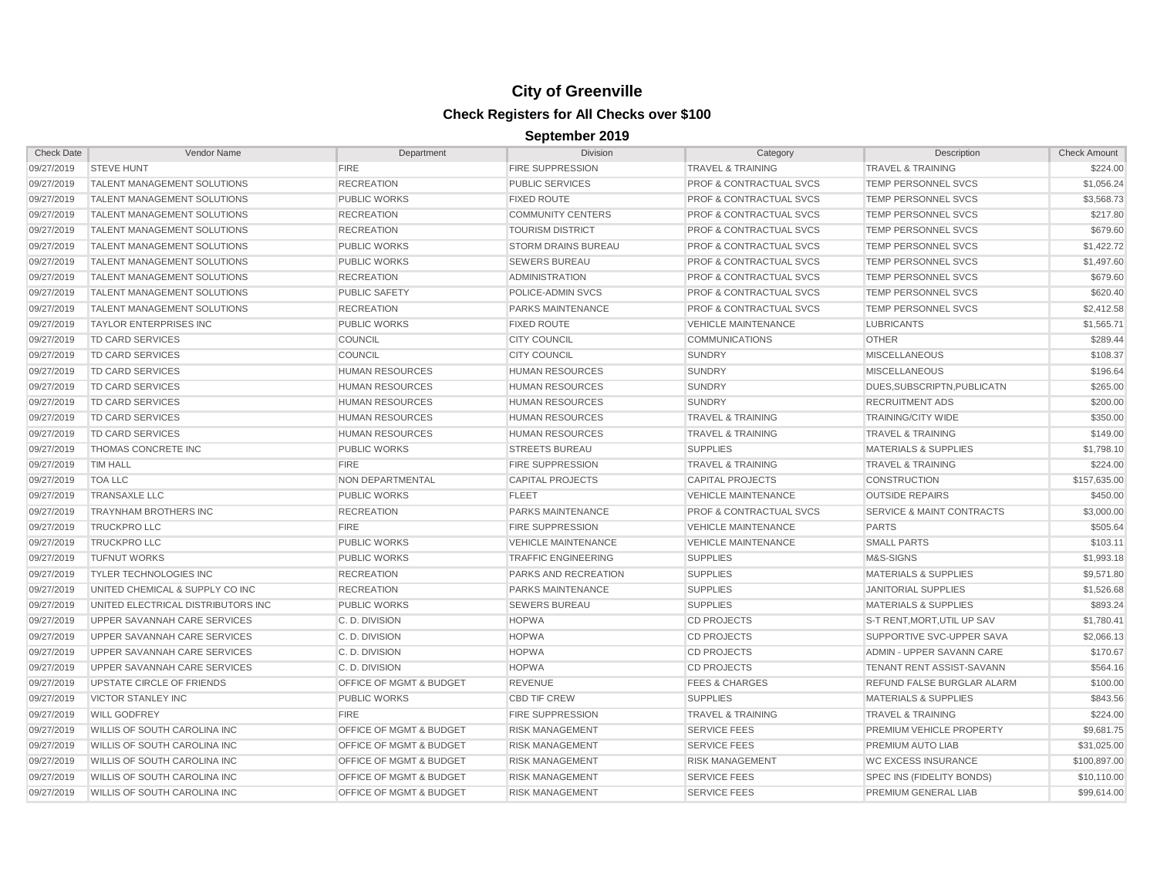| 09/27/2019 | <b>STEVE HUNT</b>                   |                                    |                            |                                    |                                      |              |
|------------|-------------------------------------|------------------------------------|----------------------------|------------------------------------|--------------------------------------|--------------|
|            |                                     | <b>FIRE</b>                        | <b>FIRE SUPPRESSION</b>    | <b>TRAVEL &amp; TRAINING</b>       | <b>TRAVEL &amp; TRAINING</b>         | \$224.00     |
| 09/27/2019 | <b>TALENT MANAGEMENT SOLUTIONS</b>  | <b>RECREATION</b>                  | <b>PUBLIC SERVICES</b>     | <b>PROF &amp; CONTRACTUAL SVCS</b> | <b>TEMP PERSONNEL SVCS</b>           | \$1,056.24   |
| 09/27/2019 | <b>TALENT MANAGEMENT SOLUTIONS</b>  | <b>PUBLIC WORKS</b>                | <b>FIXED ROUTE</b>         | <b>PROF &amp; CONTRACTUAL SVCS</b> | TEMP PERSONNEL SVCS                  | \$3,568.73   |
| 09/27/2019 | <b>TALENT MANAGEMENT SOLUTIONS</b>  | <b>RECREATION</b>                  | <b>COMMUNITY CENTERS</b>   | <b>PROF &amp; CONTRACTUAL SVCS</b> | <b>TEMP PERSONNEL SVCS</b>           | \$217.80     |
| 09/27/2019 | <b>TALENT MANAGEMENT SOLUTIONS</b>  | <b>RECREATION</b>                  | <b>TOURISM DISTRICT</b>    | <b>PROF &amp; CONTRACTUAL SVCS</b> | <b>TEMP PERSONNEL SVCS</b>           | \$679.60     |
| 09/27/2019 | <b>TALENT MANAGEMENT SOLUTIONS</b>  | <b>PUBLIC WORKS</b>                | <b>STORM DRAINS BUREAU</b> | <b>PROF &amp; CONTRACTUAL SVCS</b> | <b>TEMP PERSONNEL SVCS</b>           | \$1,422.72   |
| 09/27/2019 | <b>TALENT MANAGEMENT SOLUTIONS</b>  | <b>PUBLIC WORKS</b>                | <b>SEWERS BUREAU</b>       | <b>PROF &amp; CONTRACTUAL SVCS</b> | <b>TEMP PERSONNEL SVCS</b>           | \$1,497.60   |
| 09/27/2019 | <b>TALENT MANAGEMENT SOLUTIONS</b>  | <b>RECREATION</b>                  | <b>ADMINISTRATION</b>      | <b>PROF &amp; CONTRACTUAL SVCS</b> | <b>TEMP PERSONNEL SVCS</b>           | \$679.60     |
| 09/27/2019 | <b>TALENT MANAGEMENT SOLUTIONS</b>  | <b>PUBLIC SAFETY</b>               | POLICE-ADMIN SVCS          | <b>PROF &amp; CONTRACTUAL SVCS</b> | <b>TEMP PERSONNEL SVCS</b>           | \$620.40     |
| 09/27/2019 | <b>TALENT MANAGEMENT SOLUTIONS</b>  | <b>RECREATION</b>                  | <b>PARKS MAINTENANCE</b>   | <b>PROF &amp; CONTRACTUAL SVCS</b> | <b>TEMP PERSONNEL SVCS</b>           | \$2,412.58   |
| 09/27/2019 | <b>TAYLOR ENTERPRISES INC</b>       | <b>PUBLIC WORKS</b>                | <b>FIXED ROUTE</b>         | <b>VEHICLE MAINTENANCE</b>         | <b>LUBRICANTS</b>                    | \$1,565.71   |
| 09/27/2019 | <b>TD CARD SERVICES</b>             | COUNCIL                            | <b>CITY COUNCIL</b>        | <b>COMMUNICATIONS</b>              | <b>OTHER</b>                         | \$289.44     |
| 09/27/2019 | <b>TD CARD SERVICES</b>             | <b>COUNCIL</b>                     | <b>CITY COUNCIL</b>        | <b>SUNDRY</b>                      | <b>MISCELLANEOUS</b>                 | \$108.37     |
| 09/27/2019 | <b>TD CARD SERVICES</b>             | <b>HUMAN RESOURCES</b>             | <b>HUMAN RESOURCES</b>     | <b>SUNDRY</b>                      | <b>MISCELLANEOUS</b>                 | \$196.64     |
| 09/27/2019 | <b>TD CARD SERVICES</b>             | <b>HUMAN RESOURCES</b>             | HUMAN RESOURCES            | <b>SUNDRY</b>                      | DUES, SUBSCRIPTN, PUBLICATN          | \$265.00     |
| 09/27/2019 | <b>TD CARD SERVICES</b>             | <b>HUMAN RESOURCES</b>             | HUMAN RESOURCES            | <b>SUNDRY</b>                      | <b>RECRUITMENT ADS</b>               | \$200.00     |
| 09/27/2019 | <b>TD CARD SERVICES</b>             | <b>HUMAN RESOURCES</b>             | <b>HUMAN RESOURCES</b>     | <b>TRAVEL &amp; TRAINING</b>       | <b>TRAINING/CITY WIDE</b>            | \$350.00     |
| 09/27/2019 | <b>TD CARD SERVICES</b>             | <b>HUMAN RESOURCES</b>             | HUMAN RESOURCES            | <b>TRAVEL &amp; TRAINING</b>       | <b>TRAVEL &amp; TRAINING</b>         | \$149.00     |
| 09/27/2019 | <b>THOMAS CONCRETE INC</b>          | <b>PUBLIC WORKS</b>                | <b>STREETS BUREAU</b>      | <b>SUPPLIES</b>                    | <b>MATERIALS &amp; SUPPLIES</b>      | \$1,798.10   |
| 09/27/2019 | <b>TIM HALL</b>                     | <b>FIRE</b>                        | <b>FIRE SUPPRESSION</b>    | <b>TRAVEL &amp; TRAINING</b>       | <b>TRAVEL &amp; TRAINING</b>         | \$224.00     |
| 09/27/2019 | <b>TOA LLC</b>                      | <b>NON DEPARTMENTAL</b>            | <b>CAPITAL PROJECTS</b>    | <b>CAPITAL PROJECTS</b>            | <b>CONSTRUCTION</b>                  | \$157,635.00 |
| 09/27/2019 | <b>TRANSAXLE LLC</b>                | <b>PUBLIC WORKS</b>                | <b>FLEET</b>               | <b>VEHICLE MAINTENANCE</b>         | <b>OUTSIDE REPAIRS</b>               | \$450.00     |
| 09/27/2019 | <b>TRAYNHAM BROTHERS INC</b>        | <b>RECREATION</b>                  | PARKS MAINTENANCE          | <b>PROF &amp; CONTRACTUAL SVCS</b> | <b>SERVICE &amp; MAINT CONTRACTS</b> | \$3,000.00   |
| 09/27/2019 | <b>TRUCKPRO LLC</b>                 | <b>FIRE</b>                        | <b>FIRE SUPPRESSION</b>    | <b>VEHICLE MAINTENANCE</b>         | <b>PARTS</b>                         | \$505.64     |
| 09/27/2019 | <b>TRUCKPRO LLC</b>                 | <b>PUBLIC WORKS</b>                | <b>VEHICLE MAINTENANCE</b> | <b>VEHICLE MAINTENANCE</b>         | <b>SMALL PARTS</b>                   | \$103.11     |
| 09/27/2019 | <b>TUFNUT WORKS</b>                 | <b>PUBLIC WORKS</b>                | <b>TRAFFIC ENGINEERING</b> | <b>SUPPLIES</b>                    | M&S-SIGNS                            | \$1,993.18   |
| 09/27/2019 | <b>TYLER TECHNOLOGIES INC</b>       | <b>RECREATION</b>                  | PARKS AND RECREATION       | <b>SUPPLIES</b>                    | <b>MATERIALS &amp; SUPPLIES</b>      | \$9,571.80   |
| 09/27/2019 | UNITED CHEMICAL & SUPPLY CO INC     | <b>RECREATION</b>                  | <b>PARKS MAINTENANCE</b>   | <b>SUPPLIES</b>                    | <b>JANITORIAL SUPPLIES</b>           | \$1,526.68   |
| 09/27/2019 | UNITED ELECTRICAL DISTRIBUTORS INC  | <b>PUBLIC WORKS</b>                | <b>SEWERS BUREAU</b>       | <b>SUPPLIES</b>                    | <b>MATERIALS &amp; SUPPLIES</b>      | \$893.24     |
| 09/27/2019 | UPPER SAVANNAH CARE SERVICES        | C.D. DIVISION                      | <b>HOPWA</b>               | <b>CD PROJECTS</b>                 | S-T RENT, MORT, UTIL UP SAV          | \$1,780.41   |
| 09/27/2019 | UPPER SAVANNAH CARE SERVICES        | C.D. DIVISION                      | <b>HOPWA</b>               | <b>CD PROJECTS</b>                 | SUPPORTIVE SVC-UPPER SAVA            | \$2,066.13   |
| 09/27/2019 | UPPER SAVANNAH CARE SERVICES        | C.D. DIVISION                      | <b>HOPWA</b>               | <b>CD PROJECTS</b>                 | ADMIN - UPPER SAVANN CARE            | \$170.67     |
| 09/27/2019 | UPPER SAVANNAH CARE SERVICES        | C.D. DIVISION                      | <b>HOPWA</b>               | <b>CD PROJECTS</b>                 | <b>TENANT RENT ASSIST-SAVANN</b>     | \$564.16     |
| 09/27/2019 | UPSTATE CIRCLE OF FRIENDS           | OFFICE OF MGMT & BUDGET            | <b>REVENUE</b>             | <b>FEES &amp; CHARGES</b>          | REFUND FALSE BURGLAR ALARM           | \$100.00     |
| 09/27/2019 | <b>VICTOR STANLEY INC</b>           | <b>PUBLIC WORKS</b>                | <b>CBD TIF CREW</b>        | <b>SUPPLIES</b>                    | <b>MATERIALS &amp; SUPPLIES</b>      | \$843.56     |
| 09/27/2019 | <b>WILL GODFREY</b>                 | <b>FIRE</b>                        | <b>FIRE SUPPRESSION</b>    | <b>TRAVEL &amp; TRAINING</b>       | <b>TRAVEL &amp; TRAINING</b>         | \$224.00     |
| 09/27/2019 | <b>WILLIS OF SOUTH CAROLINA INC</b> | OFFICE OF MGMT & BUDGET            | <b>RISK MANAGEMENT</b>     | <b>SERVICE FEES</b>                | PREMIUM VEHICLE PROPERTY             | \$9,681.75   |
| 09/27/2019 | <b>WILLIS OF SOUTH CAROLINA INC</b> | OFFICE OF MGMT & BUDGET            | <b>RISK MANAGEMENT</b>     | <b>SERVICE FEES</b>                | PREMIUM AUTO LIAB                    | \$31,025.00  |
| 09/27/2019 | <b>WILLIS OF SOUTH CAROLINA INC</b> | OFFICE OF MGMT & BUDGET            | <b>RISK MANAGEMENT</b>     | <b>RISK MANAGEMENT</b>             | <b>WC EXCESS INSURANCE</b>           | \$100,897.00 |
| 09/27/2019 | <b>WILLIS OF SOUTH CAROLINA INC</b> | <b>OFFICE OF MGMT &amp; BUDGET</b> | <b>RISK MANAGEMENT</b>     | <b>SERVICE FEES</b>                | SPEC INS (FIDELITY BONDS)            | \$10,110.00  |
| 09/27/2019 | <b>WILLIS OF SOUTH CAROLINA INC</b> | <b>OFFICE OF MGMT &amp; BUDGET</b> | <b>RISK MANAGEMENT</b>     | <b>SERVICE FEES</b>                | PREMIUM GENERAL LIAB                 | \$99,614.00  |